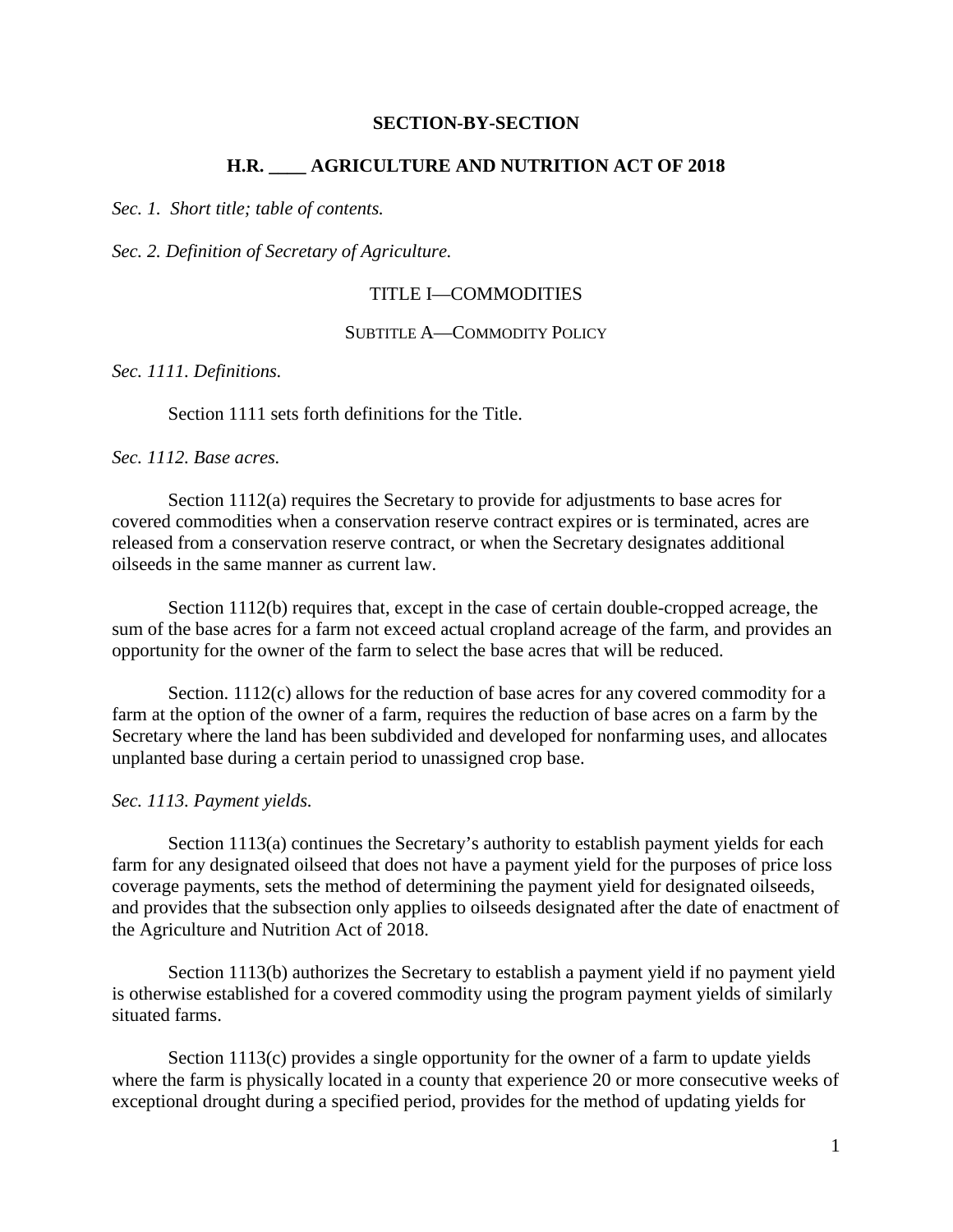#### **SECTION-BY-SECTION**

## **H.R. \_\_\_\_ AGRICULTURE AND NUTRITION ACT OF 2018**

*Sec. 1. Short title; table of contents.*

*Sec. 2. Definition of Secretary of Agriculture.*

### TITLE I—COMMODITIES

#### SUBTITLE A—COMMODITY POLICY

*Sec. 1111. Definitions.*

Section 1111 sets forth definitions for the Title.

#### *Sec. 1112. Base acres.*

Section 1112(a) requires the Secretary to provide for adjustments to base acres for covered commodities when a conservation reserve contract expires or is terminated, acres are released from a conservation reserve contract, or when the Secretary designates additional oilseeds in the same manner as current law.

Section 1112(b) requires that, except in the case of certain double-cropped acreage, the sum of the base acres for a farm not exceed actual cropland acreage of the farm, and provides an opportunity for the owner of the farm to select the base acres that will be reduced.

Section. 1112(c) allows for the reduction of base acres for any covered commodity for a farm at the option of the owner of a farm, requires the reduction of base acres on a farm by the Secretary where the land has been subdivided and developed for nonfarming uses, and allocates unplanted base during a certain period to unassigned crop base.

#### *Sec. 1113. Payment yields.*

Section 1113(a) continues the Secretary's authority to establish payment yields for each farm for any designated oilseed that does not have a payment yield for the purposes of price loss coverage payments, sets the method of determining the payment yield for designated oilseeds, and provides that the subsection only applies to oilseeds designated after the date of enactment of the Agriculture and Nutrition Act of 2018.

Section 1113(b) authorizes the Secretary to establish a payment yield if no payment yield is otherwise established for a covered commodity using the program payment yields of similarly situated farms.

Section 1113(c) provides a single opportunity for the owner of a farm to update yields where the farm is physically located in a county that experience 20 or more consecutive weeks of exceptional drought during a specified period, provides for the method of updating yields for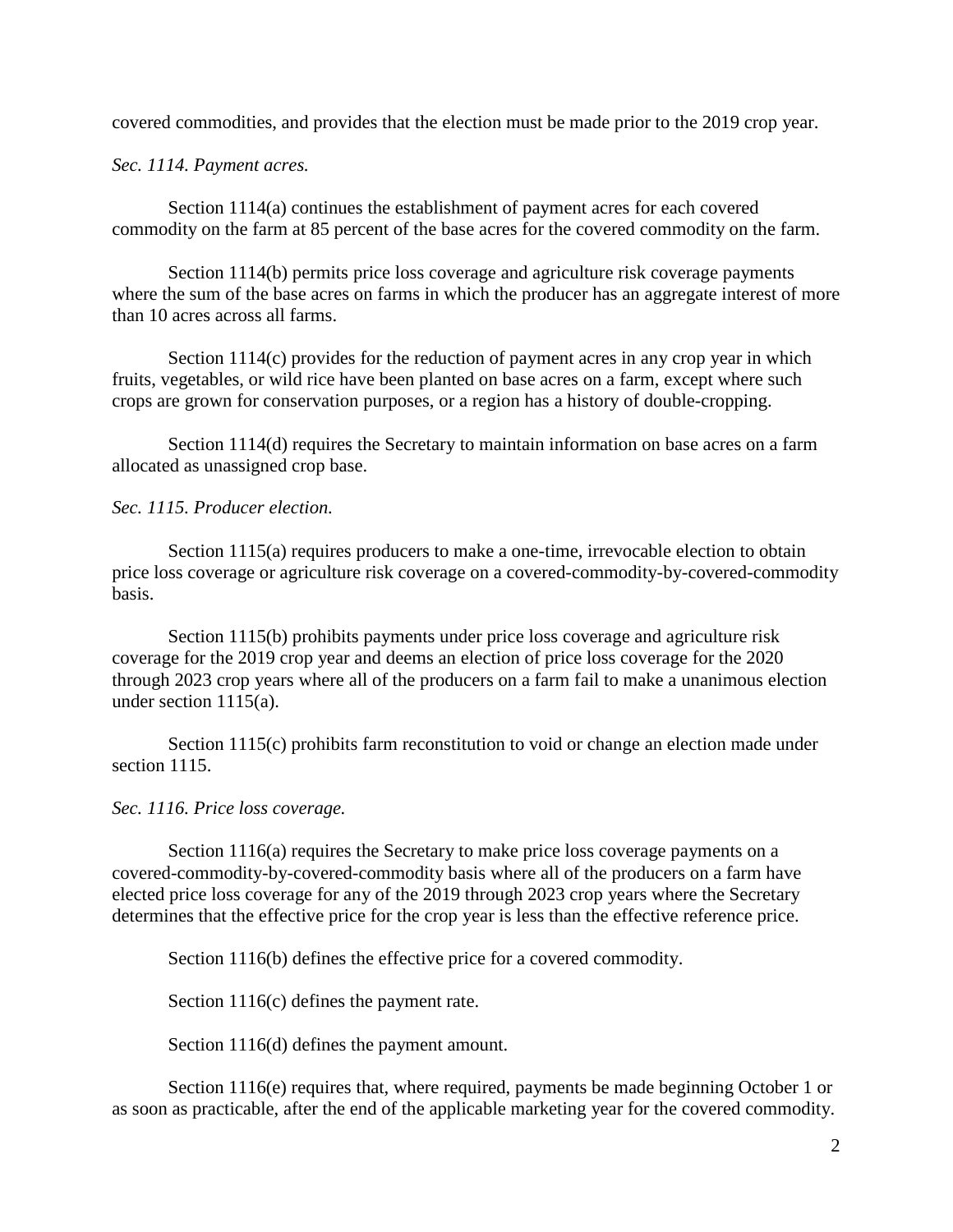covered commodities, and provides that the election must be made prior to the 2019 crop year.

*Sec. 1114. Payment acres.*

Section 1114(a) continues the establishment of payment acres for each covered commodity on the farm at 85 percent of the base acres for the covered commodity on the farm.

Section 1114(b) permits price loss coverage and agriculture risk coverage payments where the sum of the base acres on farms in which the producer has an aggregate interest of more than 10 acres across all farms.

Section 1114(c) provides for the reduction of payment acres in any crop year in which fruits, vegetables, or wild rice have been planted on base acres on a farm, except where such crops are grown for conservation purposes, or a region has a history of double-cropping.

Section 1114(d) requires the Secretary to maintain information on base acres on a farm allocated as unassigned crop base.

## *Sec. 1115. Producer election.*

Section 1115(a) requires producers to make a one-time, irrevocable election to obtain price loss coverage or agriculture risk coverage on a covered-commodity-by-covered-commodity basis.

Section 1115(b) prohibits payments under price loss coverage and agriculture risk coverage for the 2019 crop year and deems an election of price loss coverage for the 2020 through 2023 crop years where all of the producers on a farm fail to make a unanimous election under section 1115(a).

Section 1115(c) prohibits farm reconstitution to void or change an election made under section 1115.

## *Sec. 1116. Price loss coverage.*

Section 1116(a) requires the Secretary to make price loss coverage payments on a covered-commodity-by-covered-commodity basis where all of the producers on a farm have elected price loss coverage for any of the 2019 through 2023 crop years where the Secretary determines that the effective price for the crop year is less than the effective reference price.

Section 1116(b) defines the effective price for a covered commodity.

Section 1116(c) defines the payment rate.

Section 1116(d) defines the payment amount.

Section 1116(e) requires that, where required, payments be made beginning October 1 or as soon as practicable, after the end of the applicable marketing year for the covered commodity.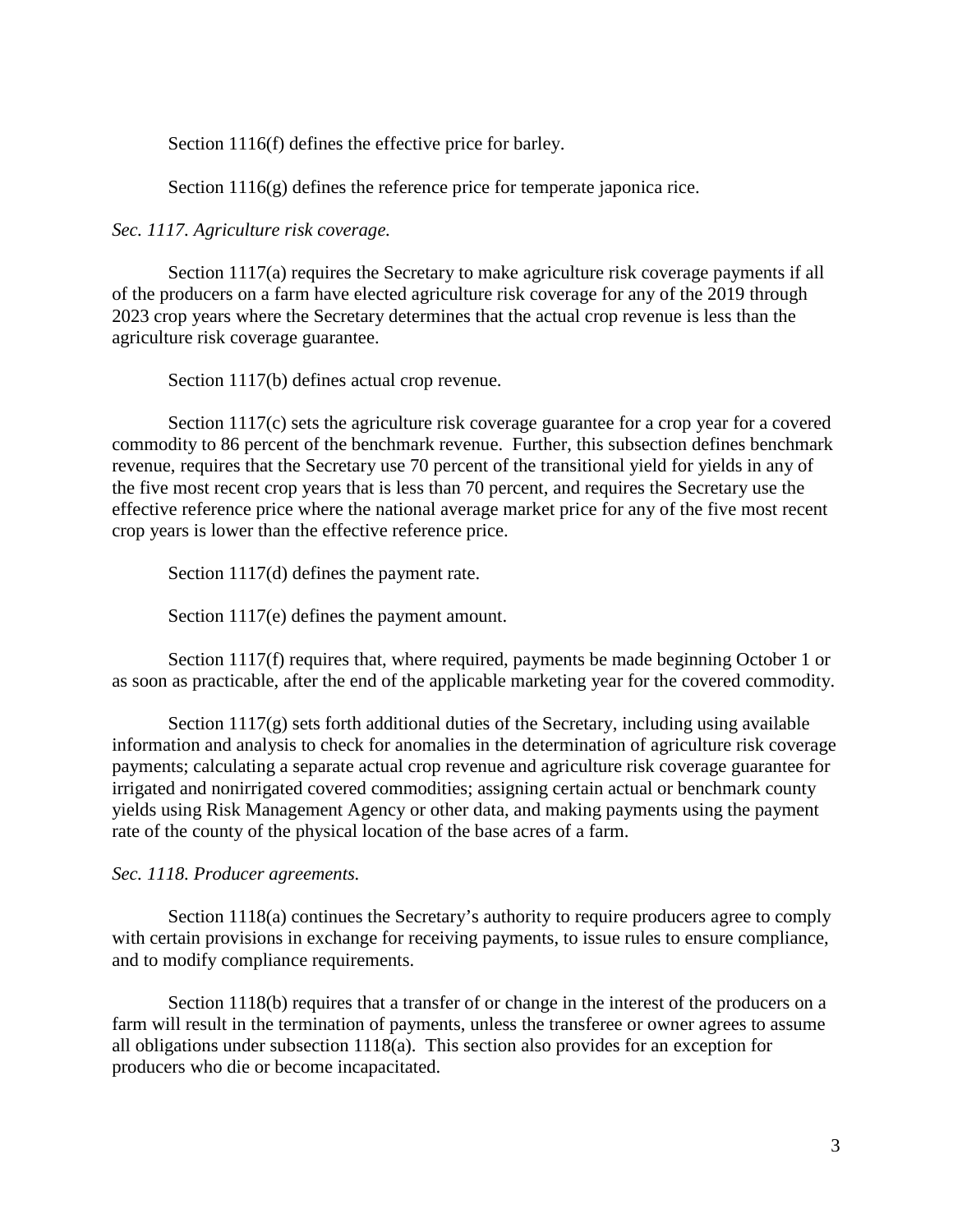Section 1116(f) defines the effective price for barley.

Section 1116(g) defines the reference price for temperate japonica rice.

*Sec. 1117. Agriculture risk coverage.*

Section 1117(a) requires the Secretary to make agriculture risk coverage payments if all of the producers on a farm have elected agriculture risk coverage for any of the 2019 through 2023 crop years where the Secretary determines that the actual crop revenue is less than the agriculture risk coverage guarantee.

Section 1117(b) defines actual crop revenue.

Section 1117(c) sets the agriculture risk coverage guarantee for a crop year for a covered commodity to 86 percent of the benchmark revenue. Further, this subsection defines benchmark revenue, requires that the Secretary use 70 percent of the transitional yield for yields in any of the five most recent crop years that is less than 70 percent, and requires the Secretary use the effective reference price where the national average market price for any of the five most recent crop years is lower than the effective reference price.

Section 1117(d) defines the payment rate.

Section 1117(e) defines the payment amount.

Section 1117(f) requires that, where required, payments be made beginning October 1 or as soon as practicable, after the end of the applicable marketing year for the covered commodity.

Section  $1117(g)$  sets forth additional duties of the Secretary, including using available information and analysis to check for anomalies in the determination of agriculture risk coverage payments; calculating a separate actual crop revenue and agriculture risk coverage guarantee for irrigated and nonirrigated covered commodities; assigning certain actual or benchmark county yields using Risk Management Agency or other data, and making payments using the payment rate of the county of the physical location of the base acres of a farm.

## *Sec. 1118. Producer agreements.*

Section 1118(a) continues the Secretary's authority to require producers agree to comply with certain provisions in exchange for receiving payments, to issue rules to ensure compliance, and to modify compliance requirements.

Section 1118(b) requires that a transfer of or change in the interest of the producers on a farm will result in the termination of payments, unless the transferee or owner agrees to assume all obligations under subsection 1118(a). This section also provides for an exception for producers who die or become incapacitated.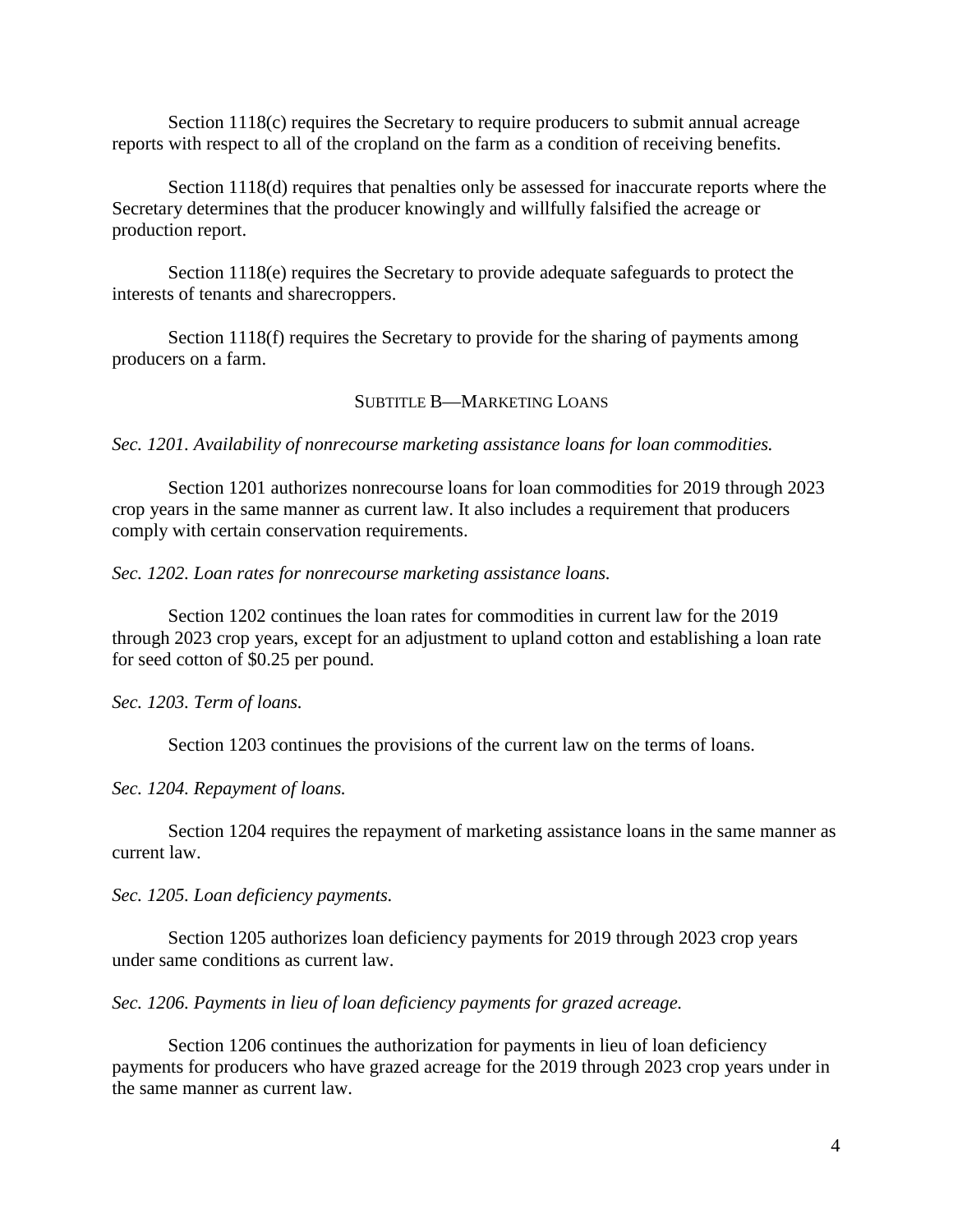Section 1118(c) requires the Secretary to require producers to submit annual acreage reports with respect to all of the cropland on the farm as a condition of receiving benefits.

Section 1118(d) requires that penalties only be assessed for inaccurate reports where the Secretary determines that the producer knowingly and willfully falsified the acreage or production report.

Section 1118(e) requires the Secretary to provide adequate safeguards to protect the interests of tenants and sharecroppers.

Section 1118(f) requires the Secretary to provide for the sharing of payments among producers on a farm.

## SUBTITLE B—MARKETING LOANS

*Sec. 1201. Availability of nonrecourse marketing assistance loans for loan commodities.*

Section 1201 authorizes nonrecourse loans for loan commodities for 2019 through 2023 crop years in the same manner as current law. It also includes a requirement that producers comply with certain conservation requirements.

*Sec. 1202. Loan rates for nonrecourse marketing assistance loans.*

Section 1202 continues the loan rates for commodities in current law for the 2019 through 2023 crop years, except for an adjustment to upland cotton and establishing a loan rate for seed cotton of \$0.25 per pound.

*Sec. 1203. Term of loans.*

Section 1203 continues the provisions of the current law on the terms of loans.

*Sec. 1204. Repayment of loans.*

Section 1204 requires the repayment of marketing assistance loans in the same manner as current law.

*Sec. 1205. Loan deficiency payments.*

Section 1205 authorizes loan deficiency payments for 2019 through 2023 crop years under same conditions as current law.

*Sec. 1206. Payments in lieu of loan deficiency payments for grazed acreage.*

Section 1206 continues the authorization for payments in lieu of loan deficiency payments for producers who have grazed acreage for the 2019 through 2023 crop years under in the same manner as current law.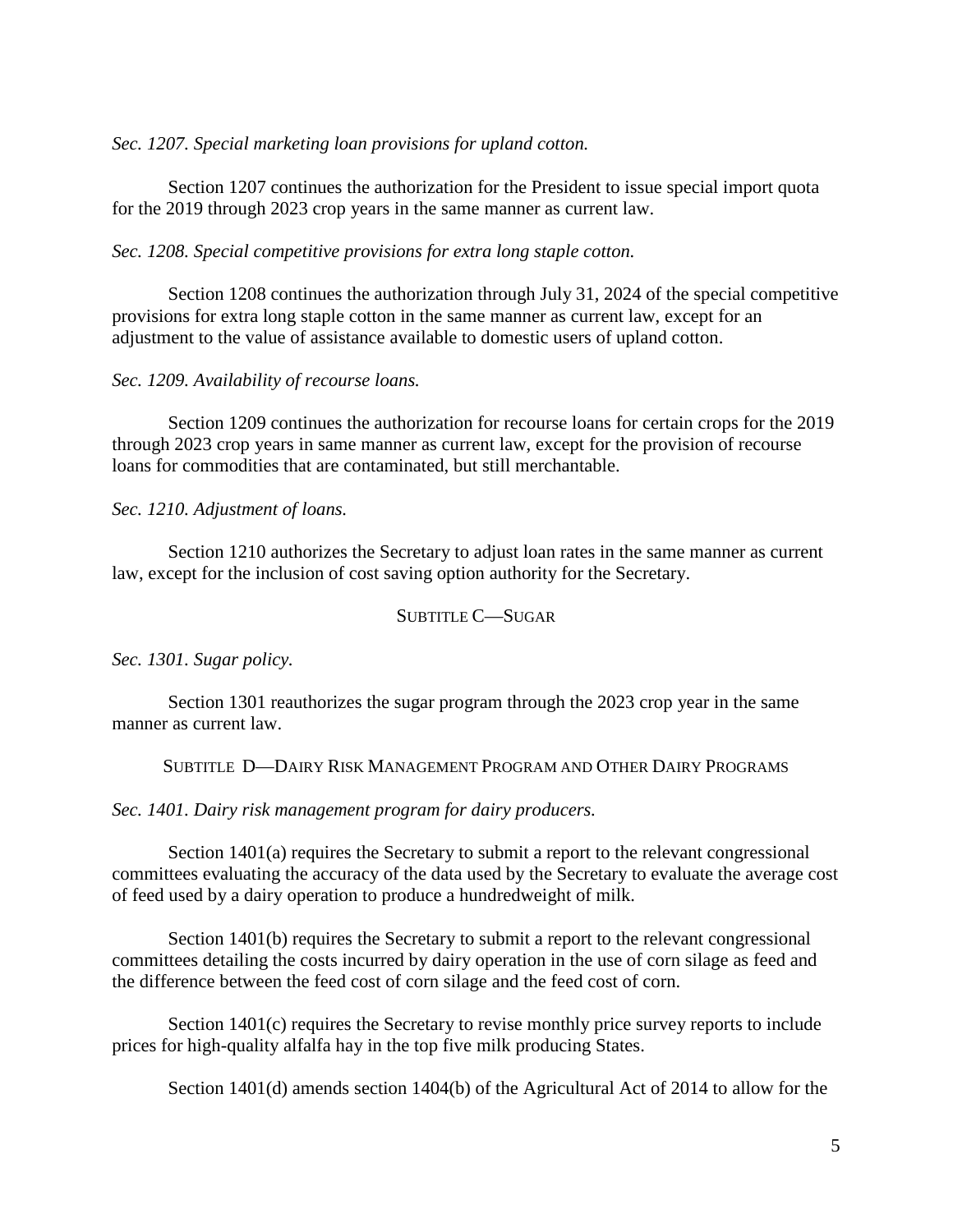### *Sec. 1207. Special marketing loan provisions for upland cotton.*

Section 1207 continues the authorization for the President to issue special import quota for the 2019 through 2023 crop years in the same manner as current law.

### *Sec. 1208. Special competitive provisions for extra long staple cotton.*

Section 1208 continues the authorization through July 31, 2024 of the special competitive provisions for extra long staple cotton in the same manner as current law, except for an adjustment to the value of assistance available to domestic users of upland cotton.

### *Sec. 1209. Availability of recourse loans.*

Section 1209 continues the authorization for recourse loans for certain crops for the 2019 through 2023 crop years in same manner as current law, except for the provision of recourse loans for commodities that are contaminated, but still merchantable.

*Sec. 1210. Adjustment of loans.*

Section 1210 authorizes the Secretary to adjust loan rates in the same manner as current law, except for the inclusion of cost saving option authority for the Secretary.

### SUBTITLE C—SUGAR

*Sec. 1301. Sugar policy.*

Section 1301 reauthorizes the sugar program through the 2023 crop year in the same manner as current law.

### SUBTITLE D—DAIRY RISK MANAGEMENT PROGRAM AND OTHER DAIRY PROGRAMS

### *Sec. 1401. Dairy risk management program for dairy producers.*

Section 1401(a) requires the Secretary to submit a report to the relevant congressional committees evaluating the accuracy of the data used by the Secretary to evaluate the average cost of feed used by a dairy operation to produce a hundredweight of milk.

Section 1401(b) requires the Secretary to submit a report to the relevant congressional committees detailing the costs incurred by dairy operation in the use of corn silage as feed and the difference between the feed cost of corn silage and the feed cost of corn.

Section 1401(c) requires the Secretary to revise monthly price survey reports to include prices for high-quality alfalfa hay in the top five milk producing States.

Section 1401(d) amends section 1404(b) of the Agricultural Act of 2014 to allow for the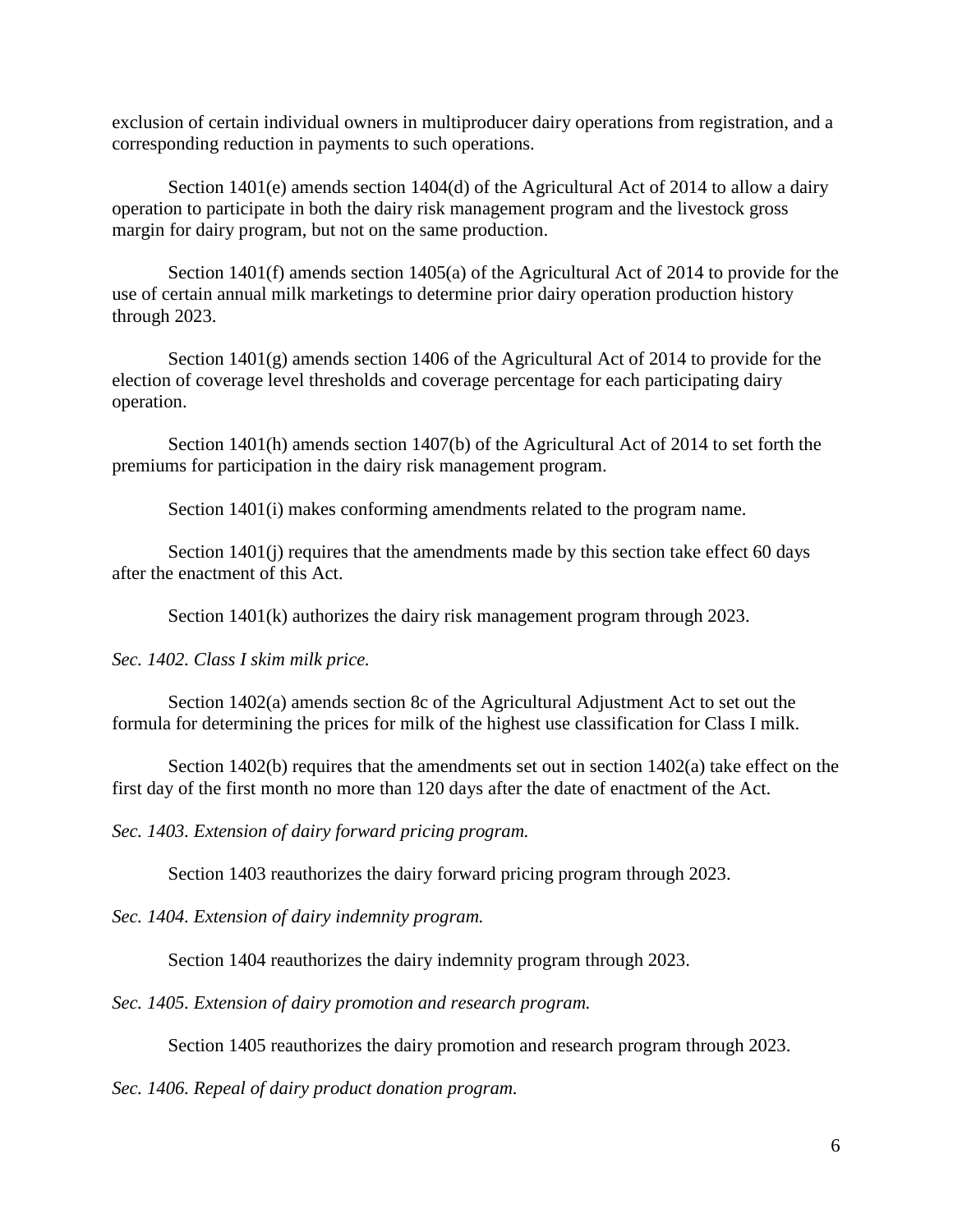exclusion of certain individual owners in multiproducer dairy operations from registration, and a corresponding reduction in payments to such operations.

Section 1401(e) amends section 1404(d) of the Agricultural Act of 2014 to allow a dairy operation to participate in both the dairy risk management program and the livestock gross margin for dairy program, but not on the same production.

Section 1401(f) amends section 1405(a) of the Agricultural Act of 2014 to provide for the use of certain annual milk marketings to determine prior dairy operation production history through 2023.

Section 1401(g) amends section 1406 of the Agricultural Act of 2014 to provide for the election of coverage level thresholds and coverage percentage for each participating dairy operation.

Section 1401(h) amends section 1407(b) of the Agricultural Act of 2014 to set forth the premiums for participation in the dairy risk management program.

Section 1401(i) makes conforming amendments related to the program name.

Section 1401(j) requires that the amendments made by this section take effect 60 days after the enactment of this Act.

Section 1401(k) authorizes the dairy risk management program through 2023.

*Sec. 1402. Class I skim milk price.*

Section 1402(a) amends section 8c of the Agricultural Adjustment Act to set out the formula for determining the prices for milk of the highest use classification for Class I milk.

Section  $1402(b)$  requires that the amendments set out in section  $1402(a)$  take effect on the first day of the first month no more than 120 days after the date of enactment of the Act.

*Sec. 1403. Extension of dairy forward pricing program.*

Section 1403 reauthorizes the dairy forward pricing program through 2023.

*Sec. 1404. Extension of dairy indemnity program.*

Section 1404 reauthorizes the dairy indemnity program through 2023.

*Sec. 1405. Extension of dairy promotion and research program.*

Section 1405 reauthorizes the dairy promotion and research program through 2023.

*Sec. 1406. Repeal of dairy product donation program.*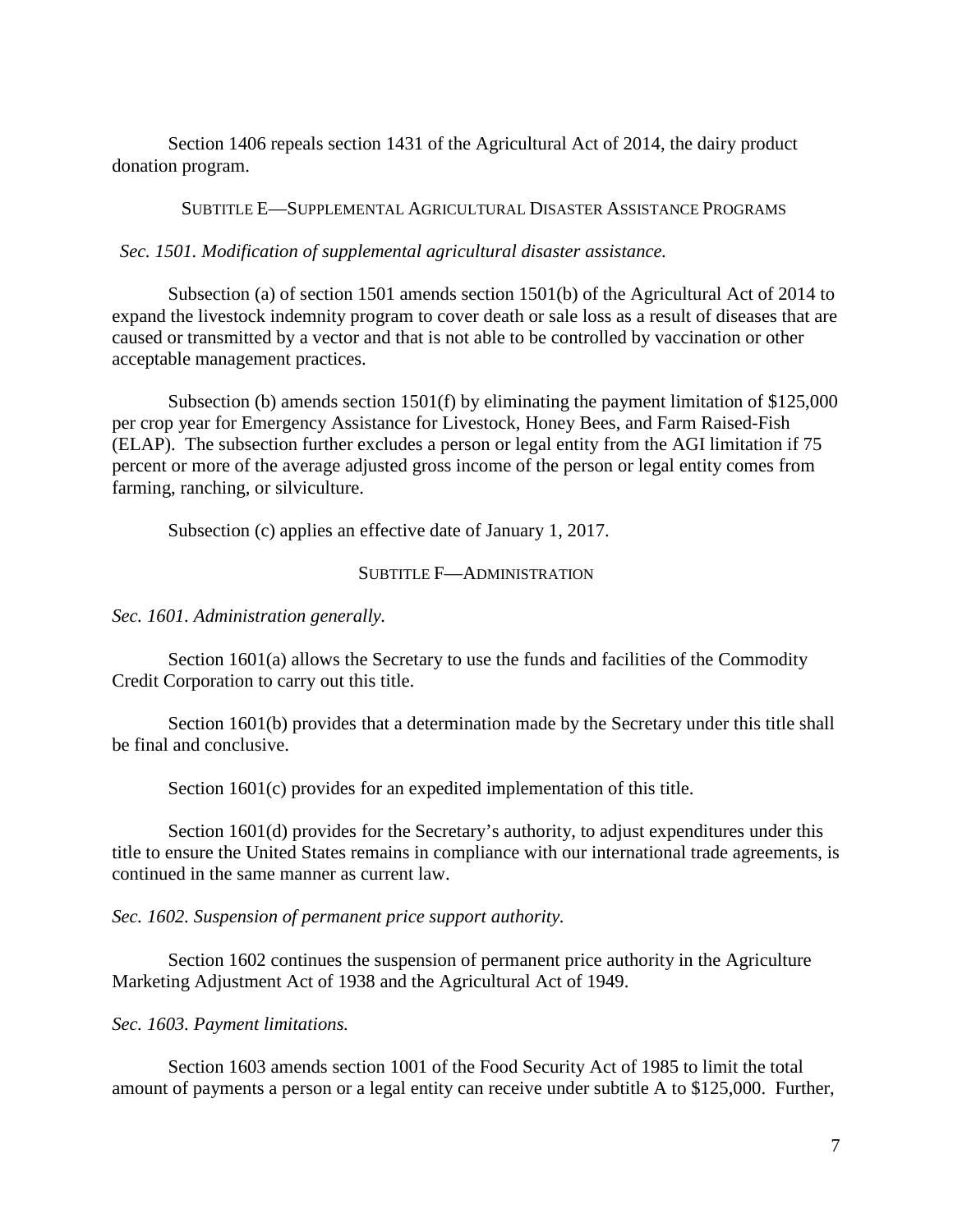Section 1406 repeals section 1431 of the Agricultural Act of 2014, the dairy product donation program.

## SUBTITLE E—SUPPLEMENTAL AGRICULTURAL DISASTER ASSISTANCE PROGRAMS

*Sec. 1501. Modification of supplemental agricultural disaster assistance.*

Subsection (a) of section 1501 amends section 1501(b) of the Agricultural Act of 2014 to expand the livestock indemnity program to cover death or sale loss as a result of diseases that are caused or transmitted by a vector and that is not able to be controlled by vaccination or other acceptable management practices.

Subsection (b) amends section 1501(f) by eliminating the payment limitation of \$125,000 per crop year for Emergency Assistance for Livestock, Honey Bees, and Farm Raised-Fish (ELAP). The subsection further excludes a person or legal entity from the AGI limitation if 75 percent or more of the average adjusted gross income of the person or legal entity comes from farming, ranching, or silviculture.

Subsection (c) applies an effective date of January 1, 2017.

## SUBTITLE F—ADMINISTRATION

*Sec. 1601. Administration generally.*

Section 1601(a) allows the Secretary to use the funds and facilities of the Commodity Credit Corporation to carry out this title.

Section 1601(b) provides that a determination made by the Secretary under this title shall be final and conclusive.

Section 1601(c) provides for an expedited implementation of this title.

Section 1601(d) provides for the Secretary's authority, to adjust expenditures under this title to ensure the United States remains in compliance with our international trade agreements, is continued in the same manner as current law.

*Sec. 1602. Suspension of permanent price support authority.*

Section 1602 continues the suspension of permanent price authority in the Agriculture Marketing Adjustment Act of 1938 and the Agricultural Act of 1949.

*Sec. 1603. Payment limitations.*

Section 1603 amends section 1001 of the Food Security Act of 1985 to limit the total amount of payments a person or a legal entity can receive under subtitle A to \$125,000. Further,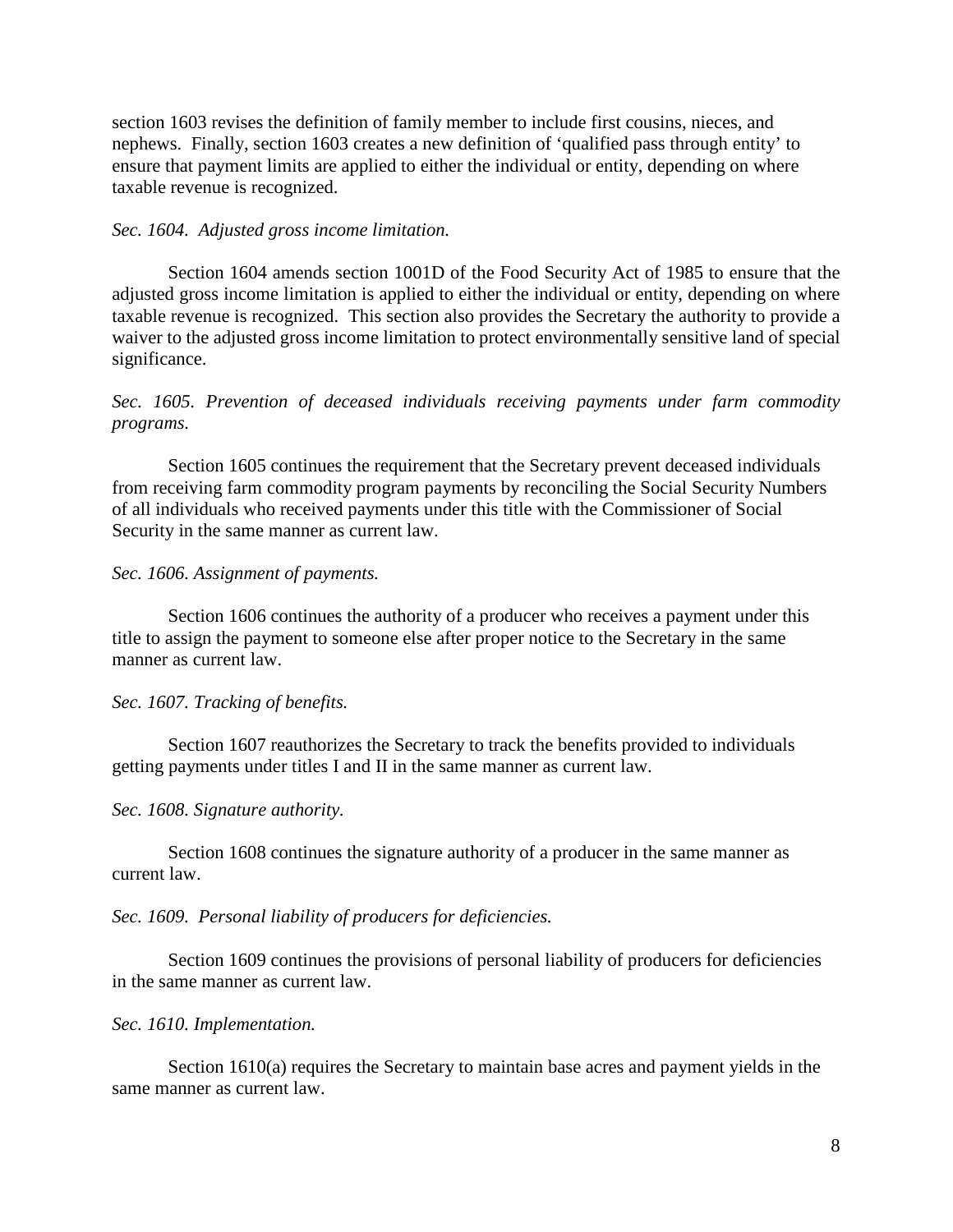section 1603 revises the definition of family member to include first cousins, nieces, and nephews. Finally, section 1603 creates a new definition of 'qualified pass through entity' to ensure that payment limits are applied to either the individual or entity, depending on where taxable revenue is recognized.

### *Sec. 1604. Adjusted gross income limitation.*

Section 1604 amends section 1001D of the Food Security Act of 1985 to ensure that the adjusted gross income limitation is applied to either the individual or entity, depending on where taxable revenue is recognized. This section also provides the Secretary the authority to provide a waiver to the adjusted gross income limitation to protect environmentally sensitive land of special significance.

*Sec. 1605. Prevention of deceased individuals receiving payments under farm commodity programs.*

Section 1605 continues the requirement that the Secretary prevent deceased individuals from receiving farm commodity program payments by reconciling the Social Security Numbers of all individuals who received payments under this title with the Commissioner of Social Security in the same manner as current law.

#### *Sec. 1606. Assignment of payments.*

Section 1606 continues the authority of a producer who receives a payment under this title to assign the payment to someone else after proper notice to the Secretary in the same manner as current law.

#### *Sec. 1607. Tracking of benefits.*

Section 1607 reauthorizes the Secretary to track the benefits provided to individuals getting payments under titles I and II in the same manner as current law.

#### *Sec. 1608. Signature authority.*

Section 1608 continues the signature authority of a producer in the same manner as current law.

#### *Sec. 1609. Personal liability of producers for deficiencies.*

Section 1609 continues the provisions of personal liability of producers for deficiencies in the same manner as current law.

#### *Sec. 1610. Implementation.*

Section 1610(a) requires the Secretary to maintain base acres and payment yields in the same manner as current law.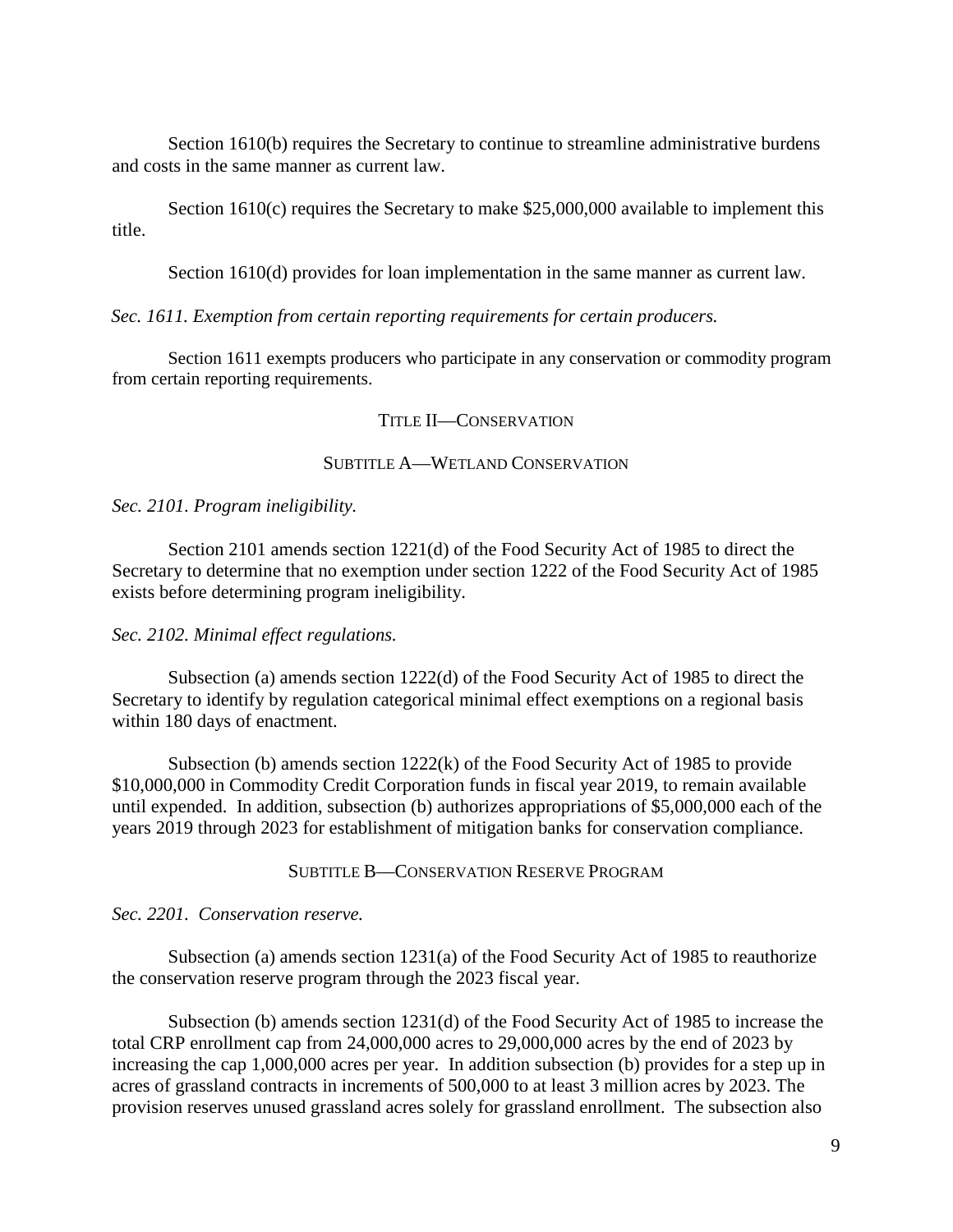Section 1610(b) requires the Secretary to continue to streamline administrative burdens and costs in the same manner as current law.

Section 1610(c) requires the Secretary to make \$25,000,000 available to implement this title.

Section 1610(d) provides for loan implementation in the same manner as current law.

*Sec. 1611. Exemption from certain reporting requirements for certain producers.*

Section 1611 exempts producers who participate in any conservation or commodity program from certain reporting requirements.

### TITLE II—CONSERVATION

## SUBTITLE A—WETLAND CONSERVATION

*Sec. 2101. Program ineligibility.*

Section 2101 amends section 1221(d) of the Food Security Act of 1985 to direct the Secretary to determine that no exemption under section 1222 of the Food Security Act of 1985 exists before determining program ineligibility.

*Sec. 2102. Minimal effect regulations.*

Subsection (a) amends section 1222(d) of the Food Security Act of 1985 to direct the Secretary to identify by regulation categorical minimal effect exemptions on a regional basis within 180 days of enactment.

Subsection (b) amends section  $1222(k)$  of the Food Security Act of 1985 to provide \$10,000,000 in Commodity Credit Corporation funds in fiscal year 2019, to remain available until expended. In addition, subsection (b) authorizes appropriations of \$5,000,000 each of the years 2019 through 2023 for establishment of mitigation banks for conservation compliance.

SUBTITLE B—CONSERVATION RESERVE PROGRAM

*Sec. 2201. Conservation reserve.*

Subsection (a) amends section 1231(a) of the Food Security Act of 1985 to reauthorize the conservation reserve program through the 2023 fiscal year.

Subsection (b) amends section 1231(d) of the Food Security Act of 1985 to increase the total CRP enrollment cap from 24,000,000 acres to 29,000,000 acres by the end of 2023 by increasing the cap 1,000,000 acres per year. In addition subsection (b) provides for a step up in acres of grassland contracts in increments of 500,000 to at least 3 million acres by 2023. The provision reserves unused grassland acres solely for grassland enrollment. The subsection also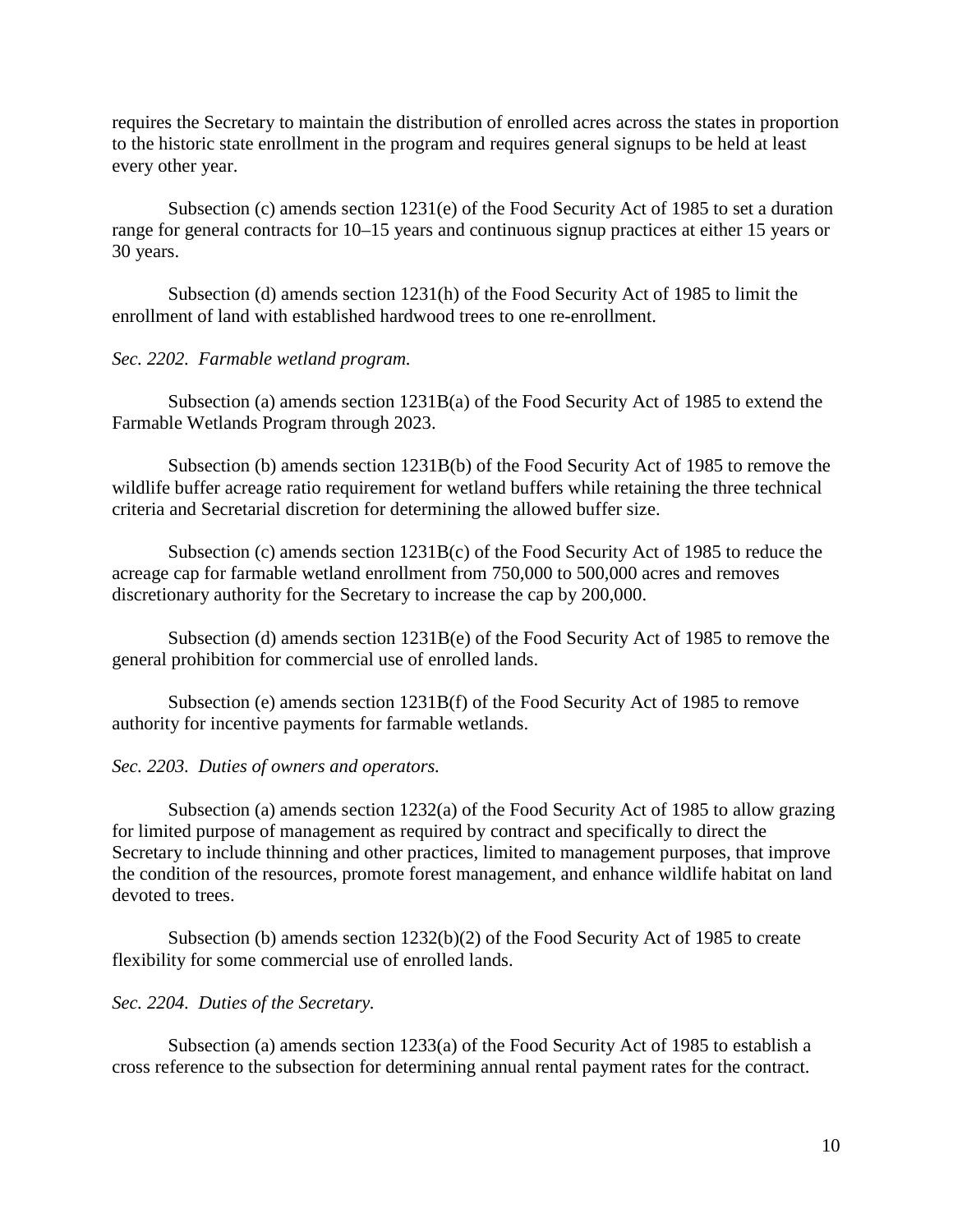requires the Secretary to maintain the distribution of enrolled acres across the states in proportion to the historic state enrollment in the program and requires general signups to be held at least every other year.

Subsection (c) amends section 1231(e) of the Food Security Act of 1985 to set a duration range for general contracts for 10–15 years and continuous signup practices at either 15 years or 30 years.

Subsection (d) amends section 1231(h) of the Food Security Act of 1985 to limit the enrollment of land with established hardwood trees to one re-enrollment.

## *Sec. 2202. Farmable wetland program.*

Subsection (a) amends section 1231B(a) of the Food Security Act of 1985 to extend the Farmable Wetlands Program through 2023.

Subsection (b) amends section 1231B(b) of the Food Security Act of 1985 to remove the wildlife buffer acreage ratio requirement for wetland buffers while retaining the three technical criteria and Secretarial discretion for determining the allowed buffer size.

Subsection (c) amends section 1231B(c) of the Food Security Act of 1985 to reduce the acreage cap for farmable wetland enrollment from 750,000 to 500,000 acres and removes discretionary authority for the Secretary to increase the cap by 200,000.

Subsection (d) amends section 1231B(e) of the Food Security Act of 1985 to remove the general prohibition for commercial use of enrolled lands.

Subsection (e) amends section 1231B(f) of the Food Security Act of 1985 to remove authority for incentive payments for farmable wetlands.

### *Sec. 2203. Duties of owners and operators.*

Subsection (a) amends section 1232(a) of the Food Security Act of 1985 to allow grazing for limited purpose of management as required by contract and specifically to direct the Secretary to include thinning and other practices, limited to management purposes, that improve the condition of the resources, promote forest management, and enhance wildlife habitat on land devoted to trees.

Subsection (b) amends section 1232(b)(2) of the Food Security Act of 1985 to create flexibility for some commercial use of enrolled lands.

### *Sec. 2204. Duties of the Secretary.*

Subsection (a) amends section 1233(a) of the Food Security Act of 1985 to establish a cross reference to the subsection for determining annual rental payment rates for the contract.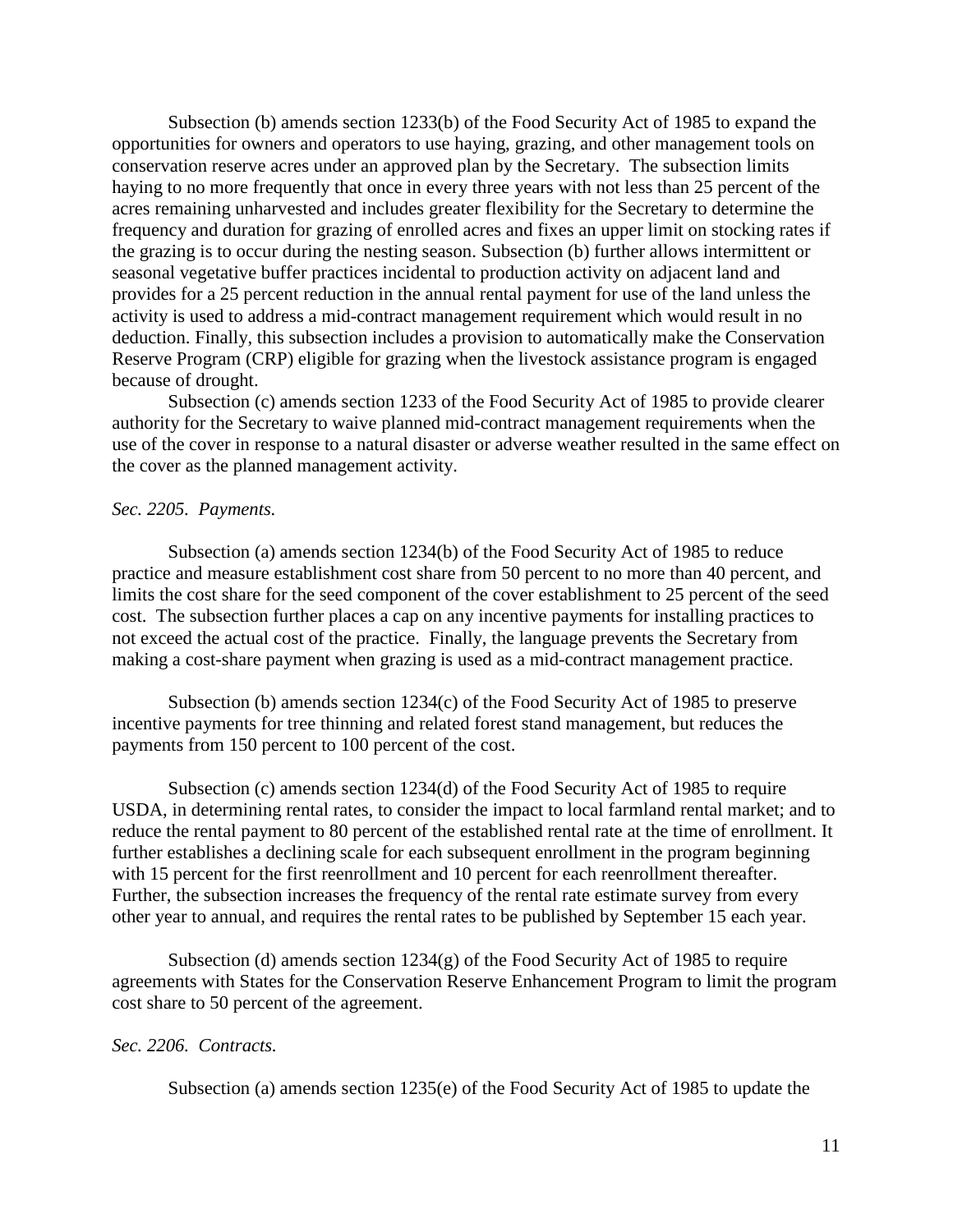Subsection (b) amends section 1233(b) of the Food Security Act of 1985 to expand the opportunities for owners and operators to use haying, grazing, and other management tools on conservation reserve acres under an approved plan by the Secretary. The subsection limits haying to no more frequently that once in every three years with not less than 25 percent of the acres remaining unharvested and includes greater flexibility for the Secretary to determine the frequency and duration for grazing of enrolled acres and fixes an upper limit on stocking rates if the grazing is to occur during the nesting season. Subsection (b) further allows intermittent or seasonal vegetative buffer practices incidental to production activity on adjacent land and provides for a 25 percent reduction in the annual rental payment for use of the land unless the activity is used to address a mid-contract management requirement which would result in no deduction. Finally, this subsection includes a provision to automatically make the Conservation Reserve Program (CRP) eligible for grazing when the livestock assistance program is engaged because of drought.

Subsection (c) amends section 1233 of the Food Security Act of 1985 to provide clearer authority for the Secretary to waive planned mid-contract management requirements when the use of the cover in response to a natural disaster or adverse weather resulted in the same effect on the cover as the planned management activity.

### *Sec. 2205. Payments.*

Subsection (a) amends section 1234(b) of the Food Security Act of 1985 to reduce practice and measure establishment cost share from 50 percent to no more than 40 percent, and limits the cost share for the seed component of the cover establishment to 25 percent of the seed cost. The subsection further places a cap on any incentive payments for installing practices to not exceed the actual cost of the practice. Finally, the language prevents the Secretary from making a cost-share payment when grazing is used as a mid-contract management practice.

Subsection (b) amends section 1234(c) of the Food Security Act of 1985 to preserve incentive payments for tree thinning and related forest stand management, but reduces the payments from 150 percent to 100 percent of the cost.

Subsection (c) amends section 1234(d) of the Food Security Act of 1985 to require USDA, in determining rental rates, to consider the impact to local farmland rental market; and to reduce the rental payment to 80 percent of the established rental rate at the time of enrollment. It further establishes a declining scale for each subsequent enrollment in the program beginning with 15 percent for the first reenrollment and 10 percent for each reenrollment thereafter. Further, the subsection increases the frequency of the rental rate estimate survey from every other year to annual, and requires the rental rates to be published by September 15 each year.

Subsection (d) amends section 1234(g) of the Food Security Act of 1985 to require agreements with States for the Conservation Reserve Enhancement Program to limit the program cost share to 50 percent of the agreement.

### *Sec. 2206. Contracts.*

Subsection (a) amends section 1235(e) of the Food Security Act of 1985 to update the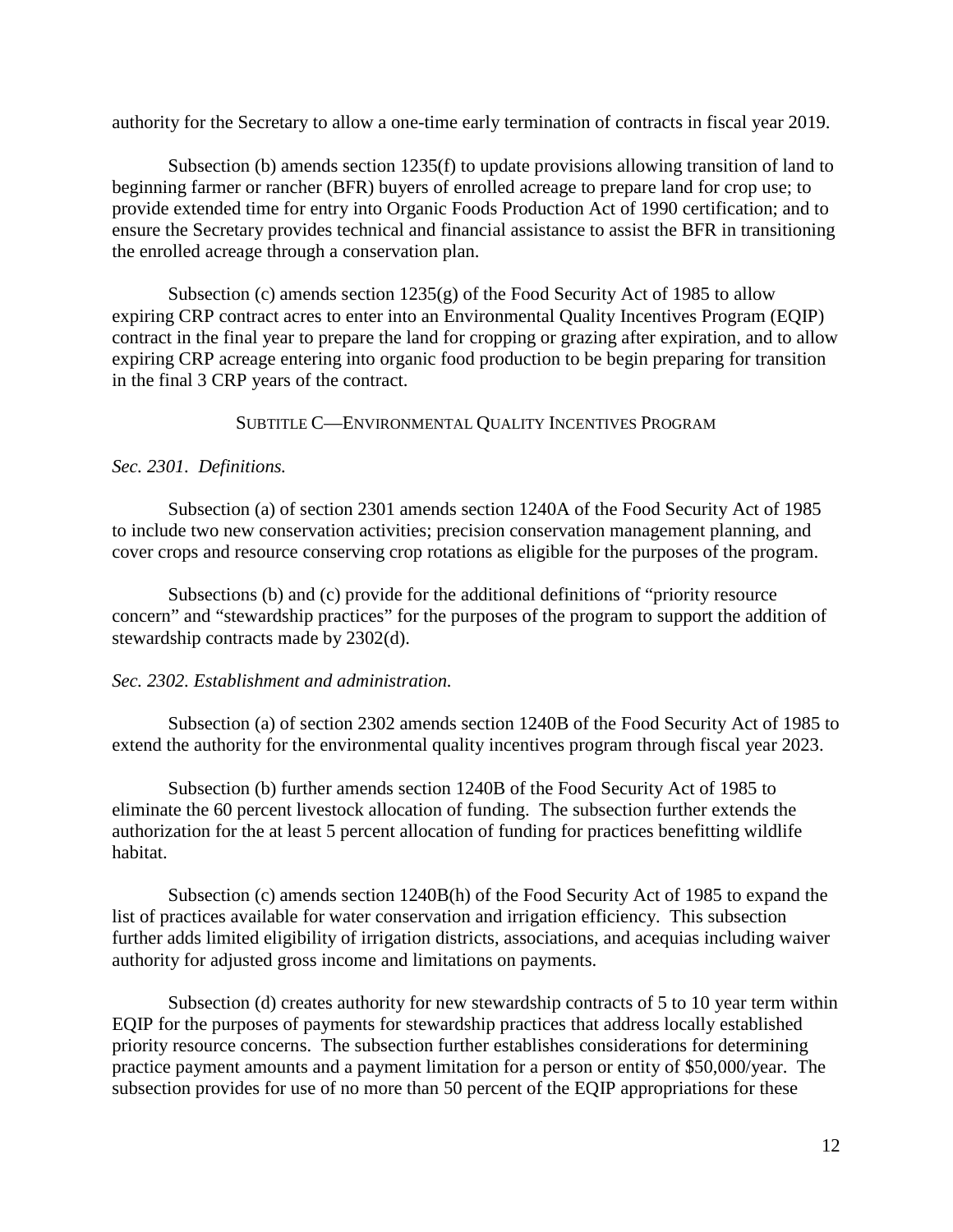authority for the Secretary to allow a one-time early termination of contracts in fiscal year 2019.

Subsection (b) amends section 1235(f) to update provisions allowing transition of land to beginning farmer or rancher (BFR) buyers of enrolled acreage to prepare land for crop use; to provide extended time for entry into Organic Foods Production Act of 1990 certification; and to ensure the Secretary provides technical and financial assistance to assist the BFR in transitioning the enrolled acreage through a conservation plan.

Subsection (c) amends section  $1235(g)$  of the Food Security Act of 1985 to allow expiring CRP contract acres to enter into an Environmental Quality Incentives Program (EQIP) contract in the final year to prepare the land for cropping or grazing after expiration, and to allow expiring CRP acreage entering into organic food production to be begin preparing for transition in the final 3 CRP years of the contract.

SUBTITLE C—ENVIRONMENTAL QUALITY INCENTIVES PROGRAM

## *Sec. 2301. Definitions.*

Subsection (a) of section 2301 amends section 1240A of the Food Security Act of 1985 to include two new conservation activities; precision conservation management planning, and cover crops and resource conserving crop rotations as eligible for the purposes of the program.

Subsections (b) and (c) provide for the additional definitions of "priority resource concern" and "stewardship practices" for the purposes of the program to support the addition of stewardship contracts made by 2302(d).

## *Sec. 2302. Establishment and administration.*

Subsection (a) of section 2302 amends section 1240B of the Food Security Act of 1985 to extend the authority for the environmental quality incentives program through fiscal year 2023.

Subsection (b) further amends section 1240B of the Food Security Act of 1985 to eliminate the 60 percent livestock allocation of funding. The subsection further extends the authorization for the at least 5 percent allocation of funding for practices benefitting wildlife habitat.

Subsection (c) amends section 1240B(h) of the Food Security Act of 1985 to expand the list of practices available for water conservation and irrigation efficiency. This subsection further adds limited eligibility of irrigation districts, associations, and acequias including waiver authority for adjusted gross income and limitations on payments.

Subsection (d) creates authority for new stewardship contracts of 5 to 10 year term within EQIP for the purposes of payments for stewardship practices that address locally established priority resource concerns. The subsection further establishes considerations for determining practice payment amounts and a payment limitation for a person or entity of \$50,000/year. The subsection provides for use of no more than 50 percent of the EQIP appropriations for these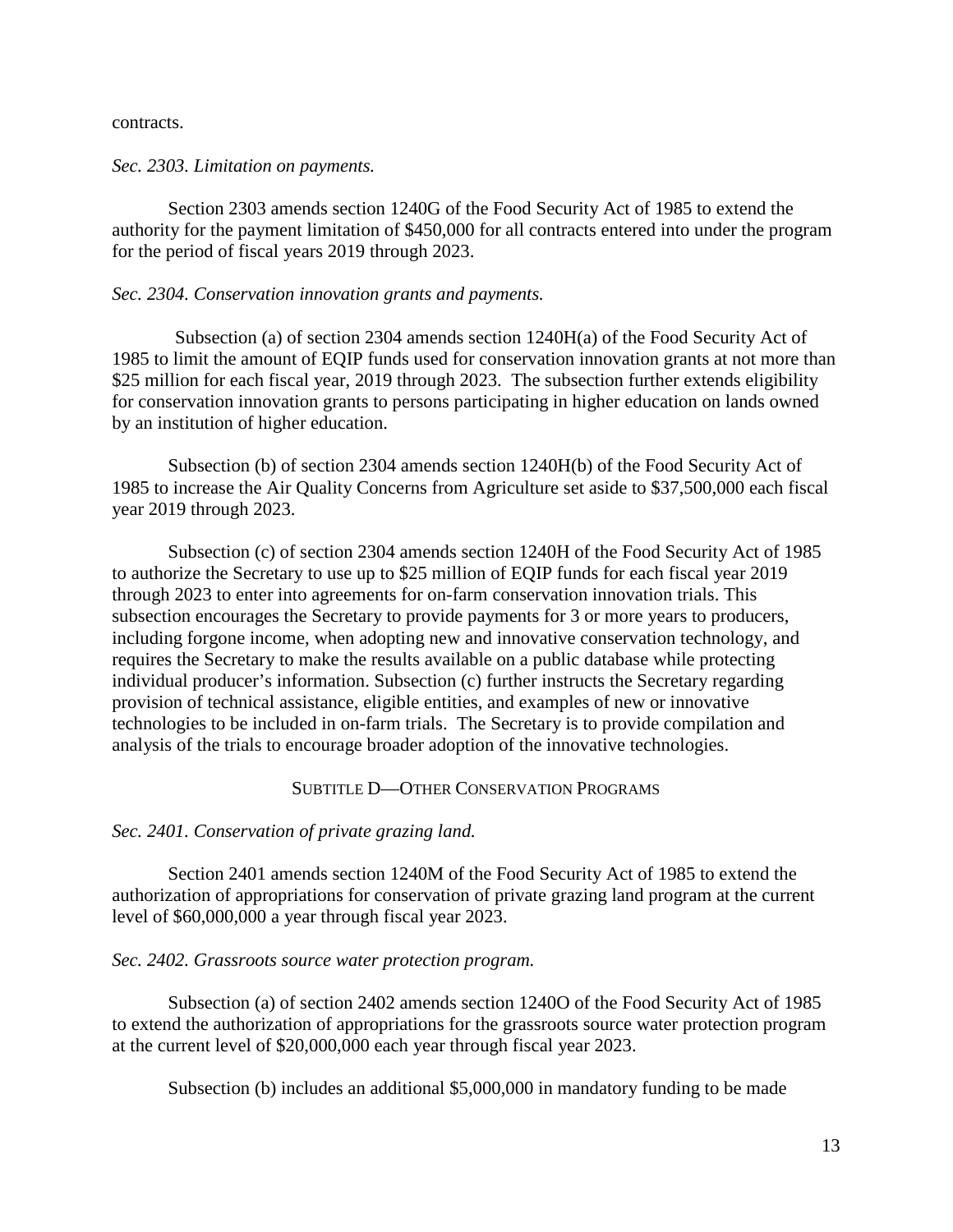contracts.

### *Sec. 2303. Limitation on payments.*

Section 2303 amends section 1240G of the Food Security Act of 1985 to extend the authority for the payment limitation of \$450,000 for all contracts entered into under the program for the period of fiscal years 2019 through 2023.

### *Sec. 2304. Conservation innovation grants and payments.*

Subsection (a) of section 2304 amends section 1240H(a) of the Food Security Act of 1985 to limit the amount of EQIP funds used for conservation innovation grants at not more than \$25 million for each fiscal year, 2019 through 2023. The subsection further extends eligibility for conservation innovation grants to persons participating in higher education on lands owned by an institution of higher education.

Subsection (b) of section 2304 amends section 1240H(b) of the Food Security Act of 1985 to increase the Air Quality Concerns from Agriculture set aside to \$37,500,000 each fiscal year 2019 through 2023.

Subsection (c) of section 2304 amends section 1240H of the Food Security Act of 1985 to authorize the Secretary to use up to \$25 million of EQIP funds for each fiscal year 2019 through 2023 to enter into agreements for on-farm conservation innovation trials. This subsection encourages the Secretary to provide payments for 3 or more years to producers, including forgone income, when adopting new and innovative conservation technology, and requires the Secretary to make the results available on a public database while protecting individual producer's information. Subsection (c) further instructs the Secretary regarding provision of technical assistance, eligible entities, and examples of new or innovative technologies to be included in on-farm trials. The Secretary is to provide compilation and analysis of the trials to encourage broader adoption of the innovative technologies.

### SUBTITLE D—OTHER CONSERVATION PROGRAMS

### *Sec. 2401. Conservation of private grazing land.*

Section 2401 amends section 1240M of the Food Security Act of 1985 to extend the authorization of appropriations for conservation of private grazing land program at the current level of \$60,000,000 a year through fiscal year 2023.

### *Sec. 2402. Grassroots source water protection program.*

Subsection (a) of section 2402 amends section 1240O of the Food Security Act of 1985 to extend the authorization of appropriations for the grassroots source water protection program at the current level of \$20,000,000 each year through fiscal year 2023.

Subsection (b) includes an additional \$5,000,000 in mandatory funding to be made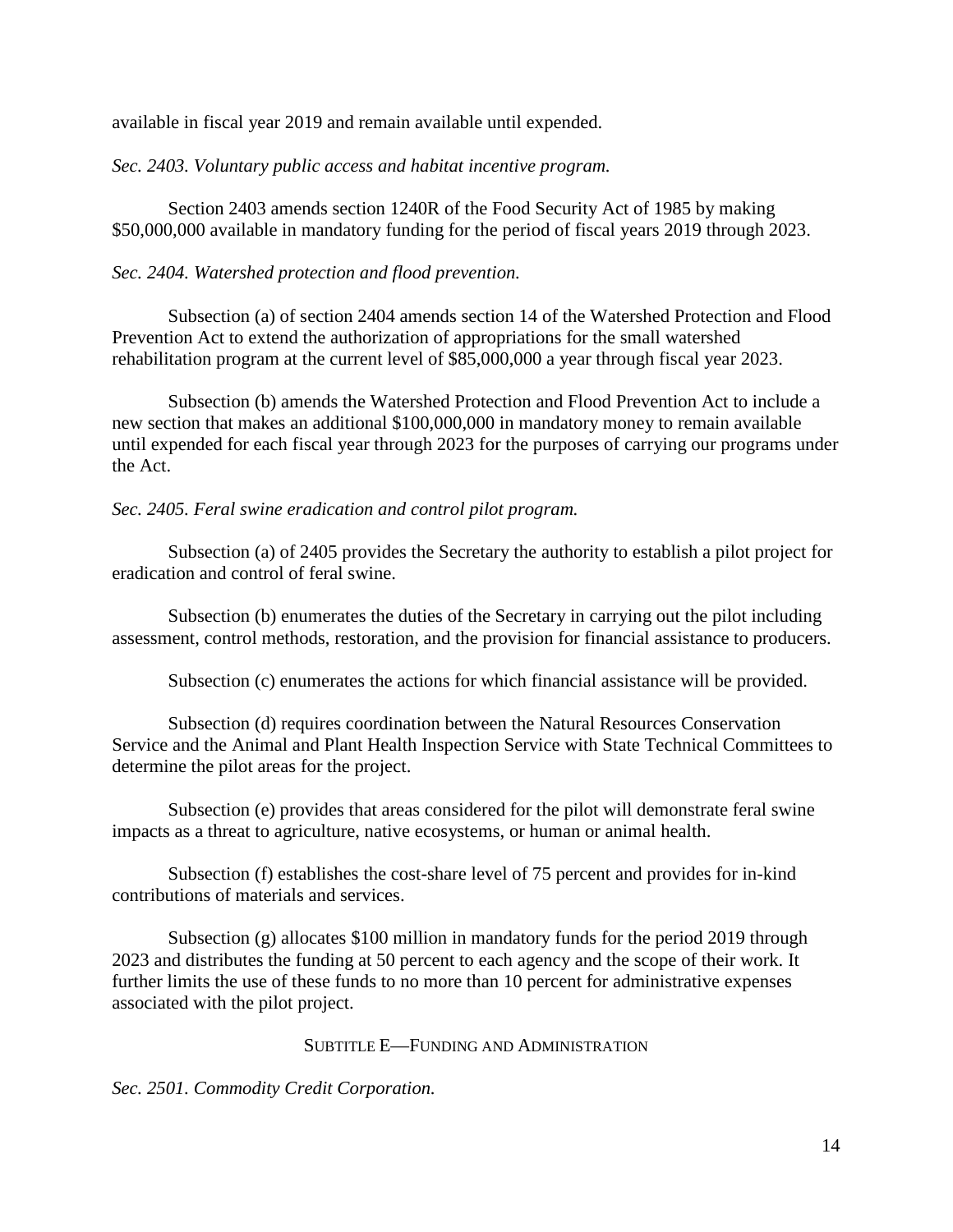available in fiscal year 2019 and remain available until expended.

*Sec. 2403. Voluntary public access and habitat incentive program.* 

Section 2403 amends section 1240R of the Food Security Act of 1985 by making \$50,000,000 available in mandatory funding for the period of fiscal years 2019 through 2023.

# *Sec. 2404. Watershed protection and flood prevention.*

Subsection (a) of section 2404 amends section 14 of the Watershed Protection and Flood Prevention Act to extend the authorization of appropriations for the small watershed rehabilitation program at the current level of \$85,000,000 a year through fiscal year 2023.

Subsection (b) amends the Watershed Protection and Flood Prevention Act to include a new section that makes an additional \$100,000,000 in mandatory money to remain available until expended for each fiscal year through 2023 for the purposes of carrying our programs under the Act.

# *Sec. 2405. Feral swine eradication and control pilot program.*

Subsection (a) of 2405 provides the Secretary the authority to establish a pilot project for eradication and control of feral swine.

Subsection (b) enumerates the duties of the Secretary in carrying out the pilot including assessment, control methods, restoration, and the provision for financial assistance to producers.

Subsection (c) enumerates the actions for which financial assistance will be provided.

Subsection (d) requires coordination between the Natural Resources Conservation Service and the Animal and Plant Health Inspection Service with State Technical Committees to determine the pilot areas for the project.

Subsection (e) provides that areas considered for the pilot will demonstrate feral swine impacts as a threat to agriculture, native ecosystems, or human or animal health.

Subsection (f) establishes the cost-share level of 75 percent and provides for in-kind contributions of materials and services.

Subsection (g) allocates \$100 million in mandatory funds for the period 2019 through 2023 and distributes the funding at 50 percent to each agency and the scope of their work. It further limits the use of these funds to no more than 10 percent for administrative expenses associated with the pilot project.

## SUBTITLE E—FUNDING AND ADMINISTRATION

*Sec. 2501. Commodity Credit Corporation.*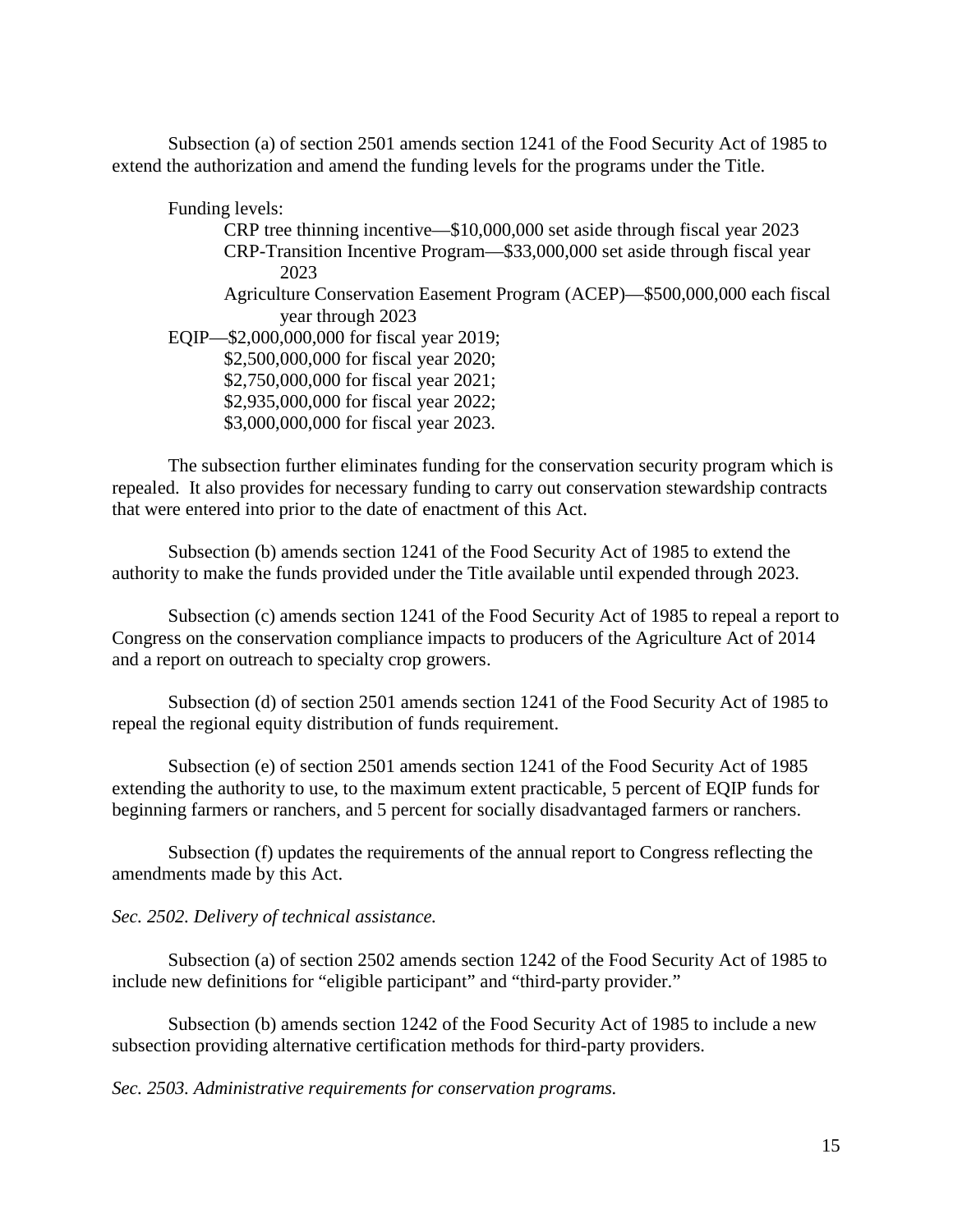Subsection (a) of section 2501 amends section 1241 of the Food Security Act of 1985 to extend the authorization and amend the funding levels for the programs under the Title.

Funding levels: CRP tree thinning incentive—\$10,000,000 set aside through fiscal year 2023 CRP-Transition Incentive Program—\$33,000,000 set aside through fiscal year 2023 Agriculture Conservation Easement Program (ACEP)—\$500,000,000 each fiscal year through 2023 EQIP—\$2,000,000,000 for fiscal year 2019; \$2,500,000,000 for fiscal year 2020; \$2,750,000,000 for fiscal year 2021; \$2,935,000,000 for fiscal year 2022; \$3,000,000,000 for fiscal year 2023.

The subsection further eliminates funding for the conservation security program which is repealed. It also provides for necessary funding to carry out conservation stewardship contracts that were entered into prior to the date of enactment of this Act.

Subsection (b) amends section 1241 of the Food Security Act of 1985 to extend the authority to make the funds provided under the Title available until expended through 2023.

Subsection (c) amends section 1241 of the Food Security Act of 1985 to repeal a report to Congress on the conservation compliance impacts to producers of the Agriculture Act of 2014 and a report on outreach to specialty crop growers.

Subsection (d) of section 2501 amends section 1241 of the Food Security Act of 1985 to repeal the regional equity distribution of funds requirement.

Subsection (e) of section 2501 amends section 1241 of the Food Security Act of 1985 extending the authority to use, to the maximum extent practicable, 5 percent of EQIP funds for beginning farmers or ranchers, and 5 percent for socially disadvantaged farmers or ranchers.

Subsection (f) updates the requirements of the annual report to Congress reflecting the amendments made by this Act.

### *Sec. 2502. Delivery of technical assistance.*

Subsection (a) of section 2502 amends section 1242 of the Food Security Act of 1985 to include new definitions for "eligible participant" and "third-party provider."

Subsection (b) amends section 1242 of the Food Security Act of 1985 to include a new subsection providing alternative certification methods for third-party providers.

*Sec. 2503. Administrative requirements for conservation programs.*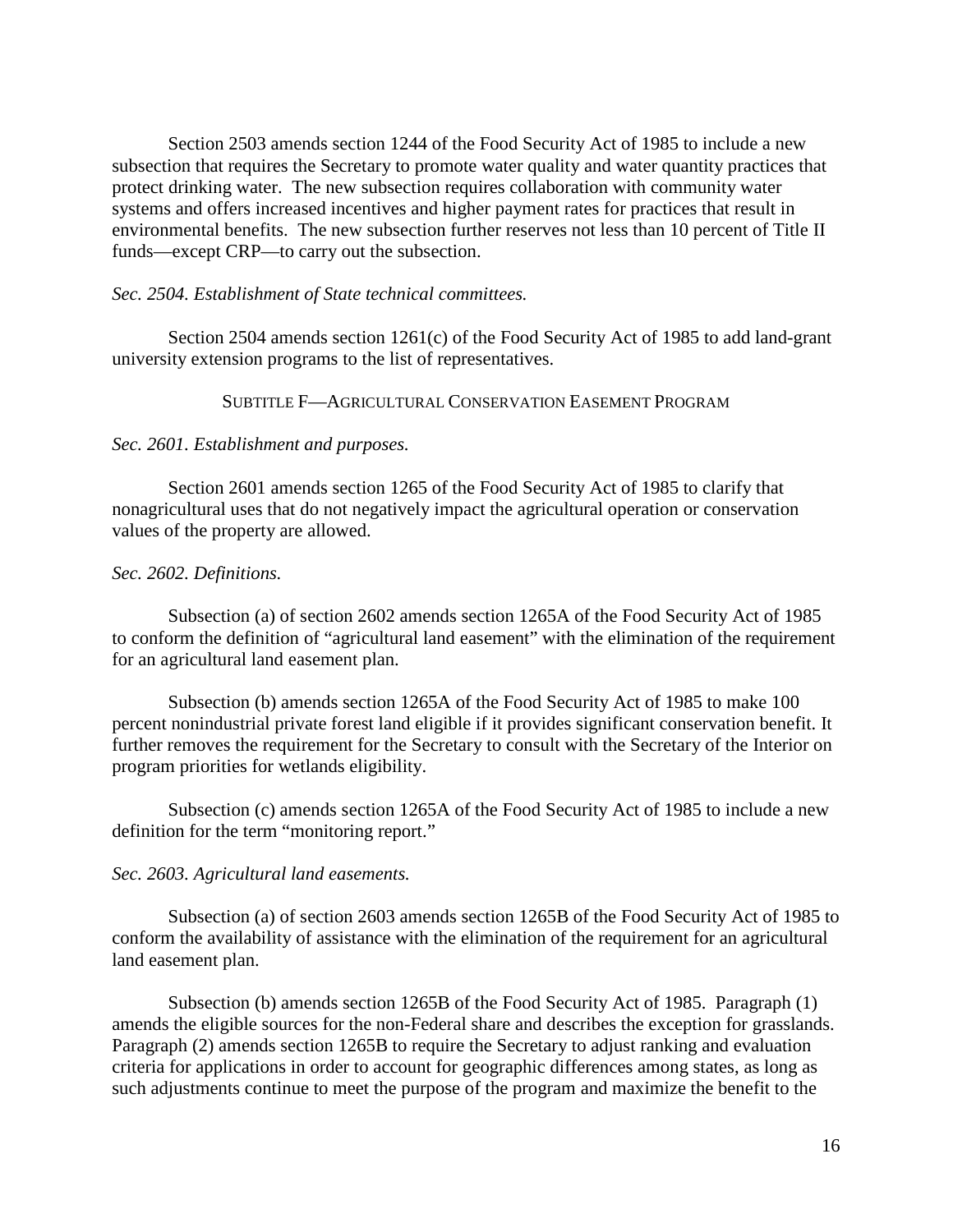Section 2503 amends section 1244 of the Food Security Act of 1985 to include a new subsection that requires the Secretary to promote water quality and water quantity practices that protect drinking water. The new subsection requires collaboration with community water systems and offers increased incentives and higher payment rates for practices that result in environmental benefits. The new subsection further reserves not less than 10 percent of Title II funds—except CRP—to carry out the subsection.

### *Sec. 2504. Establishment of State technical committees.*

Section 2504 amends section 1261(c) of the Food Security Act of 1985 to add land-grant university extension programs to the list of representatives.

SUBTITLE F—AGRICULTURAL CONSERVATION EASEMENT PROGRAM

#### *Sec. 2601. Establishment and purposes.*

Section 2601 amends section 1265 of the Food Security Act of 1985 to clarify that nonagricultural uses that do not negatively impact the agricultural operation or conservation values of the property are allowed.

### *Sec. 2602. Definitions.*

Subsection (a) of section 2602 amends section 1265A of the Food Security Act of 1985 to conform the definition of "agricultural land easement" with the elimination of the requirement for an agricultural land easement plan.

Subsection (b) amends section 1265A of the Food Security Act of 1985 to make 100 percent nonindustrial private forest land eligible if it provides significant conservation benefit. It further removes the requirement for the Secretary to consult with the Secretary of the Interior on program priorities for wetlands eligibility.

Subsection (c) amends section 1265A of the Food Security Act of 1985 to include a new definition for the term "monitoring report."

### *Sec. 2603. Agricultural land easements.*

Subsection (a) of section 2603 amends section 1265B of the Food Security Act of 1985 to conform the availability of assistance with the elimination of the requirement for an agricultural land easement plan.

Subsection (b) amends section 1265B of the Food Security Act of 1985. Paragraph (1) amends the eligible sources for the non-Federal share and describes the exception for grasslands. Paragraph (2) amends section 1265B to require the Secretary to adjust ranking and evaluation criteria for applications in order to account for geographic differences among states, as long as such adjustments continue to meet the purpose of the program and maximize the benefit to the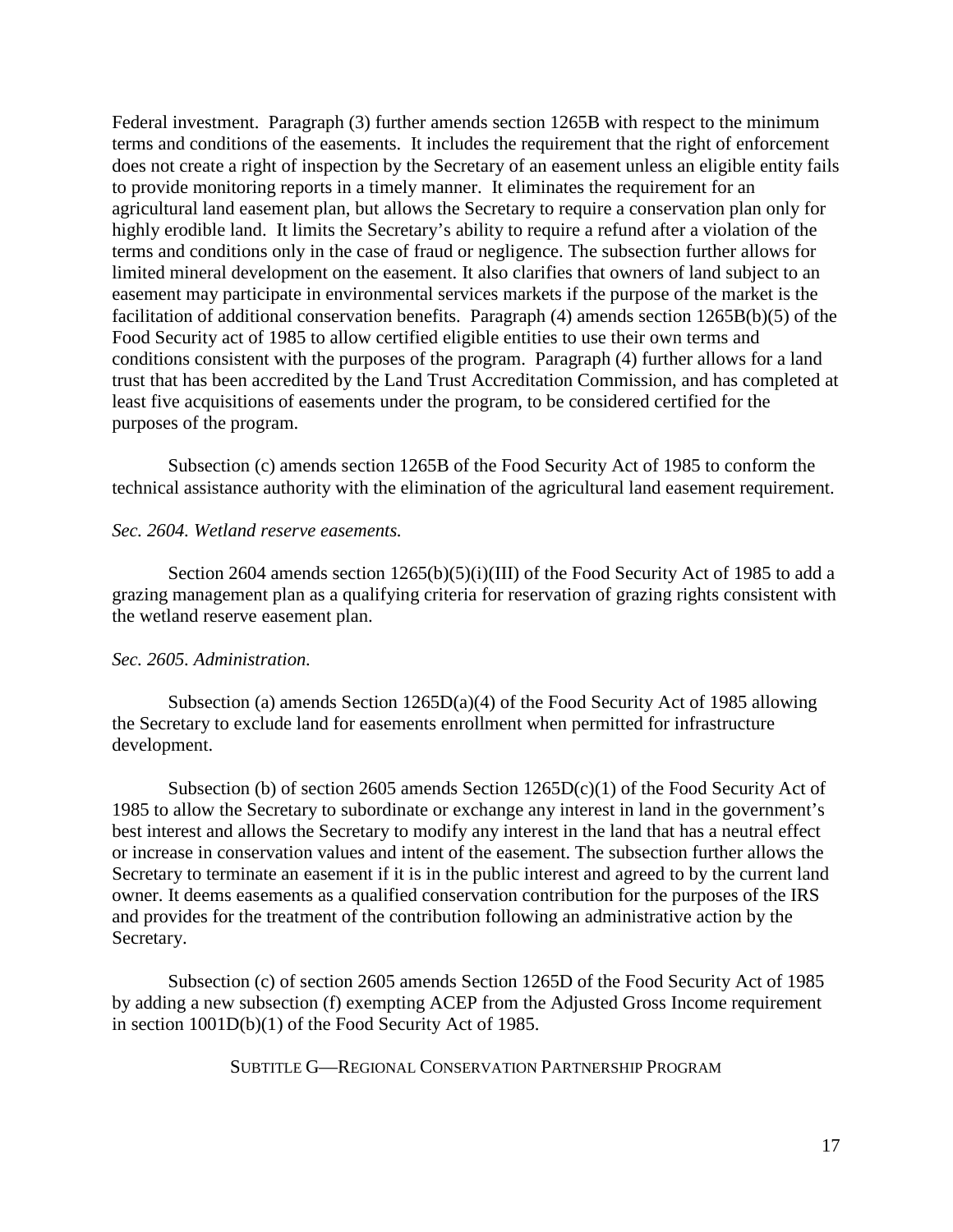Federal investment. Paragraph (3) further amends section 1265B with respect to the minimum terms and conditions of the easements. It includes the requirement that the right of enforcement does not create a right of inspection by the Secretary of an easement unless an eligible entity fails to provide monitoring reports in a timely manner. It eliminates the requirement for an agricultural land easement plan, but allows the Secretary to require a conservation plan only for highly erodible land. It limits the Secretary's ability to require a refund after a violation of the terms and conditions only in the case of fraud or negligence. The subsection further allows for limited mineral development on the easement. It also clarifies that owners of land subject to an easement may participate in environmental services markets if the purpose of the market is the facilitation of additional conservation benefits. Paragraph (4) amends section 1265B(b)(5) of the Food Security act of 1985 to allow certified eligible entities to use their own terms and conditions consistent with the purposes of the program. Paragraph (4) further allows for a land trust that has been accredited by the Land Trust Accreditation Commission, and has completed at least five acquisitions of easements under the program, to be considered certified for the purposes of the program.

Subsection (c) amends section 1265B of the Food Security Act of 1985 to conform the technical assistance authority with the elimination of the agricultural land easement requirement.

### *Sec. 2604. Wetland reserve easements.*

Section 2604 amends section 1265(b)(5)(i)(III) of the Food Security Act of 1985 to add a grazing management plan as a qualifying criteria for reservation of grazing rights consistent with the wetland reserve easement plan.

### *Sec. 2605. Administration.*

Subsection (a) amends Section 1265D(a)(4) of the Food Security Act of 1985 allowing the Secretary to exclude land for easements enrollment when permitted for infrastructure development.

Subsection (b) of section 2605 amends Section  $1265D(c)(1)$  of the Food Security Act of 1985 to allow the Secretary to subordinate or exchange any interest in land in the government's best interest and allows the Secretary to modify any interest in the land that has a neutral effect or increase in conservation values and intent of the easement. The subsection further allows the Secretary to terminate an easement if it is in the public interest and agreed to by the current land owner. It deems easements as a qualified conservation contribution for the purposes of the IRS and provides for the treatment of the contribution following an administrative action by the Secretary.

Subsection (c) of section 2605 amends Section 1265D of the Food Security Act of 1985 by adding a new subsection (f) exempting ACEP from the Adjusted Gross Income requirement in section 1001D(b)(1) of the Food Security Act of 1985.

SUBTITLE G—REGIONAL CONSERVATION PARTNERSHIP PROGRAM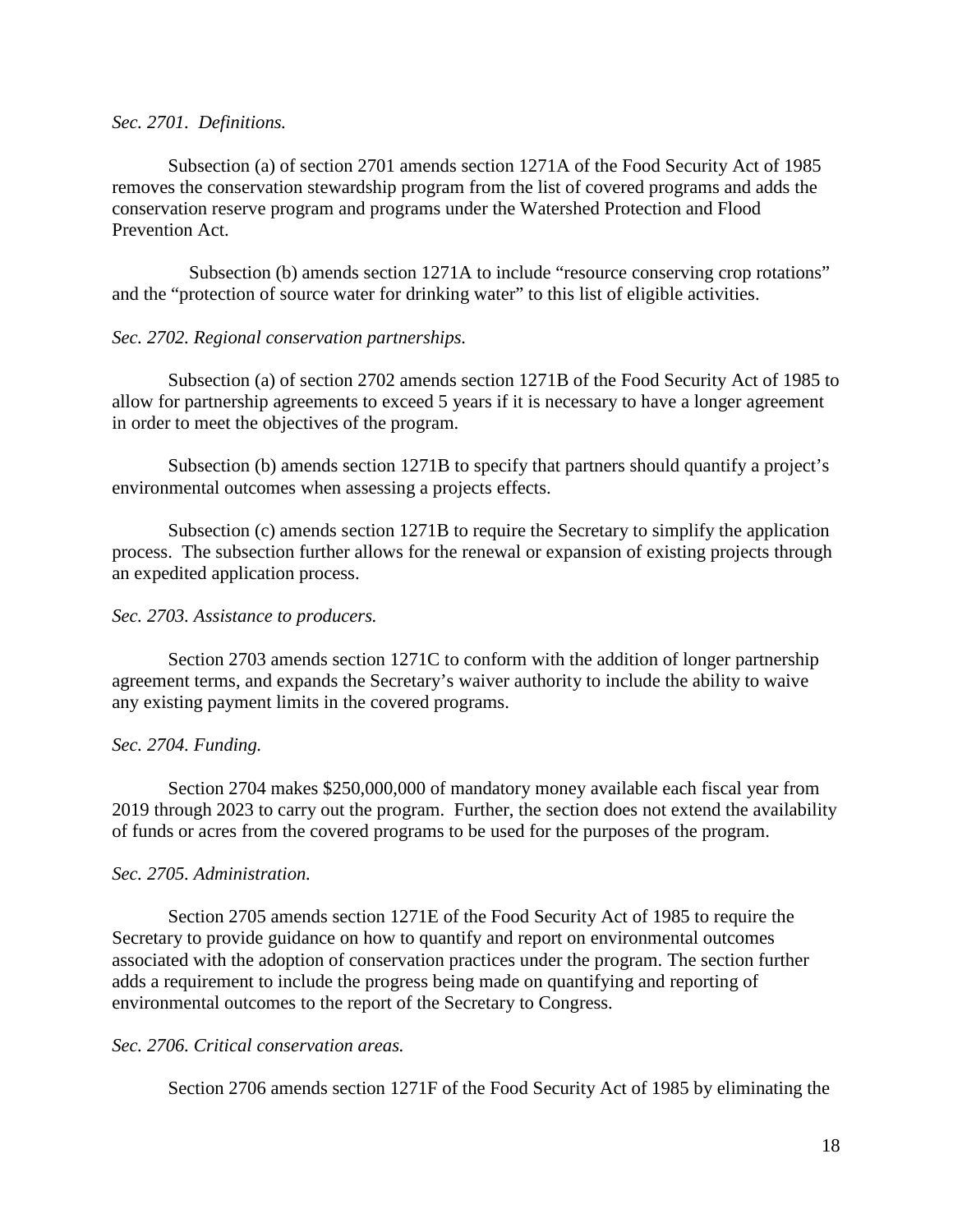### *Sec. 2701. Definitions.*

Subsection (a) of section 2701 amends section 1271A of the Food Security Act of 1985 removes the conservation stewardship program from the list of covered programs and adds the conservation reserve program and programs under the Watershed Protection and Flood Prevention Act.

Subsection (b) amends section 1271A to include "resource conserving crop rotations" and the "protection of source water for drinking water" to this list of eligible activities.

## *Sec. 2702. Regional conservation partnerships.*

Subsection (a) of section 2702 amends section 1271B of the Food Security Act of 1985 to allow for partnership agreements to exceed 5 years if it is necessary to have a longer agreement in order to meet the objectives of the program.

Subsection (b) amends section 1271B to specify that partners should quantify a project's environmental outcomes when assessing a projects effects.

Subsection (c) amends section 1271B to require the Secretary to simplify the application process. The subsection further allows for the renewal or expansion of existing projects through an expedited application process.

## *Sec. 2703. Assistance to producers.*

Section 2703 amends section 1271C to conform with the addition of longer partnership agreement terms, and expands the Secretary's waiver authority to include the ability to waive any existing payment limits in the covered programs.

## *Sec. 2704. Funding.*

Section 2704 makes \$250,000,000 of mandatory money available each fiscal year from 2019 through 2023 to carry out the program. Further, the section does not extend the availability of funds or acres from the covered programs to be used for the purposes of the program.

## *Sec. 2705. Administration.*

Section 2705 amends section 1271E of the Food Security Act of 1985 to require the Secretary to provide guidance on how to quantify and report on environmental outcomes associated with the adoption of conservation practices under the program. The section further adds a requirement to include the progress being made on quantifying and reporting of environmental outcomes to the report of the Secretary to Congress.

## *Sec. 2706. Critical conservation areas.*

Section 2706 amends section 1271F of the Food Security Act of 1985 by eliminating the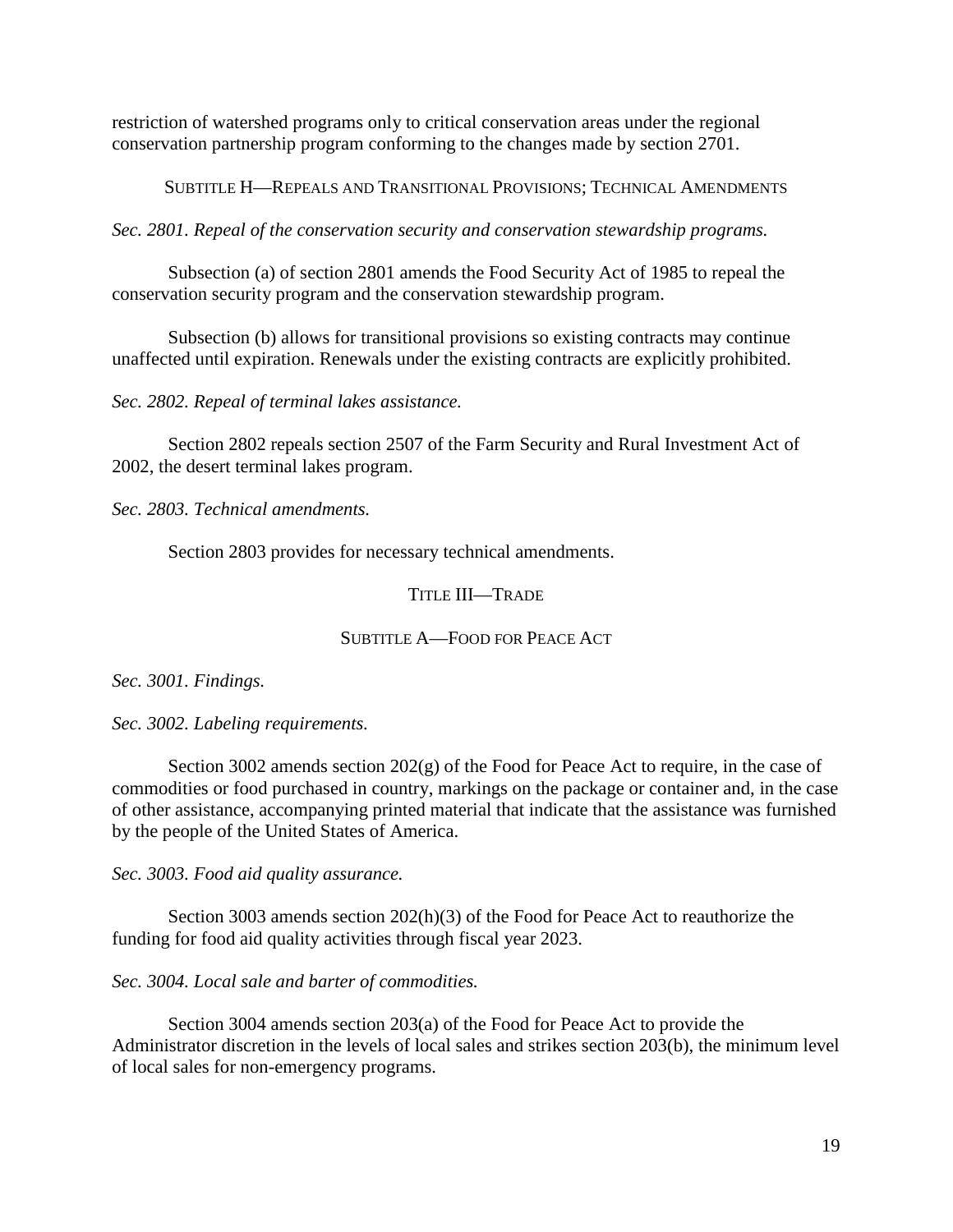restriction of watershed programs only to critical conservation areas under the regional conservation partnership program conforming to the changes made by section 2701.

SUBTITLE H—REPEALS AND TRANSITIONAL PROVISIONS; TECHNICAL AMENDMENTS

*Sec. 2801. Repeal of the conservation security and conservation stewardship programs.*

Subsection (a) of section 2801 amends the Food Security Act of 1985 to repeal the conservation security program and the conservation stewardship program.

Subsection (b) allows for transitional provisions so existing contracts may continue unaffected until expiration. Renewals under the existing contracts are explicitly prohibited.

*Sec. 2802. Repeal of terminal lakes assistance.*

Section 2802 repeals section 2507 of the Farm Security and Rural Investment Act of 2002, the desert terminal lakes program.

*Sec. 2803. Technical amendments.*

Section 2803 provides for necessary technical amendments.

### TITLE III—TRADE

## SUBTITLE A—FOOD FOR PEACE ACT

*Sec. 3001. Findings.*

*Sec. 3002. Labeling requirements.*

Section 3002 amends section 202(g) of the Food for Peace Act to require, in the case of commodities or food purchased in country, markings on the package or container and, in the case of other assistance, accompanying printed material that indicate that the assistance was furnished by the people of the United States of America.

*Sec. 3003. Food aid quality assurance.*

Section 3003 amends section 202(h)(3) of the Food for Peace Act to reauthorize the funding for food aid quality activities through fiscal year 2023.

## *Sec. 3004. Local sale and barter of commodities.*

Section 3004 amends section 203(a) of the Food for Peace Act to provide the Administrator discretion in the levels of local sales and strikes section 203(b), the minimum level of local sales for non-emergency programs.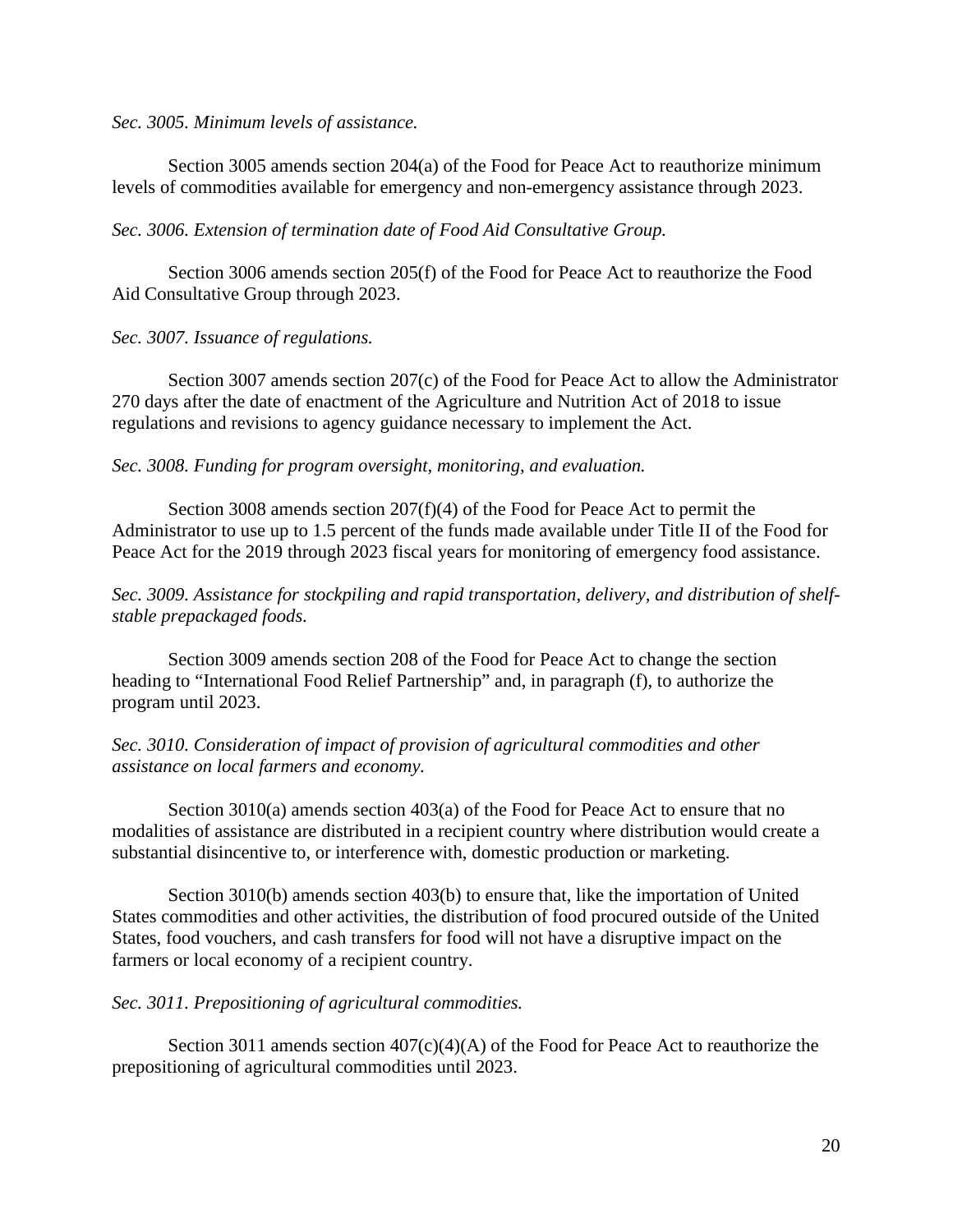#### *Sec. 3005. Minimum levels of assistance.*

Section 3005 amends section 204(a) of the Food for Peace Act to reauthorize minimum levels of commodities available for emergency and non-emergency assistance through 2023.

### *Sec. 3006. Extension of termination date of Food Aid Consultative Group.*

Section 3006 amends section 205(f) of the Food for Peace Act to reauthorize the Food Aid Consultative Group through 2023.

### *Sec. 3007. Issuance of regulations.*

Section 3007 amends section 207(c) of the Food for Peace Act to allow the Administrator 270 days after the date of enactment of the Agriculture and Nutrition Act of 2018 to issue regulations and revisions to agency guidance necessary to implement the Act.

### *Sec. 3008. Funding for program oversight, monitoring, and evaluation.*

Section 3008 amends section 207(f)(4) of the Food for Peace Act to permit the Administrator to use up to 1.5 percent of the funds made available under Title II of the Food for Peace Act for the 2019 through 2023 fiscal years for monitoring of emergency food assistance.

## *Sec. 3009. Assistance for stockpiling and rapid transportation, delivery, and distribution of shelfstable prepackaged foods.*

Section 3009 amends section 208 of the Food for Peace Act to change the section heading to "International Food Relief Partnership" and, in paragraph (f), to authorize the program until 2023.

## *Sec. 3010. Consideration of impact of provision of agricultural commodities and other assistance on local farmers and economy.*

Section 3010(a) amends section 403(a) of the Food for Peace Act to ensure that no modalities of assistance are distributed in a recipient country where distribution would create a substantial disincentive to, or interference with, domestic production or marketing.

Section 3010(b) amends section 403(b) to ensure that, like the importation of United States commodities and other activities, the distribution of food procured outside of the United States, food vouchers, and cash transfers for food will not have a disruptive impact on the farmers or local economy of a recipient country.

## *Sec. 3011. Prepositioning of agricultural commodities.*

Section 3011 amends section  $407(c)(4)(A)$  of the Food for Peace Act to reauthorize the prepositioning of agricultural commodities until 2023.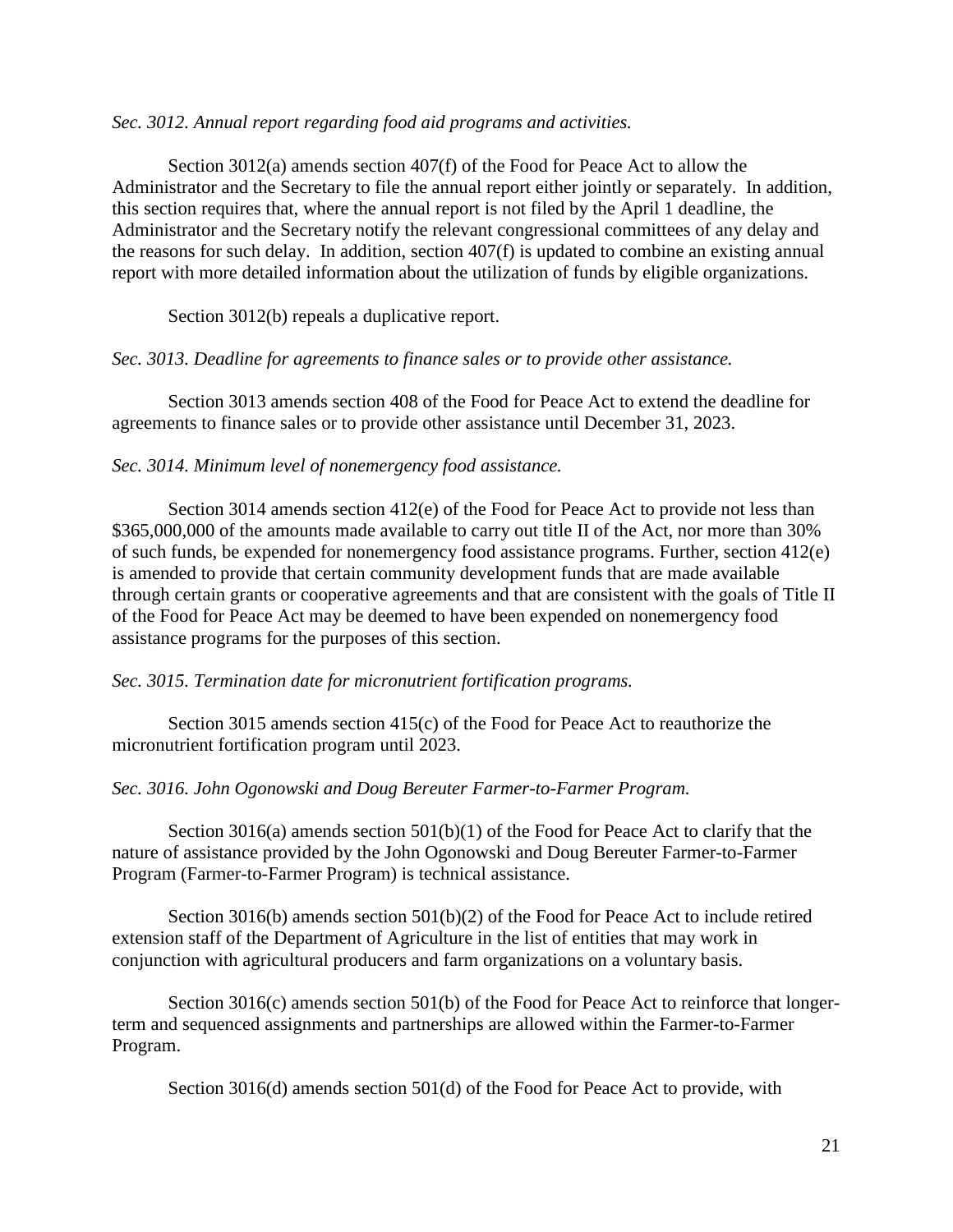### *Sec. 3012. Annual report regarding food aid programs and activities.*

Section 3012(a) amends section 407(f) of the Food for Peace Act to allow the Administrator and the Secretary to file the annual report either jointly or separately. In addition, this section requires that, where the annual report is not filed by the April 1 deadline, the Administrator and the Secretary notify the relevant congressional committees of any delay and the reasons for such delay. In addition, section 407(f) is updated to combine an existing annual report with more detailed information about the utilization of funds by eligible organizations.

Section 3012(b) repeals a duplicative report.

### *Sec. 3013. Deadline for agreements to finance sales or to provide other assistance.*

Section 3013 amends section 408 of the Food for Peace Act to extend the deadline for agreements to finance sales or to provide other assistance until December 31, 2023.

## *Sec. 3014. Minimum level of nonemergency food assistance.*

Section 3014 amends section 412(e) of the Food for Peace Act to provide not less than \$365,000,000 of the amounts made available to carry out title II of the Act, nor more than 30% of such funds, be expended for nonemergency food assistance programs. Further, section 412(e) is amended to provide that certain community development funds that are made available through certain grants or cooperative agreements and that are consistent with the goals of Title II of the Food for Peace Act may be deemed to have been expended on nonemergency food assistance programs for the purposes of this section.

## *Sec. 3015. Termination date for micronutrient fortification programs.*

Section 3015 amends section 415(c) of the Food for Peace Act to reauthorize the micronutrient fortification program until 2023.

## *Sec. 3016. John Ogonowski and Doug Bereuter Farmer-to-Farmer Program.*

Section 3016(a) amends section 501(b)(1) of the Food for Peace Act to clarify that the nature of assistance provided by the John Ogonowski and Doug Bereuter Farmer-to-Farmer Program (Farmer-to-Farmer Program) is technical assistance.

Section 3016(b) amends section 501(b)(2) of the Food for Peace Act to include retired extension staff of the Department of Agriculture in the list of entities that may work in conjunction with agricultural producers and farm organizations on a voluntary basis.

Section 3016(c) amends section 501(b) of the Food for Peace Act to reinforce that longerterm and sequenced assignments and partnerships are allowed within the Farmer-to-Farmer Program.

Section 3016(d) amends section 501(d) of the Food for Peace Act to provide, with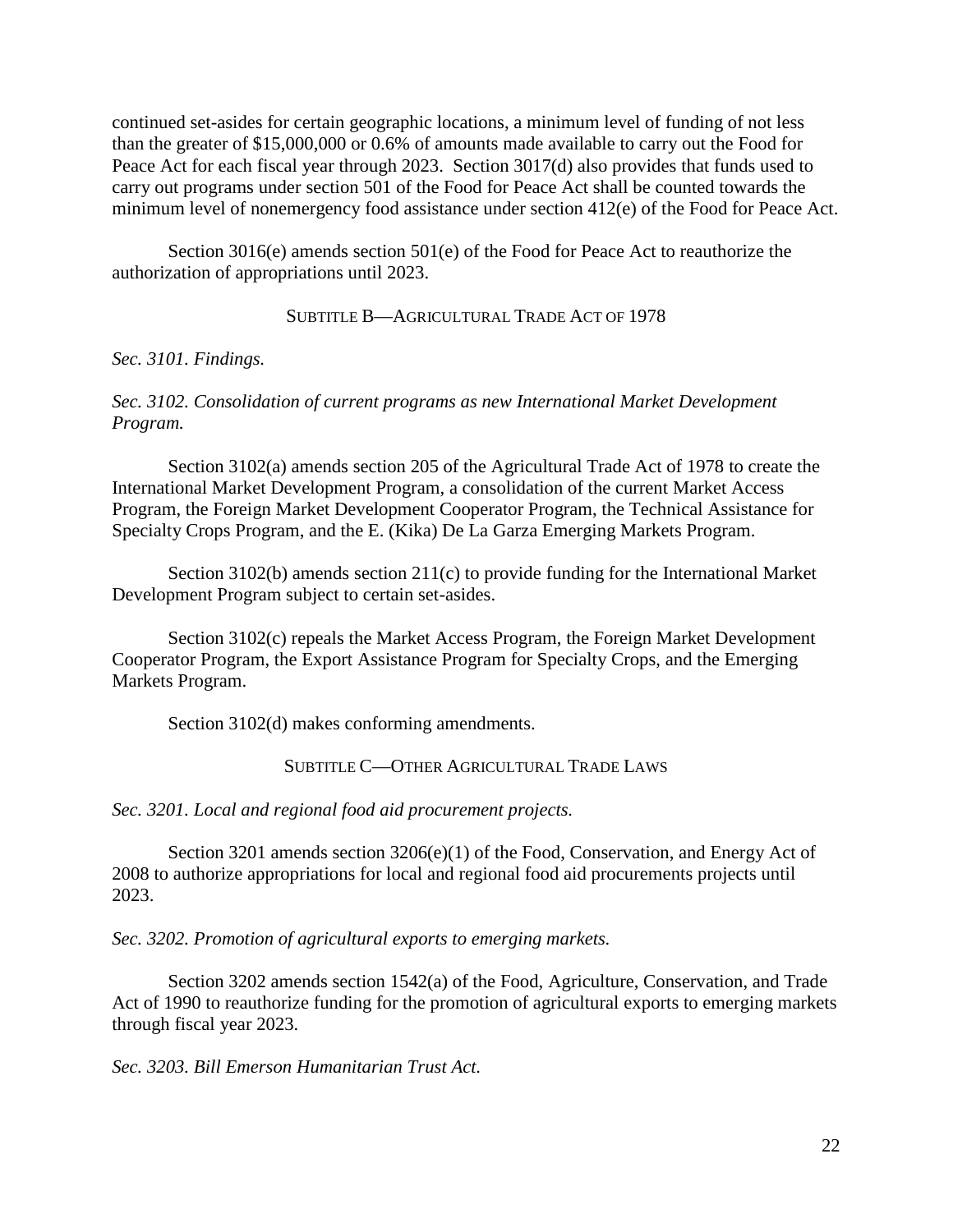continued set-asides for certain geographic locations, a minimum level of funding of not less than the greater of \$15,000,000 or 0.6% of amounts made available to carry out the Food for Peace Act for each fiscal year through 2023. Section 3017(d) also provides that funds used to carry out programs under section 501 of the Food for Peace Act shall be counted towards the minimum level of nonemergency food assistance under section 412(e) of the Food for Peace Act.

Section 3016(e) amends section 501(e) of the Food for Peace Act to reauthorize the authorization of appropriations until 2023.

## SUBTITLE B—AGRICULTURAL TRADE ACT OF 1978

*Sec. 3101. Findings.*

## *Sec. 3102. Consolidation of current programs as new International Market Development Program.*

Section 3102(a) amends section 205 of the Agricultural Trade Act of 1978 to create the International Market Development Program, a consolidation of the current Market Access Program, the Foreign Market Development Cooperator Program, the Technical Assistance for Specialty Crops Program, and the E. (Kika) De La Garza Emerging Markets Program.

Section 3102(b) amends section 211(c) to provide funding for the International Market Development Program subject to certain set-asides.

Section 3102(c) repeals the Market Access Program, the Foreign Market Development Cooperator Program, the Export Assistance Program for Specialty Crops, and the Emerging Markets Program.

Section 3102(d) makes conforming amendments.

# SUBTITLE C—OTHER AGRICULTURAL TRADE LAWS

*Sec. 3201. Local and regional food aid procurement projects.*

Section 3201 amends section 3206(e)(1) of the Food, Conservation, and Energy Act of 2008 to authorize appropriations for local and regional food aid procurements projects until 2023.

*Sec. 3202. Promotion of agricultural exports to emerging markets.*

Section 3202 amends section 1542(a) of the Food, Agriculture, Conservation, and Trade Act of 1990 to reauthorize funding for the promotion of agricultural exports to emerging markets through fiscal year 2023.

*Sec. 3203. Bill Emerson Humanitarian Trust Act.*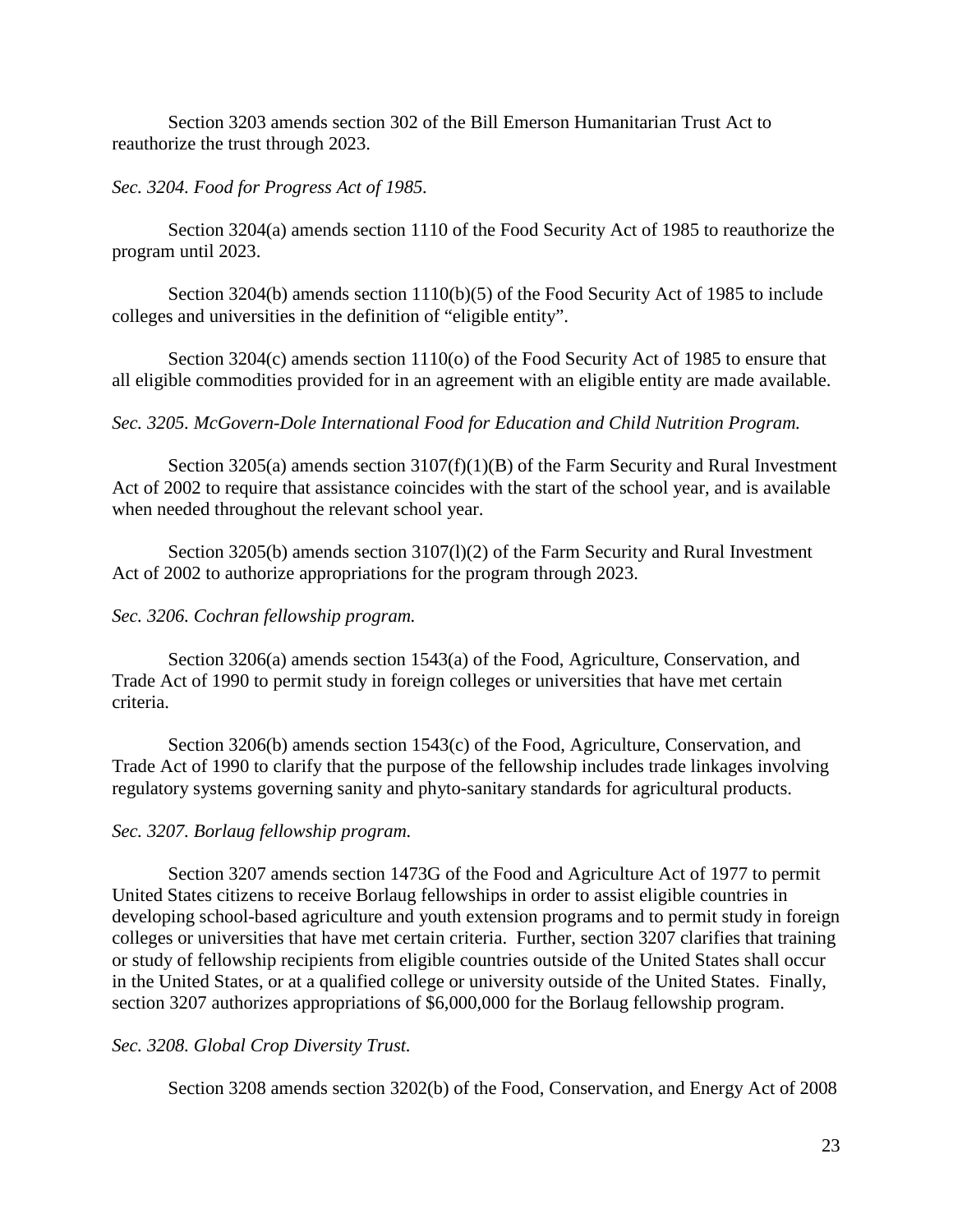Section 3203 amends section 302 of the Bill Emerson Humanitarian Trust Act to reauthorize the trust through 2023.

## *Sec. 3204. Food for Progress Act of 1985.*

Section 3204(a) amends section 1110 of the Food Security Act of 1985 to reauthorize the program until 2023.

Section 3204(b) amends section 1110(b)(5) of the Food Security Act of 1985 to include colleges and universities in the definition of "eligible entity".

Section 3204(c) amends section 1110(o) of the Food Security Act of 1985 to ensure that all eligible commodities provided for in an agreement with an eligible entity are made available.

# *Sec. 3205. McGovern-Dole International Food for Education and Child Nutrition Program.*

Section 3205(a) amends section  $3107(f)(1)(B)$  of the Farm Security and Rural Investment Act of 2002 to require that assistance coincides with the start of the school year, and is available when needed throughout the relevant school year.

Section 3205(b) amends section 3107(l)(2) of the Farm Security and Rural Investment Act of 2002 to authorize appropriations for the program through 2023.

## *Sec. 3206. Cochran fellowship program.*

Section 3206(a) amends section 1543(a) of the Food, Agriculture, Conservation, and Trade Act of 1990 to permit study in foreign colleges or universities that have met certain criteria.

Section 3206(b) amends section 1543(c) of the Food, Agriculture, Conservation, and Trade Act of 1990 to clarify that the purpose of the fellowship includes trade linkages involving regulatory systems governing sanity and phyto-sanitary standards for agricultural products.

# *Sec. 3207. Borlaug fellowship program.*

Section 3207 amends section 1473G of the Food and Agriculture Act of 1977 to permit United States citizens to receive Borlaug fellowships in order to assist eligible countries in developing school-based agriculture and youth extension programs and to permit study in foreign colleges or universities that have met certain criteria. Further, section 3207 clarifies that training or study of fellowship recipients from eligible countries outside of the United States shall occur in the United States, or at a qualified college or university outside of the United States. Finally, section 3207 authorizes appropriations of \$6,000,000 for the Borlaug fellowship program.

## *Sec. 3208. Global Crop Diversity Trust.*

Section 3208 amends section 3202(b) of the Food, Conservation, and Energy Act of 2008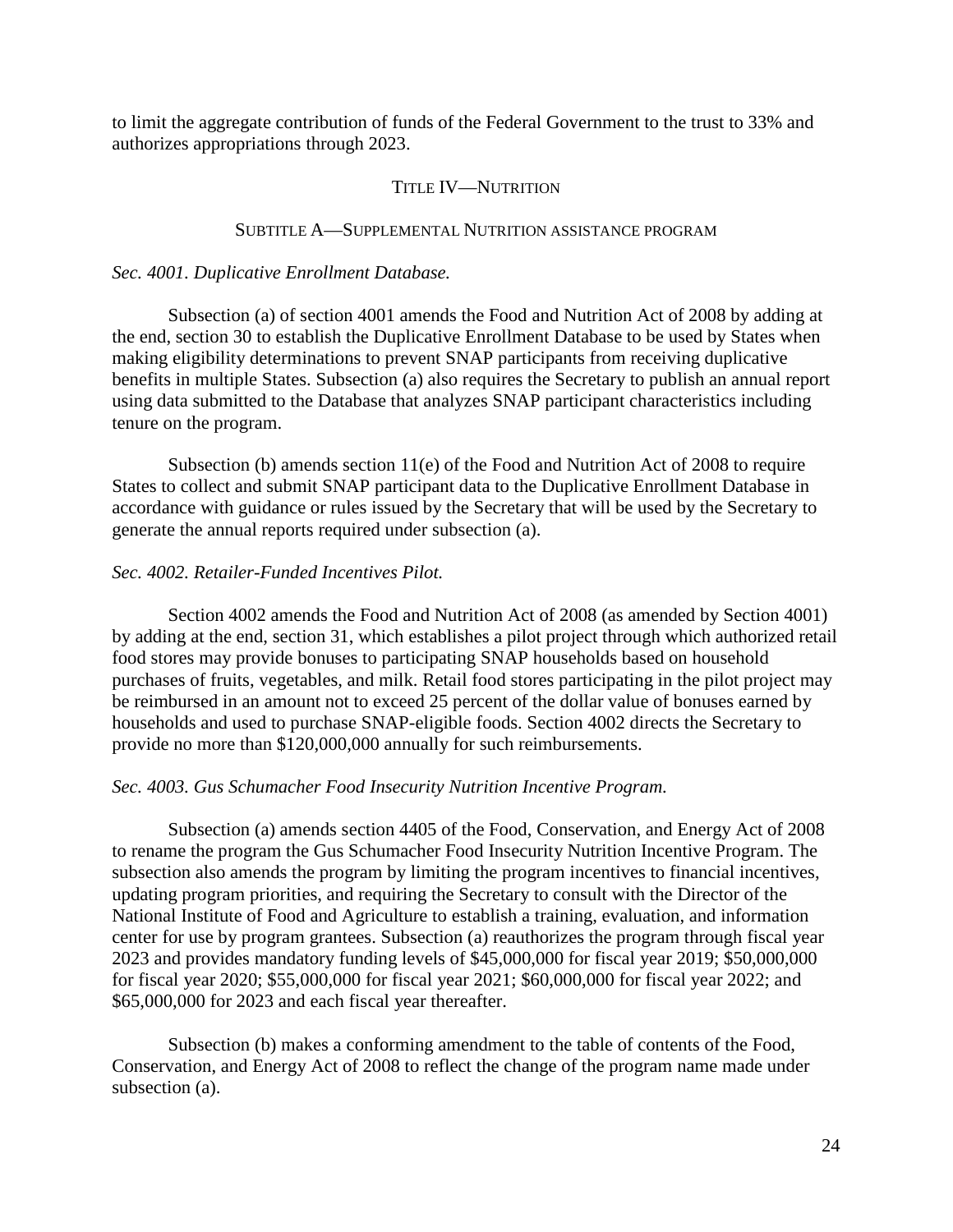to limit the aggregate contribution of funds of the Federal Government to the trust to 33% and authorizes appropriations through 2023.

### TITLE IV—NUTRITION

### SUBTITLE A—SUPPLEMENTAL NUTRITION ASSISTANCE PROGRAM

### *Sec. 4001. Duplicative Enrollment Database.*

Subsection (a) of section 4001 amends the Food and Nutrition Act of 2008 by adding at the end, section 30 to establish the Duplicative Enrollment Database to be used by States when making eligibility determinations to prevent SNAP participants from receiving duplicative benefits in multiple States. Subsection (a) also requires the Secretary to publish an annual report using data submitted to the Database that analyzes SNAP participant characteristics including tenure on the program.

Subsection (b) amends section 11(e) of the Food and Nutrition Act of 2008 to require States to collect and submit SNAP participant data to the Duplicative Enrollment Database in accordance with guidance or rules issued by the Secretary that will be used by the Secretary to generate the annual reports required under subsection (a).

## *Sec. 4002. Retailer-Funded Incentives Pilot.*

Section 4002 amends the Food and Nutrition Act of 2008 (as amended by Section 4001) by adding at the end, section 31, which establishes a pilot project through which authorized retail food stores may provide bonuses to participating SNAP households based on household purchases of fruits, vegetables, and milk. Retail food stores participating in the pilot project may be reimbursed in an amount not to exceed 25 percent of the dollar value of bonuses earned by households and used to purchase SNAP-eligible foods. Section 4002 directs the Secretary to provide no more than \$120,000,000 annually for such reimbursements.

## *Sec. 4003. Gus Schumacher Food Insecurity Nutrition Incentive Program.*

Subsection (a) amends section 4405 of the Food, Conservation, and Energy Act of 2008 to rename the program the Gus Schumacher Food Insecurity Nutrition Incentive Program. The subsection also amends the program by limiting the program incentives to financial incentives, updating program priorities, and requiring the Secretary to consult with the Director of the National Institute of Food and Agriculture to establish a training, evaluation, and information center for use by program grantees. Subsection (a) reauthorizes the program through fiscal year 2023 and provides mandatory funding levels of \$45,000,000 for fiscal year 2019; \$50,000,000 for fiscal year 2020; \$55,000,000 for fiscal year 2021; \$60,000,000 for fiscal year 2022; and \$65,000,000 for 2023 and each fiscal year thereafter.

Subsection (b) makes a conforming amendment to the table of contents of the Food, Conservation, and Energy Act of 2008 to reflect the change of the program name made under subsection (a).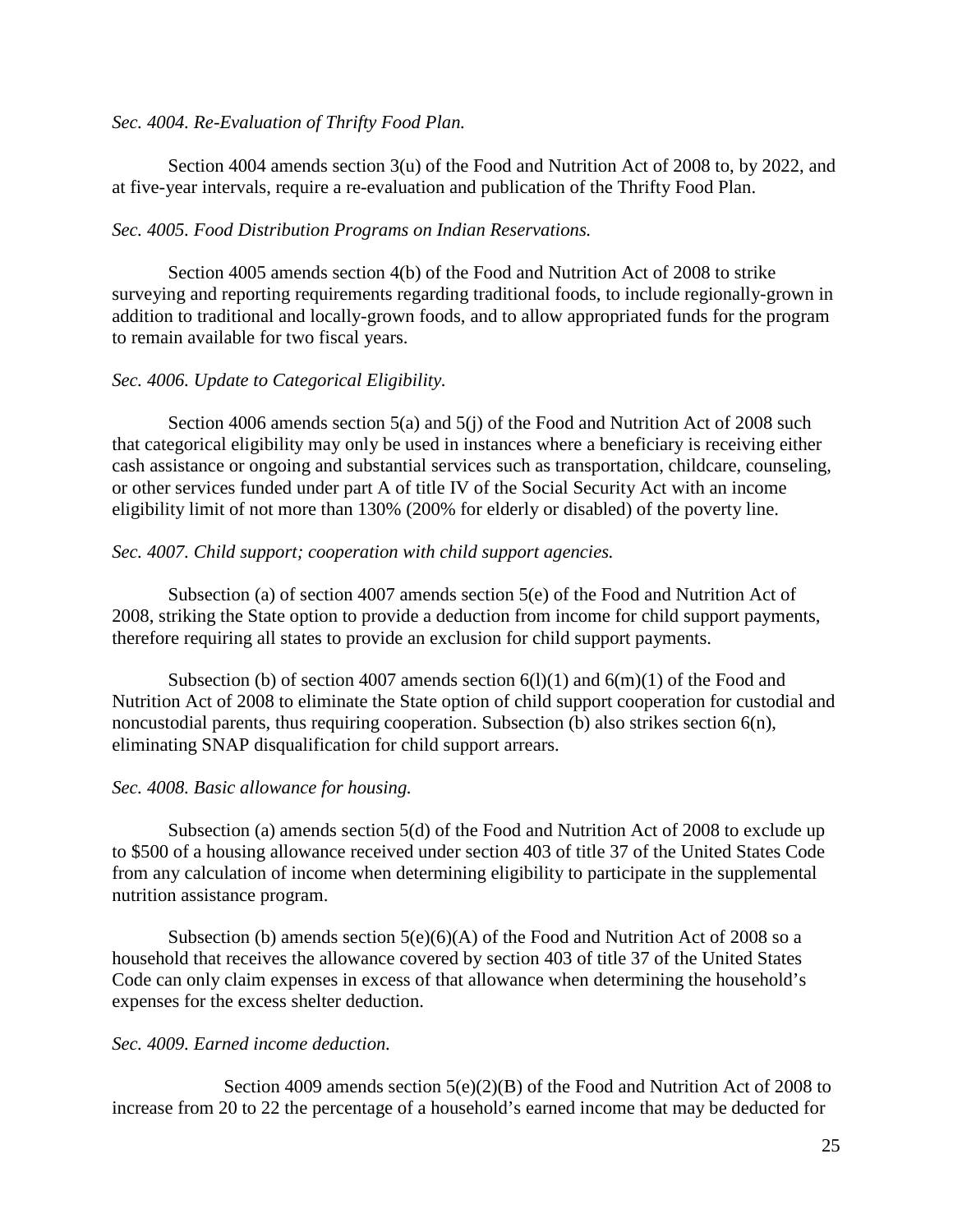### *Sec. 4004. Re-Evaluation of Thrifty Food Plan.*

Section 4004 amends section 3(u) of the Food and Nutrition Act of 2008 to, by 2022, and at five-year intervals, require a re-evaluation and publication of the Thrifty Food Plan.

## *Sec. 4005. Food Distribution Programs on Indian Reservations.*

Section 4005 amends section 4(b) of the Food and Nutrition Act of 2008 to strike surveying and reporting requirements regarding traditional foods, to include regionally-grown in addition to traditional and locally-grown foods, and to allow appropriated funds for the program to remain available for two fiscal years.

# *Sec. 4006. Update to Categorical Eligibility.*

Section 4006 amends section 5(a) and 5(j) of the Food and Nutrition Act of 2008 such that categorical eligibility may only be used in instances where a beneficiary is receiving either cash assistance or ongoing and substantial services such as transportation, childcare, counseling, or other services funded under part A of title IV of the Social Security Act with an income eligibility limit of not more than 130% (200% for elderly or disabled) of the poverty line.

## *Sec. 4007. Child support; cooperation with child support agencies.*

Subsection (a) of section 4007 amends section 5(e) of the Food and Nutrition Act of 2008, striking the State option to provide a deduction from income for child support payments, therefore requiring all states to provide an exclusion for child support payments.

Subsection (b) of section 4007 amends section  $6(1)(1)$  and  $6(m)(1)$  of the Food and Nutrition Act of 2008 to eliminate the State option of child support cooperation for custodial and noncustodial parents, thus requiring cooperation. Subsection (b) also strikes section 6(n), eliminating SNAP disqualification for child support arrears.

# *Sec. 4008. Basic allowance for housing.*

Subsection (a) amends section 5(d) of the Food and Nutrition Act of 2008 to exclude up to \$500 of a housing allowance received under section 403 of title 37 of the United States Code from any calculation of income when determining eligibility to participate in the supplemental nutrition assistance program.

Subsection (b) amends section  $5(e)(6)(A)$  of the Food and Nutrition Act of 2008 so a household that receives the allowance covered by section 403 of title 37 of the United States Code can only claim expenses in excess of that allowance when determining the household's expenses for the excess shelter deduction.

# *Sec. 4009. Earned income deduction.*

Section 4009 amends section 5(e)(2)(B) of the Food and Nutrition Act of 2008 to increase from 20 to 22 the percentage of a household's earned income that may be deducted for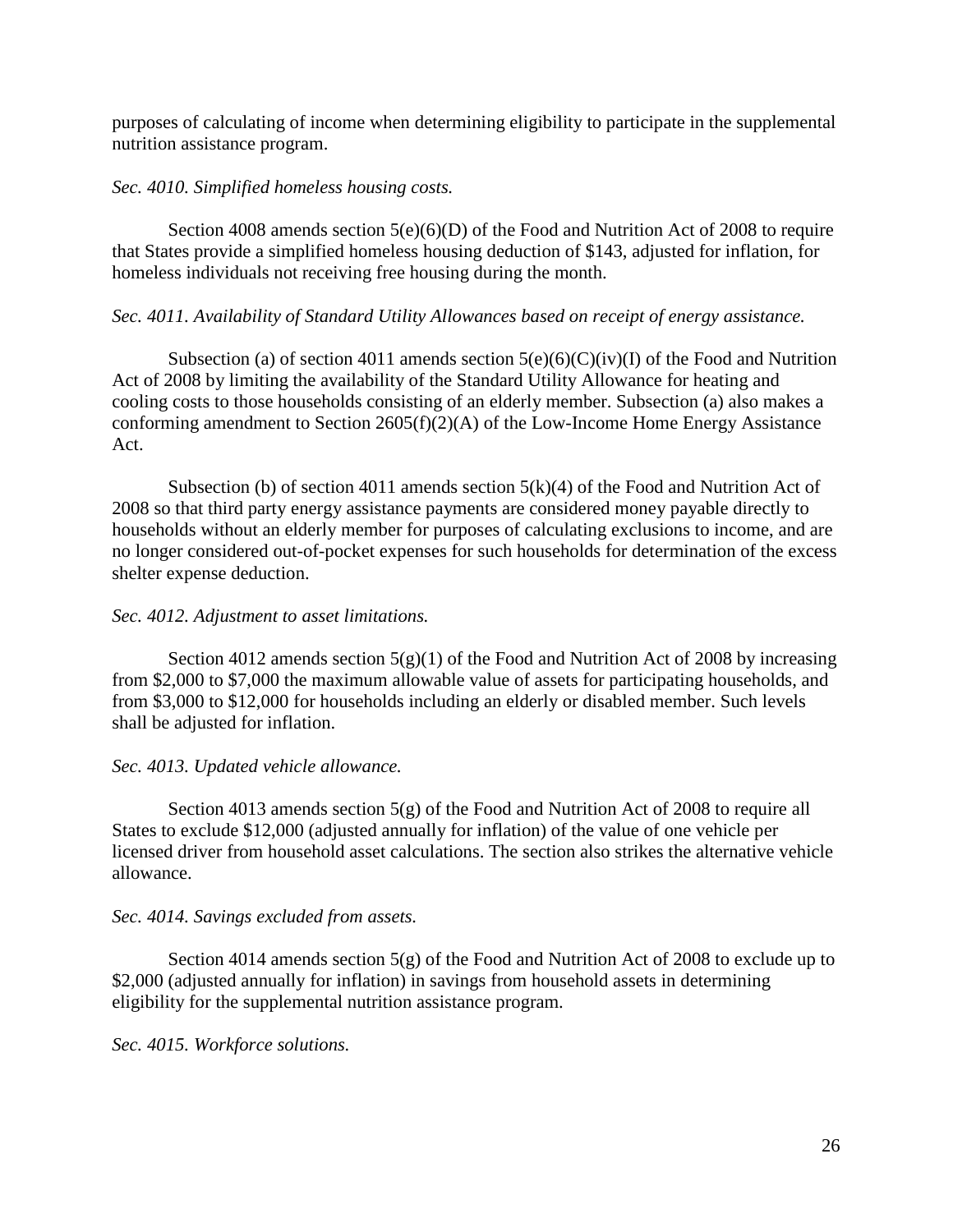purposes of calculating of income when determining eligibility to participate in the supplemental nutrition assistance program.

## *Sec. 4010. Simplified homeless housing costs.*

Section 4008 amends section 5(e)(6)(D) of the Food and Nutrition Act of 2008 to require that States provide a simplified homeless housing deduction of \$143, adjusted for inflation, for homeless individuals not receiving free housing during the month.

### *Sec. 4011. Availability of Standard Utility Allowances based on receipt of energy assistance.*

Subsection (a) of section 4011 amends section  $5(e)(6)(C)(iv)(I)$  of the Food and Nutrition Act of 2008 by limiting the availability of the Standard Utility Allowance for heating and cooling costs to those households consisting of an elderly member. Subsection (a) also makes a conforming amendment to Section 2605(f)(2)(A) of the Low-Income Home Energy Assistance Act.

Subsection (b) of section 4011 amends section  $5(k)(4)$  of the Food and Nutrition Act of 2008 so that third party energy assistance payments are considered money payable directly to households without an elderly member for purposes of calculating exclusions to income, and are no longer considered out-of-pocket expenses for such households for determination of the excess shelter expense deduction.

### *Sec. 4012. Adjustment to asset limitations.*

Section 4012 amends section  $5(g)(1)$  of the Food and Nutrition Act of 2008 by increasing from \$2,000 to \$7,000 the maximum allowable value of assets for participating households, and from \$3,000 to \$12,000 for households including an elderly or disabled member. Such levels shall be adjusted for inflation.

## *Sec. 4013. Updated vehicle allowance.*

Section 4013 amends section 5(g) of the Food and Nutrition Act of 2008 to require all States to exclude \$12,000 (adjusted annually for inflation) of the value of one vehicle per licensed driver from household asset calculations. The section also strikes the alternative vehicle allowance.

### *Sec. 4014. Savings excluded from assets.*

Section 4014 amends section 5(g) of the Food and Nutrition Act of 2008 to exclude up to \$2,000 (adjusted annually for inflation) in savings from household assets in determining eligibility for the supplemental nutrition assistance program.

*Sec. 4015. Workforce solutions.*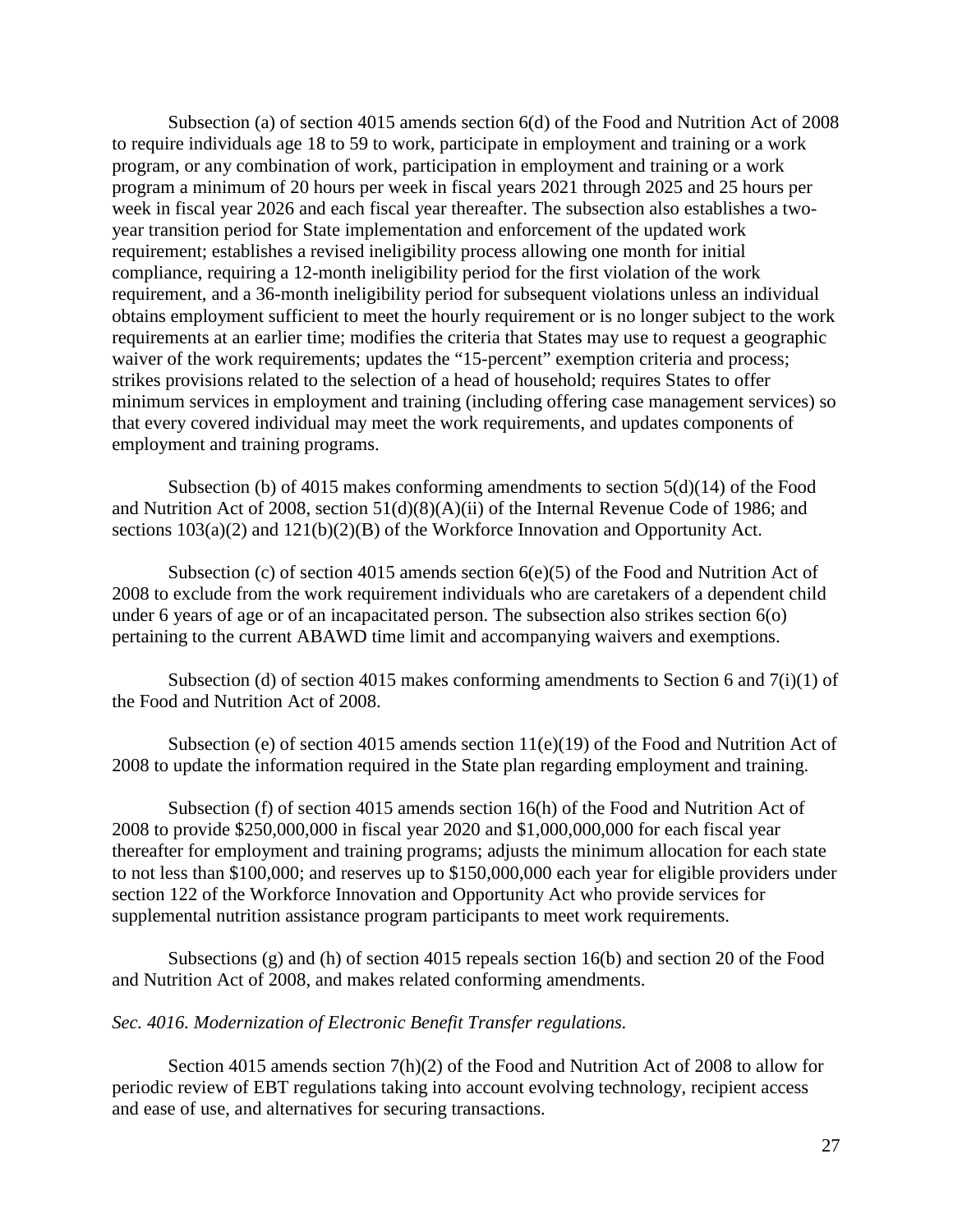Subsection (a) of section 4015 amends section 6(d) of the Food and Nutrition Act of 2008 to require individuals age 18 to 59 to work, participate in employment and training or a work program, or any combination of work, participation in employment and training or a work program a minimum of 20 hours per week in fiscal years 2021 through 2025 and 25 hours per week in fiscal year 2026 and each fiscal year thereafter. The subsection also establishes a twoyear transition period for State implementation and enforcement of the updated work requirement; establishes a revised ineligibility process allowing one month for initial compliance, requiring a 12-month ineligibility period for the first violation of the work requirement, and a 36-month ineligibility period for subsequent violations unless an individual obtains employment sufficient to meet the hourly requirement or is no longer subject to the work requirements at an earlier time; modifies the criteria that States may use to request a geographic waiver of the work requirements; updates the "15-percent" exemption criteria and process; strikes provisions related to the selection of a head of household; requires States to offer minimum services in employment and training (including offering case management services) so that every covered individual may meet the work requirements, and updates components of employment and training programs.

Subsection (b) of 4015 makes conforming amendments to section 5(d)(14) of the Food and Nutrition Act of 2008, section 51(d)(8)(A)(ii) of the Internal Revenue Code of 1986; and sections  $103(a)(2)$  and  $121(b)(2)(B)$  of the Workforce Innovation and Opportunity Act.

Subsection (c) of section 4015 amends section 6(e)(5) of the Food and Nutrition Act of 2008 to exclude from the work requirement individuals who are caretakers of a dependent child under 6 years of age or of an incapacitated person. The subsection also strikes section 6(o) pertaining to the current ABAWD time limit and accompanying waivers and exemptions.

Subsection (d) of section 4015 makes conforming amendments to Section 6 and  $7(i)(1)$  of the Food and Nutrition Act of 2008.

Subsection (e) of section 4015 amends section 11(e)(19) of the Food and Nutrition Act of 2008 to update the information required in the State plan regarding employment and training.

Subsection (f) of section 4015 amends section 16(h) of the Food and Nutrition Act of 2008 to provide \$250,000,000 in fiscal year 2020 and \$1,000,000,000 for each fiscal year thereafter for employment and training programs; adjusts the minimum allocation for each state to not less than \$100,000; and reserves up to \$150,000,000 each year for eligible providers under section 122 of the Workforce Innovation and Opportunity Act who provide services for supplemental nutrition assistance program participants to meet work requirements.

Subsections (g) and (h) of section 4015 repeals section 16(b) and section 20 of the Food and Nutrition Act of 2008, and makes related conforming amendments.

## *Sec. 4016. Modernization of Electronic Benefit Transfer regulations.*

Section 4015 amends section 7(h)(2) of the Food and Nutrition Act of 2008 to allow for periodic review of EBT regulations taking into account evolving technology, recipient access and ease of use, and alternatives for securing transactions.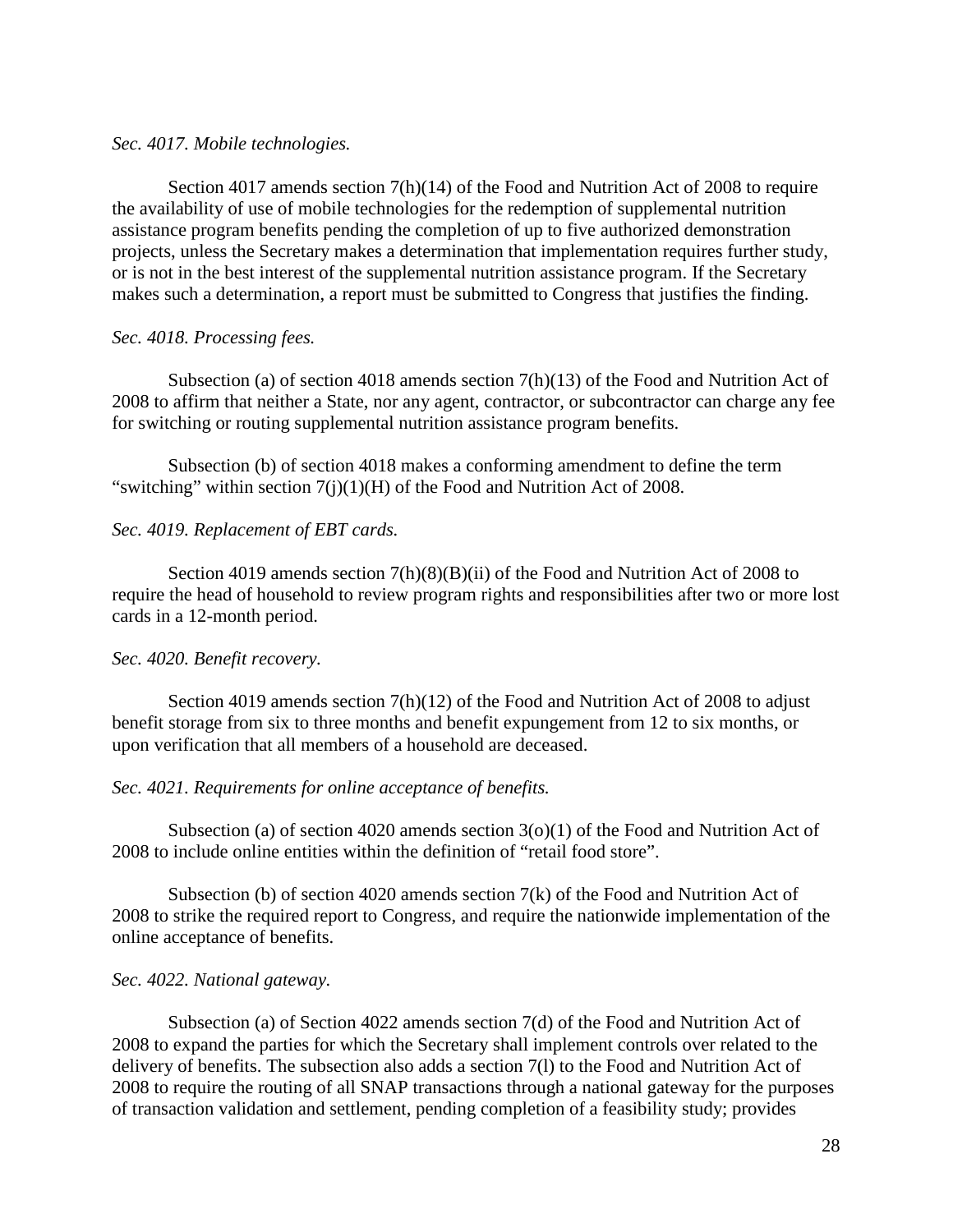### *Sec. 4017. Mobile technologies.*

Section 4017 amends section 7(h)(14) of the Food and Nutrition Act of 2008 to require the availability of use of mobile technologies for the redemption of supplemental nutrition assistance program benefits pending the completion of up to five authorized demonstration projects, unless the Secretary makes a determination that implementation requires further study, or is not in the best interest of the supplemental nutrition assistance program. If the Secretary makes such a determination, a report must be submitted to Congress that justifies the finding.

### *Sec. 4018. Processing fees.*

Subsection (a) of section 4018 amends section  $7(h)(13)$  of the Food and Nutrition Act of 2008 to affirm that neither a State, nor any agent, contractor, or subcontractor can charge any fee for switching or routing supplemental nutrition assistance program benefits.

Subsection (b) of section 4018 makes a conforming amendment to define the term "switching" within section  $7(j)(1)(H)$  of the Food and Nutrition Act of 2008.

## *Sec. 4019. Replacement of EBT cards.*

Section 4019 amends section 7(h)(8)(B)(ii) of the Food and Nutrition Act of 2008 to require the head of household to review program rights and responsibilities after two or more lost cards in a 12-month period.

## *Sec. 4020. Benefit recovery.*

Section 4019 amends section  $7(h)(12)$  of the Food and Nutrition Act of 2008 to adjust benefit storage from six to three months and benefit expungement from 12 to six months, or upon verification that all members of a household are deceased.

## *Sec. 4021. Requirements for online acceptance of benefits.*

Subsection (a) of section 4020 amends section  $3(0)(1)$  of the Food and Nutrition Act of 2008 to include online entities within the definition of "retail food store".

Subsection (b) of section 4020 amends section  $7(k)$  of the Food and Nutrition Act of 2008 to strike the required report to Congress, and require the nationwide implementation of the online acceptance of benefits.

### *Sec. 4022. National gateway.*

Subsection (a) of Section 4022 amends section 7(d) of the Food and Nutrition Act of 2008 to expand the parties for which the Secretary shall implement controls over related to the delivery of benefits. The subsection also adds a section 7(l) to the Food and Nutrition Act of 2008 to require the routing of all SNAP transactions through a national gateway for the purposes of transaction validation and settlement, pending completion of a feasibility study; provides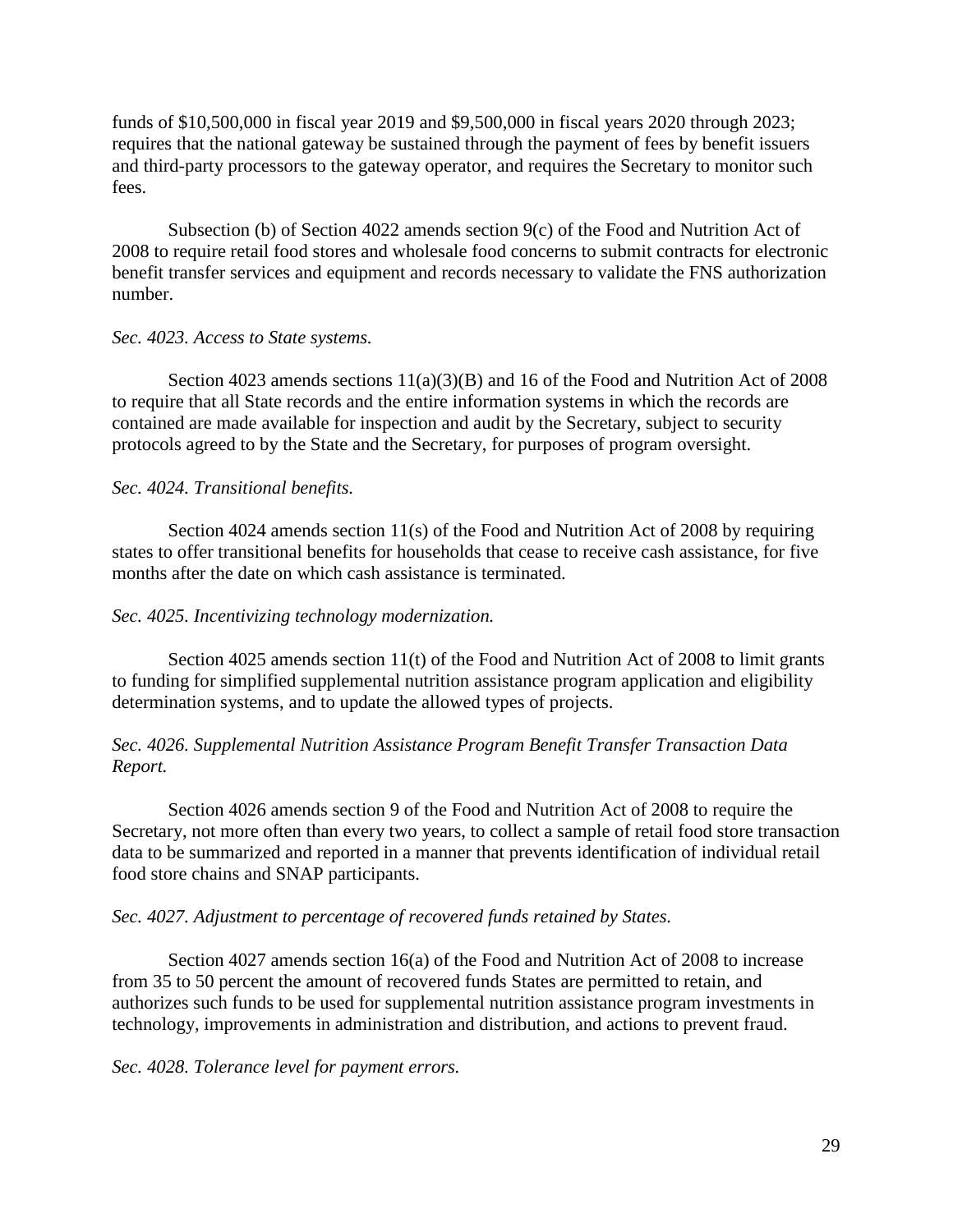funds of \$10,500,000 in fiscal year 2019 and \$9,500,000 in fiscal years 2020 through 2023; requires that the national gateway be sustained through the payment of fees by benefit issuers and third-party processors to the gateway operator, and requires the Secretary to monitor such fees.

Subsection (b) of Section 4022 amends section 9(c) of the Food and Nutrition Act of 2008 to require retail food stores and wholesale food concerns to submit contracts for electronic benefit transfer services and equipment and records necessary to validate the FNS authorization number.

### *Sec. 4023. Access to State systems.*

Section 4023 amends sections  $11(a)(3)(B)$  and 16 of the Food and Nutrition Act of 2008 to require that all State records and the entire information systems in which the records are contained are made available for inspection and audit by the Secretary, subject to security protocols agreed to by the State and the Secretary, for purposes of program oversight.

### *Sec. 4024. Transitional benefits.*

Section 4024 amends section 11(s) of the Food and Nutrition Act of 2008 by requiring states to offer transitional benefits for households that cease to receive cash assistance, for five months after the date on which cash assistance is terminated.

#### *Sec. 4025. Incentivizing technology modernization.*

Section 4025 amends section 11(t) of the Food and Nutrition Act of 2008 to limit grants to funding for simplified supplemental nutrition assistance program application and eligibility determination systems, and to update the allowed types of projects.

## *Sec. 4026. Supplemental Nutrition Assistance Program Benefit Transfer Transaction Data Report.*

Section 4026 amends section 9 of the Food and Nutrition Act of 2008 to require the Secretary, not more often than every two years, to collect a sample of retail food store transaction data to be summarized and reported in a manner that prevents identification of individual retail food store chains and SNAP participants.

### *Sec. 4027. Adjustment to percentage of recovered funds retained by States.*

Section 4027 amends section 16(a) of the Food and Nutrition Act of 2008 to increase from 35 to 50 percent the amount of recovered funds States are permitted to retain, and authorizes such funds to be used for supplemental nutrition assistance program investments in technology, improvements in administration and distribution, and actions to prevent fraud.

*Sec. 4028. Tolerance level for payment errors.*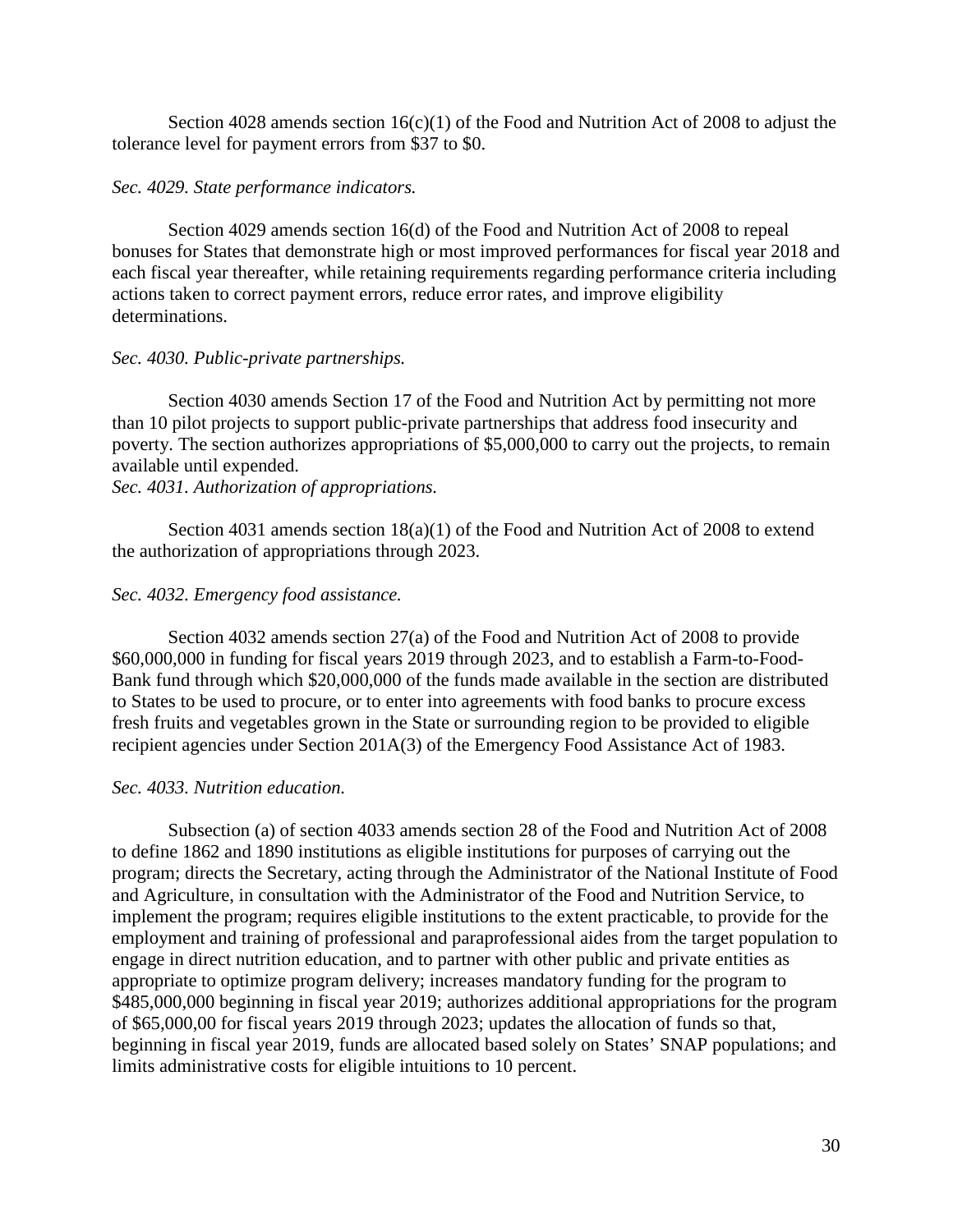Section 4028 amends section  $16(c)(1)$  of the Food and Nutrition Act of 2008 to adjust the tolerance level for payment errors from \$37 to \$0.

## *Sec. 4029. State performance indicators.*

Section 4029 amends section 16(d) of the Food and Nutrition Act of 2008 to repeal bonuses for States that demonstrate high or most improved performances for fiscal year 2018 and each fiscal year thereafter, while retaining requirements regarding performance criteria including actions taken to correct payment errors, reduce error rates, and improve eligibility determinations.

## *Sec. 4030. Public-private partnerships.*

Section 4030 amends Section 17 of the Food and Nutrition Act by permitting not more than 10 pilot projects to support public-private partnerships that address food insecurity and poverty. The section authorizes appropriations of \$5,000,000 to carry out the projects, to remain available until expended.

# *Sec. 4031. Authorization of appropriations.*

Section 4031 amends section 18(a)(1) of the Food and Nutrition Act of 2008 to extend the authorization of appropriations through 2023.

# *Sec. 4032. Emergency food assistance.*

Section 4032 amends section 27(a) of the Food and Nutrition Act of 2008 to provide \$60,000,000 in funding for fiscal years 2019 through 2023, and to establish a Farm-to-Food-Bank fund through which \$20,000,000 of the funds made available in the section are distributed to States to be used to procure, or to enter into agreements with food banks to procure excess fresh fruits and vegetables grown in the State or surrounding region to be provided to eligible recipient agencies under Section 201A(3) of the Emergency Food Assistance Act of 1983.

# *Sec. 4033. Nutrition education.*

Subsection (a) of section 4033 amends section 28 of the Food and Nutrition Act of 2008 to define 1862 and 1890 institutions as eligible institutions for purposes of carrying out the program; directs the Secretary, acting through the Administrator of the National Institute of Food and Agriculture, in consultation with the Administrator of the Food and Nutrition Service, to implement the program; requires eligible institutions to the extent practicable, to provide for the employment and training of professional and paraprofessional aides from the target population to engage in direct nutrition education, and to partner with other public and private entities as appropriate to optimize program delivery; increases mandatory funding for the program to \$485,000,000 beginning in fiscal year 2019; authorizes additional appropriations for the program of \$65,000,00 for fiscal years 2019 through 2023; updates the allocation of funds so that, beginning in fiscal year 2019, funds are allocated based solely on States' SNAP populations; and limits administrative costs for eligible intuitions to 10 percent.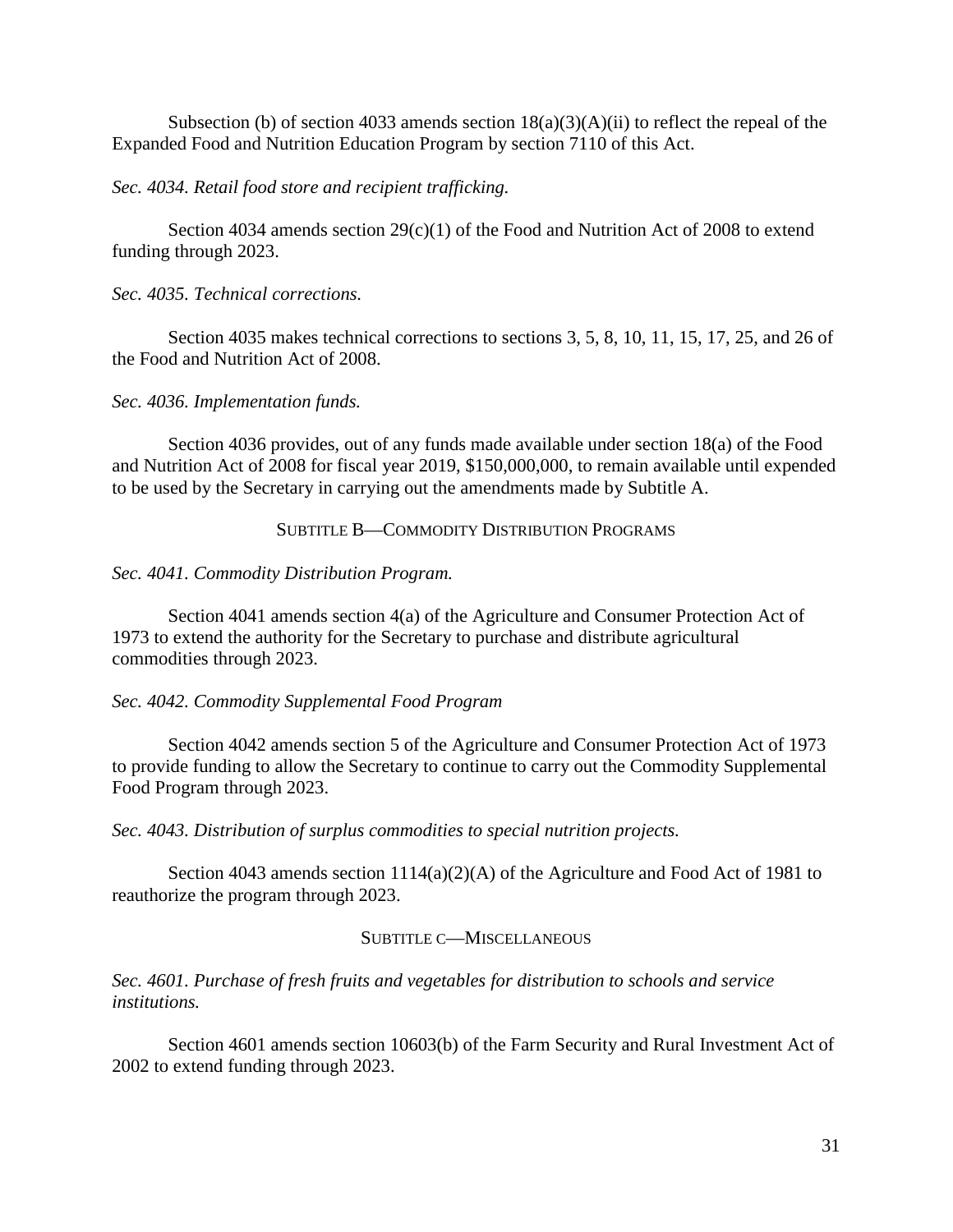Subsection (b) of section 4033 amends section 18(a)(3)(A)(ii) to reflect the repeal of the Expanded Food and Nutrition Education Program by section 7110 of this Act.

## *Sec. 4034. Retail food store and recipient trafficking.*

Section 4034 amends section  $29(c)(1)$  of the Food and Nutrition Act of 2008 to extend funding through 2023.

## *Sec. 4035. Technical corrections.*

Section 4035 makes technical corrections to sections 3, 5, 8, 10, 11, 15, 17, 25, and 26 of the Food and Nutrition Act of 2008.

### *Sec. 4036. Implementation funds.*

Section 4036 provides, out of any funds made available under section 18(a) of the Food and Nutrition Act of 2008 for fiscal year 2019, \$150,000,000, to remain available until expended to be used by the Secretary in carrying out the amendments made by Subtitle A.

## SUBTITLE B—COMMODITY DISTRIBUTION PROGRAMS

### *Sec. 4041. Commodity Distribution Program.*

Section 4041 amends section 4(a) of the Agriculture and Consumer Protection Act of 1973 to extend the authority for the Secretary to purchase and distribute agricultural commodities through 2023.

## *Sec. 4042. Commodity Supplemental Food Program*

Section 4042 amends section 5 of the Agriculture and Consumer Protection Act of 1973 to provide funding to allow the Secretary to continue to carry out the Commodity Supplemental Food Program through 2023.

*Sec. 4043. Distribution of surplus commodities to special nutrition projects.*

Section 4043 amends section 1114(a)(2)(A) of the Agriculture and Food Act of 1981 to reauthorize the program through 2023.

## SUBTITLE C—MISCELLANEOUS

*Sec. 4601. Purchase of fresh fruits and vegetables for distribution to schools and service institutions.*

Section 4601 amends section 10603(b) of the Farm Security and Rural Investment Act of 2002 to extend funding through 2023.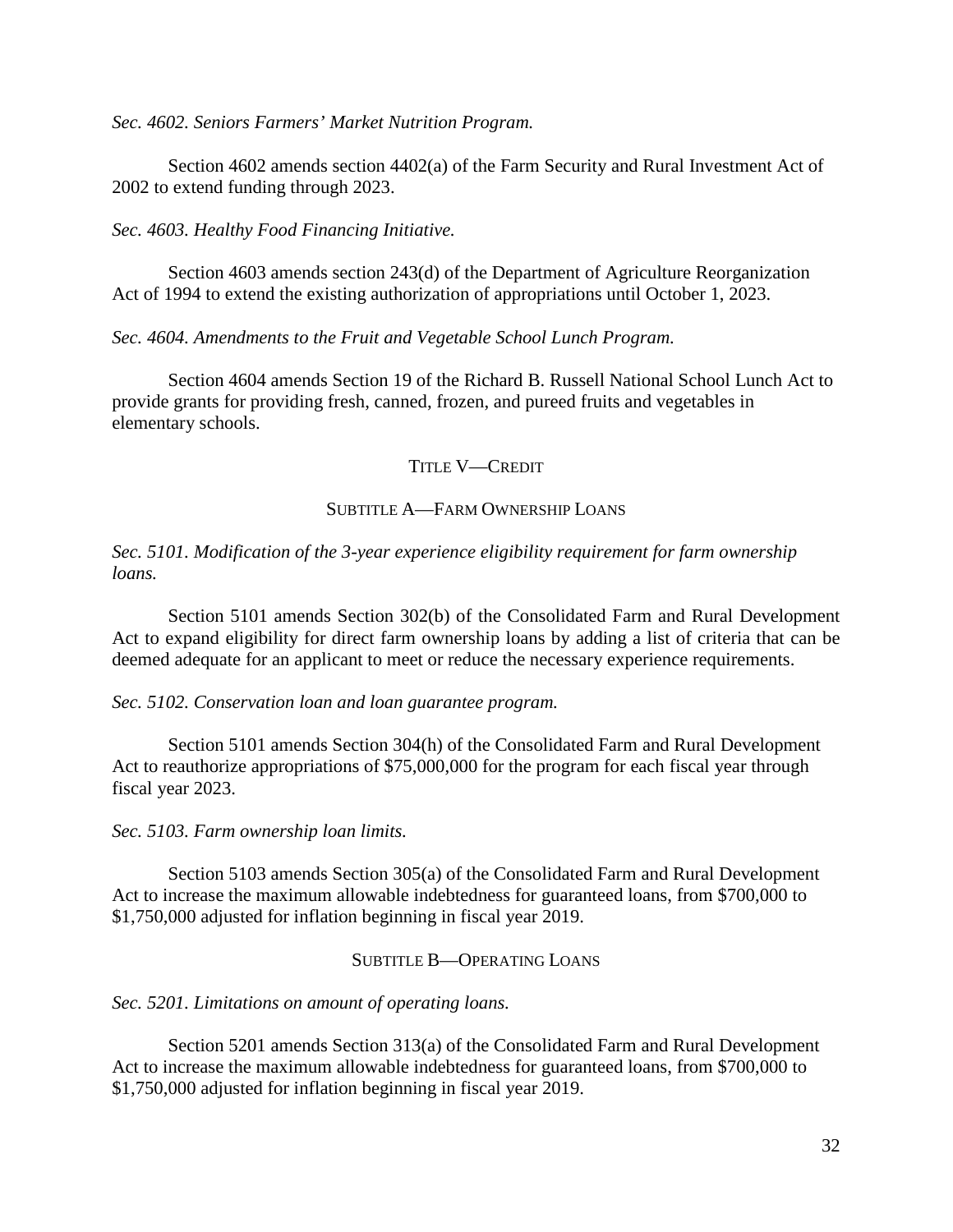*Sec. 4602. Seniors Farmers' Market Nutrition Program.*

Section 4602 amends section 4402(a) of the Farm Security and Rural Investment Act of 2002 to extend funding through 2023.

*Sec. 4603. Healthy Food Financing Initiative.*

Section 4603 amends section 243(d) of the Department of Agriculture Reorganization Act of 1994 to extend the existing authorization of appropriations until October 1, 2023.

*Sec. 4604. Amendments to the Fruit and Vegetable School Lunch Program.* 

Section 4604 amends Section 19 of the Richard B. Russell National School Lunch Act to provide grants for providing fresh, canned, frozen, and pureed fruits and vegetables in elementary schools.

### TITLE V—CREDIT

### SUBTITLE A—FARM OWNERSHIP LOANS

## *Sec. 5101. Modification of the 3-year experience eligibility requirement for farm ownership loans.*

Section 5101 amends Section 302(b) of the Consolidated Farm and Rural Development Act to expand eligibility for direct farm ownership loans by adding a list of criteria that can be deemed adequate for an applicant to meet or reduce the necessary experience requirements.

*Sec. 5102. Conservation loan and loan guarantee program.*

Section 5101 amends Section 304(h) of the Consolidated Farm and Rural Development Act to reauthorize appropriations of \$75,000,000 for the program for each fiscal year through fiscal year 2023.

*Sec. 5103. Farm ownership loan limits.* 

Section 5103 amends Section 305(a) of the Consolidated Farm and Rural Development Act to increase the maximum allowable indebtedness for guaranteed loans, from \$700,000 to \$1,750,000 adjusted for inflation beginning in fiscal year 2019.

## SUBTITLE B—OPERATING LOANS

*Sec. 5201. Limitations on amount of operating loans.* 

Section 5201 amends Section 313(a) of the Consolidated Farm and Rural Development Act to increase the maximum allowable indebtedness for guaranteed loans, from \$700,000 to \$1,750,000 adjusted for inflation beginning in fiscal year 2019.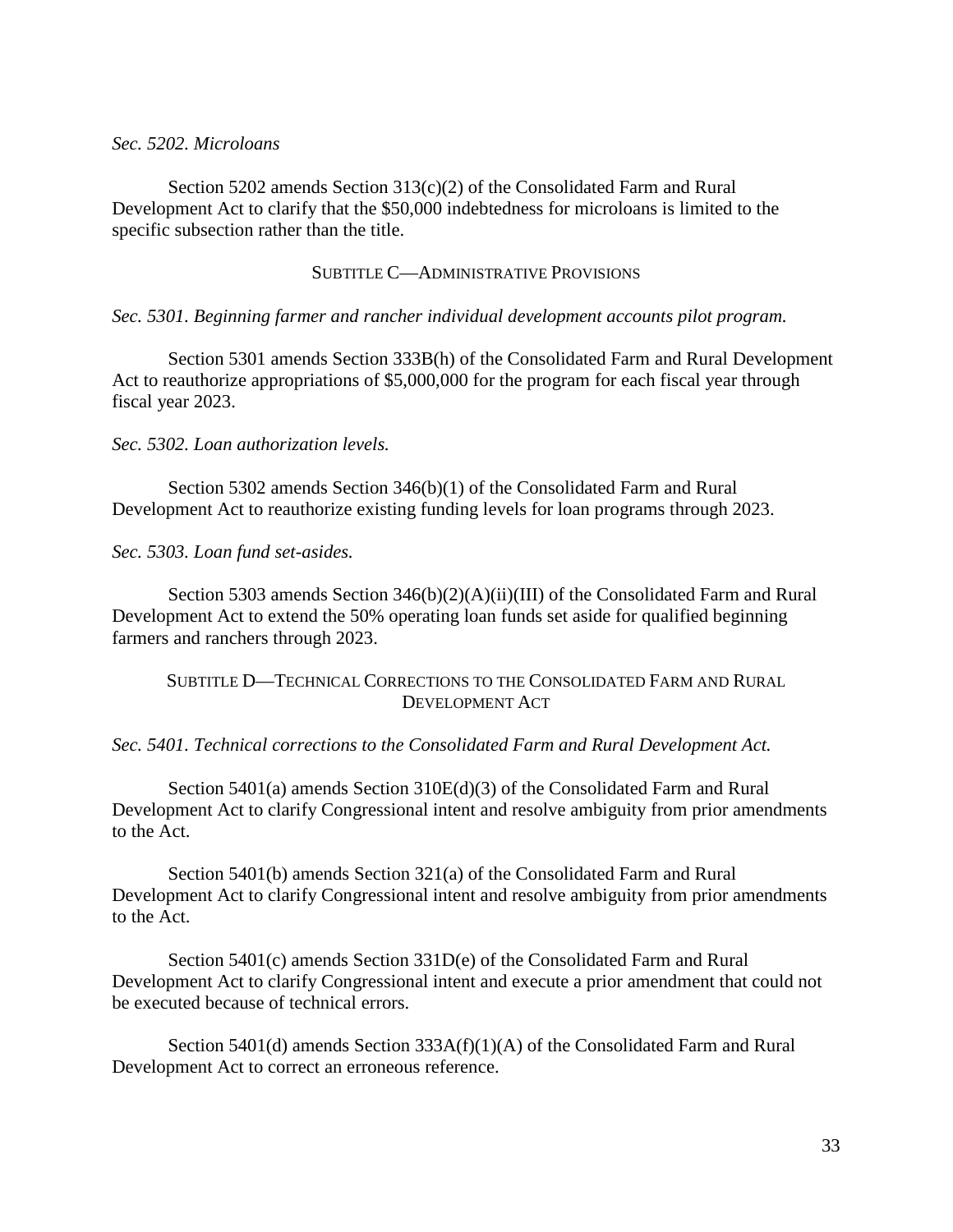### *Sec. 5202. Microloans*

Section 5202 amends Section 313(c)(2) of the Consolidated Farm and Rural Development Act to clarify that the \$50,000 indebtedness for microloans is limited to the specific subsection rather than the title.

### SUBTITLE C—ADMINISTRATIVE PROVISIONS

### *Sec. 5301. Beginning farmer and rancher individual development accounts pilot program.*

Section 5301 amends Section 333B(h) of the Consolidated Farm and Rural Development Act to reauthorize appropriations of \$5,000,000 for the program for each fiscal year through fiscal year 2023.

### *Sec. 5302. Loan authorization levels.*

Section 5302 amends Section 346(b)(1) of the Consolidated Farm and Rural Development Act to reauthorize existing funding levels for loan programs through 2023.

*Sec. 5303. Loan fund set-asides.*

Section 5303 amends Section 346(b)(2)(A)(ii)(III) of the Consolidated Farm and Rural Development Act to extend the 50% operating loan funds set aside for qualified beginning farmers and ranchers through 2023.

## SUBTITLE D—TECHNICAL CORRECTIONS TO THE CONSOLIDATED FARM AND RURAL DEVELOPMENT ACT

## *Sec. 5401. Technical corrections to the Consolidated Farm and Rural Development Act.*

Section 5401(a) amends Section 310E(d)(3) of the Consolidated Farm and Rural Development Act to clarify Congressional intent and resolve ambiguity from prior amendments to the Act.

Section 5401(b) amends Section 321(a) of the Consolidated Farm and Rural Development Act to clarify Congressional intent and resolve ambiguity from prior amendments to the Act.

Section 5401(c) amends Section 331D(e) of the Consolidated Farm and Rural Development Act to clarify Congressional intent and execute a prior amendment that could not be executed because of technical errors.

Section 5401(d) amends Section  $333A(f)(1)(A)$  of the Consolidated Farm and Rural Development Act to correct an erroneous reference.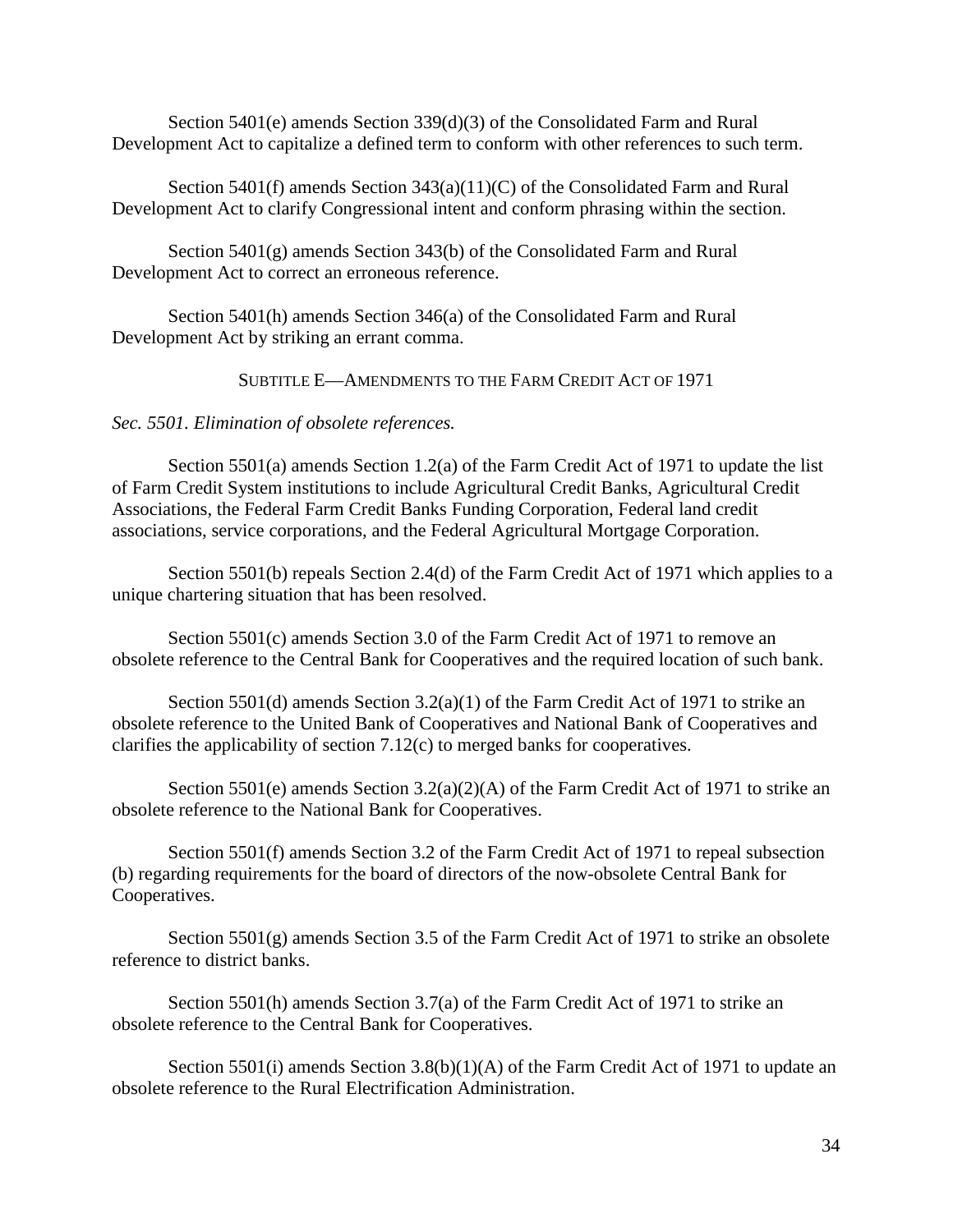Section 5401(e) amends Section 339(d)(3) of the Consolidated Farm and Rural Development Act to capitalize a defined term to conform with other references to such term.

Section 5401(f) amends Section 343(a)(11)(C) of the Consolidated Farm and Rural Development Act to clarify Congressional intent and conform phrasing within the section.

Section 5401(g) amends Section 343(b) of the Consolidated Farm and Rural Development Act to correct an erroneous reference.

Section 5401(h) amends Section 346(a) of the Consolidated Farm and Rural Development Act by striking an errant comma.

SUBTITLE E—AMENDMENTS TO THE FARM CREDIT ACT OF 1971

## *Sec. 5501. Elimination of obsolete references.*

Section 5501(a) amends Section 1.2(a) of the Farm Credit Act of 1971 to update the list of Farm Credit System institutions to include Agricultural Credit Banks, Agricultural Credit Associations, the Federal Farm Credit Banks Funding Corporation, Federal land credit associations, service corporations, and the Federal Agricultural Mortgage Corporation.

Section 5501(b) repeals Section 2.4(d) of the Farm Credit Act of 1971 which applies to a unique chartering situation that has been resolved.

Section 5501(c) amends Section 3.0 of the Farm Credit Act of 1971 to remove an obsolete reference to the Central Bank for Cooperatives and the required location of such bank.

Section 5501(d) amends Section  $3.2(a)(1)$  of the Farm Credit Act of 1971 to strike an obsolete reference to the United Bank of Cooperatives and National Bank of Cooperatives and clarifies the applicability of section 7.12(c) to merged banks for cooperatives.

Section 5501(e) amends Section  $3.2(a)(2)(A)$  of the Farm Credit Act of 1971 to strike an obsolete reference to the National Bank for Cooperatives.

Section 5501(f) amends Section 3.2 of the Farm Credit Act of 1971 to repeal subsection (b) regarding requirements for the board of directors of the now-obsolete Central Bank for Cooperatives.

Section  $5501(g)$  amends Section 3.5 of the Farm Credit Act of 1971 to strike an obsolete reference to district banks.

Section 5501(h) amends Section 3.7(a) of the Farm Credit Act of 1971 to strike an obsolete reference to the Central Bank for Cooperatives.

Section 5501(i) amends Section 3.8(b)(1)(A) of the Farm Credit Act of 1971 to update an obsolete reference to the Rural Electrification Administration.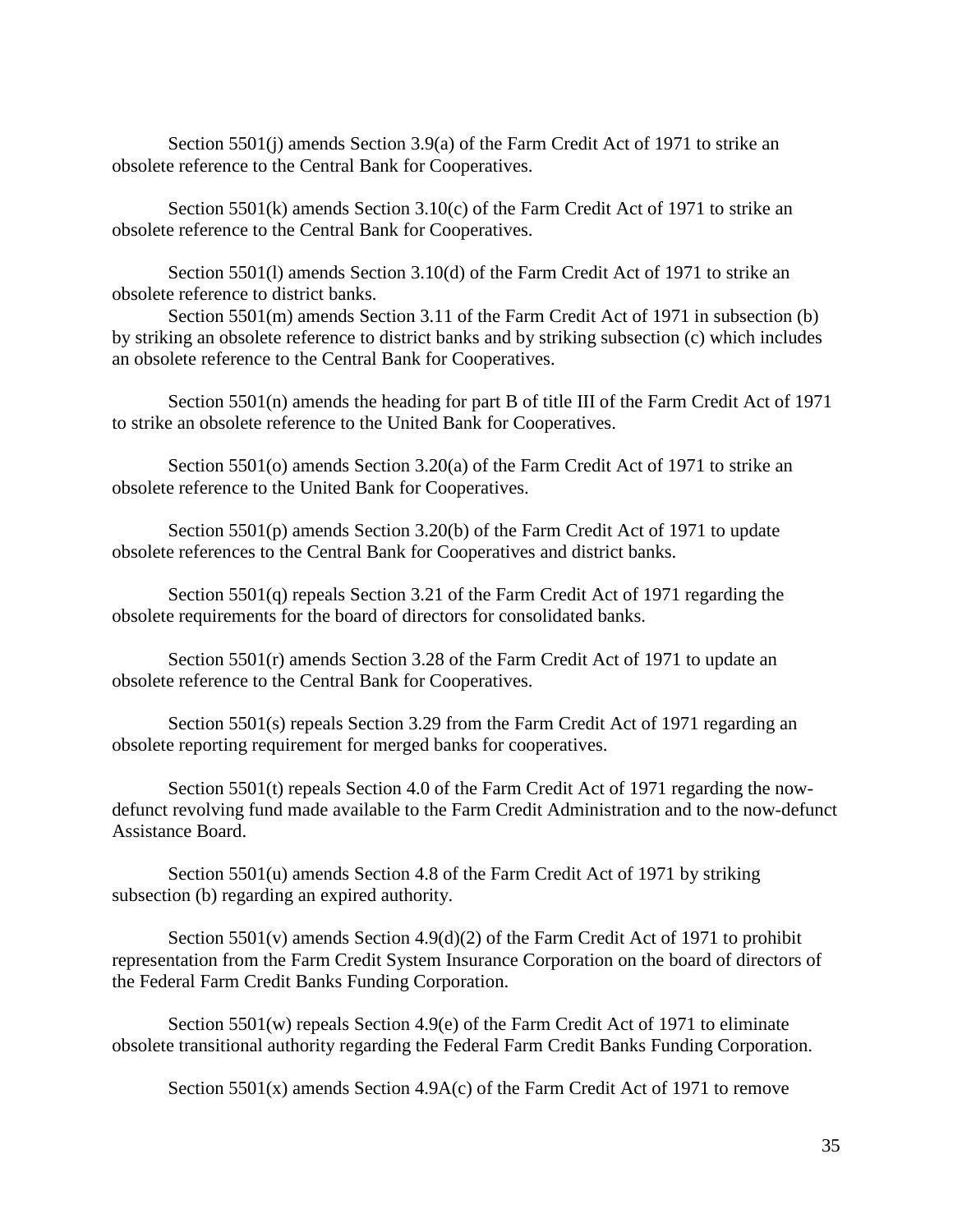Section 5501(j) amends Section 3.9(a) of the Farm Credit Act of 1971 to strike an obsolete reference to the Central Bank for Cooperatives.

Section 5501(k) amends Section 3.10(c) of the Farm Credit Act of 1971 to strike an obsolete reference to the Central Bank for Cooperatives.

Section 5501(l) amends Section 3.10(d) of the Farm Credit Act of 1971 to strike an obsolete reference to district banks.

Section 5501(m) amends Section 3.11 of the Farm Credit Act of 1971 in subsection (b) by striking an obsolete reference to district banks and by striking subsection (c) which includes an obsolete reference to the Central Bank for Cooperatives.

Section 5501(n) amends the heading for part B of title III of the Farm Credit Act of 1971 to strike an obsolete reference to the United Bank for Cooperatives.

Section 5501(o) amends Section 3.20(a) of the Farm Credit Act of 1971 to strike an obsolete reference to the United Bank for Cooperatives.

Section 5501(p) amends Section 3.20(b) of the Farm Credit Act of 1971 to update obsolete references to the Central Bank for Cooperatives and district banks.

Section 5501(q) repeals Section 3.21 of the Farm Credit Act of 1971 regarding the obsolete requirements for the board of directors for consolidated banks.

Section 5501(r) amends Section 3.28 of the Farm Credit Act of 1971 to update an obsolete reference to the Central Bank for Cooperatives.

Section 5501(s) repeals Section 3.29 from the Farm Credit Act of 1971 regarding an obsolete reporting requirement for merged banks for cooperatives.

Section 5501(t) repeals Section 4.0 of the Farm Credit Act of 1971 regarding the nowdefunct revolving fund made available to the Farm Credit Administration and to the now-defunct Assistance Board.

Section 5501(u) amends Section 4.8 of the Farm Credit Act of 1971 by striking subsection (b) regarding an expired authority.

Section  $5501(v)$  amends Section  $4.9(d)(2)$  of the Farm Credit Act of 1971 to prohibit representation from the Farm Credit System Insurance Corporation on the board of directors of the Federal Farm Credit Banks Funding Corporation.

Section 5501(w) repeals Section 4.9(e) of the Farm Credit Act of 1971 to eliminate obsolete transitional authority regarding the Federal Farm Credit Banks Funding Corporation.

Section  $5501(x)$  amends Section 4.9A(c) of the Farm Credit Act of 1971 to remove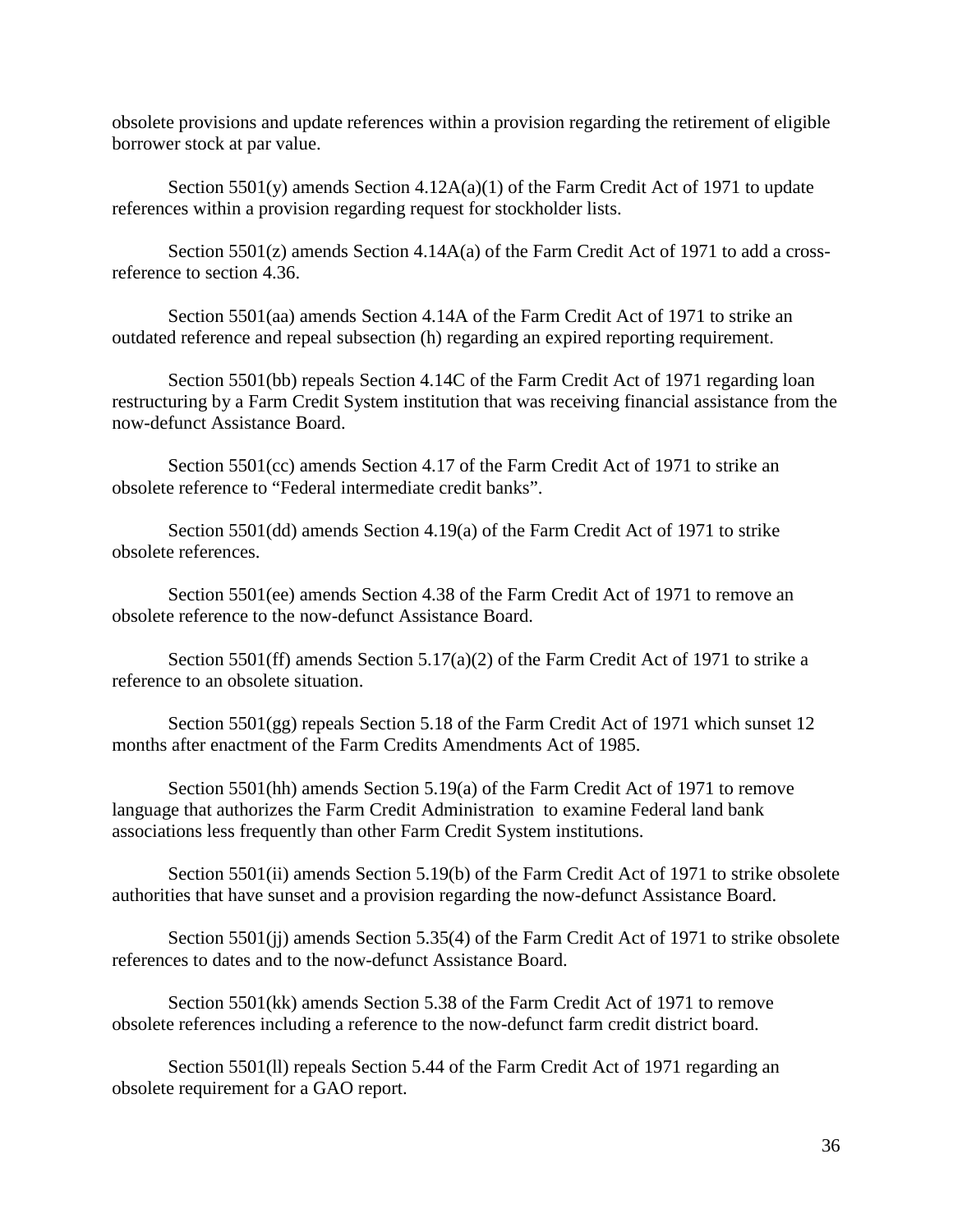obsolete provisions and update references within a provision regarding the retirement of eligible borrower stock at par value.

Section 5501(y) amends Section 4.12A(a)(1) of the Farm Credit Act of 1971 to update references within a provision regarding request for stockholder lists.

Section 5501(z) amends Section 4.14A(a) of the Farm Credit Act of 1971 to add a crossreference to section 4.36.

Section 5501(aa) amends Section 4.14A of the Farm Credit Act of 1971 to strike an outdated reference and repeal subsection (h) regarding an expired reporting requirement.

Section 5501(bb) repeals Section 4.14C of the Farm Credit Act of 1971 regarding loan restructuring by a Farm Credit System institution that was receiving financial assistance from the now-defunct Assistance Board.

Section 5501(cc) amends Section 4.17 of the Farm Credit Act of 1971 to strike an obsolete reference to "Federal intermediate credit banks".

Section 5501(dd) amends Section 4.19(a) of the Farm Credit Act of 1971 to strike obsolete references.

Section 5501(ee) amends Section 4.38 of the Farm Credit Act of 1971 to remove an obsolete reference to the now-defunct Assistance Board.

Section 5501(ff) amends Section 5.17(a)(2) of the Farm Credit Act of 1971 to strike a reference to an obsolete situation.

Section 5501(gg) repeals Section 5.18 of the Farm Credit Act of 1971 which sunset 12 months after enactment of the Farm Credits Amendments Act of 1985.

Section 5501(hh) amends Section 5.19(a) of the Farm Credit Act of 1971 to remove language that authorizes the Farm Credit Administration to examine Federal land bank associations less frequently than other Farm Credit System institutions.

Section 5501(ii) amends Section 5.19(b) of the Farm Credit Act of 1971 to strike obsolete authorities that have sunset and a provision regarding the now-defunct Assistance Board.

Section 5501(jj) amends Section 5.35(4) of the Farm Credit Act of 1971 to strike obsolete references to dates and to the now-defunct Assistance Board.

Section 5501(kk) amends Section 5.38 of the Farm Credit Act of 1971 to remove obsolete references including a reference to the now-defunct farm credit district board.

Section 5501(ll) repeals Section 5.44 of the Farm Credit Act of 1971 regarding an obsolete requirement for a GAO report.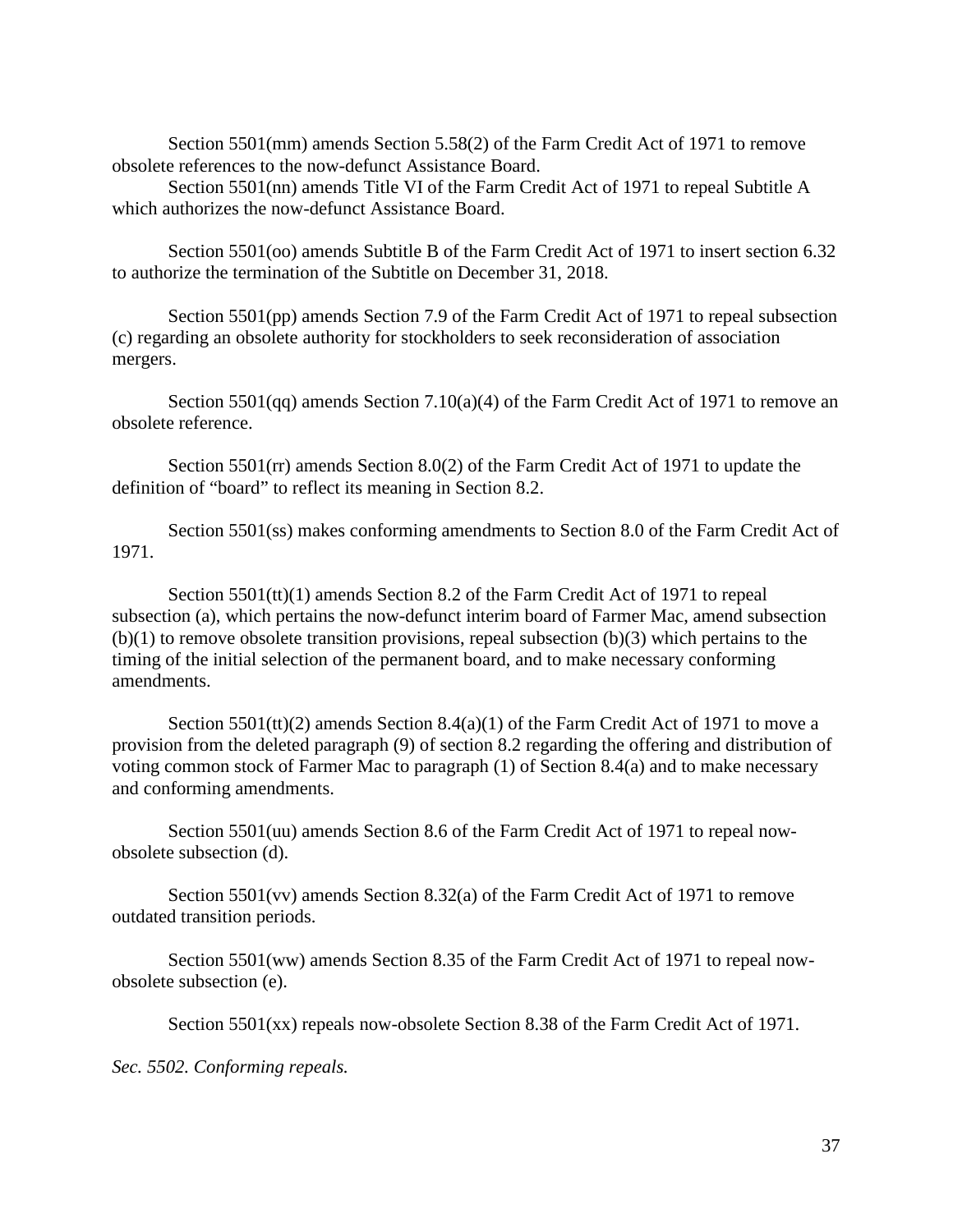Section 5501(mm) amends Section 5.58(2) of the Farm Credit Act of 1971 to remove obsolete references to the now-defunct Assistance Board.

Section 5501(nn) amends Title VI of the Farm Credit Act of 1971 to repeal Subtitle A which authorizes the now-defunct Assistance Board.

Section 5501(oo) amends Subtitle B of the Farm Credit Act of 1971 to insert section 6.32 to authorize the termination of the Subtitle on December 31, 2018.

Section 5501(pp) amends Section 7.9 of the Farm Credit Act of 1971 to repeal subsection (c) regarding an obsolete authority for stockholders to seek reconsideration of association mergers.

Section 5501(qq) amends Section 7.10(a)(4) of the Farm Credit Act of 1971 to remove an obsolete reference.

Section 5501(rr) amends Section 8.0(2) of the Farm Credit Act of 1971 to update the definition of "board" to reflect its meaning in Section 8.2.

Section 5501(ss) makes conforming amendments to Section 8.0 of the Farm Credit Act of 1971.

Section 5501(tt)(1) amends Section 8.2 of the Farm Credit Act of 1971 to repeal subsection (a), which pertains the now-defunct interim board of Farmer Mac, amend subsection (b)(1) to remove obsolete transition provisions, repeal subsection (b)(3) which pertains to the timing of the initial selection of the permanent board, and to make necessary conforming amendments.

Section  $5501$ (tt)(2) amends Section  $8.4(a)(1)$  of the Farm Credit Act of 1971 to move a provision from the deleted paragraph (9) of section 8.2 regarding the offering and distribution of voting common stock of Farmer Mac to paragraph (1) of Section 8.4(a) and to make necessary and conforming amendments.

Section 5501(uu) amends Section 8.6 of the Farm Credit Act of 1971 to repeal nowobsolete subsection (d).

Section 5501(vv) amends Section 8.32(a) of the Farm Credit Act of 1971 to remove outdated transition periods.

Section 5501(ww) amends Section 8.35 of the Farm Credit Act of 1971 to repeal nowobsolete subsection (e).

Section 5501(xx) repeals now-obsolete Section 8.38 of the Farm Credit Act of 1971.

*Sec. 5502. Conforming repeals.*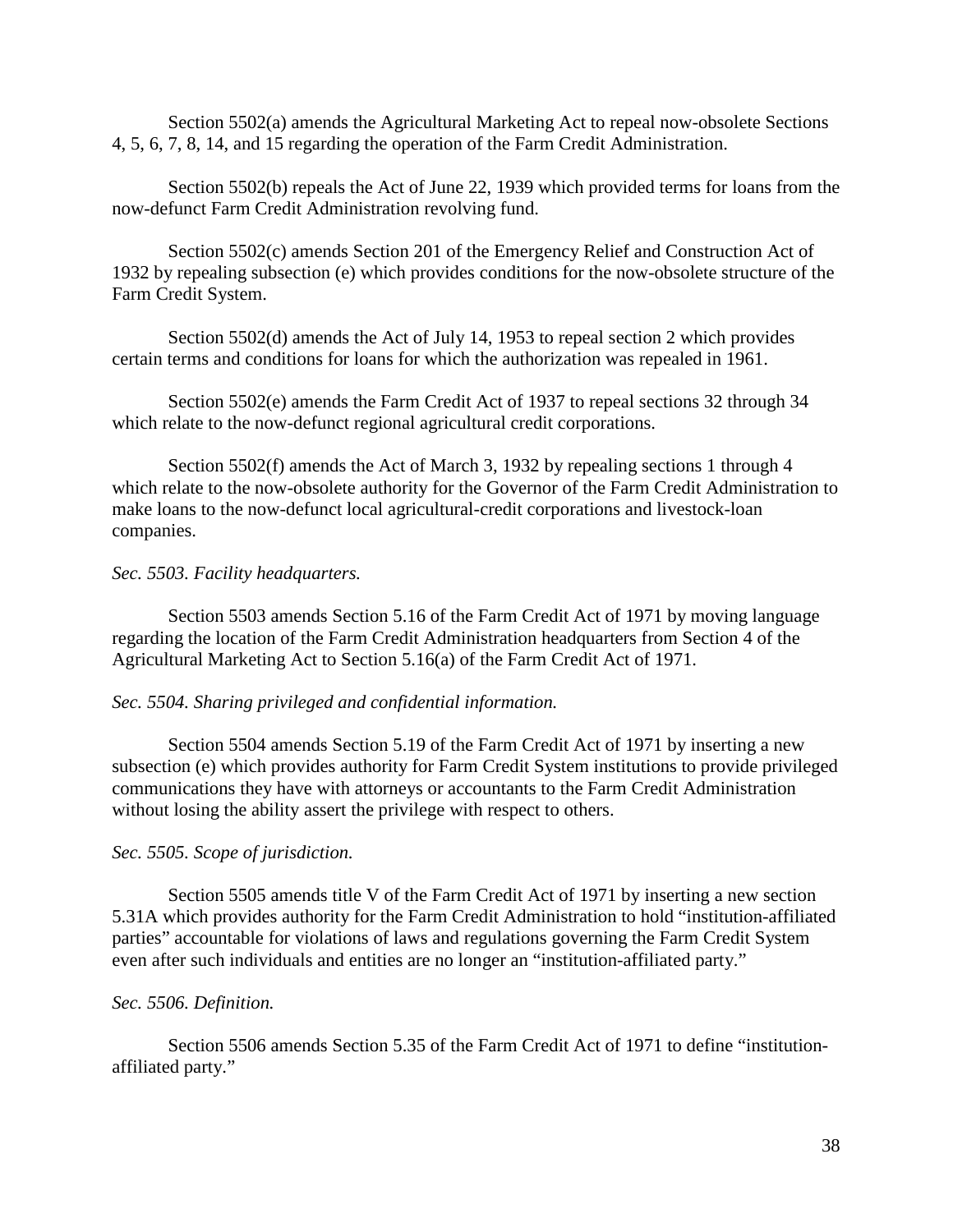Section 5502(a) amends the Agricultural Marketing Act to repeal now-obsolete Sections 4, 5, 6, 7, 8, 14, and 15 regarding the operation of the Farm Credit Administration.

Section 5502(b) repeals the Act of June 22, 1939 which provided terms for loans from the now-defunct Farm Credit Administration revolving fund.

Section 5502(c) amends Section 201 of the Emergency Relief and Construction Act of 1932 by repealing subsection (e) which provides conditions for the now-obsolete structure of the Farm Credit System.

Section 5502(d) amends the Act of July 14, 1953 to repeal section 2 which provides certain terms and conditions for loans for which the authorization was repealed in 1961.

Section 5502(e) amends the Farm Credit Act of 1937 to repeal sections 32 through 34 which relate to the now-defunct regional agricultural credit corporations.

Section 5502(f) amends the Act of March 3, 1932 by repealing sections 1 through 4 which relate to the now-obsolete authority for the Governor of the Farm Credit Administration to make loans to the now-defunct local agricultural-credit corporations and livestock-loan companies.

#### *Sec. 5503. Facility headquarters.*

Section 5503 amends Section 5.16 of the Farm Credit Act of 1971 by moving language regarding the location of the Farm Credit Administration headquarters from Section 4 of the Agricultural Marketing Act to Section 5.16(a) of the Farm Credit Act of 1971.

#### *Sec. 5504. Sharing privileged and confidential information.*

Section 5504 amends Section 5.19 of the Farm Credit Act of 1971 by inserting a new subsection (e) which provides authority for Farm Credit System institutions to provide privileged communications they have with attorneys or accountants to the Farm Credit Administration without losing the ability assert the privilege with respect to others.

#### *Sec. 5505. Scope of jurisdiction.*

Section 5505 amends title V of the Farm Credit Act of 1971 by inserting a new section 5.31A which provides authority for the Farm Credit Administration to hold "institution-affiliated parties" accountable for violations of laws and regulations governing the Farm Credit System even after such individuals and entities are no longer an "institution-affiliated party."

#### *Sec. 5506. Definition.*

Section 5506 amends Section 5.35 of the Farm Credit Act of 1971 to define "institutionaffiliated party."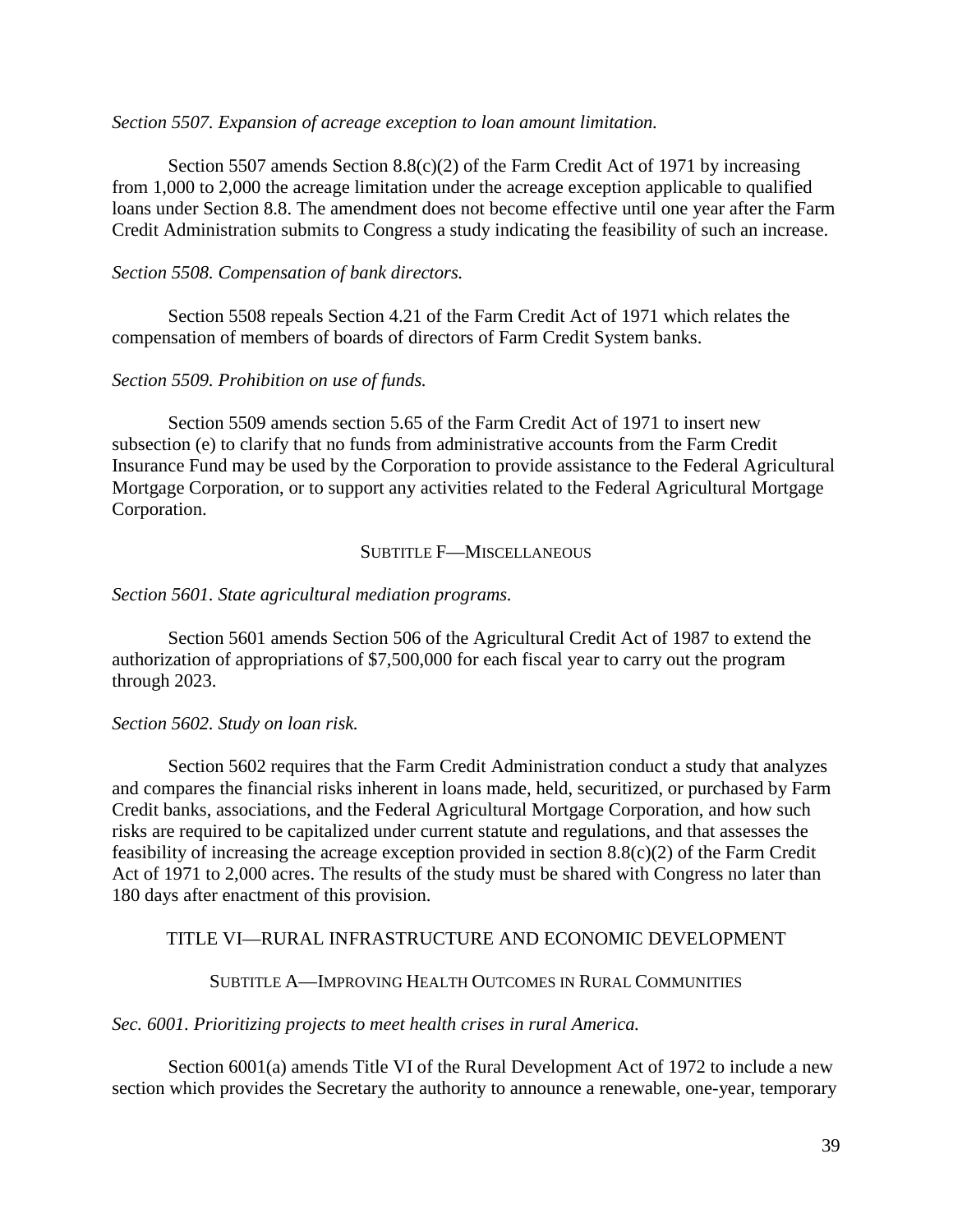#### *Section 5507. Expansion of acreage exception to loan amount limitation.*

Section 5507 amends Section 8.8(c)(2) of the Farm Credit Act of 1971 by increasing from 1,000 to 2,000 the acreage limitation under the acreage exception applicable to qualified loans under Section 8.8. The amendment does not become effective until one year after the Farm Credit Administration submits to Congress a study indicating the feasibility of such an increase.

#### *Section 5508. Compensation of bank directors.*

Section 5508 repeals Section 4.21 of the Farm Credit Act of 1971 which relates the compensation of members of boards of directors of Farm Credit System banks.

#### *Section 5509. Prohibition on use of funds.*

Section 5509 amends section 5.65 of the Farm Credit Act of 1971 to insert new subsection (e) to clarify that no funds from administrative accounts from the Farm Credit Insurance Fund may be used by the Corporation to provide assistance to the Federal Agricultural Mortgage Corporation, or to support any activities related to the Federal Agricultural Mortgage Corporation.

#### SUBTITLE **F—MISCELLANEOUS**

#### *Section 5601. State agricultural mediation programs.*

Section 5601 amends Section 506 of the Agricultural Credit Act of 1987 to extend the authorization of appropriations of \$7,500,000 for each fiscal year to carry out the program through 2023.

#### *Section 5602. Study on loan risk.*

Section 5602 requires that the Farm Credit Administration conduct a study that analyzes and compares the financial risks inherent in loans made, held, securitized, or purchased by Farm Credit banks, associations, and the Federal Agricultural Mortgage Corporation, and how such risks are required to be capitalized under current statute and regulations, and that assesses the feasibility of increasing the acreage exception provided in section 8.8(c)(2) of the Farm Credit Act of 1971 to 2,000 acres. The results of the study must be shared with Congress no later than 180 days after enactment of this provision.

#### TITLE VI—RURAL INFRASTRUCTURE AND ECONOMIC DEVELOPMENT

#### SUBTITLE A—IMPROVING HEALTH OUTCOMES IN RURAL COMMUNITIES

#### *Sec. 6001. Prioritizing projects to meet health crises in rural America.*

Section 6001(a) amends Title VI of the Rural Development Act of 1972 to include a new section which provides the Secretary the authority to announce a renewable, one-year, temporary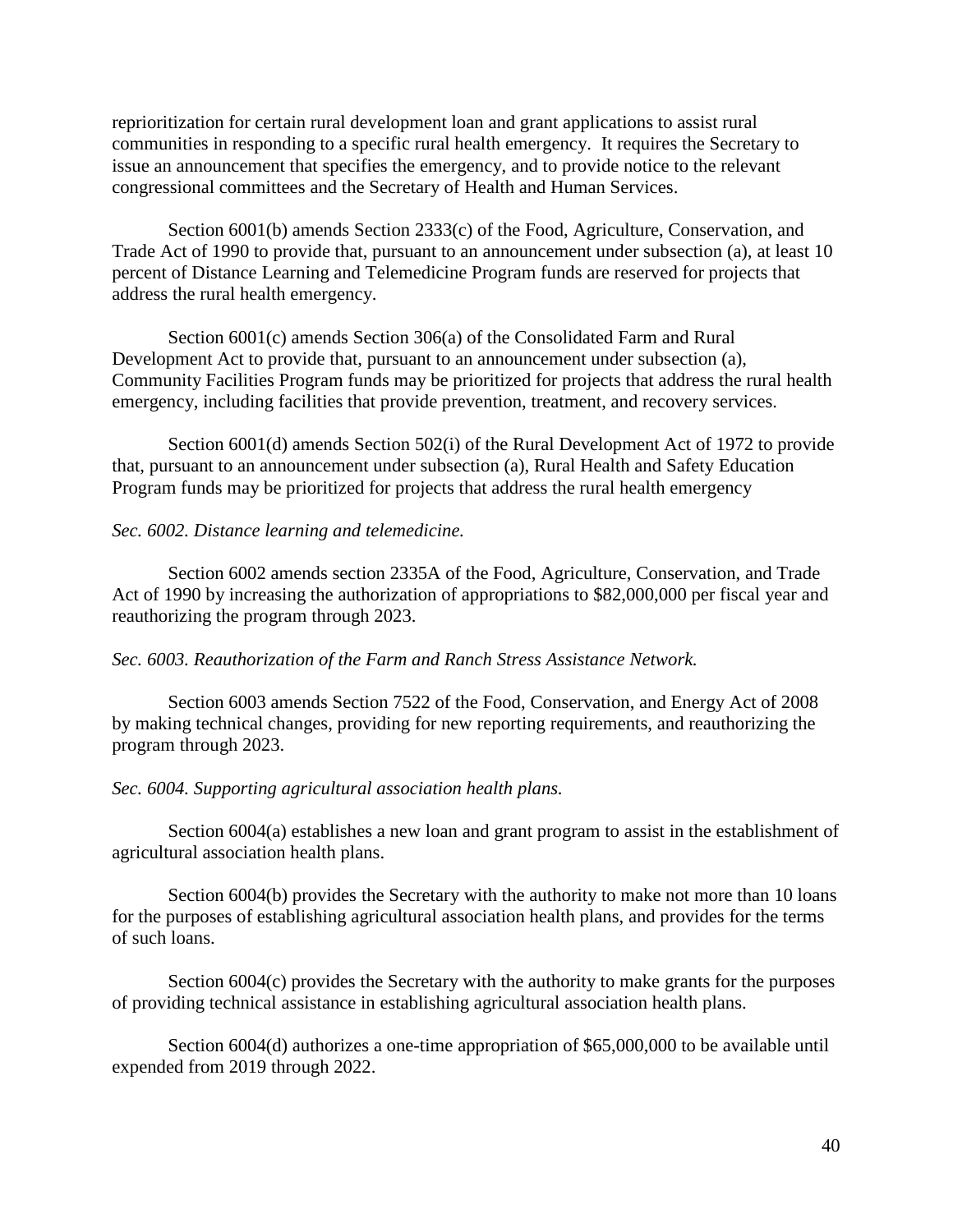reprioritization for certain rural development loan and grant applications to assist rural communities in responding to a specific rural health emergency. It requires the Secretary to issue an announcement that specifies the emergency, and to provide notice to the relevant congressional committees and the Secretary of Health and Human Services.

Section 6001(b) amends Section 2333(c) of the Food, Agriculture, Conservation, and Trade Act of 1990 to provide that, pursuant to an announcement under subsection (a), at least 10 percent of Distance Learning and Telemedicine Program funds are reserved for projects that address the rural health emergency.

Section 6001(c) amends Section 306(a) of the Consolidated Farm and Rural Development Act to provide that, pursuant to an announcement under subsection (a), Community Facilities Program funds may be prioritized for projects that address the rural health emergency, including facilities that provide prevention, treatment, and recovery services.

Section 6001(d) amends Section 502(i) of the Rural Development Act of 1972 to provide that, pursuant to an announcement under subsection (a), Rural Health and Safety Education Program funds may be prioritized for projects that address the rural health emergency

# *Sec. 6002. Distance learning and telemedicine.*

Section 6002 amends section 2335A of the Food, Agriculture, Conservation, and Trade Act of 1990 by increasing the authorization of appropriations to \$82,000,000 per fiscal year and reauthorizing the program through 2023.

*Sec. 6003. Reauthorization of the Farm and Ranch Stress Assistance Network.*

Section 6003 amends Section 7522 of the Food, Conservation, and Energy Act of 2008 by making technical changes, providing for new reporting requirements, and reauthorizing the program through 2023.

## *Sec. 6004. Supporting agricultural association health plans.*

Section 6004(a) establishes a new loan and grant program to assist in the establishment of agricultural association health plans.

Section 6004(b) provides the Secretary with the authority to make not more than 10 loans for the purposes of establishing agricultural association health plans, and provides for the terms of such loans.

Section 6004(c) provides the Secretary with the authority to make grants for the purposes of providing technical assistance in establishing agricultural association health plans.

Section 6004(d) authorizes a one-time appropriation of \$65,000,000 to be available until expended from 2019 through 2022.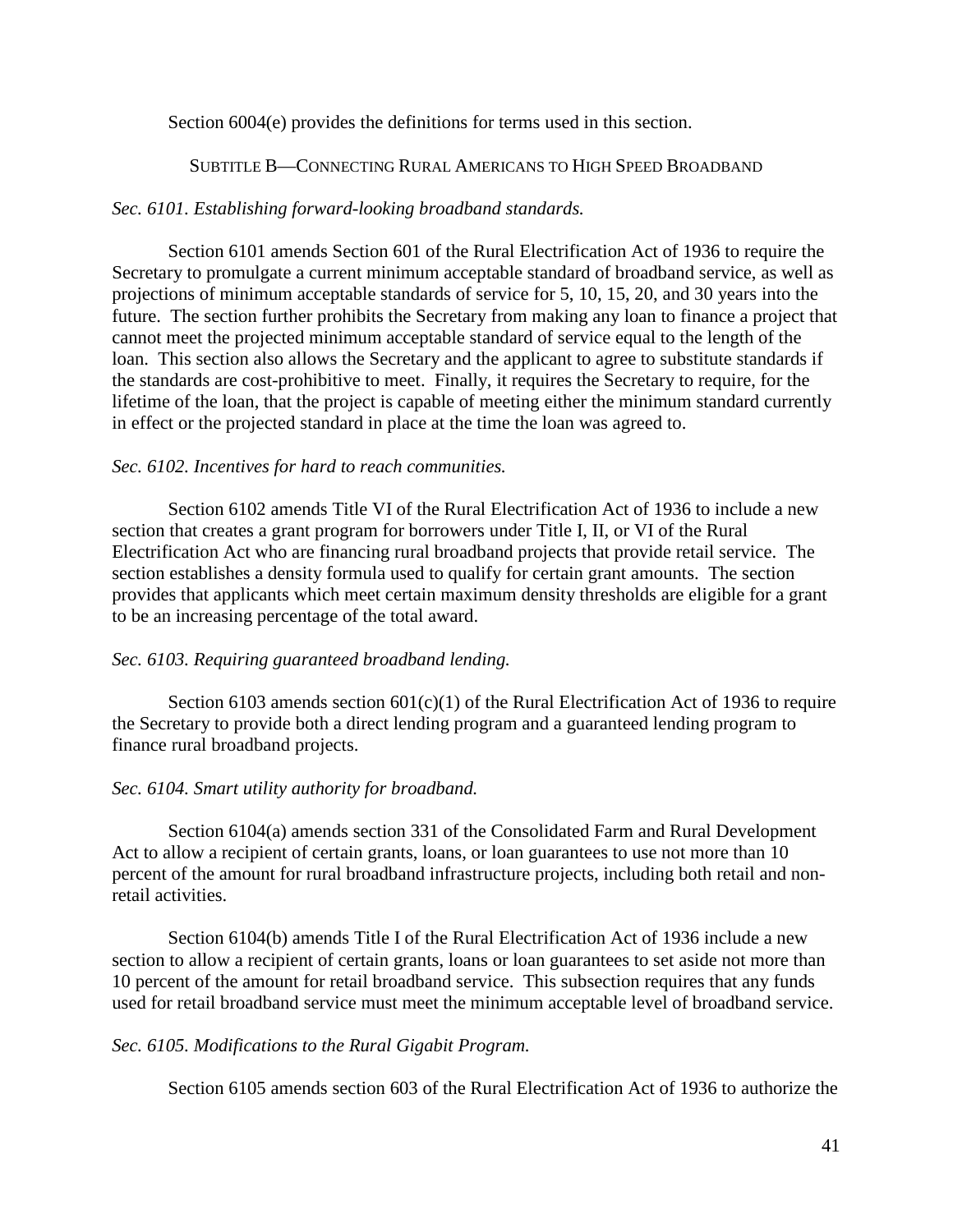Section 6004(e) provides the definitions for terms used in this section.

### SUBTITLE B—CONNECTING RURAL AMERICANS TO HIGH SPEED BROADBAND

# *Sec. 6101. Establishing forward-looking broadband standards.*

Section 6101 amends Section 601 of the Rural Electrification Act of 1936 to require the Secretary to promulgate a current minimum acceptable standard of broadband service, as well as projections of minimum acceptable standards of service for 5, 10, 15, 20, and 30 years into the future. The section further prohibits the Secretary from making any loan to finance a project that cannot meet the projected minimum acceptable standard of service equal to the length of the loan. This section also allows the Secretary and the applicant to agree to substitute standards if the standards are cost-prohibitive to meet. Finally, it requires the Secretary to require, for the lifetime of the loan, that the project is capable of meeting either the minimum standard currently in effect or the projected standard in place at the time the loan was agreed to.

# *Sec. 6102. Incentives for hard to reach communities.*

Section 6102 amends Title VI of the Rural Electrification Act of 1936 to include a new section that creates a grant program for borrowers under Title I, II, or VI of the Rural Electrification Act who are financing rural broadband projects that provide retail service. The section establishes a density formula used to qualify for certain grant amounts. The section provides that applicants which meet certain maximum density thresholds are eligible for a grant to be an increasing percentage of the total award.

## *Sec. 6103. Requiring guaranteed broadband lending.*

Section 6103 amends section  $601(c)(1)$  of the Rural Electrification Act of 1936 to require the Secretary to provide both a direct lending program and a guaranteed lending program to finance rural broadband projects.

## *Sec. 6104. Smart utility authority for broadband.*

Section 6104(a) amends section 331 of the Consolidated Farm and Rural Development Act to allow a recipient of certain grants, loans, or loan guarantees to use not more than 10 percent of the amount for rural broadband infrastructure projects, including both retail and nonretail activities.

Section 6104(b) amends Title I of the Rural Electrification Act of 1936 include a new section to allow a recipient of certain grants, loans or loan guarantees to set aside not more than 10 percent of the amount for retail broadband service. This subsection requires that any funds used for retail broadband service must meet the minimum acceptable level of broadband service.

## *Sec. 6105. Modifications to the Rural Gigabit Program.*

Section 6105 amends section 603 of the Rural Electrification Act of 1936 to authorize the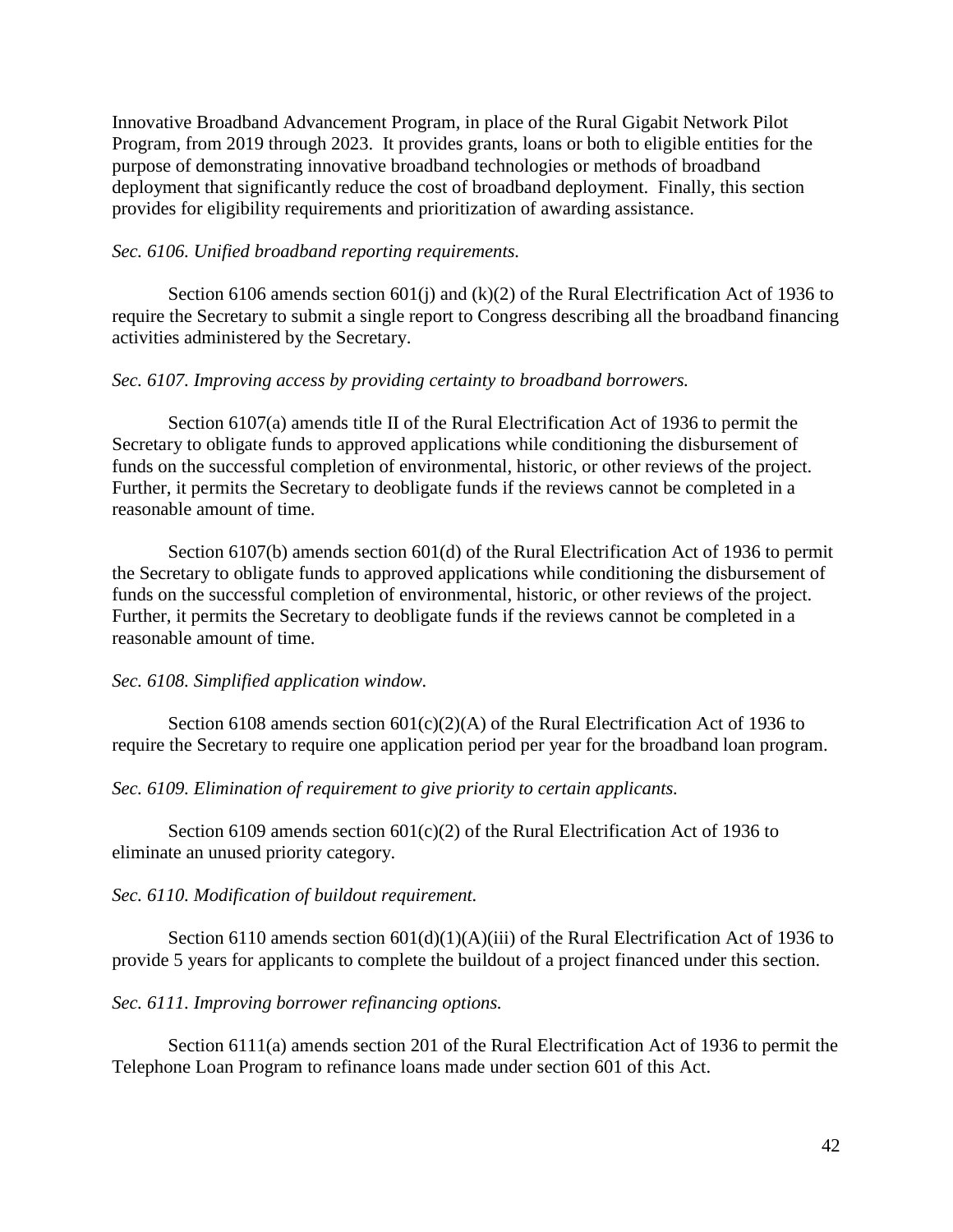Innovative Broadband Advancement Program, in place of the Rural Gigabit Network Pilot Program, from 2019 through 2023. It provides grants, loans or both to eligible entities for the purpose of demonstrating innovative broadband technologies or methods of broadband deployment that significantly reduce the cost of broadband deployment. Finally, this section provides for eligibility requirements and prioritization of awarding assistance.

### *Sec. 6106. Unified broadband reporting requirements.*

Section 6106 amends section 601(j) and (k)(2) of the Rural Electrification Act of 1936 to require the Secretary to submit a single report to Congress describing all the broadband financing activities administered by the Secretary.

### *Sec. 6107. Improving access by providing certainty to broadband borrowers.*

Section 6107(a) amends title II of the Rural Electrification Act of 1936 to permit the Secretary to obligate funds to approved applications while conditioning the disbursement of funds on the successful completion of environmental, historic, or other reviews of the project. Further, it permits the Secretary to deobligate funds if the reviews cannot be completed in a reasonable amount of time.

Section 6107(b) amends section 601(d) of the Rural Electrification Act of 1936 to permit the Secretary to obligate funds to approved applications while conditioning the disbursement of funds on the successful completion of environmental, historic, or other reviews of the project. Further, it permits the Secretary to deobligate funds if the reviews cannot be completed in a reasonable amount of time.

#### *Sec. 6108. Simplified application window.*

Section 6108 amends section  $601(c)(2)(A)$  of the Rural Electrification Act of 1936 to require the Secretary to require one application period per year for the broadband loan program.

#### *Sec. 6109. Elimination of requirement to give priority to certain applicants.*

Section 6109 amends section 601(c)(2) of the Rural Electrification Act of 1936 to eliminate an unused priority category.

#### *Sec. 6110. Modification of buildout requirement.*

Section 6110 amends section  $601(d)(1)(A)(iii)$  of the Rural Electrification Act of 1936 to provide 5 years for applicants to complete the buildout of a project financed under this section.

#### *Sec. 6111. Improving borrower refinancing options.*

Section 6111(a) amends section 201 of the Rural Electrification Act of 1936 to permit the Telephone Loan Program to refinance loans made under section 601 of this Act.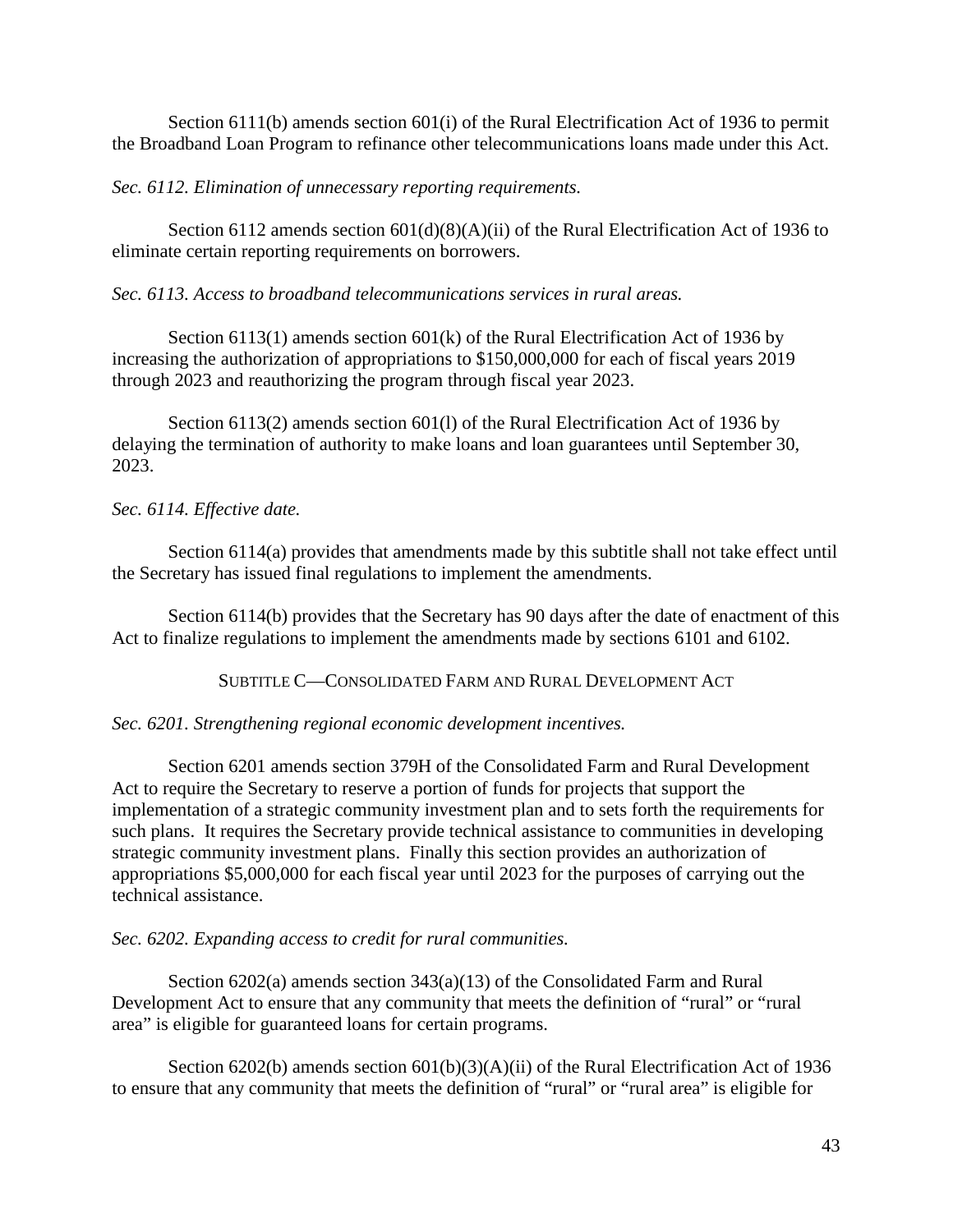Section 6111(b) amends section 601(i) of the Rural Electrification Act of 1936 to permit the Broadband Loan Program to refinance other telecommunications loans made under this Act.

# *Sec. 6112. Elimination of unnecessary reporting requirements.*

Section 6112 amends section 601(d)(8)(A)(ii) of the Rural Electrification Act of 1936 to eliminate certain reporting requirements on borrowers.

# *Sec. 6113. Access to broadband telecommunications services in rural areas.*

Section 6113(1) amends section 601(k) of the Rural Electrification Act of 1936 by increasing the authorization of appropriations to \$150,000,000 for each of fiscal years 2019 through 2023 and reauthorizing the program through fiscal year 2023.

Section 6113(2) amends section 601(l) of the Rural Electrification Act of 1936 by delaying the termination of authority to make loans and loan guarantees until September 30, 2023.

# *Sec. 6114. Effective date.*

Section 6114(a) provides that amendments made by this subtitle shall not take effect until the Secretary has issued final regulations to implement the amendments.

Section 6114(b) provides that the Secretary has 90 days after the date of enactment of this Act to finalize regulations to implement the amendments made by sections 6101 and 6102.

SUBTITLE C—CONSOLIDATED FARM AND RURAL DEVELOPMENT ACT

## *Sec. 6201. Strengthening regional economic development incentives.*

Section 6201 amends section 379H of the Consolidated Farm and Rural Development Act to require the Secretary to reserve a portion of funds for projects that support the implementation of a strategic community investment plan and to sets forth the requirements for such plans. It requires the Secretary provide technical assistance to communities in developing strategic community investment plans. Finally this section provides an authorization of appropriations \$5,000,000 for each fiscal year until 2023 for the purposes of carrying out the technical assistance.

# *Sec. 6202. Expanding access to credit for rural communities.*

Section 6202(a) amends section 343(a)(13) of the Consolidated Farm and Rural Development Act to ensure that any community that meets the definition of "rural" or "rural area" is eligible for guaranteed loans for certain programs.

Section 6202(b) amends section 601(b)(3)(A)(ii) of the Rural Electrification Act of 1936 to ensure that any community that meets the definition of "rural" or "rural area" is eligible for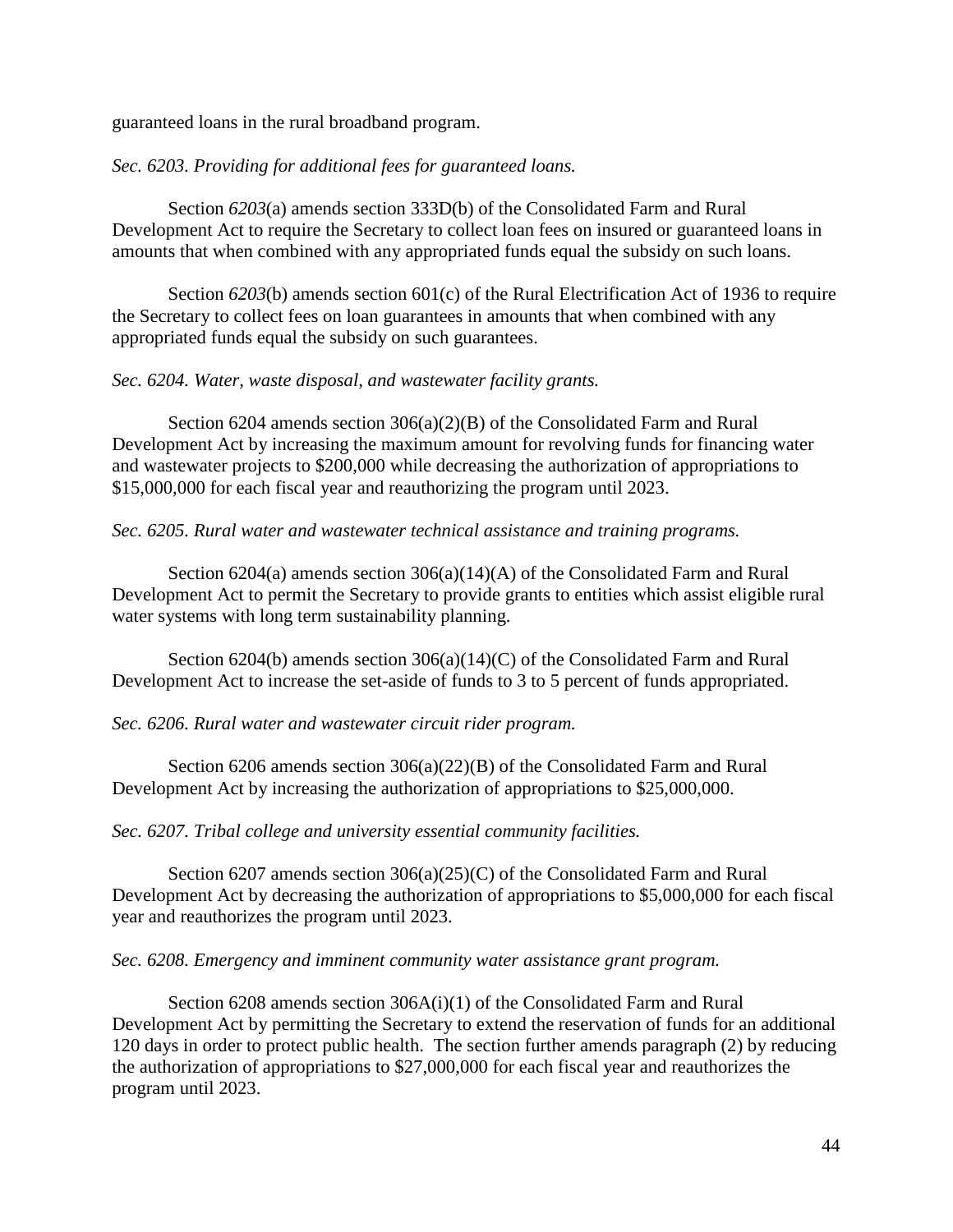guaranteed loans in the rural broadband program.

## *Sec. 6203. Providing for additional fees for guaranteed loans.*

Section *6203*(a) amends section 333D(b) of the Consolidated Farm and Rural Development Act to require the Secretary to collect loan fees on insured or guaranteed loans in amounts that when combined with any appropriated funds equal the subsidy on such loans.

Section *6203*(b) amends section 601(c) of the Rural Electrification Act of 1936 to require the Secretary to collect fees on loan guarantees in amounts that when combined with any appropriated funds equal the subsidy on such guarantees.

## *Sec. 6204. Water, waste disposal, and wastewater facility grants.*

Section 6204 amends section 306(a)(2)(B) of the Consolidated Farm and Rural Development Act by increasing the maximum amount for revolving funds for financing water and wastewater projects to \$200,000 while decreasing the authorization of appropriations to \$15,000,000 for each fiscal year and reauthorizing the program until 2023.

# *Sec. 6205. Rural water and wastewater technical assistance and training programs.*

Section 6204(a) amends section 306(a)(14)(A) of the Consolidated Farm and Rural Development Act to permit the Secretary to provide grants to entities which assist eligible rural water systems with long term sustainability planning.

Section 6204(b) amends section 306(a)(14)(C) of the Consolidated Farm and Rural Development Act to increase the set-aside of funds to 3 to 5 percent of funds appropriated.

## *Sec. 6206. Rural water and wastewater circuit rider program.*

Section 6206 amends section  $306(a)(22)(B)$  of the Consolidated Farm and Rural Development Act by increasing the authorization of appropriations to \$25,000,000.

## *Sec. 6207. Tribal college and university essential community facilities.*

Section 6207 amends section  $306(a)(25)(C)$  of the Consolidated Farm and Rural Development Act by decreasing the authorization of appropriations to \$5,000,000 for each fiscal year and reauthorizes the program until 2023.

## *Sec. 6208. Emergency and imminent community water assistance grant program.*

Section 6208 amends section 306A(i)(1) of the Consolidated Farm and Rural Development Act by permitting the Secretary to extend the reservation of funds for an additional 120 days in order to protect public health. The section further amends paragraph (2) by reducing the authorization of appropriations to \$27,000,000 for each fiscal year and reauthorizes the program until 2023.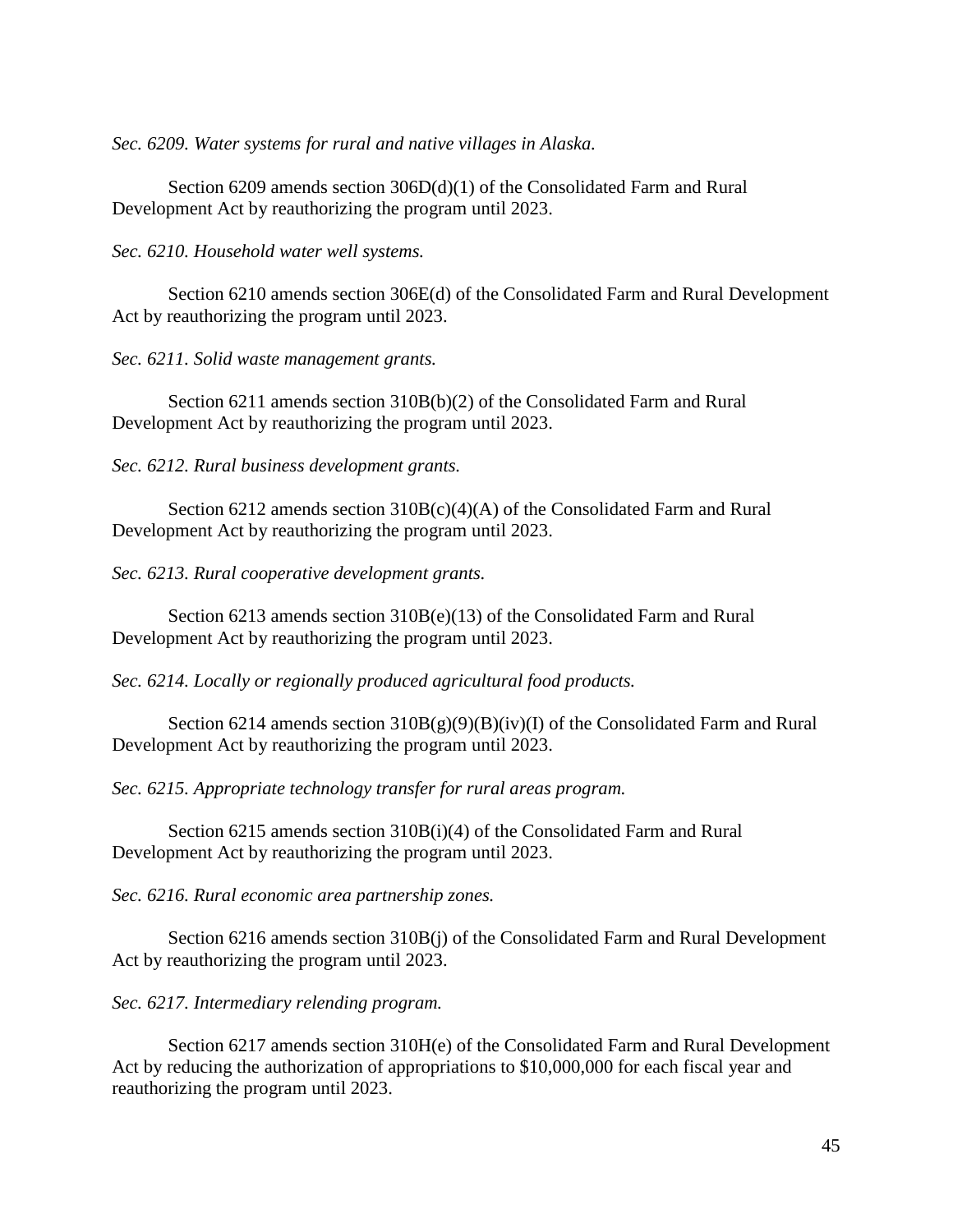*Sec. 6209. Water systems for rural and native villages in Alaska.*

Section 6209 amends section 306D(d)(1) of the Consolidated Farm and Rural Development Act by reauthorizing the program until 2023.

*Sec. 6210. Household water well systems.*

Section 6210 amends section 306E(d) of the Consolidated Farm and Rural Development Act by reauthorizing the program until 2023.

*Sec. 6211. Solid waste management grants.*

Section 6211 amends section 310B(b)(2) of the Consolidated Farm and Rural Development Act by reauthorizing the program until 2023.

*Sec. 6212. Rural business development grants.*

Section 6212 amends section  $310B(c)(4)(A)$  of the Consolidated Farm and Rural Development Act by reauthorizing the program until 2023.

*Sec. 6213. Rural cooperative development grants.*

Section 6213 amends section 310B(e)(13) of the Consolidated Farm and Rural Development Act by reauthorizing the program until 2023.

*Sec. 6214. Locally or regionally produced agricultural food products.*

Section 6214 amends section  $310B(g)(9)(B)(iv)(I)$  of the Consolidated Farm and Rural Development Act by reauthorizing the program until 2023.

*Sec. 6215. Appropriate technology transfer for rural areas program.*

Section 6215 amends section 310B(i)(4) of the Consolidated Farm and Rural Development Act by reauthorizing the program until 2023.

*Sec. 6216. Rural economic area partnership zones.*

Section 6216 amends section 310B(j) of the Consolidated Farm and Rural Development Act by reauthorizing the program until 2023.

*Sec. 6217. Intermediary relending program.*

Section 6217 amends section 310H(e) of the Consolidated Farm and Rural Development Act by reducing the authorization of appropriations to \$10,000,000 for each fiscal year and reauthorizing the program until 2023.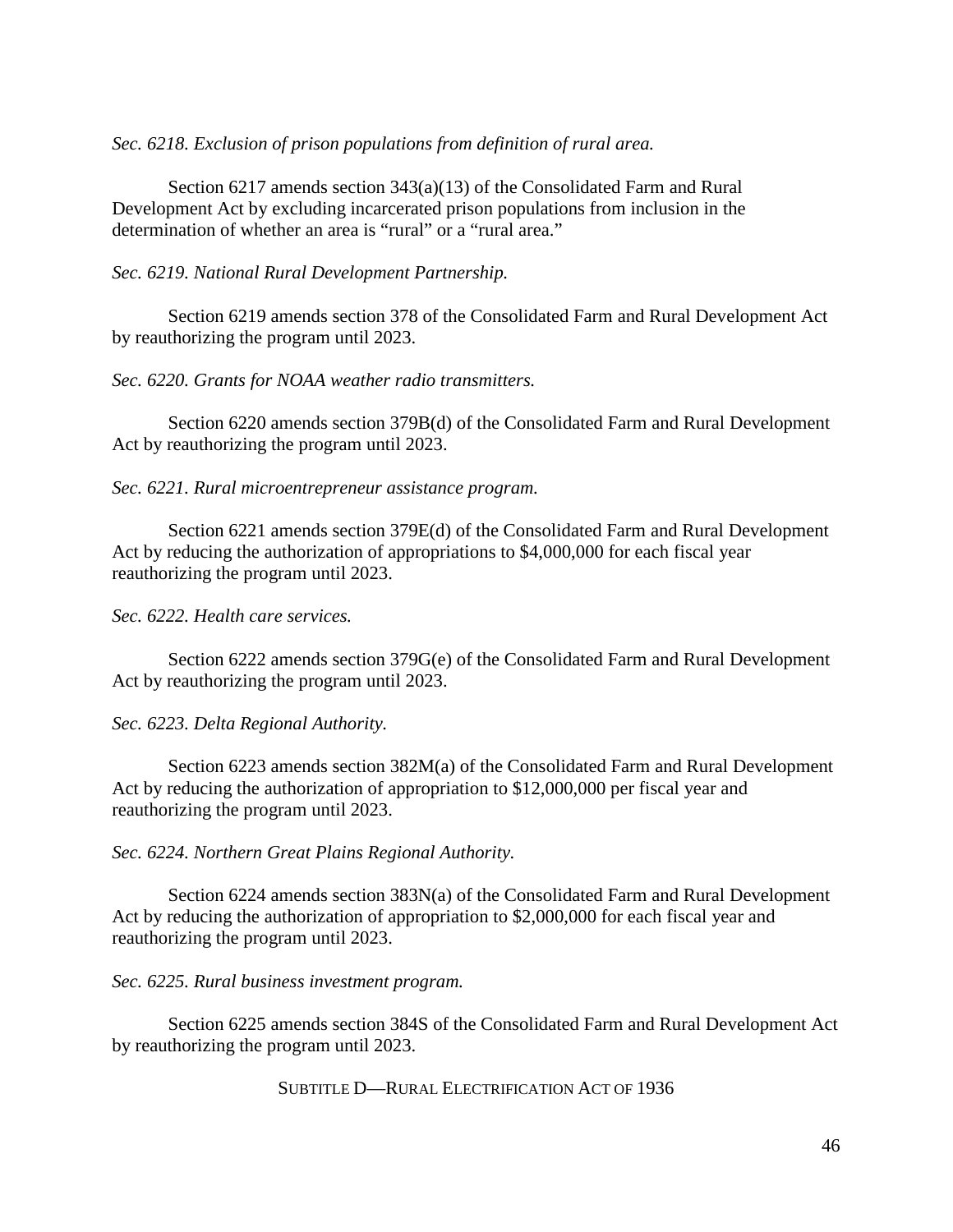*Sec. 6218. Exclusion of prison populations from definition of rural area.*

Section 6217 amends section 343(a)(13) of the Consolidated Farm and Rural Development Act by excluding incarcerated prison populations from inclusion in the determination of whether an area is "rural" or a "rural area."

*Sec. 6219. National Rural Development Partnership.*

Section 6219 amends section 378 of the Consolidated Farm and Rural Development Act by reauthorizing the program until 2023.

*Sec. 6220. Grants for NOAA weather radio transmitters.*

Section 6220 amends section 379B(d) of the Consolidated Farm and Rural Development Act by reauthorizing the program until 2023.

*Sec. 6221. Rural microentrepreneur assistance program.*

Section 6221 amends section 379E(d) of the Consolidated Farm and Rural Development Act by reducing the authorization of appropriations to \$4,000,000 for each fiscal year reauthorizing the program until 2023.

*Sec. 6222. Health care services.*

Section 6222 amends section 379G(e) of the Consolidated Farm and Rural Development Act by reauthorizing the program until 2023.

*Sec. 6223. Delta Regional Authority.*

Section 6223 amends section 382M(a) of the Consolidated Farm and Rural Development Act by reducing the authorization of appropriation to \$12,000,000 per fiscal year and reauthorizing the program until 2023.

*Sec. 6224. Northern Great Plains Regional Authority.*

Section 6224 amends section 383N(a) of the Consolidated Farm and Rural Development Act by reducing the authorization of appropriation to \$2,000,000 for each fiscal year and reauthorizing the program until 2023.

*Sec. 6225. Rural business investment program.*

Section 6225 amends section 384S of the Consolidated Farm and Rural Development Act by reauthorizing the program until 2023.

SUBTITLE D—RURAL ELECTRIFICATION ACT OF 1936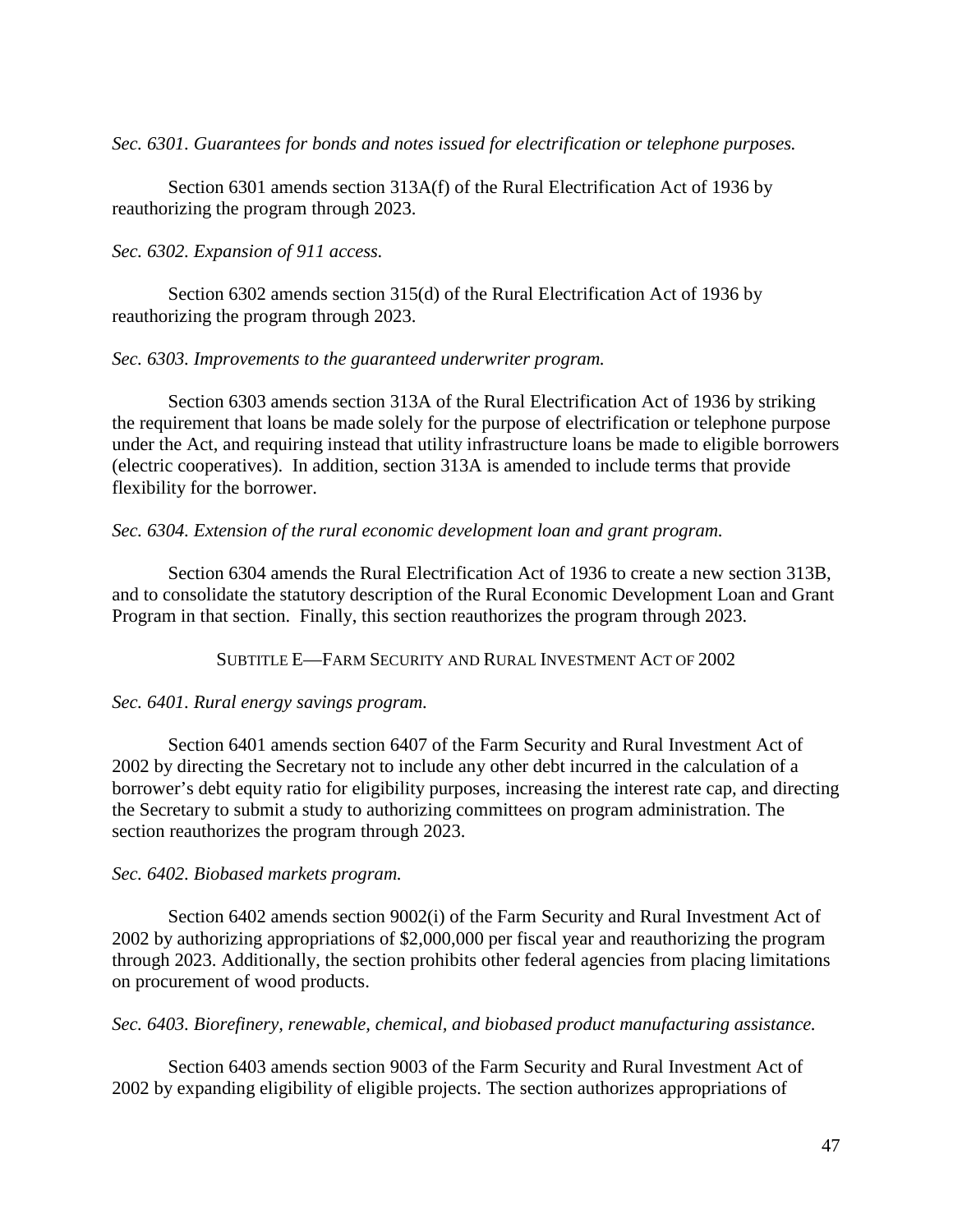*Sec. 6301. Guarantees for bonds and notes issued for electrification or telephone purposes.*

Section 6301 amends section 313A(f) of the Rural Electrification Act of 1936 by reauthorizing the program through 2023.

*Sec. 6302. Expansion of 911 access.*

Section 6302 amends section 315(d) of the Rural Electrification Act of 1936 by reauthorizing the program through 2023.

### *Sec. 6303. Improvements to the guaranteed underwriter program.*

Section 6303 amends section 313A of the Rural Electrification Act of 1936 by striking the requirement that loans be made solely for the purpose of electrification or telephone purpose under the Act, and requiring instead that utility infrastructure loans be made to eligible borrowers (electric cooperatives). In addition, section 313A is amended to include terms that provide flexibility for the borrower.

### *Sec. 6304. Extension of the rural economic development loan and grant program.*

Section 6304 amends the Rural Electrification Act of 1936 to create a new section 313B, and to consolidate the statutory description of the Rural Economic Development Loan and Grant Program in that section. Finally, this section reauthorizes the program through 2023.

SUBTITLE E—FARM SECURITY AND RURAL INVESTMENT ACT OF 2002

## *Sec. 6401. Rural energy savings program.*

Section 6401 amends section 6407 of the Farm Security and Rural Investment Act of 2002 by directing the Secretary not to include any other debt incurred in the calculation of a borrower's debt equity ratio for eligibility purposes, increasing the interest rate cap, and directing the Secretary to submit a study to authorizing committees on program administration. The section reauthorizes the program through 2023.

## *Sec. 6402. Biobased markets program.*

Section 6402 amends section 9002(i) of the Farm Security and Rural Investment Act of 2002 by authorizing appropriations of \$2,000,000 per fiscal year and reauthorizing the program through 2023. Additionally, the section prohibits other federal agencies from placing limitations on procurement of wood products.

*Sec. 6403. Biorefinery, renewable, chemical, and biobased product manufacturing assistance.*

Section 6403 amends section 9003 of the Farm Security and Rural Investment Act of 2002 by expanding eligibility of eligible projects. The section authorizes appropriations of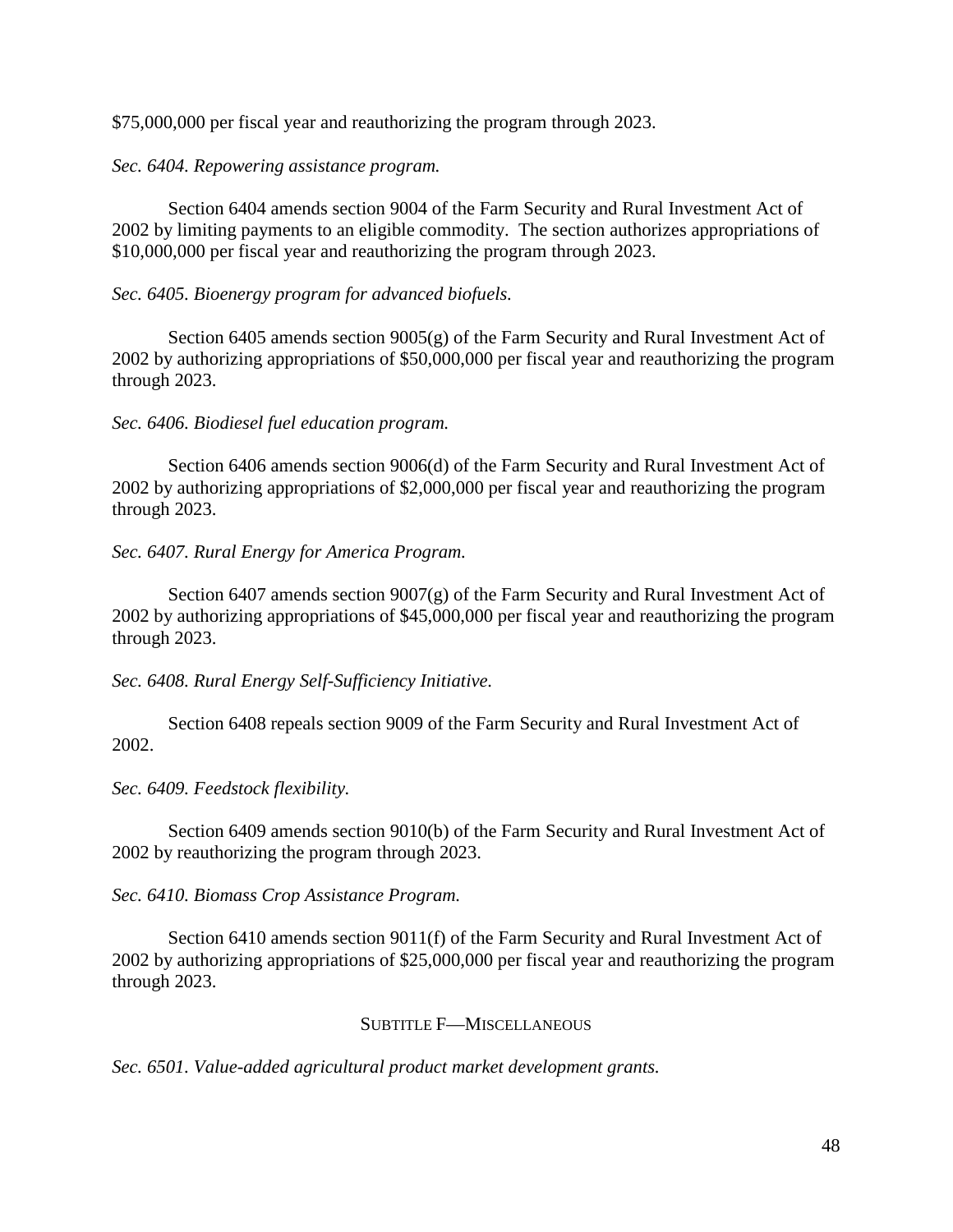\$75,000,000 per fiscal year and reauthorizing the program through 2023.

# *Sec. 6404. Repowering assistance program.*

Section 6404 amends section 9004 of the Farm Security and Rural Investment Act of 2002 by limiting payments to an eligible commodity. The section authorizes appropriations of \$10,000,000 per fiscal year and reauthorizing the program through 2023.

# *Sec. 6405. Bioenergy program for advanced biofuels.*

Section 6405 amends section 9005(g) of the Farm Security and Rural Investment Act of 2002 by authorizing appropriations of \$50,000,000 per fiscal year and reauthorizing the program through 2023.

# *Sec. 6406. Biodiesel fuel education program.*

Section 6406 amends section 9006(d) of the Farm Security and Rural Investment Act of 2002 by authorizing appropriations of \$2,000,000 per fiscal year and reauthorizing the program through 2023.

# *Sec. 6407. Rural Energy for America Program.*

Section 6407 amends section 9007(g) of the Farm Security and Rural Investment Act of 2002 by authorizing appropriations of \$45,000,000 per fiscal year and reauthorizing the program through 2023.

*Sec. 6408. Rural Energy Self-Sufficiency Initiative.*

Section 6408 repeals section 9009 of the Farm Security and Rural Investment Act of 2002.

## *Sec. 6409. Feedstock flexibility.*

Section 6409 amends section 9010(b) of the Farm Security and Rural Investment Act of 2002 by reauthorizing the program through 2023.

*Sec. 6410. Biomass Crop Assistance Program.*

Section 6410 amends section 9011(f) of the Farm Security and Rural Investment Act of 2002 by authorizing appropriations of \$25,000,000 per fiscal year and reauthorizing the program through 2023.

# SUBTITLE F—MISCELLANEOUS

*Sec. 6501. Value-added agricultural product market development grants.*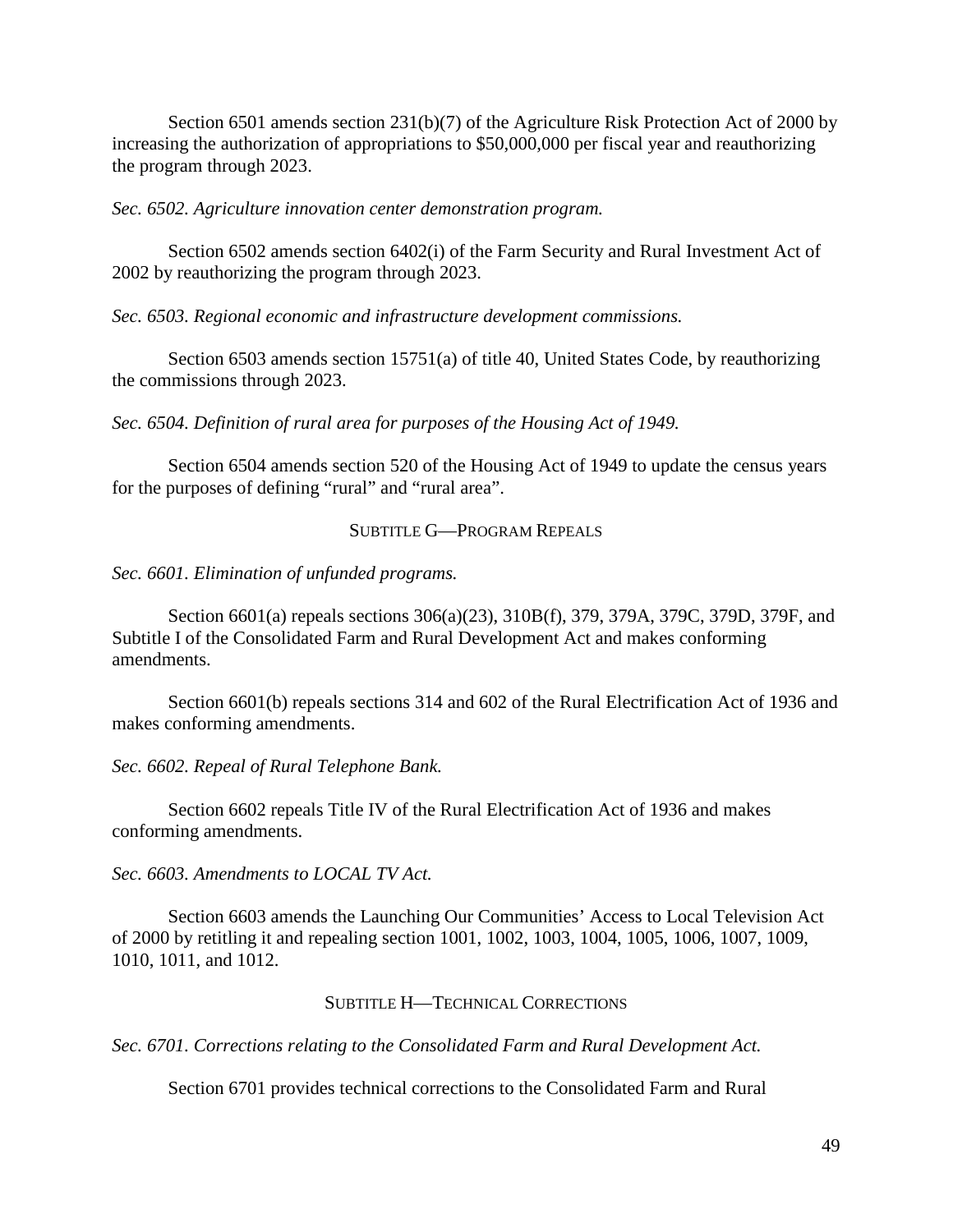Section 6501 amends section 231(b)(7) of the Agriculture Risk Protection Act of 2000 by increasing the authorization of appropriations to \$50,000,000 per fiscal year and reauthorizing the program through 2023.

*Sec. 6502. Agriculture innovation center demonstration program.*

Section 6502 amends section 6402(i) of the Farm Security and Rural Investment Act of 2002 by reauthorizing the program through 2023.

*Sec. 6503. Regional economic and infrastructure development commissions.*

Section 6503 amends section 15751(a) of title 40, United States Code, by reauthorizing the commissions through 2023.

*Sec. 6504. Definition of rural area for purposes of the Housing Act of 1949.*

Section 6504 amends section 520 of the Housing Act of 1949 to update the census years for the purposes of defining "rural" and "rural area".

## SUBTITLE G—PROGRAM REPEALS

*Sec. 6601. Elimination of unfunded programs.*

Section 6601(a) repeals sections 306(a)(23), 310B(f), 379, 379A, 379C, 379D, 379F, and Subtitle I of the Consolidated Farm and Rural Development Act and makes conforming amendments.

Section 6601(b) repeals sections 314 and 602 of the Rural Electrification Act of 1936 and makes conforming amendments.

*Sec. 6602. Repeal of Rural Telephone Bank.*

Section 6602 repeals Title IV of the Rural Electrification Act of 1936 and makes conforming amendments.

*Sec. 6603. Amendments to LOCAL TV Act.*

Section 6603 amends the Launching Our Communities' Access to Local Television Act of 2000 by retitling it and repealing section 1001, 1002, 1003, 1004, 1005, 1006, 1007, 1009, 1010, 1011, and 1012.

#### SUBTITLE H—TECHNICAL CORRECTIONS

*Sec. 6701. Corrections relating to the Consolidated Farm and Rural Development Act.*

Section 6701 provides technical corrections to the Consolidated Farm and Rural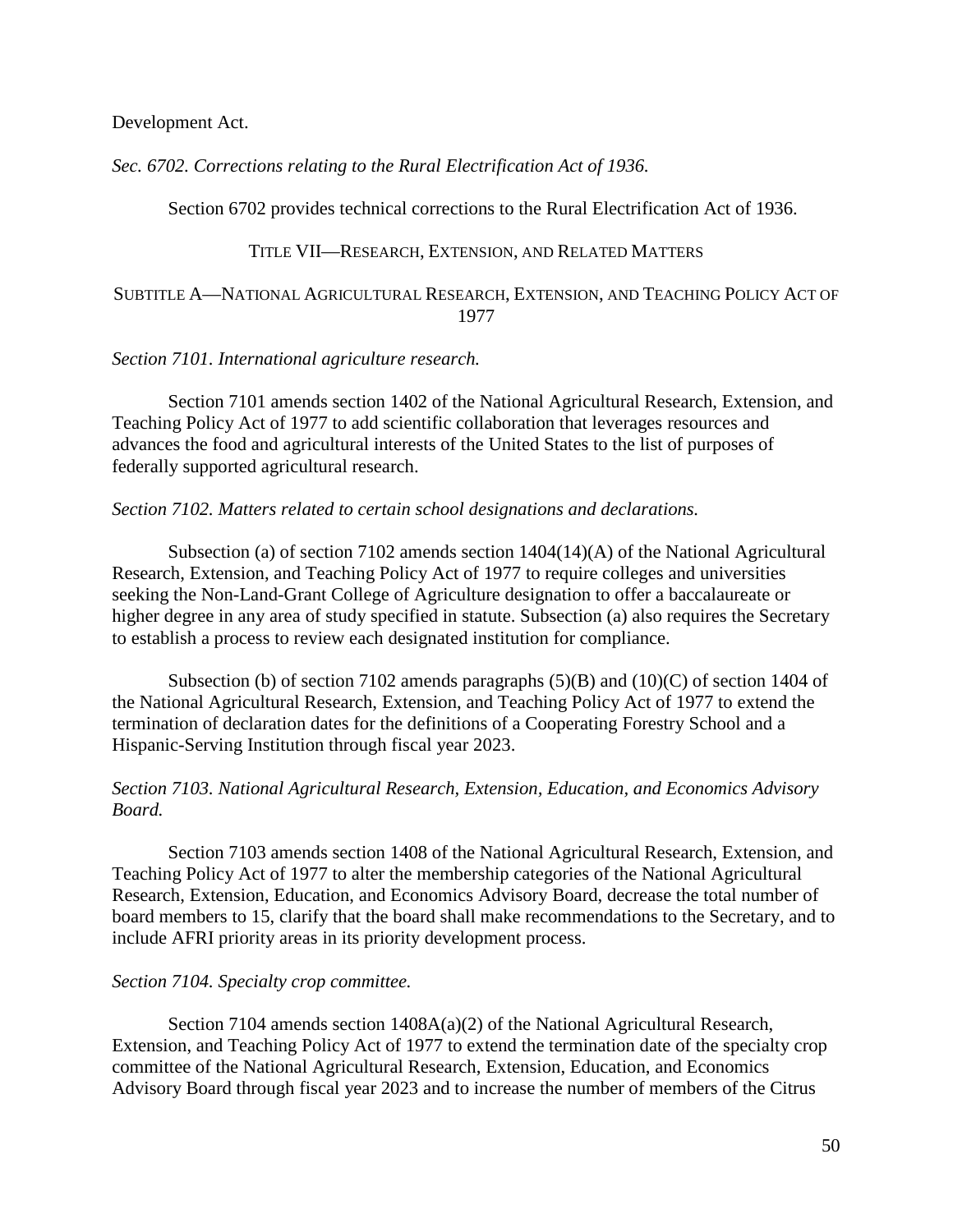Development Act.

*Sec. 6702. Corrections relating to the Rural Electrification Act of 1936.*

Section 6702 provides technical corrections to the Rural Electrification Act of 1936.

### TITLE VII—RESEARCH, EXTENSION, AND RELATED MATTERS

### SUBTITLE A—NATIONAL AGRICULTURAL RESEARCH, EXTENSION, AND TEACHING POLICY ACT OF 1977

#### *Section 7101. International agriculture research.*

Section 7101 amends section 1402 of the National Agricultural Research, Extension, and Teaching Policy Act of 1977 to add scientific collaboration that leverages resources and advances the food and agricultural interests of the United States to the list of purposes of federally supported agricultural research.

#### *Section 7102. Matters related to certain school designations and declarations.*

Subsection (a) of section 7102 amends section 1404(14)(A) of the National Agricultural Research, Extension, and Teaching Policy Act of 1977 to require colleges and universities seeking the Non-Land-Grant College of Agriculture designation to offer a baccalaureate or higher degree in any area of study specified in statute. Subsection (a) also requires the Secretary to establish a process to review each designated institution for compliance.

Subsection (b) of section 7102 amends paragraphs  $(5)(B)$  and  $(10)(C)$  of section 1404 of the National Agricultural Research, Extension, and Teaching Policy Act of 1977 to extend the termination of declaration dates for the definitions of a Cooperating Forestry School and a Hispanic-Serving Institution through fiscal year 2023.

## *Section 7103. National Agricultural Research, Extension, Education, and Economics Advisory Board.*

Section 7103 amends section 1408 of the National Agricultural Research, Extension, and Teaching Policy Act of 1977 to alter the membership categories of the National Agricultural Research, Extension, Education, and Economics Advisory Board, decrease the total number of board members to 15, clarify that the board shall make recommendations to the Secretary, and to include AFRI priority areas in its priority development process.

#### *Section 7104. Specialty crop committee.*

Section 7104 amends section  $1408A(a)(2)$  of the National Agricultural Research, Extension, and Teaching Policy Act of 1977 to extend the termination date of the specialty crop committee of the National Agricultural Research, Extension, Education, and Economics Advisory Board through fiscal year 2023 and to increase the number of members of the Citrus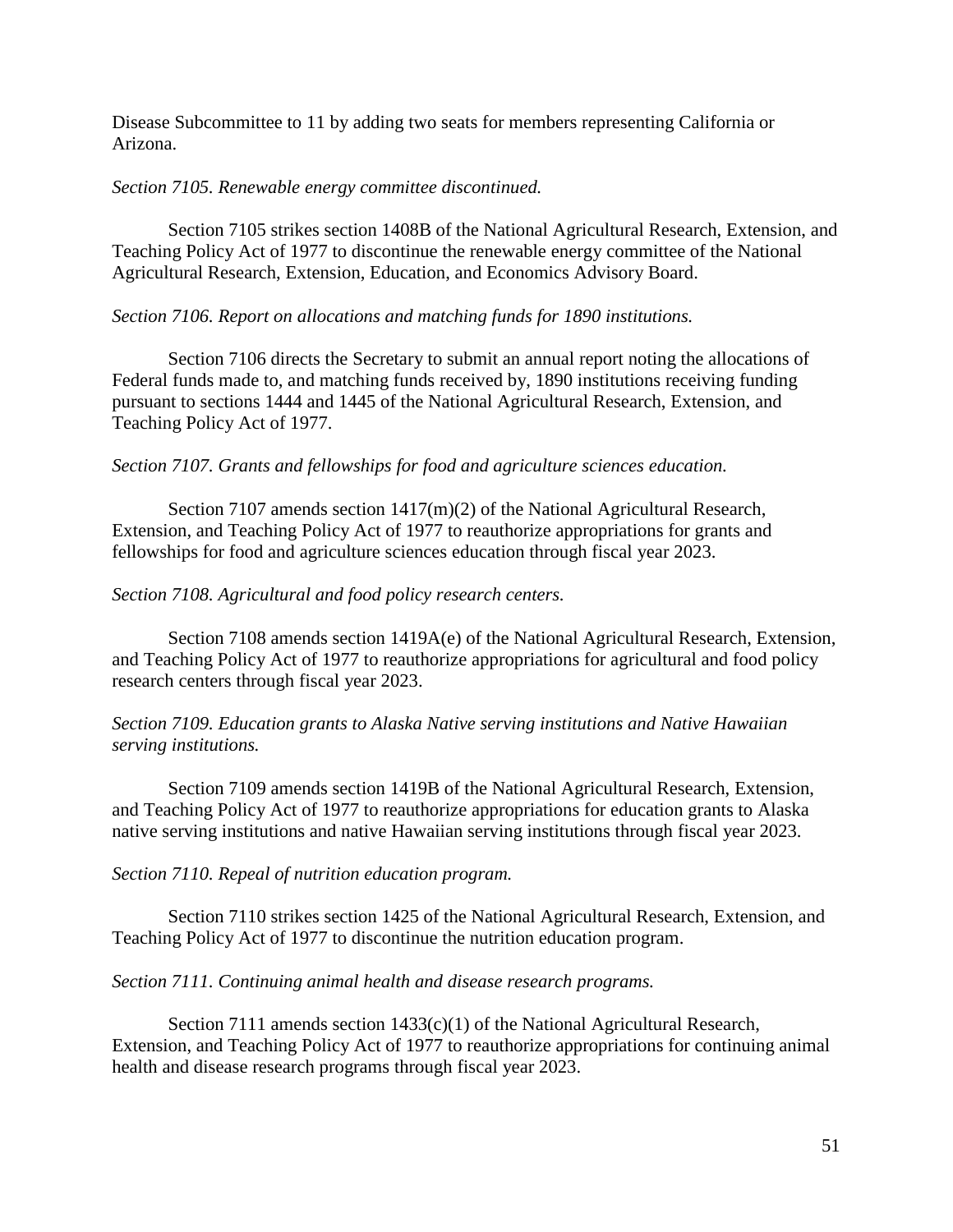Disease Subcommittee to 11 by adding two seats for members representing California or Arizona.

### *Section 7105. Renewable energy committee discontinued.*

Section 7105 strikes section 1408B of the National Agricultural Research, Extension, and Teaching Policy Act of 1977 to discontinue the renewable energy committee of the National Agricultural Research, Extension, Education, and Economics Advisory Board.

### *Section 7106. Report on allocations and matching funds for 1890 institutions.*

Section 7106 directs the Secretary to submit an annual report noting the allocations of Federal funds made to, and matching funds received by, 1890 institutions receiving funding pursuant to sections 1444 and 1445 of the National Agricultural Research, Extension, and Teaching Policy Act of 1977.

### *Section 7107. Grants and fellowships for food and agriculture sciences education.*

Section 7107 amends section 1417(m)(2) of the National Agricultural Research, Extension, and Teaching Policy Act of 1977 to reauthorize appropriations for grants and fellowships for food and agriculture sciences education through fiscal year 2023.

### *Section 7108. Agricultural and food policy research centers.*

Section 7108 amends section 1419A(e) of the National Agricultural Research, Extension, and Teaching Policy Act of 1977 to reauthorize appropriations for agricultural and food policy research centers through fiscal year 2023.

# *Section 7109. Education grants to Alaska Native serving institutions and Native Hawaiian serving institutions.*

Section 7109 amends section 1419B of the National Agricultural Research, Extension, and Teaching Policy Act of 1977 to reauthorize appropriations for education grants to Alaska native serving institutions and native Hawaiian serving institutions through fiscal year 2023.

*Section 7110. Repeal of nutrition education program.*

Section 7110 strikes section 1425 of the National Agricultural Research, Extension, and Teaching Policy Act of 1977 to discontinue the nutrition education program.

## *Section 7111. Continuing animal health and disease research programs.*

Section 7111 amends section 1433(c)(1) of the National Agricultural Research, Extension, and Teaching Policy Act of 1977 to reauthorize appropriations for continuing animal health and disease research programs through fiscal year 2023.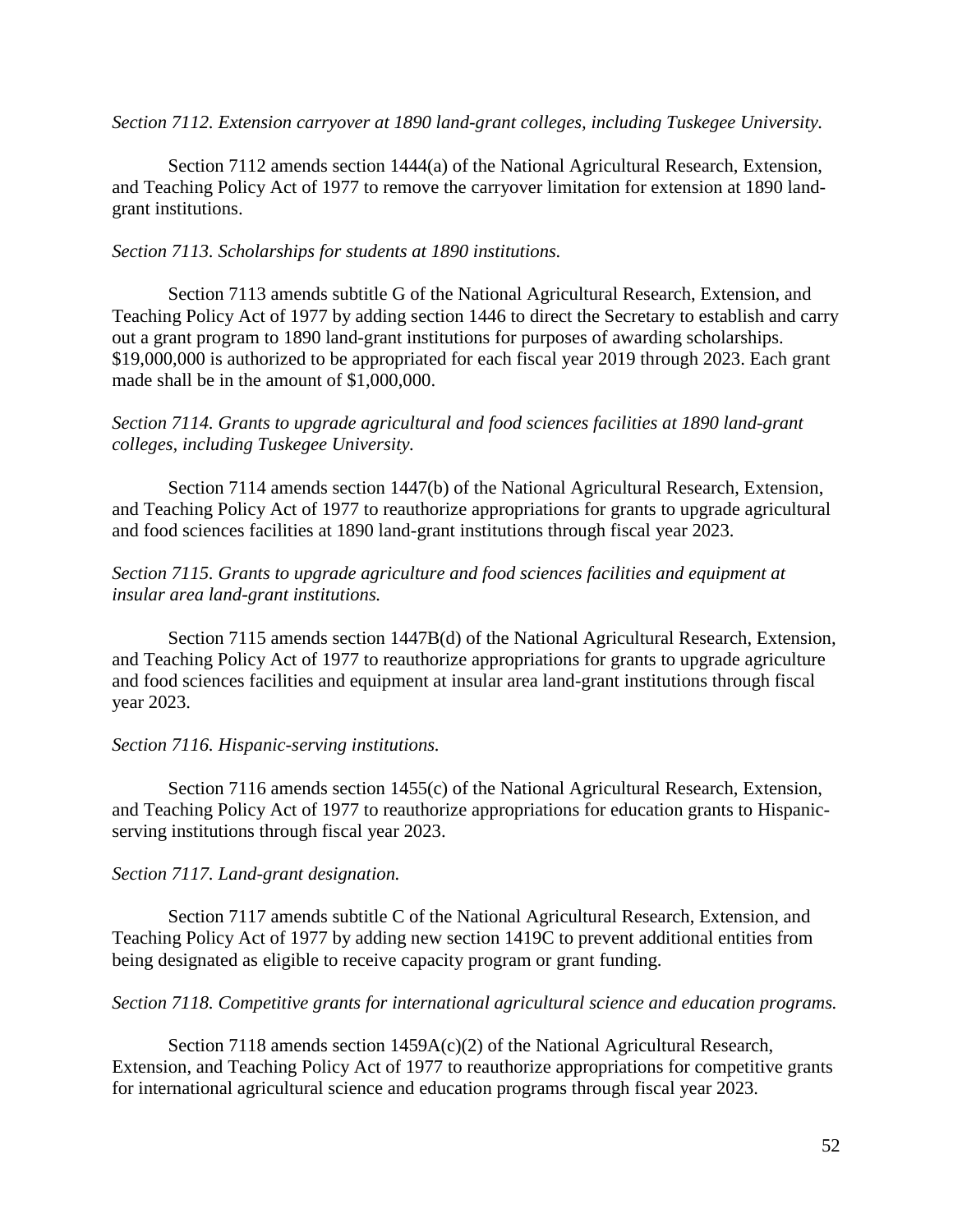*Section 7112. Extension carryover at 1890 land-grant colleges, including Tuskegee University.*

Section 7112 amends section 1444(a) of the National Agricultural Research, Extension, and Teaching Policy Act of 1977 to remove the carryover limitation for extension at 1890 landgrant institutions.

# *Section 7113. Scholarships for students at 1890 institutions.*

Section 7113 amends subtitle G of the National Agricultural Research, Extension, and Teaching Policy Act of 1977 by adding section 1446 to direct the Secretary to establish and carry out a grant program to 1890 land-grant institutions for purposes of awarding scholarships. \$19,000,000 is authorized to be appropriated for each fiscal year 2019 through 2023. Each grant made shall be in the amount of \$1,000,000.

# *Section 7114. Grants to upgrade agricultural and food sciences facilities at 1890 land-grant colleges, including Tuskegee University.*

Section 7114 amends section 1447(b) of the National Agricultural Research, Extension, and Teaching Policy Act of 1977 to reauthorize appropriations for grants to upgrade agricultural and food sciences facilities at 1890 land-grant institutions through fiscal year 2023.

# *Section 7115. Grants to upgrade agriculture and food sciences facilities and equipment at insular area land-grant institutions.*

Section 7115 amends section 1447B(d) of the National Agricultural Research, Extension, and Teaching Policy Act of 1977 to reauthorize appropriations for grants to upgrade agriculture and food sciences facilities and equipment at insular area land-grant institutions through fiscal year 2023.

# *Section 7116. Hispanic-serving institutions.*

Section 7116 amends section 1455(c) of the National Agricultural Research, Extension, and Teaching Policy Act of 1977 to reauthorize appropriations for education grants to Hispanicserving institutions through fiscal year 2023.

## *Section 7117. Land-grant designation.*

Section 7117 amends subtitle C of the National Agricultural Research, Extension, and Teaching Policy Act of 1977 by adding new section 1419C to prevent additional entities from being designated as eligible to receive capacity program or grant funding.

## *Section 7118. Competitive grants for international agricultural science and education programs.*

Section 7118 amends section  $1459A(c)(2)$  of the National Agricultural Research, Extension, and Teaching Policy Act of 1977 to reauthorize appropriations for competitive grants for international agricultural science and education programs through fiscal year 2023.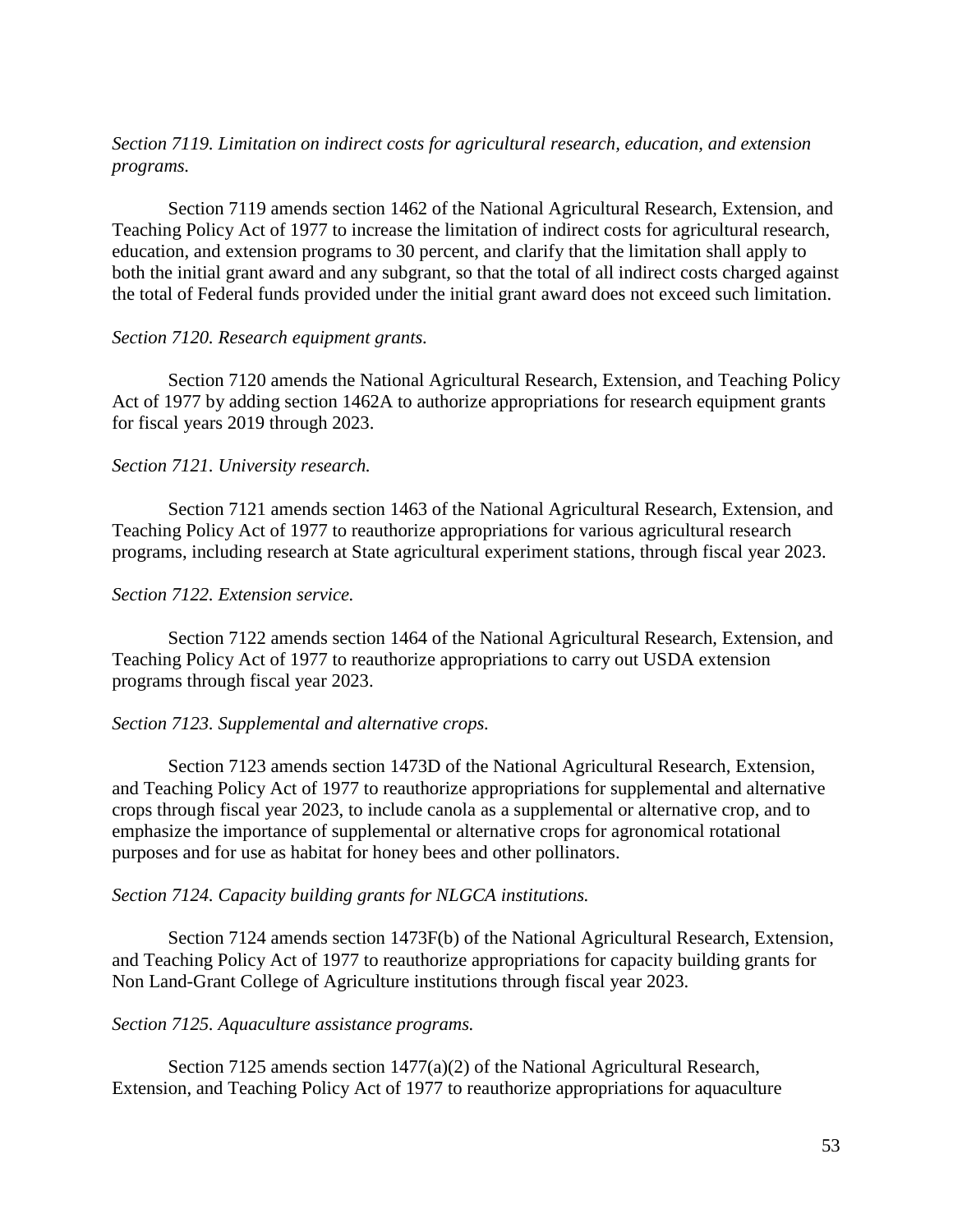# *Section 7119. Limitation on indirect costs for agricultural research, education, and extension programs.*

Section 7119 amends section 1462 of the National Agricultural Research, Extension, and Teaching Policy Act of 1977 to increase the limitation of indirect costs for agricultural research, education, and extension programs to 30 percent, and clarify that the limitation shall apply to both the initial grant award and any subgrant, so that the total of all indirect costs charged against the total of Federal funds provided under the initial grant award does not exceed such limitation.

## *Section 7120. Research equipment grants.*

Section 7120 amends the National Agricultural Research, Extension, and Teaching Policy Act of 1977 by adding section 1462A to authorize appropriations for research equipment grants for fiscal years 2019 through 2023.

### *Section 7121. University research.*

Section 7121 amends section 1463 of the National Agricultural Research, Extension, and Teaching Policy Act of 1977 to reauthorize appropriations for various agricultural research programs, including research at State agricultural experiment stations, through fiscal year 2023.

## *Section 7122. Extension service.*

Section 7122 amends section 1464 of the National Agricultural Research, Extension, and Teaching Policy Act of 1977 to reauthorize appropriations to carry out USDA extension programs through fiscal year 2023.

## *Section 7123. Supplemental and alternative crops.*

Section 7123 amends section 1473D of the National Agricultural Research, Extension, and Teaching Policy Act of 1977 to reauthorize appropriations for supplemental and alternative crops through fiscal year 2023, to include canola as a supplemental or alternative crop, and to emphasize the importance of supplemental or alternative crops for agronomical rotational purposes and for use as habitat for honey bees and other pollinators.

## *Section 7124. Capacity building grants for NLGCA institutions.*

Section 7124 amends section 1473F(b) of the National Agricultural Research, Extension, and Teaching Policy Act of 1977 to reauthorize appropriations for capacity building grants for Non Land-Grant College of Agriculture institutions through fiscal year 2023.

#### *Section 7125. Aquaculture assistance programs.*

Section 7125 amends section 1477(a)(2) of the National Agricultural Research, Extension, and Teaching Policy Act of 1977 to reauthorize appropriations for aquaculture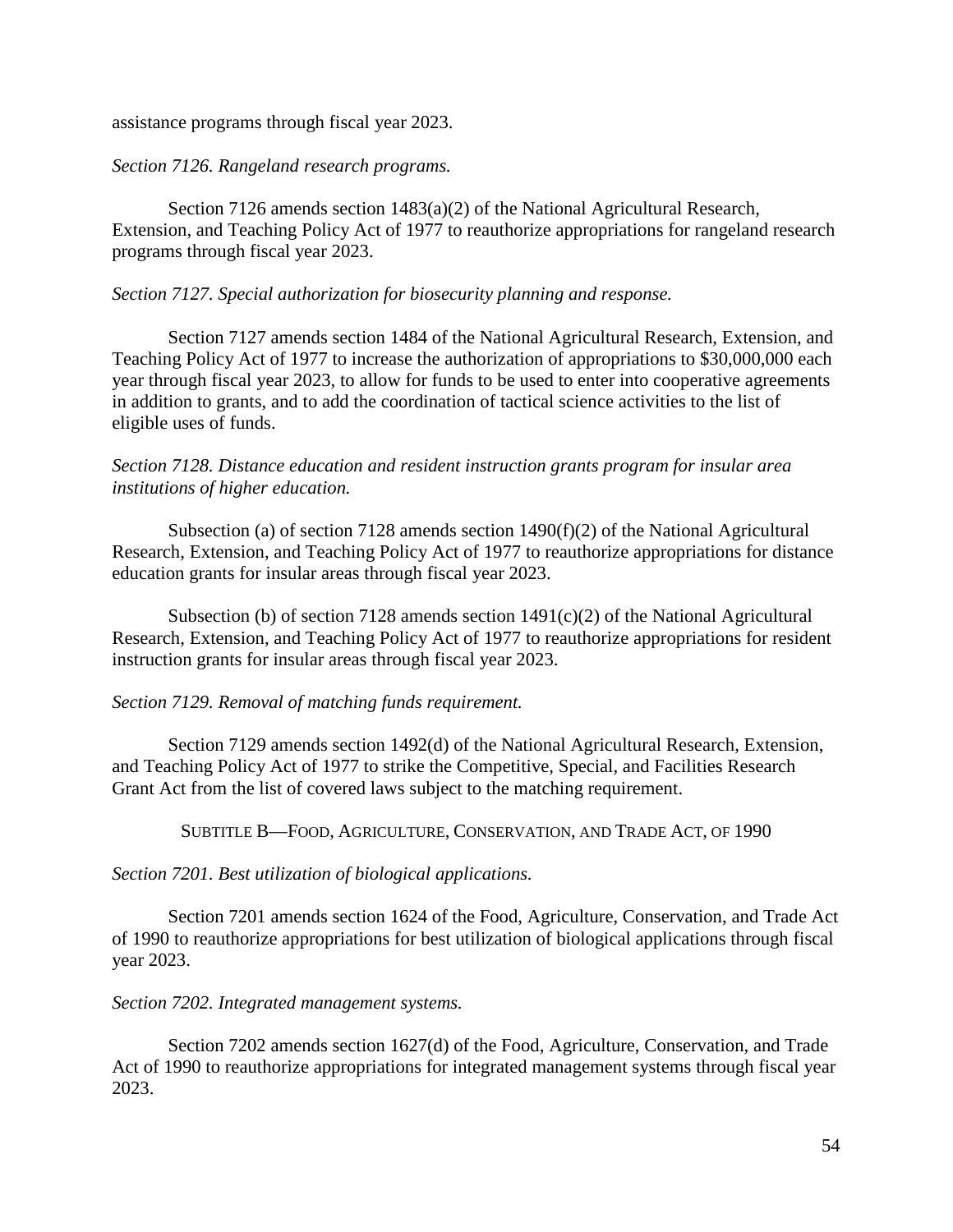assistance programs through fiscal year 2023.

# *Section 7126. Rangeland research programs.*

Section 7126 amends section 1483(a)(2) of the National Agricultural Research, Extension, and Teaching Policy Act of 1977 to reauthorize appropriations for rangeland research programs through fiscal year 2023.

# *Section 7127. Special authorization for biosecurity planning and response.*

Section 7127 amends section 1484 of the National Agricultural Research, Extension, and Teaching Policy Act of 1977 to increase the authorization of appropriations to \$30,000,000 each year through fiscal year 2023, to allow for funds to be used to enter into cooperative agreements in addition to grants, and to add the coordination of tactical science activities to the list of eligible uses of funds.

# *Section 7128. Distance education and resident instruction grants program for insular area institutions of higher education.*

Subsection (a) of section 7128 amends section 1490(f)(2) of the National Agricultural Research, Extension, and Teaching Policy Act of 1977 to reauthorize appropriations for distance education grants for insular areas through fiscal year 2023.

Subsection (b) of section 7128 amends section  $1491(c)(2)$  of the National Agricultural Research, Extension, and Teaching Policy Act of 1977 to reauthorize appropriations for resident instruction grants for insular areas through fiscal year 2023.

## *Section 7129. Removal of matching funds requirement.*

Section 7129 amends section 1492(d) of the National Agricultural Research, Extension, and Teaching Policy Act of 1977 to strike the Competitive, Special, and Facilities Research Grant Act from the list of covered laws subject to the matching requirement.

SUBTITLE B—FOOD, AGRICULTURE, CONSERVATION, AND TRADE ACT, OF 1990

*Section 7201. Best utilization of biological applications.*

Section 7201 amends section 1624 of the Food, Agriculture, Conservation, and Trade Act of 1990 to reauthorize appropriations for best utilization of biological applications through fiscal year 2023.

## *Section 7202. Integrated management systems.*

Section 7202 amends section 1627(d) of the Food, Agriculture, Conservation, and Trade Act of 1990 to reauthorize appropriations for integrated management systems through fiscal year 2023.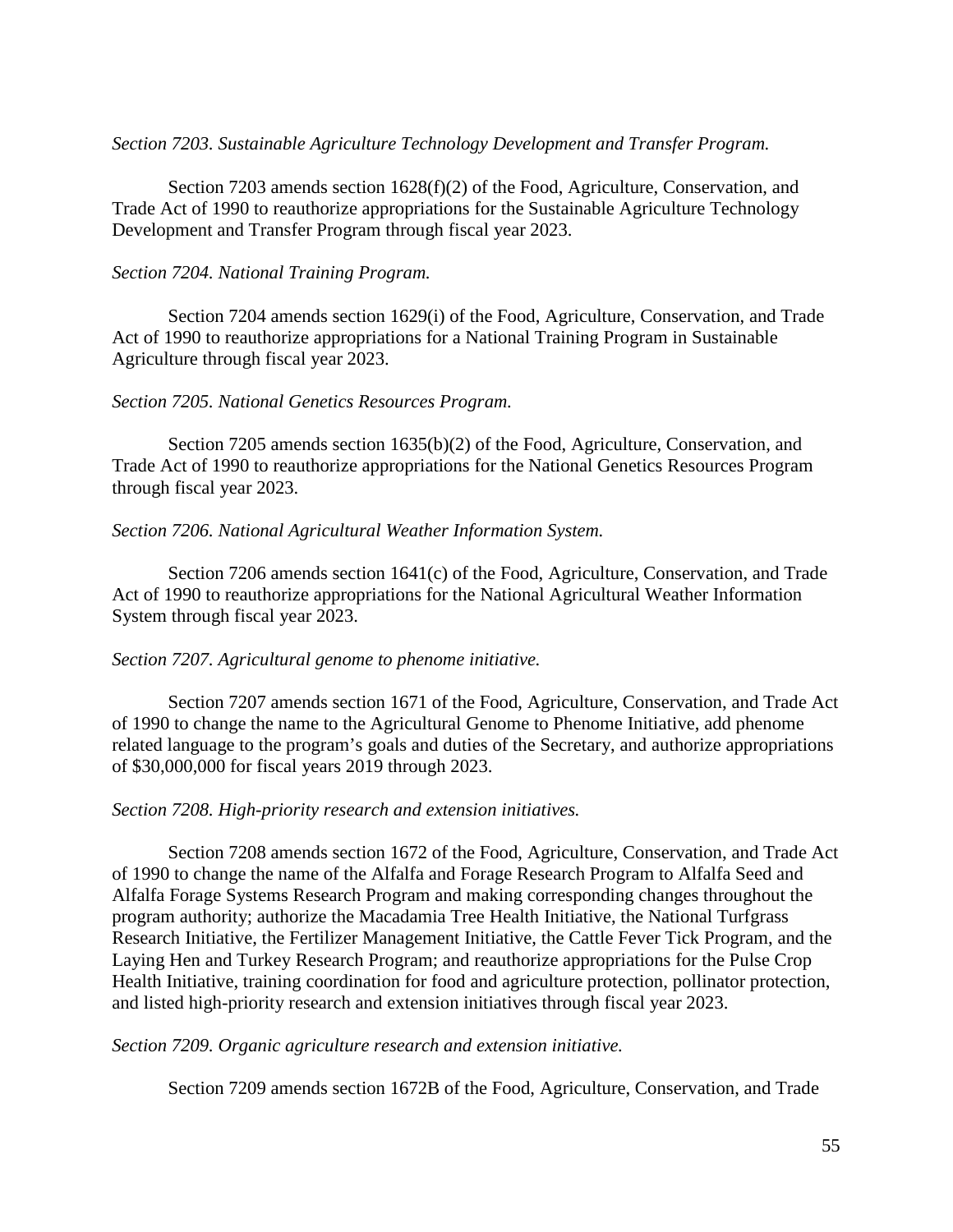### *Section 7203. Sustainable Agriculture Technology Development and Transfer Program.*

Section 7203 amends section 1628(f)(2) of the Food, Agriculture, Conservation, and Trade Act of 1990 to reauthorize appropriations for the Sustainable Agriculture Technology Development and Transfer Program through fiscal year 2023.

### *Section 7204. National Training Program.*

Section 7204 amends section 1629(i) of the Food, Agriculture, Conservation, and Trade Act of 1990 to reauthorize appropriations for a National Training Program in Sustainable Agriculture through fiscal year 2023.

### *Section 7205. National Genetics Resources Program.*

Section 7205 amends section 1635(b)(2) of the Food, Agriculture, Conservation, and Trade Act of 1990 to reauthorize appropriations for the National Genetics Resources Program through fiscal year 2023.

### *Section 7206. National Agricultural Weather Information System.*

Section 7206 amends section 1641(c) of the Food, Agriculture, Conservation, and Trade Act of 1990 to reauthorize appropriations for the National Agricultural Weather Information System through fiscal year 2023.

#### *Section 7207. Agricultural genome to phenome initiative.*

Section 7207 amends section 1671 of the Food, Agriculture, Conservation, and Trade Act of 1990 to change the name to the Agricultural Genome to Phenome Initiative, add phenome related language to the program's goals and duties of the Secretary, and authorize appropriations of \$30,000,000 for fiscal years 2019 through 2023.

#### *Section 7208. High-priority research and extension initiatives.*

Section 7208 amends section 1672 of the Food, Agriculture, Conservation, and Trade Act of 1990 to change the name of the Alfalfa and Forage Research Program to Alfalfa Seed and Alfalfa Forage Systems Research Program and making corresponding changes throughout the program authority; authorize the Macadamia Tree Health Initiative, the National Turfgrass Research Initiative, the Fertilizer Management Initiative, the Cattle Fever Tick Program, and the Laying Hen and Turkey Research Program; and reauthorize appropriations for the Pulse Crop Health Initiative, training coordination for food and agriculture protection, pollinator protection, and listed high-priority research and extension initiatives through fiscal year 2023.

#### *Section 7209. Organic agriculture research and extension initiative.*

Section 7209 amends section 1672B of the Food, Agriculture, Conservation, and Trade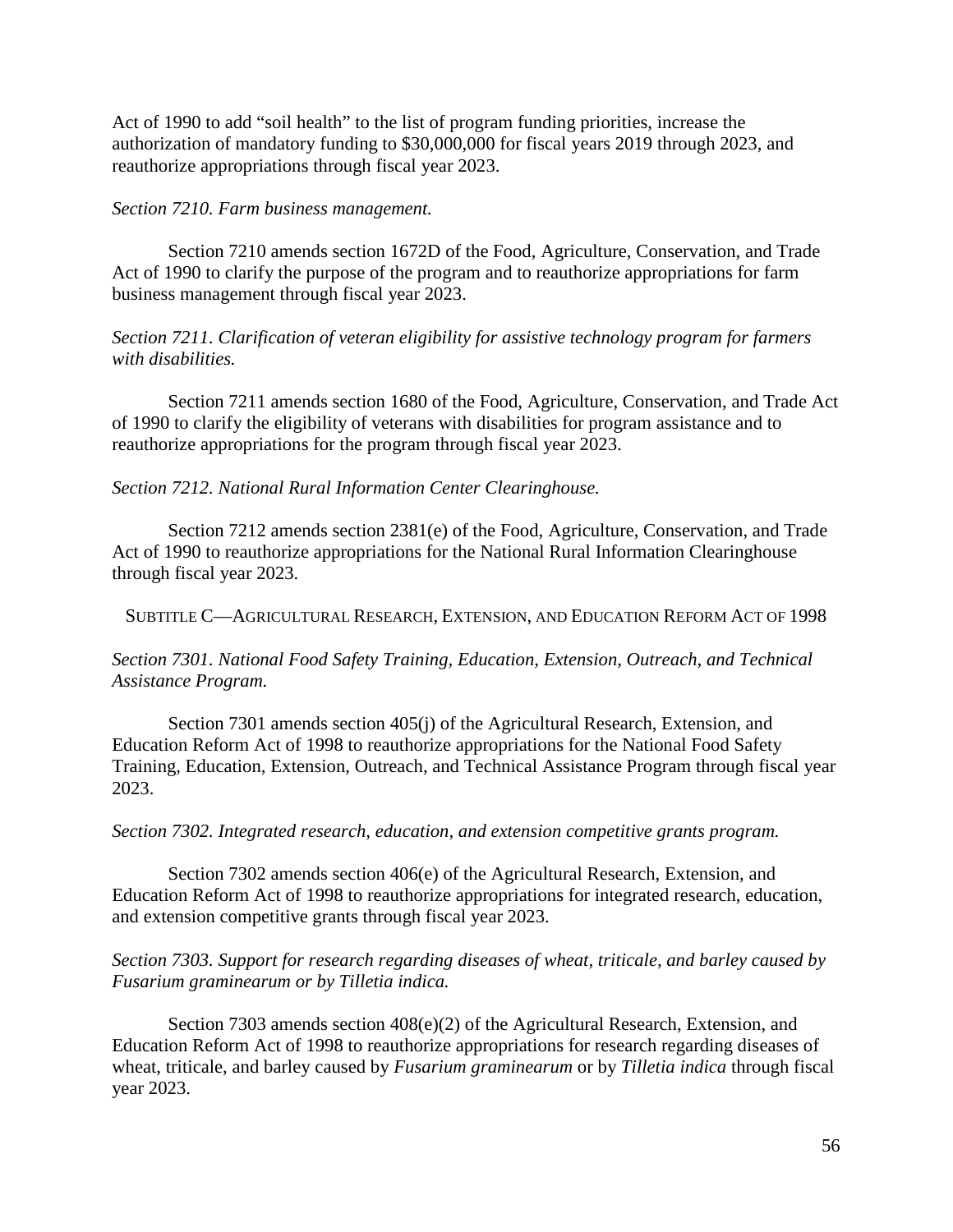Act of 1990 to add "soil health" to the list of program funding priorities, increase the authorization of mandatory funding to \$30,000,000 for fiscal years 2019 through 2023, and reauthorize appropriations through fiscal year 2023.

## *Section 7210. Farm business management.*

Section 7210 amends section 1672D of the Food, Agriculture, Conservation, and Trade Act of 1990 to clarify the purpose of the program and to reauthorize appropriations for farm business management through fiscal year 2023.

*Section 7211. Clarification of veteran eligibility for assistive technology program for farmers with disabilities.*

Section 7211 amends section 1680 of the Food, Agriculture, Conservation, and Trade Act of 1990 to clarify the eligibility of veterans with disabilities for program assistance and to reauthorize appropriations for the program through fiscal year 2023.

*Section 7212. National Rural Information Center Clearinghouse.*

Section 7212 amends section 2381(e) of the Food, Agriculture, Conservation, and Trade Act of 1990 to reauthorize appropriations for the National Rural Information Clearinghouse through fiscal year 2023.

SUBTITLE C—AGRICULTURAL RESEARCH, EXTENSION, AND EDUCATION REFORM ACT OF 1998

*Section 7301. National Food Safety Training, Education, Extension, Outreach, and Technical Assistance Program.*

Section 7301 amends section 405(j) of the Agricultural Research, Extension, and Education Reform Act of 1998 to reauthorize appropriations for the National Food Safety Training, Education, Extension, Outreach, and Technical Assistance Program through fiscal year 2023.

#### *Section 7302. Integrated research, education, and extension competitive grants program.*

Section 7302 amends section 406(e) of the Agricultural Research, Extension, and Education Reform Act of 1998 to reauthorize appropriations for integrated research, education, and extension competitive grants through fiscal year 2023.

## *Section 7303. Support for research regarding diseases of wheat, triticale, and barley caused by Fusarium graminearum or by Tilletia indica.*

Section 7303 amends section 408(e)(2) of the Agricultural Research, Extension, and Education Reform Act of 1998 to reauthorize appropriations for research regarding diseases of wheat, triticale, and barley caused by *Fusarium graminearum* or by *Tilletia indica* through fiscal year 2023.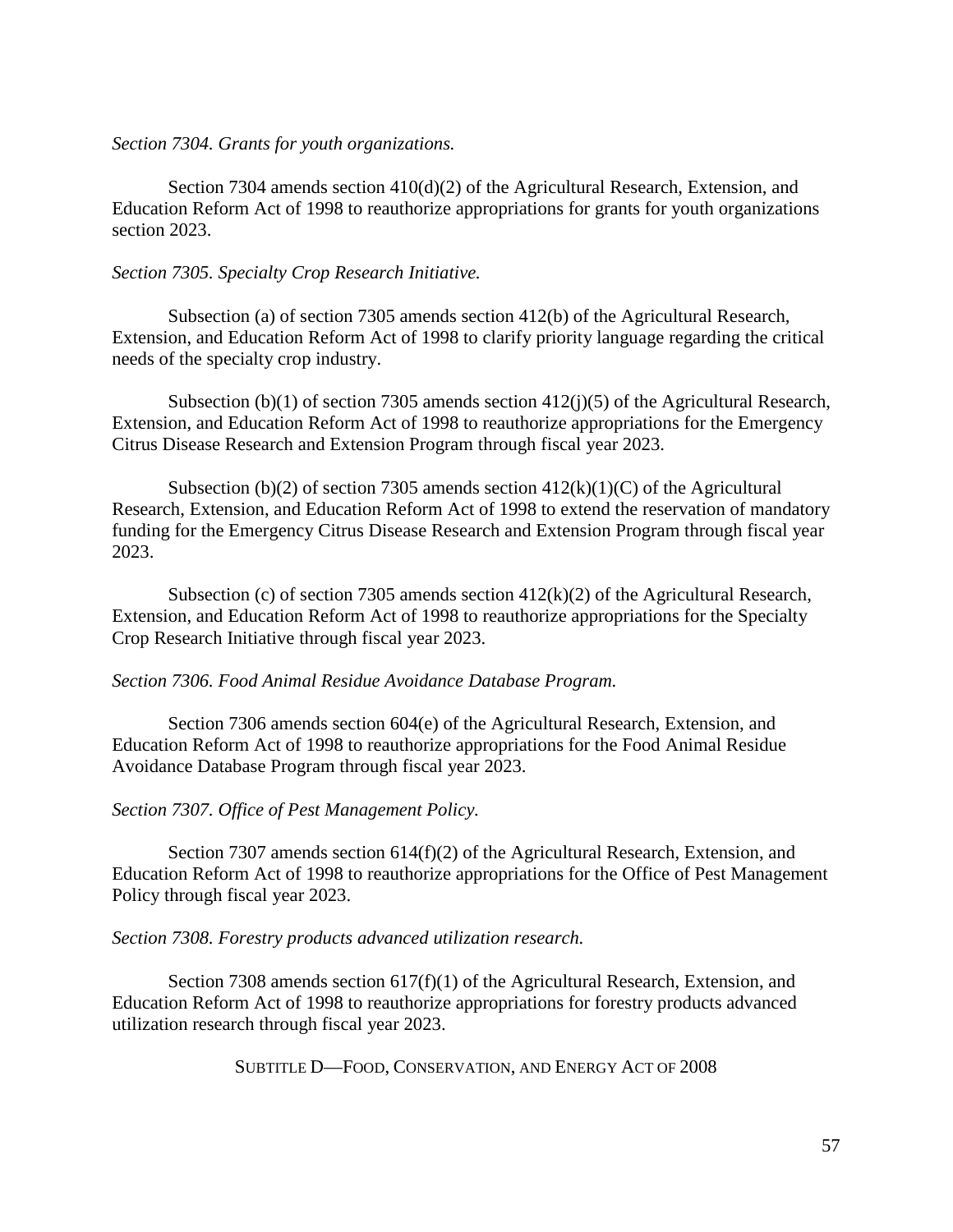#### *Section 7304. Grants for youth organizations.*

Section 7304 amends section  $410(d)(2)$  of the Agricultural Research, Extension, and Education Reform Act of 1998 to reauthorize appropriations for grants for youth organizations section 2023.

## *Section 7305. Specialty Crop Research Initiative.*

Subsection (a) of section 7305 amends section 412(b) of the Agricultural Research, Extension, and Education Reform Act of 1998 to clarify priority language regarding the critical needs of the specialty crop industry.

Subsection (b)(1) of section 7305 amends section 412(j)(5) of the Agricultural Research, Extension, and Education Reform Act of 1998 to reauthorize appropriations for the Emergency Citrus Disease Research and Extension Program through fiscal year 2023.

Subsection (b)(2) of section 7305 amends section  $412(k)(1)(C)$  of the Agricultural Research, Extension, and Education Reform Act of 1998 to extend the reservation of mandatory funding for the Emergency Citrus Disease Research and Extension Program through fiscal year 2023.

Subsection (c) of section 7305 amends section 412(k)(2) of the Agricultural Research, Extension, and Education Reform Act of 1998 to reauthorize appropriations for the Specialty Crop Research Initiative through fiscal year 2023.

#### *Section 7306. Food Animal Residue Avoidance Database Program.*

Section 7306 amends section 604(e) of the Agricultural Research, Extension, and Education Reform Act of 1998 to reauthorize appropriations for the Food Animal Residue Avoidance Database Program through fiscal year 2023.

## *Section 7307. Office of Pest Management Policy.*

Section 7307 amends section 614(f)(2) of the Agricultural Research, Extension, and Education Reform Act of 1998 to reauthorize appropriations for the Office of Pest Management Policy through fiscal year 2023.

## *Section 7308. Forestry products advanced utilization research.*

Section 7308 amends section  $617(f)(1)$  of the Agricultural Research, Extension, and Education Reform Act of 1998 to reauthorize appropriations for forestry products advanced utilization research through fiscal year 2023.

SUBTITLE D—FOOD, CONSERVATION, AND ENERGY ACT OF 2008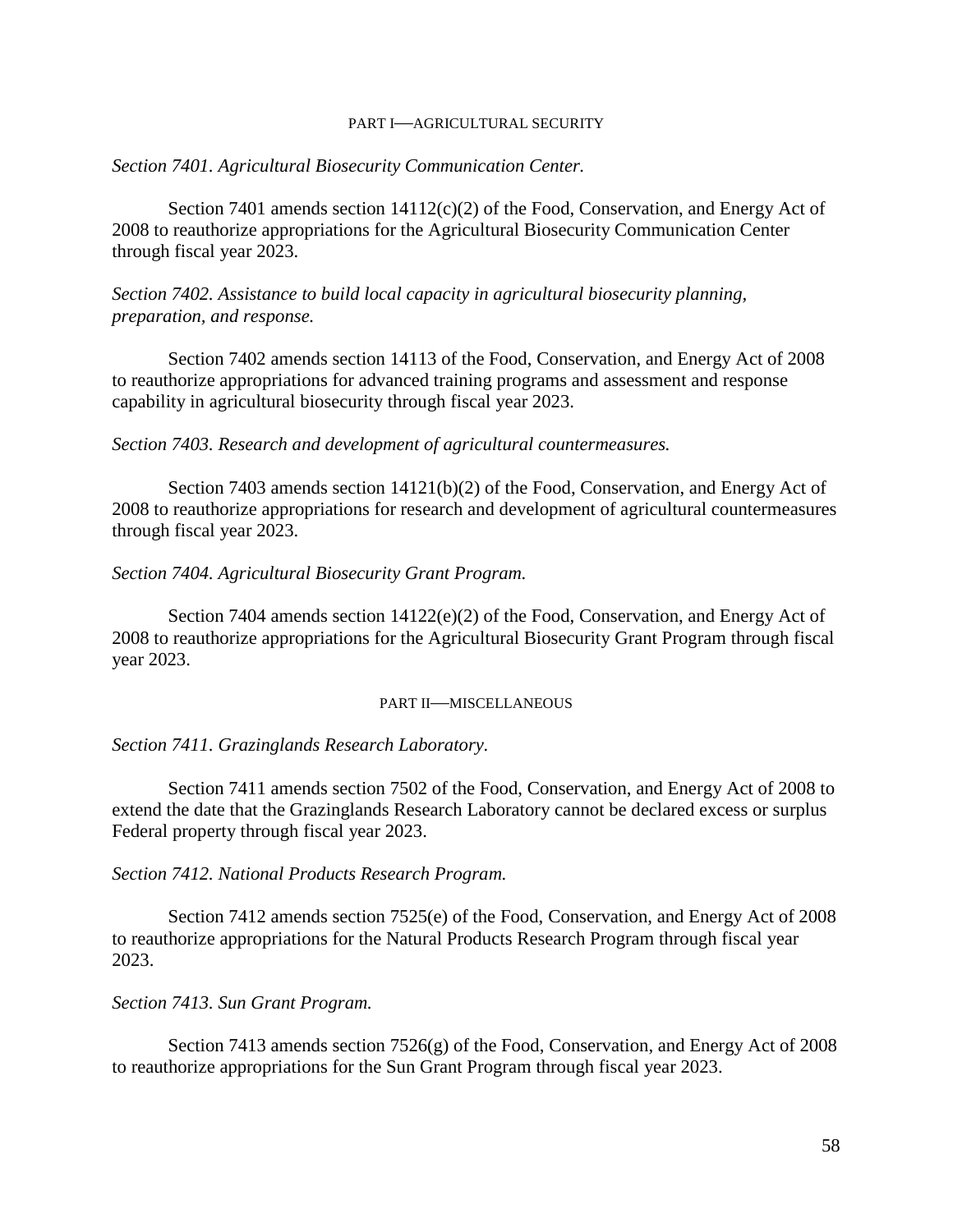#### PART I—AGRICULTURAL SECURITY

#### *Section 7401. Agricultural Biosecurity Communication Center.*

Section 7401 amends section  $14112(c)(2)$  of the Food, Conservation, and Energy Act of 2008 to reauthorize appropriations for the Agricultural Biosecurity Communication Center through fiscal year 2023.

*Section 7402. Assistance to build local capacity in agricultural biosecurity planning, preparation, and response.*

Section 7402 amends section 14113 of the Food, Conservation, and Energy Act of 2008 to reauthorize appropriations for advanced training programs and assessment and response capability in agricultural biosecurity through fiscal year 2023.

*Section 7403. Research and development of agricultural countermeasures.*

Section 7403 amends section 14121(b)(2) of the Food, Conservation, and Energy Act of 2008 to reauthorize appropriations for research and development of agricultural countermeasures through fiscal year 2023.

*Section 7404. Agricultural Biosecurity Grant Program.*

Section 7404 amends section  $14122(e)(2)$  of the Food, Conservation, and Energy Act of 2008 to reauthorize appropriations for the Agricultural Biosecurity Grant Program through fiscal year 2023.

#### PART II—MISCELLANEOUS

*Section 7411. Grazinglands Research Laboratory.*

Section 7411 amends section 7502 of the Food, Conservation, and Energy Act of 2008 to extend the date that the Grazinglands Research Laboratory cannot be declared excess or surplus Federal property through fiscal year 2023.

*Section 7412. National Products Research Program.*

Section 7412 amends section 7525(e) of the Food, Conservation, and Energy Act of 2008 to reauthorize appropriations for the Natural Products Research Program through fiscal year 2023.

*Section 7413. Sun Grant Program.*

Section 7413 amends section 7526(g) of the Food, Conservation, and Energy Act of 2008 to reauthorize appropriations for the Sun Grant Program through fiscal year 2023.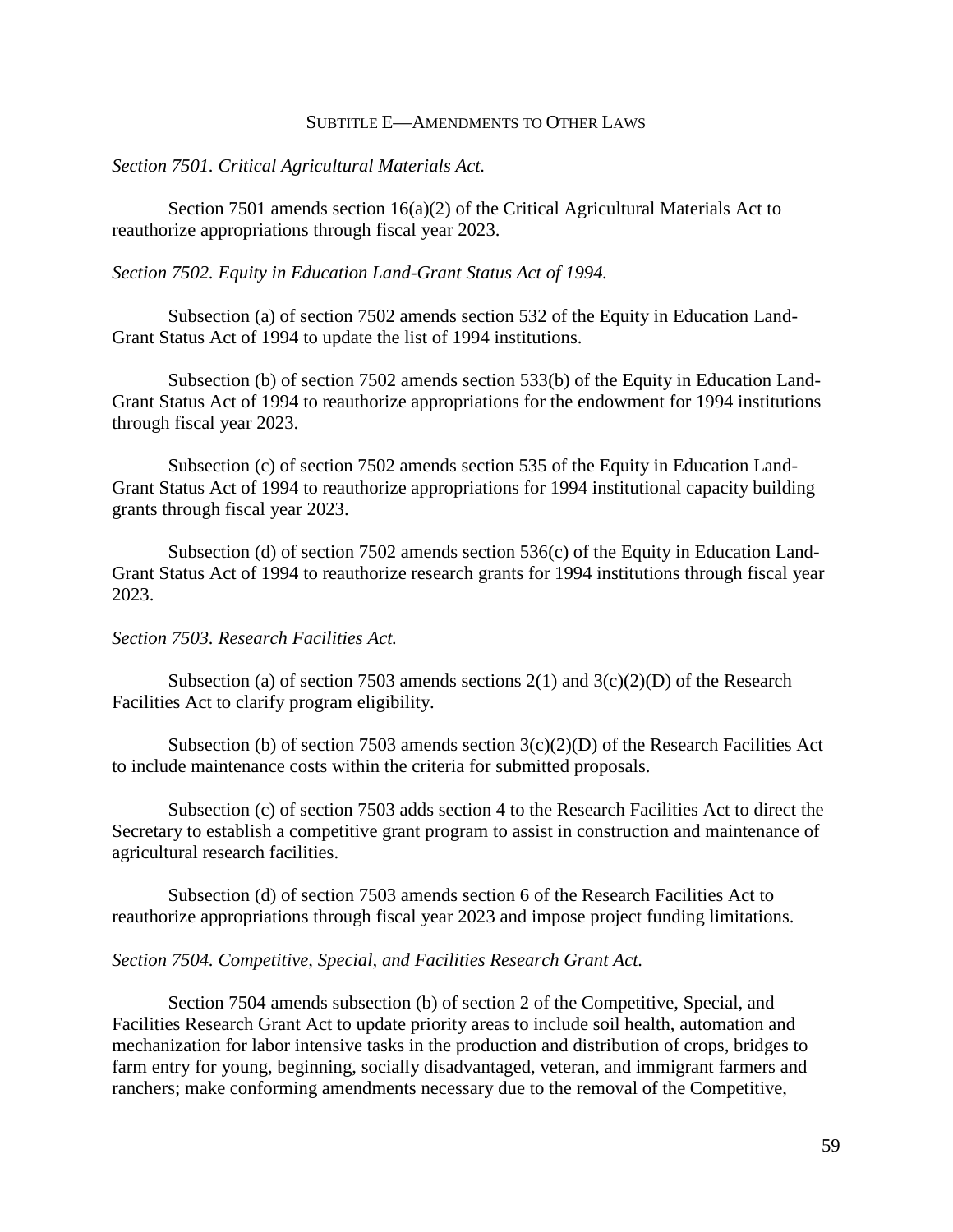#### SUBTITLE E—AMENDMENTS TO OTHER LAWS

#### *Section 7501. Critical Agricultural Materials Act.*

Section 7501 amends section  $16(a)(2)$  of the Critical Agricultural Materials Act to reauthorize appropriations through fiscal year 2023.

#### *Section 7502. Equity in Education Land-Grant Status Act of 1994.*

Subsection (a) of section 7502 amends section 532 of the Equity in Education Land-Grant Status Act of 1994 to update the list of 1994 institutions.

Subsection (b) of section 7502 amends section 533(b) of the Equity in Education Land-Grant Status Act of 1994 to reauthorize appropriations for the endowment for 1994 institutions through fiscal year 2023.

Subsection (c) of section 7502 amends section 535 of the Equity in Education Land-Grant Status Act of 1994 to reauthorize appropriations for 1994 institutional capacity building grants through fiscal year 2023.

Subsection (d) of section 7502 amends section 536(c) of the Equity in Education Land-Grant Status Act of 1994 to reauthorize research grants for 1994 institutions through fiscal year 2023.

#### *Section 7503. Research Facilities Act.*

Subsection (a) of section 7503 amends sections  $2(1)$  and  $3(c)(2)(D)$  of the Research Facilities Act to clarify program eligibility.

Subsection (b) of section 7503 amends section  $3(c)(2)(D)$  of the Research Facilities Act to include maintenance costs within the criteria for submitted proposals.

Subsection (c) of section 7503 adds section 4 to the Research Facilities Act to direct the Secretary to establish a competitive grant program to assist in construction and maintenance of agricultural research facilities.

Subsection (d) of section 7503 amends section 6 of the Research Facilities Act to reauthorize appropriations through fiscal year 2023 and impose project funding limitations.

#### *Section 7504. Competitive, Special, and Facilities Research Grant Act.*

Section 7504 amends subsection (b) of section 2 of the Competitive, Special, and Facilities Research Grant Act to update priority areas to include soil health, automation and mechanization for labor intensive tasks in the production and distribution of crops, bridges to farm entry for young, beginning, socially disadvantaged, veteran, and immigrant farmers and ranchers; make conforming amendments necessary due to the removal of the Competitive,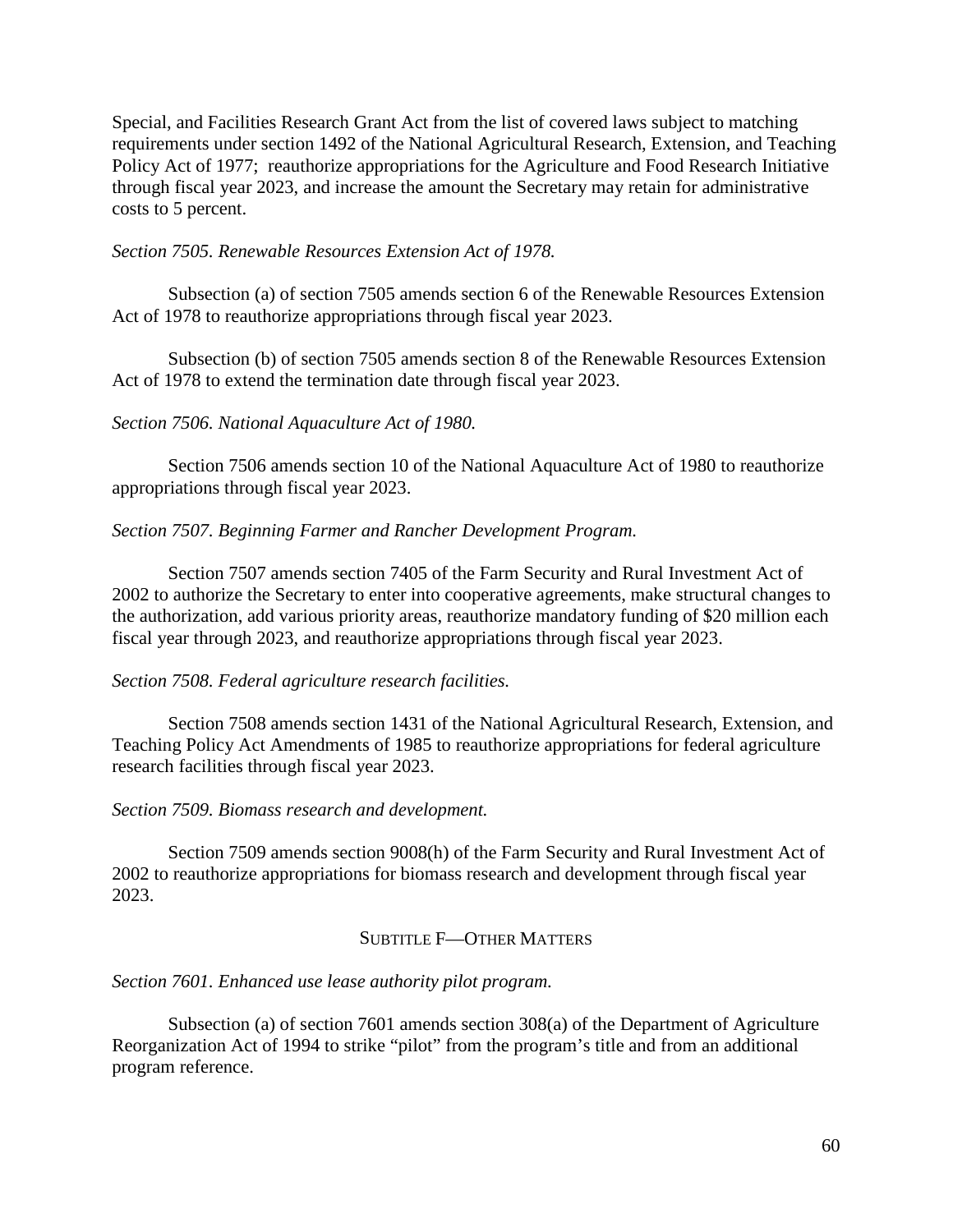Special, and Facilities Research Grant Act from the list of covered laws subject to matching requirements under section 1492 of the National Agricultural Research, Extension, and Teaching Policy Act of 1977; reauthorize appropriations for the Agriculture and Food Research Initiative through fiscal year 2023, and increase the amount the Secretary may retain for administrative costs to 5 percent.

#### *Section 7505. Renewable Resources Extension Act of 1978.*

Subsection (a) of section 7505 amends section 6 of the Renewable Resources Extension Act of 1978 to reauthorize appropriations through fiscal year 2023.

Subsection (b) of section 7505 amends section 8 of the Renewable Resources Extension Act of 1978 to extend the termination date through fiscal year 2023.

#### *Section 7506. National Aquaculture Act of 1980.*

Section 7506 amends section 10 of the National Aquaculture Act of 1980 to reauthorize appropriations through fiscal year 2023.

#### *Section 7507. Beginning Farmer and Rancher Development Program.*

Section 7507 amends section 7405 of the Farm Security and Rural Investment Act of 2002 to authorize the Secretary to enter into cooperative agreements, make structural changes to the authorization, add various priority areas, reauthorize mandatory funding of \$20 million each fiscal year through 2023, and reauthorize appropriations through fiscal year 2023.

#### *Section 7508. Federal agriculture research facilities.*

Section 7508 amends section 1431 of the National Agricultural Research, Extension, and Teaching Policy Act Amendments of 1985 to reauthorize appropriations for federal agriculture research facilities through fiscal year 2023.

#### *Section 7509. Biomass research and development.*

Section 7509 amends section 9008(h) of the Farm Security and Rural Investment Act of 2002 to reauthorize appropriations for biomass research and development through fiscal year 2023.

#### SUBTITLE F—OTHER MATTERS

#### *Section 7601. Enhanced use lease authority pilot program.*

Subsection (a) of section 7601 amends section 308(a) of the Department of Agriculture Reorganization Act of 1994 to strike "pilot" from the program's title and from an additional program reference.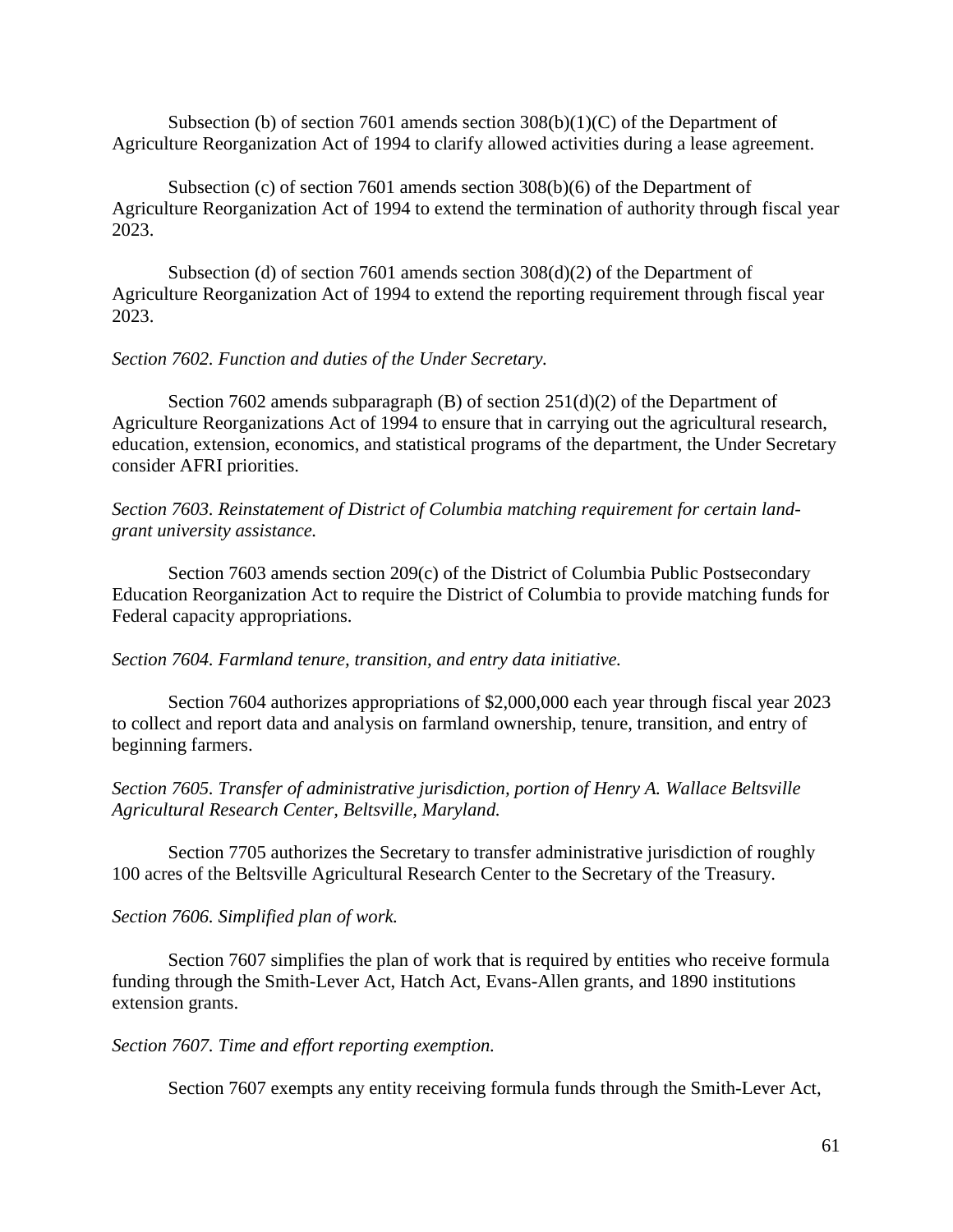Subsection (b) of section 7601 amends section  $308(b)(1)(C)$  of the Department of Agriculture Reorganization Act of 1994 to clarify allowed activities during a lease agreement.

Subsection (c) of section 7601 amends section 308(b)(6) of the Department of Agriculture Reorganization Act of 1994 to extend the termination of authority through fiscal year 2023.

Subsection (d) of section 7601 amends section 308(d)(2) of the Department of Agriculture Reorganization Act of 1994 to extend the reporting requirement through fiscal year 2023.

## *Section 7602. Function and duties of the Under Secretary.*

Section 7602 amends subparagraph (B) of section 251(d)(2) of the Department of Agriculture Reorganizations Act of 1994 to ensure that in carrying out the agricultural research, education, extension, economics, and statistical programs of the department, the Under Secretary consider AFRI priorities.

*Section 7603. Reinstatement of District of Columbia matching requirement for certain landgrant university assistance.*

Section 7603 amends section 209(c) of the District of Columbia Public Postsecondary Education Reorganization Act to require the District of Columbia to provide matching funds for Federal capacity appropriations.

## *Section 7604. Farmland tenure, transition, and entry data initiative.*

Section 7604 authorizes appropriations of \$2,000,000 each year through fiscal year 2023 to collect and report data and analysis on farmland ownership, tenure, transition, and entry of beginning farmers.

*Section 7605. Transfer of administrative jurisdiction, portion of Henry A. Wallace Beltsville Agricultural Research Center, Beltsville, Maryland.*

Section 7705 authorizes the Secretary to transfer administrative jurisdiction of roughly 100 acres of the Beltsville Agricultural Research Center to the Secretary of the Treasury.

#### *Section 7606. Simplified plan of work.*

Section 7607 simplifies the plan of work that is required by entities who receive formula funding through the Smith-Lever Act, Hatch Act, Evans-Allen grants, and 1890 institutions extension grants.

#### *Section 7607. Time and effort reporting exemption.*

Section 7607 exempts any entity receiving formula funds through the Smith-Lever Act,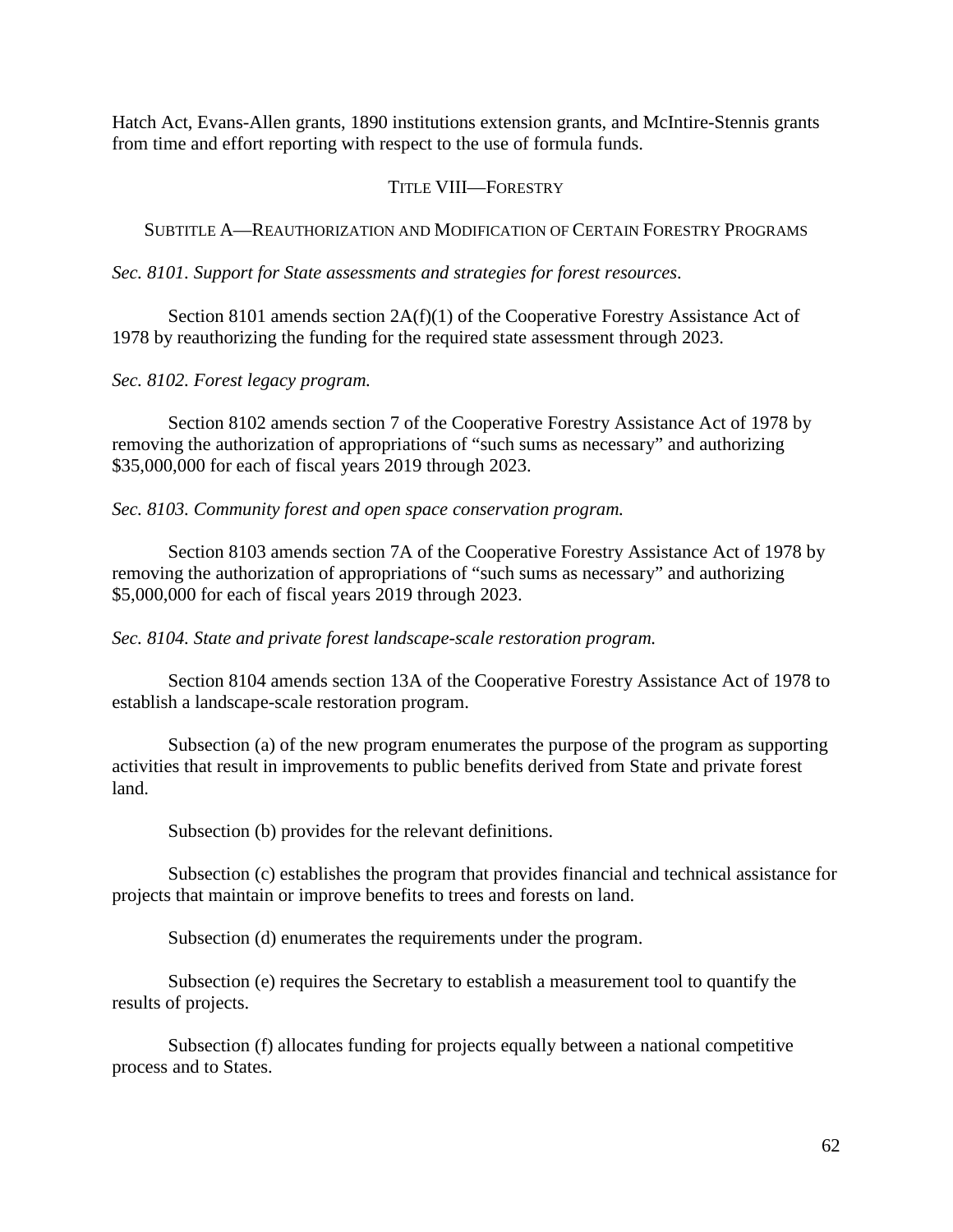Hatch Act, Evans-Allen grants, 1890 institutions extension grants, and McIntire-Stennis grants from time and effort reporting with respect to the use of formula funds.

# TITLE VIII—FORESTRY

SUBTITLE A—REAUTHORIZATION AND MODIFICATION OF CERTAIN FORESTRY PROGRAMS

*Sec. 8101. Support for State assessments and strategies for forest resources.*

Section 8101 amends section 2A(f)(1) of the Cooperative Forestry Assistance Act of 1978 by reauthorizing the funding for the required state assessment through 2023.

*Sec. 8102. Forest legacy program.*

Section 8102 amends section 7 of the Cooperative Forestry Assistance Act of 1978 by removing the authorization of appropriations of "such sums as necessary" and authorizing \$35,000,000 for each of fiscal years 2019 through 2023.

*Sec. 8103. Community forest and open space conservation program.*

Section 8103 amends section 7A of the Cooperative Forestry Assistance Act of 1978 by removing the authorization of appropriations of "such sums as necessary" and authorizing \$5,000,000 for each of fiscal years 2019 through 2023.

*Sec. 8104. State and private forest landscape-scale restoration program.*

Section 8104 amends section 13A of the Cooperative Forestry Assistance Act of 1978 to establish a landscape-scale restoration program.

Subsection (a) of the new program enumerates the purpose of the program as supporting activities that result in improvements to public benefits derived from State and private forest land.

Subsection (b) provides for the relevant definitions.

Subsection (c) establishes the program that provides financial and technical assistance for projects that maintain or improve benefits to trees and forests on land.

Subsection (d) enumerates the requirements under the program.

Subsection (e) requires the Secretary to establish a measurement tool to quantify the results of projects.

Subsection (f) allocates funding for projects equally between a national competitive process and to States.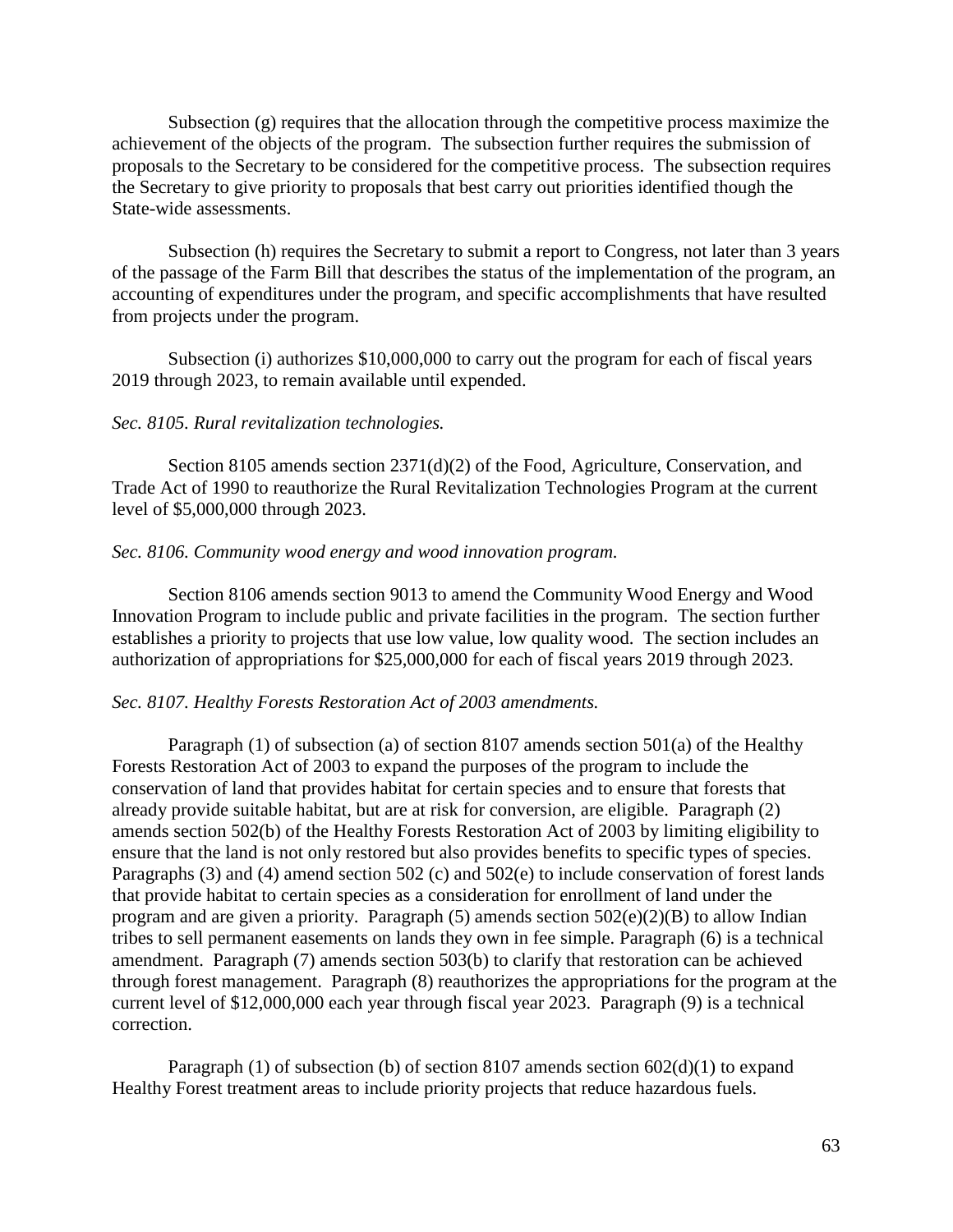Subsection (g) requires that the allocation through the competitive process maximize the achievement of the objects of the program. The subsection further requires the submission of proposals to the Secretary to be considered for the competitive process. The subsection requires the Secretary to give priority to proposals that best carry out priorities identified though the State-wide assessments.

Subsection (h) requires the Secretary to submit a report to Congress, not later than 3 years of the passage of the Farm Bill that describes the status of the implementation of the program, an accounting of expenditures under the program, and specific accomplishments that have resulted from projects under the program.

Subsection (i) authorizes \$10,000,000 to carry out the program for each of fiscal years 2019 through 2023, to remain available until expended.

#### *Sec. 8105. Rural revitalization technologies.*

Section 8105 amends section 2371(d)(2) of the Food, Agriculture, Conservation, and Trade Act of 1990 to reauthorize the Rural Revitalization Technologies Program at the current level of \$5,000,000 through 2023.

#### *Sec. 8106. Community wood energy and wood innovation program.*

Section 8106 amends section 9013 to amend the Community Wood Energy and Wood Innovation Program to include public and private facilities in the program. The section further establishes a priority to projects that use low value, low quality wood. The section includes an authorization of appropriations for \$25,000,000 for each of fiscal years 2019 through 2023.

#### *Sec. 8107. Healthy Forests Restoration Act of 2003 amendments.*

Paragraph (1) of subsection (a) of section 8107 amends section 501(a) of the Healthy Forests Restoration Act of 2003 to expand the purposes of the program to include the conservation of land that provides habitat for certain species and to ensure that forests that already provide suitable habitat, but are at risk for conversion, are eligible. Paragraph (2) amends section 502(b) of the Healthy Forests Restoration Act of 2003 by limiting eligibility to ensure that the land is not only restored but also provides benefits to specific types of species. Paragraphs (3) and (4) amend section 502 (c) and 502(e) to include conservation of forest lands that provide habitat to certain species as a consideration for enrollment of land under the program and are given a priority. Paragraph  $(5)$  amends section  $502(e)(2)(B)$  to allow Indian tribes to sell permanent easements on lands they own in fee simple. Paragraph (6) is a technical amendment. Paragraph (7) amends section 503(b) to clarify that restoration can be achieved through forest management. Paragraph (8) reauthorizes the appropriations for the program at the current level of \$12,000,000 each year through fiscal year 2023. Paragraph (9) is a technical correction.

Paragraph (1) of subsection (b) of section 8107 amends section  $602(d)(1)$  to expand Healthy Forest treatment areas to include priority projects that reduce hazardous fuels.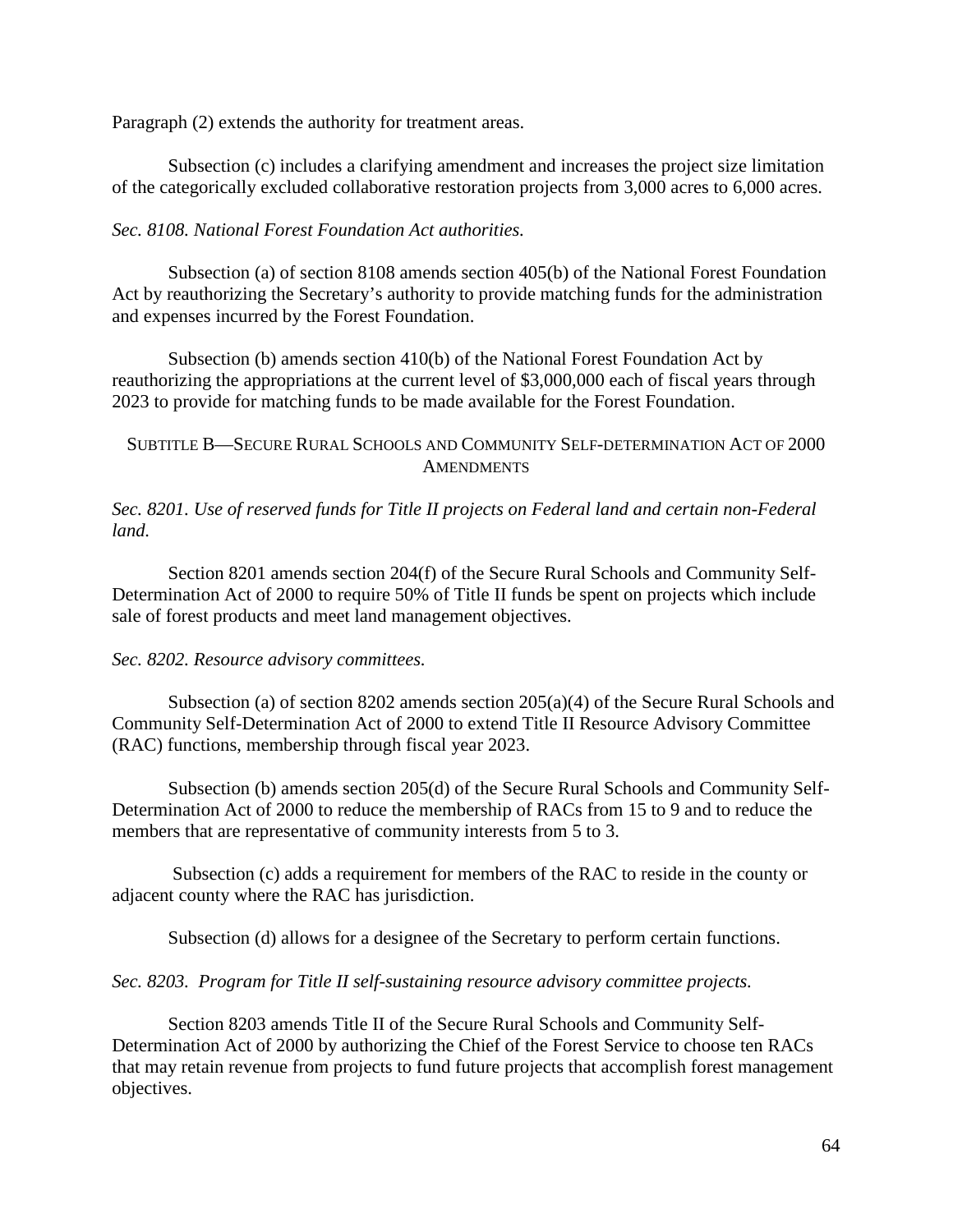Paragraph (2) extends the authority for treatment areas.

Subsection (c) includes a clarifying amendment and increases the project size limitation of the categorically excluded collaborative restoration projects from 3,000 acres to 6,000 acres.

# *Sec. 8108. National Forest Foundation Act authorities.*

Subsection (a) of section 8108 amends section 405(b) of the National Forest Foundation Act by reauthorizing the Secretary's authority to provide matching funds for the administration and expenses incurred by the Forest Foundation.

Subsection (b) amends section 410(b) of the National Forest Foundation Act by reauthorizing the appropriations at the current level of \$3,000,000 each of fiscal years through 2023 to provide for matching funds to be made available for the Forest Foundation.

# SUBTITLE B—SECURE RURAL SCHOOLS AND COMMUNITY SELF-DETERMINATION ACT OF 2000 **AMENDMENTS**

*Sec. 8201. Use of reserved funds for Title II projects on Federal land and certain non-Federal land.*

Section 8201 amends section 204(f) of the Secure Rural Schools and Community Self-Determination Act of 2000 to require 50% of Title II funds be spent on projects which include sale of forest products and meet land management objectives.

## *Sec. 8202. Resource advisory committees.*

Subsection (a) of section 8202 amends section 205(a)(4) of the Secure Rural Schools and Community Self-Determination Act of 2000 to extend Title II Resource Advisory Committee (RAC) functions, membership through fiscal year 2023.

Subsection (b) amends section 205(d) of the Secure Rural Schools and Community Self-Determination Act of 2000 to reduce the membership of RACs from 15 to 9 and to reduce the members that are representative of community interests from 5 to 3.

Subsection (c) adds a requirement for members of the RAC to reside in the county or adjacent county where the RAC has jurisdiction.

Subsection (d) allows for a designee of the Secretary to perform certain functions.

## *Sec. 8203. Program for Title II self-sustaining resource advisory committee projects.*

Section 8203 amends Title II of the Secure Rural Schools and Community Self-Determination Act of 2000 by authorizing the Chief of the Forest Service to choose ten RACs that may retain revenue from projects to fund future projects that accomplish forest management objectives.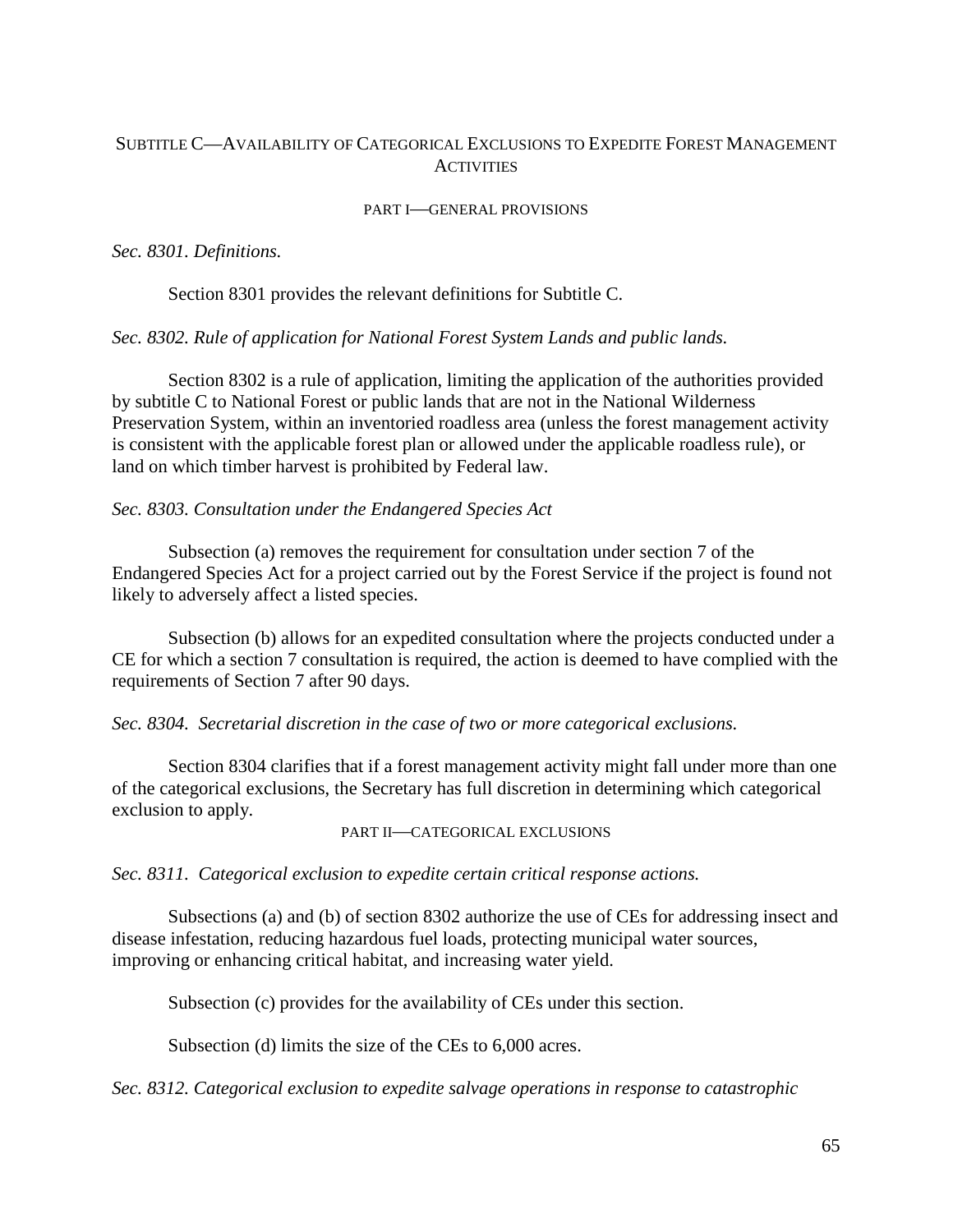# SUBTITLE C—AVAILABILITY OF CATEGORICAL EXCLUSIONS TO EXPEDITE FOREST MANAGEMENT **ACTIVITIES**

#### PART I—GENERAL PROVISIONS

### *Sec. 8301. Definitions.*

Section 8301 provides the relevant definitions for Subtitle C.

### *Sec. 8302. Rule of application for National Forest System Lands and public lands.*

Section 8302 is a rule of application, limiting the application of the authorities provided by subtitle C to National Forest or public lands that are not in the National Wilderness Preservation System, within an inventoried roadless area (unless the forest management activity is consistent with the applicable forest plan or allowed under the applicable roadless rule), or land on which timber harvest is prohibited by Federal law.

### *Sec. 8303. Consultation under the Endangered Species Act*

Subsection (a) removes the requirement for consultation under section 7 of the Endangered Species Act for a project carried out by the Forest Service if the project is found not likely to adversely affect a listed species.

Subsection (b) allows for an expedited consultation where the projects conducted under a CE for which a section 7 consultation is required, the action is deemed to have complied with the requirements of Section 7 after 90 days.

#### *Sec. 8304. Secretarial discretion in the case of two or more categorical exclusions.*

Section 8304 clarifies that if a forest management activity might fall under more than one of the categorical exclusions, the Secretary has full discretion in determining which categorical exclusion to apply.

#### PART II—CATEGORICAL EXCLUSIONS

*Sec. 8311. Categorical exclusion to expedite certain critical response actions.*

Subsections (a) and (b) of section 8302 authorize the use of CEs for addressing insect and disease infestation, reducing hazardous fuel loads, protecting municipal water sources, improving or enhancing critical habitat, and increasing water yield.

Subsection (c) provides for the availability of CEs under this section.

Subsection (d) limits the size of the CEs to 6,000 acres.

*Sec. 8312. Categorical exclusion to expedite salvage operations in response to catastrophic*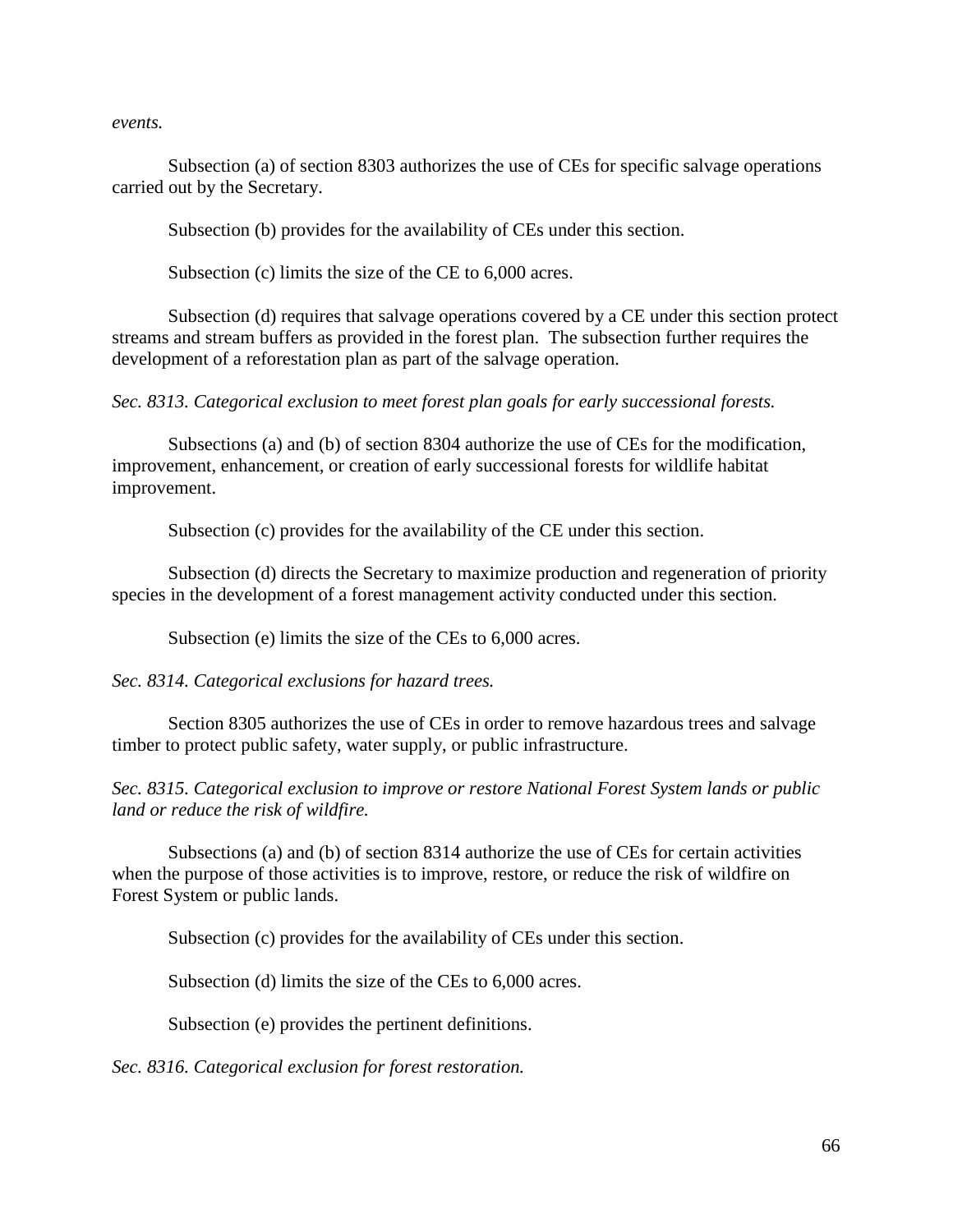*events.*

Subsection (a) of section 8303 authorizes the use of CEs for specific salvage operations carried out by the Secretary.

Subsection (b) provides for the availability of CEs under this section.

Subsection (c) limits the size of the CE to 6,000 acres.

Subsection (d) requires that salvage operations covered by a CE under this section protect streams and stream buffers as provided in the forest plan. The subsection further requires the development of a reforestation plan as part of the salvage operation.

*Sec. 8313. Categorical exclusion to meet forest plan goals for early successional forests.*

Subsections (a) and (b) of section 8304 authorize the use of CEs for the modification, improvement, enhancement, or creation of early successional forests for wildlife habitat improvement.

Subsection (c) provides for the availability of the CE under this section.

Subsection (d) directs the Secretary to maximize production and regeneration of priority species in the development of a forest management activity conducted under this section.

Subsection (e) limits the size of the CEs to 6,000 acres.

*Sec. 8314. Categorical exclusions for hazard trees.*

Section 8305 authorizes the use of CEs in order to remove hazardous trees and salvage timber to protect public safety, water supply, or public infrastructure.

*Sec. 8315. Categorical exclusion to improve or restore National Forest System lands or public land or reduce the risk of wildfire.*

Subsections (a) and (b) of section 8314 authorize the use of CEs for certain activities when the purpose of those activities is to improve, restore, or reduce the risk of wildfire on Forest System or public lands.

Subsection (c) provides for the availability of CEs under this section.

Subsection (d) limits the size of the CEs to 6,000 acres.

Subsection (e) provides the pertinent definitions.

*Sec. 8316. Categorical exclusion for forest restoration.*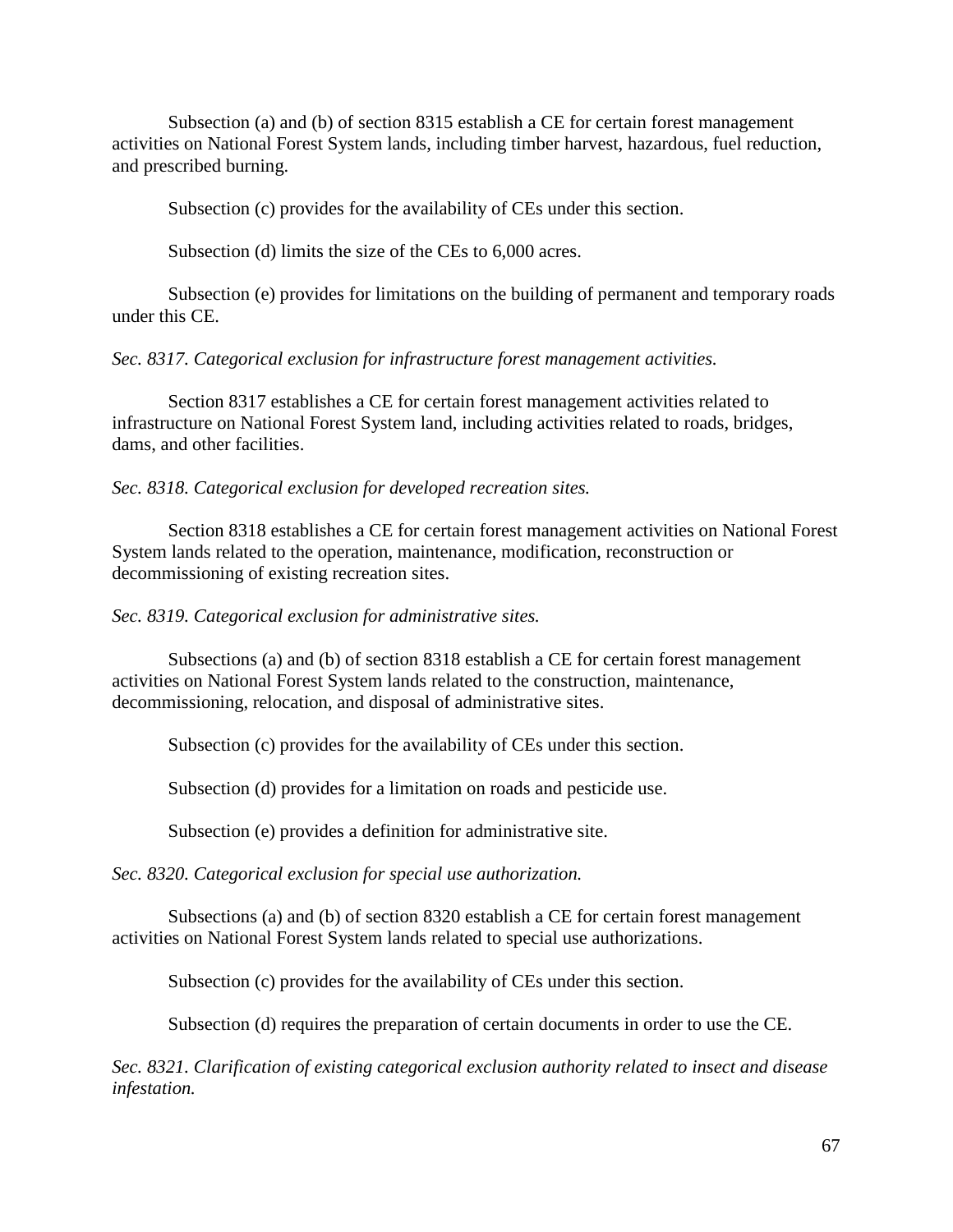Subsection (a) and (b) of section 8315 establish a CE for certain forest management activities on National Forest System lands, including timber harvest, hazardous, fuel reduction, and prescribed burning.

Subsection (c) provides for the availability of CEs under this section.

Subsection (d) limits the size of the CEs to 6,000 acres.

Subsection (e) provides for limitations on the building of permanent and temporary roads under this CE.

*Sec. 8317. Categorical exclusion for infrastructure forest management activities.*

Section 8317 establishes a CE for certain forest management activities related to infrastructure on National Forest System land, including activities related to roads, bridges, dams, and other facilities.

*Sec. 8318. Categorical exclusion for developed recreation sites.*

Section 8318 establishes a CE for certain forest management activities on National Forest System lands related to the operation, maintenance, modification, reconstruction or decommissioning of existing recreation sites.

## *Sec. 8319. Categorical exclusion for administrative sites.*

Subsections (a) and (b) of section 8318 establish a CE for certain forest management activities on National Forest System lands related to the construction, maintenance, decommissioning, relocation, and disposal of administrative sites.

Subsection (c) provides for the availability of CEs under this section.

Subsection (d) provides for a limitation on roads and pesticide use.

Subsection (e) provides a definition for administrative site.

*Sec. 8320. Categorical exclusion for special use authorization.*

Subsections (a) and (b) of section 8320 establish a CE for certain forest management activities on National Forest System lands related to special use authorizations.

Subsection (c) provides for the availability of CEs under this section.

Subsection (d) requires the preparation of certain documents in order to use the CE.

*Sec. 8321. Clarification of existing categorical exclusion authority related to insect and disease infestation.*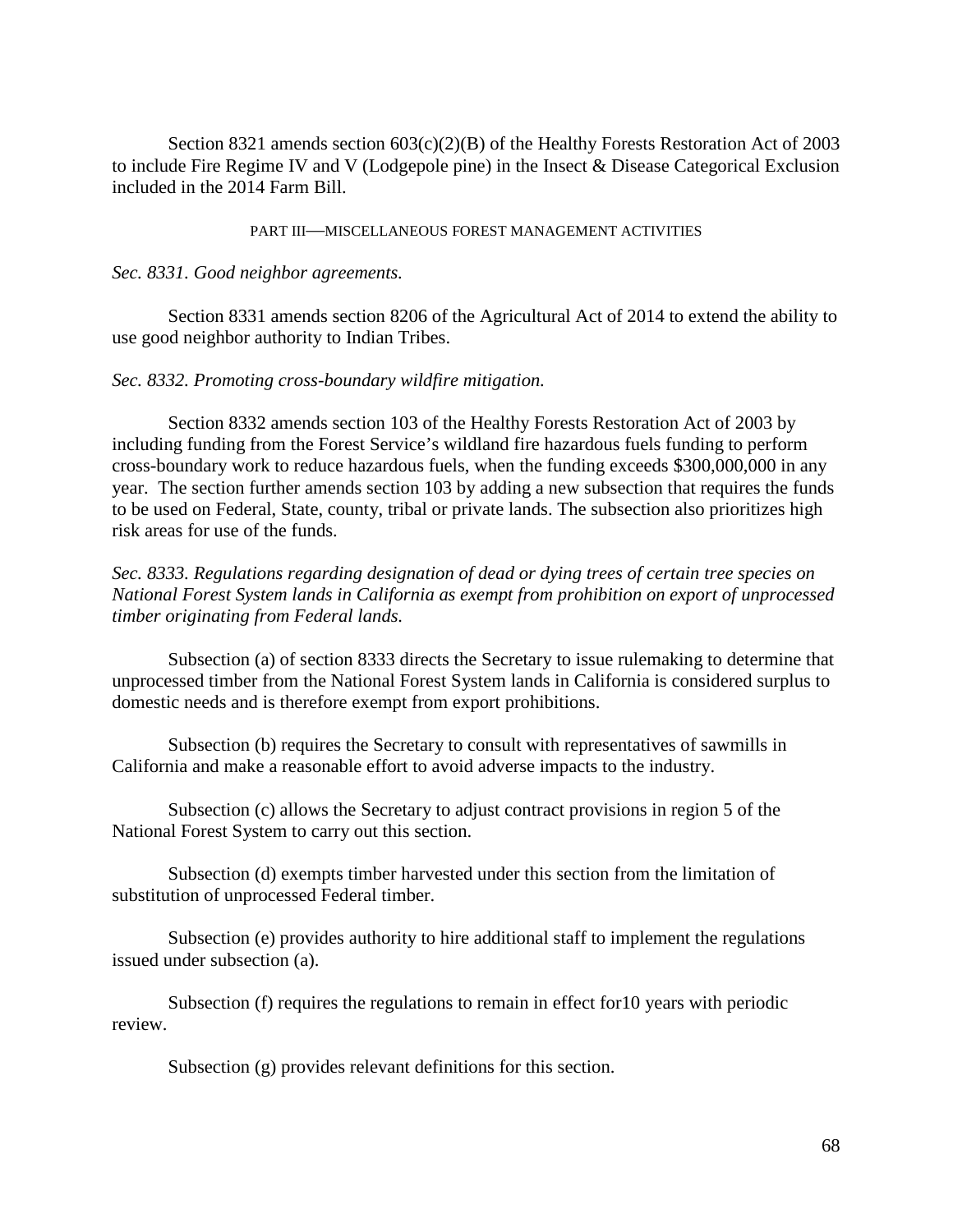Section 8321 amends section 603(c)(2)(B) of the Healthy Forests Restoration Act of 2003 to include Fire Regime IV and V (Lodgepole pine) in the Insect & Disease Categorical Exclusion included in the 2014 Farm Bill.

PART III—MISCELLANEOUS FOREST MANAGEMENT ACTIVITIES

### *Sec. 8331. Good neighbor agreements.*

Section 8331 amends section 8206 of the Agricultural Act of 2014 to extend the ability to use good neighbor authority to Indian Tribes.

### *Sec. 8332. Promoting cross-boundary wildfire mitigation.*

Section 8332 amends section 103 of the Healthy Forests Restoration Act of 2003 by including funding from the Forest Service's wildland fire hazardous fuels funding to perform cross-boundary work to reduce hazardous fuels, when the funding exceeds \$300,000,000 in any year. The section further amends section 103 by adding a new subsection that requires the funds to be used on Federal, State, county, tribal or private lands. The subsection also prioritizes high risk areas for use of the funds.

*Sec. 8333. Regulations regarding designation of dead or dying trees of certain tree species on National Forest System lands in California as exempt from prohibition on export of unprocessed timber originating from Federal lands.* 

Subsection (a) of section 8333 directs the Secretary to issue rulemaking to determine that unprocessed timber from the National Forest System lands in California is considered surplus to domestic needs and is therefore exempt from export prohibitions.

Subsection (b) requires the Secretary to consult with representatives of sawmills in California and make a reasonable effort to avoid adverse impacts to the industry.

Subsection (c) allows the Secretary to adjust contract provisions in region 5 of the National Forest System to carry out this section.

Subsection (d) exempts timber harvested under this section from the limitation of substitution of unprocessed Federal timber.

Subsection (e) provides authority to hire additional staff to implement the regulations issued under subsection (a).

Subsection (f) requires the regulations to remain in effect for10 years with periodic review.

Subsection (g) provides relevant definitions for this section.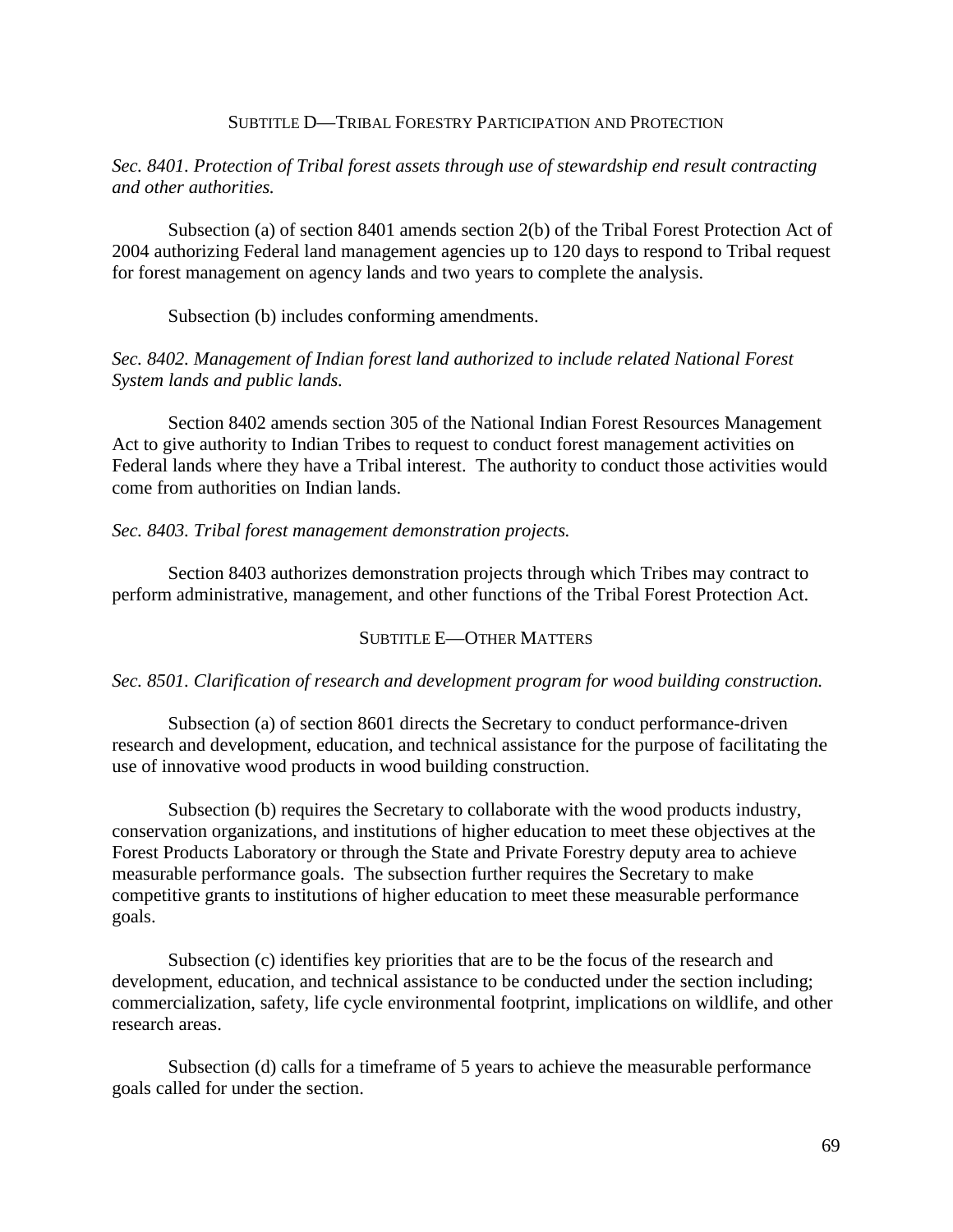### SUBTITLE D—TRIBAL FORESTRY PARTICIPATION AND PROTECTION

# *Sec. 8401. Protection of Tribal forest assets through use of stewardship end result contracting and other authorities.*

Subsection (a) of section 8401 amends section 2(b) of the Tribal Forest Protection Act of 2004 authorizing Federal land management agencies up to 120 days to respond to Tribal request for forest management on agency lands and two years to complete the analysis.

Subsection (b) includes conforming amendments.

# *Sec. 8402. Management of Indian forest land authorized to include related National Forest System lands and public lands.*

Section 8402 amends section 305 of the National Indian Forest Resources Management Act to give authority to Indian Tribes to request to conduct forest management activities on Federal lands where they have a Tribal interest. The authority to conduct those activities would come from authorities on Indian lands.

## *Sec. 8403. Tribal forest management demonstration projects.*

Section 8403 authorizes demonstration projects through which Tribes may contract to perform administrative, management, and other functions of the Tribal Forest Protection Act.

## SUBTITLE E—OTHER MATTERS

## *Sec. 8501. Clarification of research and development program for wood building construction.*

Subsection (a) of section 8601 directs the Secretary to conduct performance-driven research and development, education, and technical assistance for the purpose of facilitating the use of innovative wood products in wood building construction.

Subsection (b) requires the Secretary to collaborate with the wood products industry, conservation organizations, and institutions of higher education to meet these objectives at the Forest Products Laboratory or through the State and Private Forestry deputy area to achieve measurable performance goals. The subsection further requires the Secretary to make competitive grants to institutions of higher education to meet these measurable performance goals.

Subsection (c) identifies key priorities that are to be the focus of the research and development, education, and technical assistance to be conducted under the section including; commercialization, safety, life cycle environmental footprint, implications on wildlife, and other research areas.

Subsection (d) calls for a timeframe of 5 years to achieve the measurable performance goals called for under the section.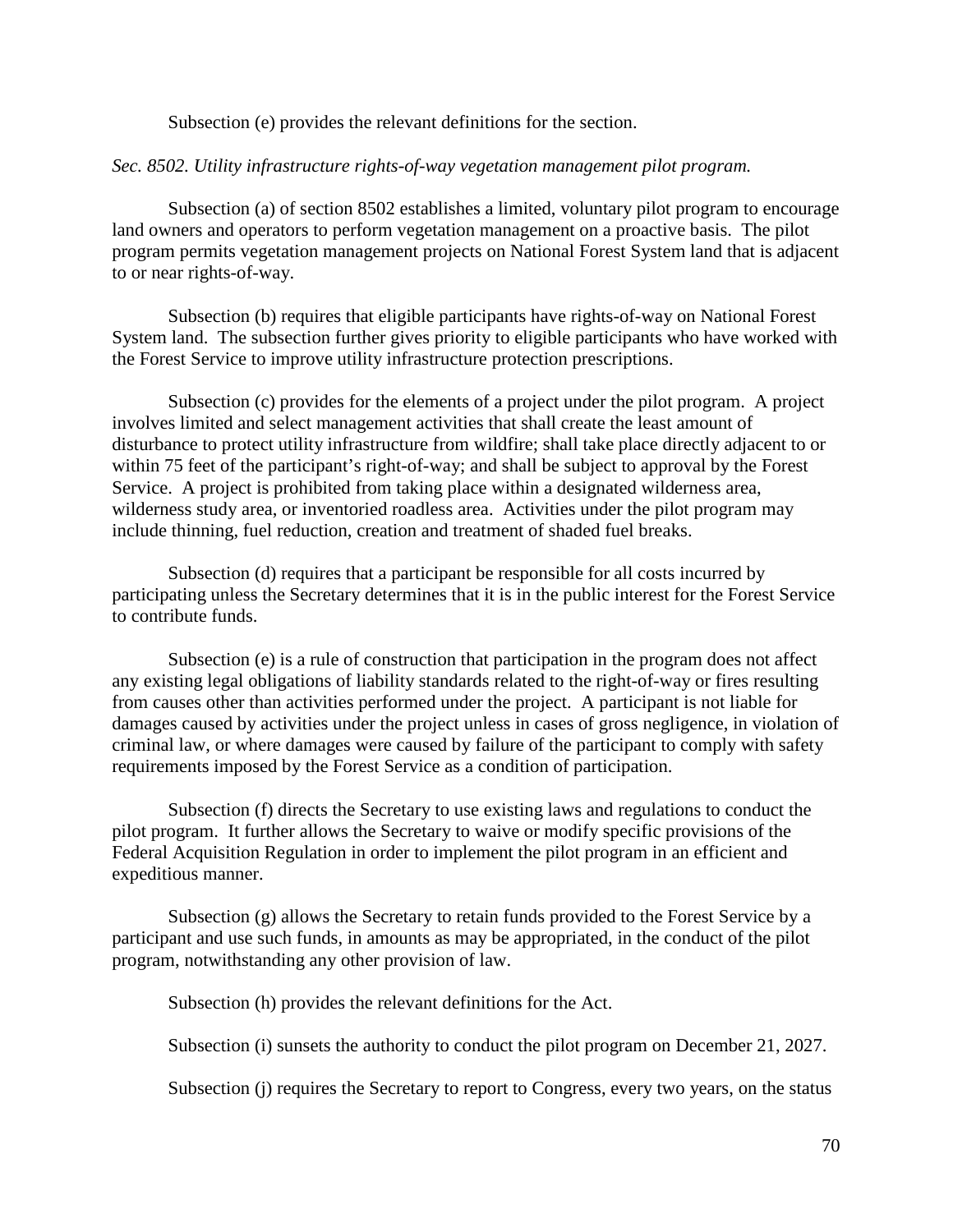Subsection (e) provides the relevant definitions for the section.

### *Sec. 8502. Utility infrastructure rights-of-way vegetation management pilot program.*

Subsection (a) of section 8502 establishes a limited, voluntary pilot program to encourage land owners and operators to perform vegetation management on a proactive basis. The pilot program permits vegetation management projects on National Forest System land that is adjacent to or near rights-of-way.

Subsection (b) requires that eligible participants have rights-of-way on National Forest System land. The subsection further gives priority to eligible participants who have worked with the Forest Service to improve utility infrastructure protection prescriptions.

Subsection (c) provides for the elements of a project under the pilot program. A project involves limited and select management activities that shall create the least amount of disturbance to protect utility infrastructure from wildfire; shall take place directly adjacent to or within 75 feet of the participant's right-of-way; and shall be subject to approval by the Forest Service. A project is prohibited from taking place within a designated wilderness area, wilderness study area, or inventoried roadless area. Activities under the pilot program may include thinning, fuel reduction, creation and treatment of shaded fuel breaks.

Subsection (d) requires that a participant be responsible for all costs incurred by participating unless the Secretary determines that it is in the public interest for the Forest Service to contribute funds.

Subsection (e) is a rule of construction that participation in the program does not affect any existing legal obligations of liability standards related to the right-of-way or fires resulting from causes other than activities performed under the project. A participant is not liable for damages caused by activities under the project unless in cases of gross negligence, in violation of criminal law, or where damages were caused by failure of the participant to comply with safety requirements imposed by the Forest Service as a condition of participation.

Subsection (f) directs the Secretary to use existing laws and regulations to conduct the pilot program. It further allows the Secretary to waive or modify specific provisions of the Federal Acquisition Regulation in order to implement the pilot program in an efficient and expeditious manner.

Subsection (g) allows the Secretary to retain funds provided to the Forest Service by a participant and use such funds, in amounts as may be appropriated, in the conduct of the pilot program, notwithstanding any other provision of law.

Subsection (h) provides the relevant definitions for the Act.

Subsection (i) sunsets the authority to conduct the pilot program on December 21, 2027.

Subsection (j) requires the Secretary to report to Congress, every two years, on the status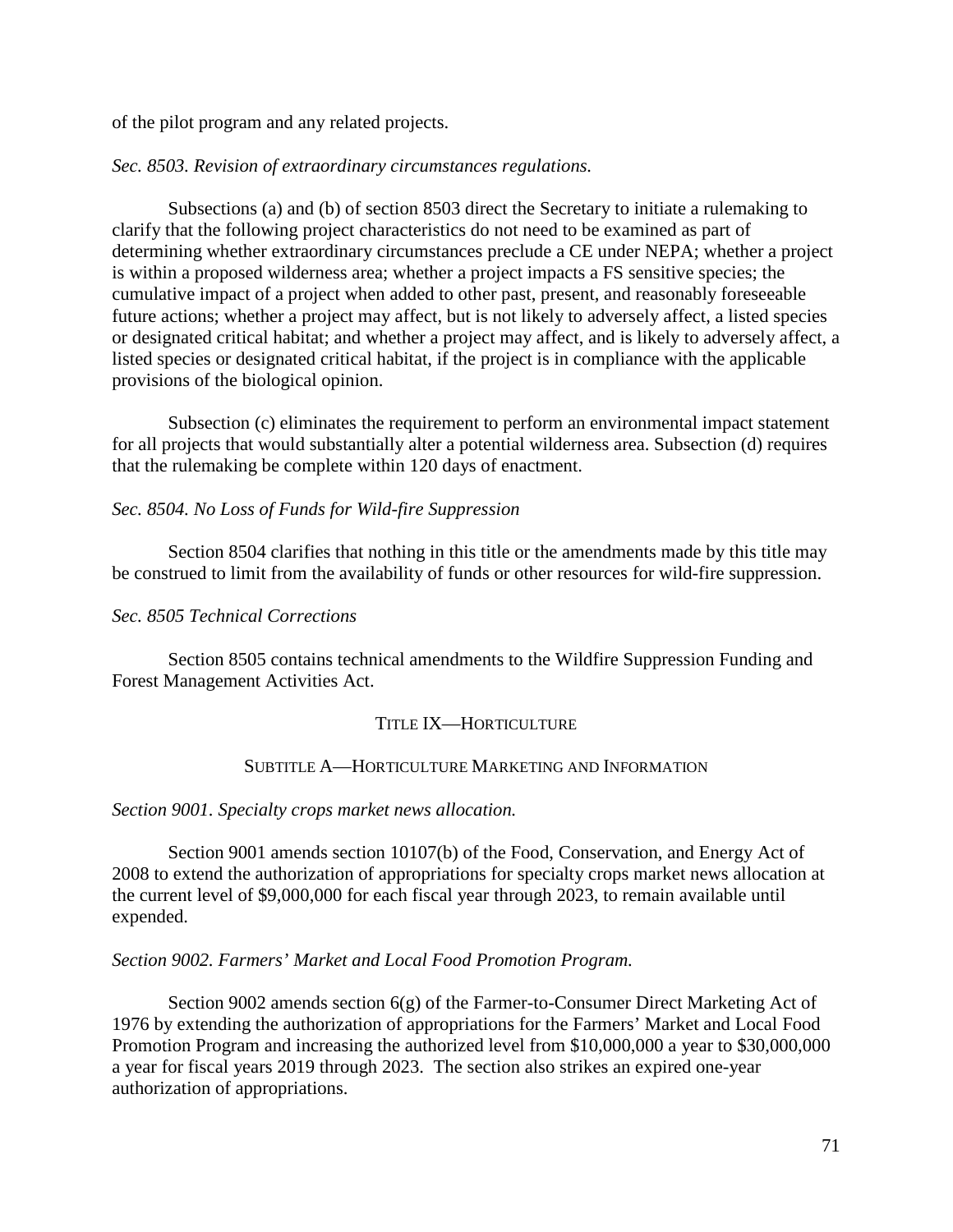of the pilot program and any related projects.

### *Sec. 8503. Revision of extraordinary circumstances regulations.*

Subsections (a) and (b) of section 8503 direct the Secretary to initiate a rulemaking to clarify that the following project characteristics do not need to be examined as part of determining whether extraordinary circumstances preclude a CE under NEPA; whether a project is within a proposed wilderness area; whether a project impacts a FS sensitive species; the cumulative impact of a project when added to other past, present, and reasonably foreseeable future actions; whether a project may affect, but is not likely to adversely affect, a listed species or designated critical habitat; and whether a project may affect, and is likely to adversely affect, a listed species or designated critical habitat, if the project is in compliance with the applicable provisions of the biological opinion.

Subsection (c) eliminates the requirement to perform an environmental impact statement for all projects that would substantially alter a potential wilderness area. Subsection (d) requires that the rulemaking be complete within 120 days of enactment.

## *Sec. 8504. No Loss of Funds for Wild-fire Suppression*

Section 8504 clarifies that nothing in this title or the amendments made by this title may be construed to limit from the availability of funds or other resources for wild-fire suppression.

## *Sec. 8505 Technical Corrections*

Section 8505 contains technical amendments to the Wildfire Suppression Funding and Forest Management Activities Act.

## TITLE IX—HORTICULTURE

#### SUBTITLE A—HORTICULTURE MARKETING AND INFORMATION

#### *Section 9001. Specialty crops market news allocation.*

Section 9001 amends section 10107(b) of the Food, Conservation, and Energy Act of 2008 to extend the authorization of appropriations for specialty crops market news allocation at the current level of \$9,000,000 for each fiscal year through 2023, to remain available until expended.

## *Section 9002. Farmers' Market and Local Food Promotion Program.*

Section 9002 amends section 6(g) of the Farmer-to-Consumer Direct Marketing Act of 1976 by extending the authorization of appropriations for the Farmers' Market and Local Food Promotion Program and increasing the authorized level from \$10,000,000 a year to \$30,000,000 a year for fiscal years 2019 through 2023. The section also strikes an expired one-year authorization of appropriations.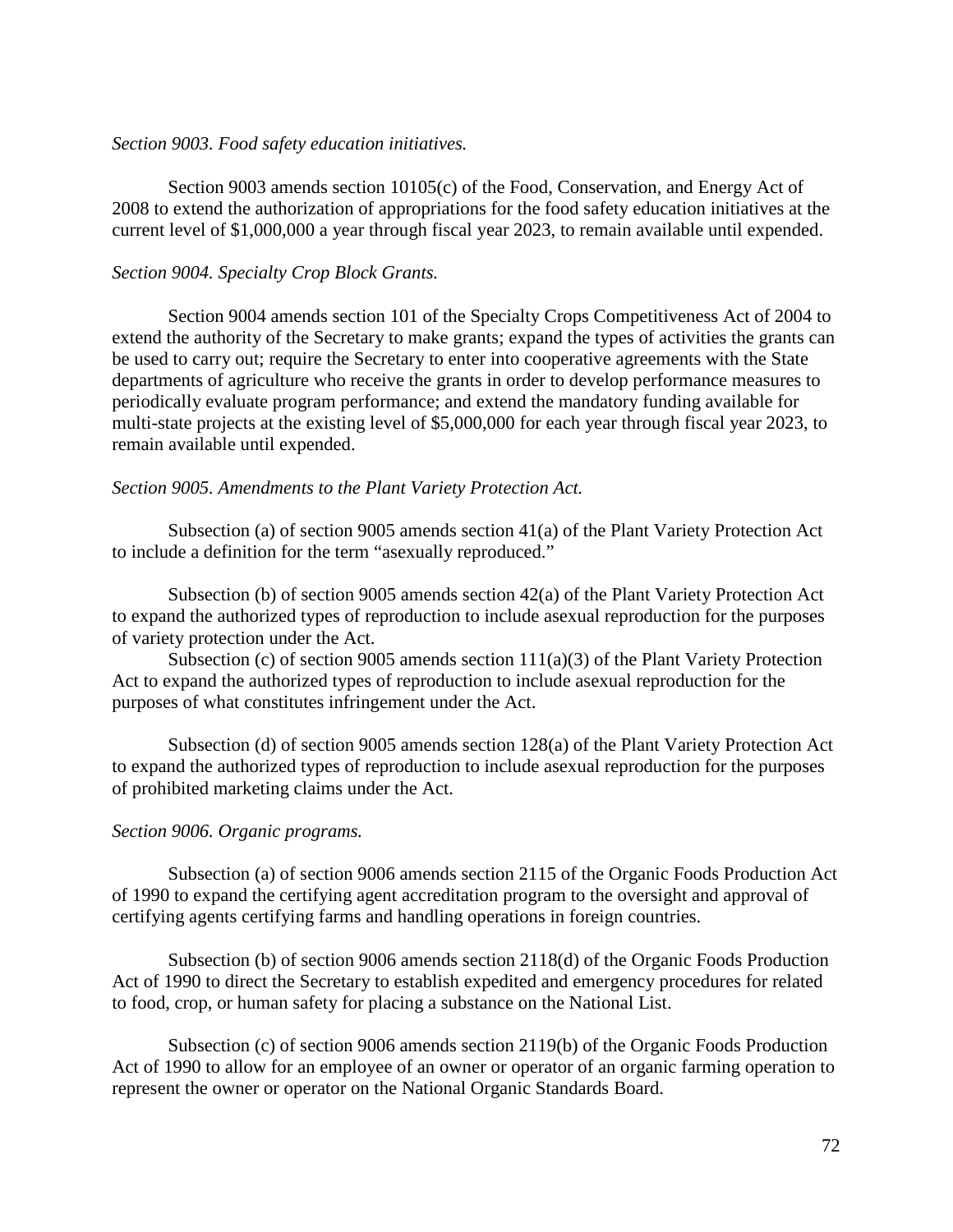### *Section 9003. Food safety education initiatives.*

Section 9003 amends section 10105(c) of the Food, Conservation, and Energy Act of 2008 to extend the authorization of appropriations for the food safety education initiatives at the current level of \$1,000,000 a year through fiscal year 2023, to remain available until expended.

## *Section 9004. Specialty Crop Block Grants.*

Section 9004 amends section 101 of the Specialty Crops Competitiveness Act of 2004 to extend the authority of the Secretary to make grants; expand the types of activities the grants can be used to carry out; require the Secretary to enter into cooperative agreements with the State departments of agriculture who receive the grants in order to develop performance measures to periodically evaluate program performance; and extend the mandatory funding available for multi-state projects at the existing level of \$5,000,000 for each year through fiscal year 2023, to remain available until expended.

### *Section 9005. Amendments to the Plant Variety Protection Act.*

Subsection (a) of section 9005 amends section 41(a) of the Plant Variety Protection Act to include a definition for the term "asexually reproduced."

Subsection (b) of section 9005 amends section 42(a) of the Plant Variety Protection Act to expand the authorized types of reproduction to include asexual reproduction for the purposes of variety protection under the Act.

Subsection (c) of section 9005 amends section 111(a)(3) of the Plant Variety Protection Act to expand the authorized types of reproduction to include asexual reproduction for the purposes of what constitutes infringement under the Act.

Subsection (d) of section 9005 amends section 128(a) of the Plant Variety Protection Act to expand the authorized types of reproduction to include asexual reproduction for the purposes of prohibited marketing claims under the Act.

#### *Section 9006. Organic programs.*

Subsection (a) of section 9006 amends section 2115 of the Organic Foods Production Act of 1990 to expand the certifying agent accreditation program to the oversight and approval of certifying agents certifying farms and handling operations in foreign countries.

Subsection (b) of section 9006 amends section 2118(d) of the Organic Foods Production Act of 1990 to direct the Secretary to establish expedited and emergency procedures for related to food, crop, or human safety for placing a substance on the National List.

Subsection (c) of section 9006 amends section 2119(b) of the Organic Foods Production Act of 1990 to allow for an employee of an owner or operator of an organic farming operation to represent the owner or operator on the National Organic Standards Board.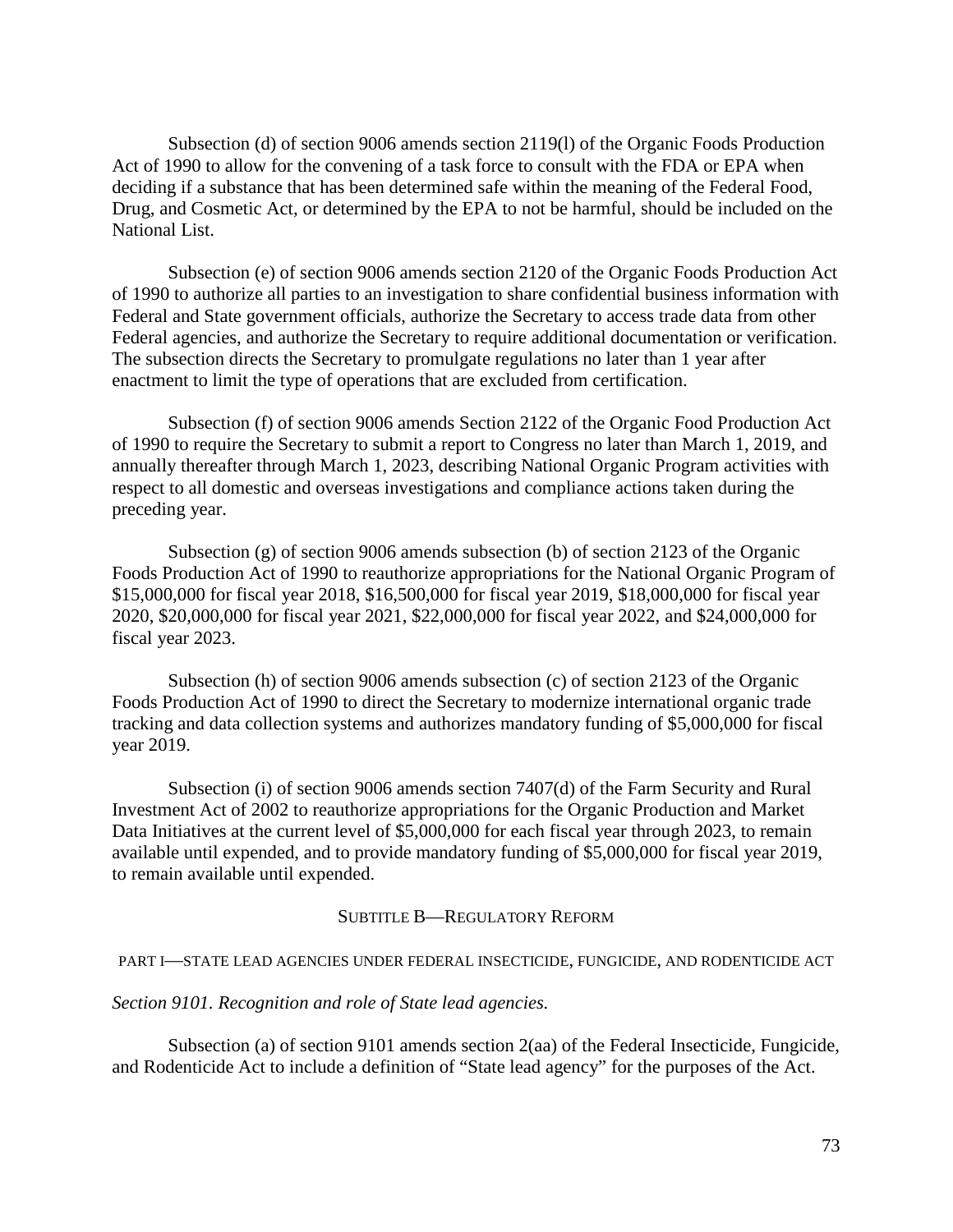Subsection (d) of section 9006 amends section 2119(l) of the Organic Foods Production Act of 1990 to allow for the convening of a task force to consult with the FDA or EPA when deciding if a substance that has been determined safe within the meaning of the Federal Food, Drug, and Cosmetic Act, or determined by the EPA to not be harmful, should be included on the National List.

Subsection (e) of section 9006 amends section 2120 of the Organic Foods Production Act of 1990 to authorize all parties to an investigation to share confidential business information with Federal and State government officials, authorize the Secretary to access trade data from other Federal agencies, and authorize the Secretary to require additional documentation or verification. The subsection directs the Secretary to promulgate regulations no later than 1 year after enactment to limit the type of operations that are excluded from certification.

Subsection (f) of section 9006 amends Section 2122 of the Organic Food Production Act of 1990 to require the Secretary to submit a report to Congress no later than March 1, 2019, and annually thereafter through March 1, 2023, describing National Organic Program activities with respect to all domestic and overseas investigations and compliance actions taken during the preceding year.

Subsection (g) of section 9006 amends subsection (b) of section 2123 of the Organic Foods Production Act of 1990 to reauthorize appropriations for the National Organic Program of \$15,000,000 for fiscal year 2018, \$16,500,000 for fiscal year 2019, \$18,000,000 for fiscal year 2020, \$20,000,000 for fiscal year 2021, \$22,000,000 for fiscal year 2022, and \$24,000,000 for fiscal year 2023.

Subsection (h) of section 9006 amends subsection (c) of section 2123 of the Organic Foods Production Act of 1990 to direct the Secretary to modernize international organic trade tracking and data collection systems and authorizes mandatory funding of \$5,000,000 for fiscal year 2019.

Subsection (i) of section 9006 amends section 7407(d) of the Farm Security and Rural Investment Act of 2002 to reauthorize appropriations for the Organic Production and Market Data Initiatives at the current level of \$5,000,000 for each fiscal year through 2023, to remain available until expended, and to provide mandatory funding of \$5,000,000 for fiscal year 2019, to remain available until expended.

#### SUBTITLE B—REGULATORY REFORM

#### PART I—STATE LEAD AGENCIES UNDER FEDERAL INSECTICIDE, FUNGICIDE, AND RODENTICIDE ACT

#### *Section 9101. Recognition and role of State lead agencies.*

Subsection (a) of section 9101 amends section 2(aa) of the Federal Insecticide, Fungicide, and Rodenticide Act to include a definition of "State lead agency" for the purposes of the Act.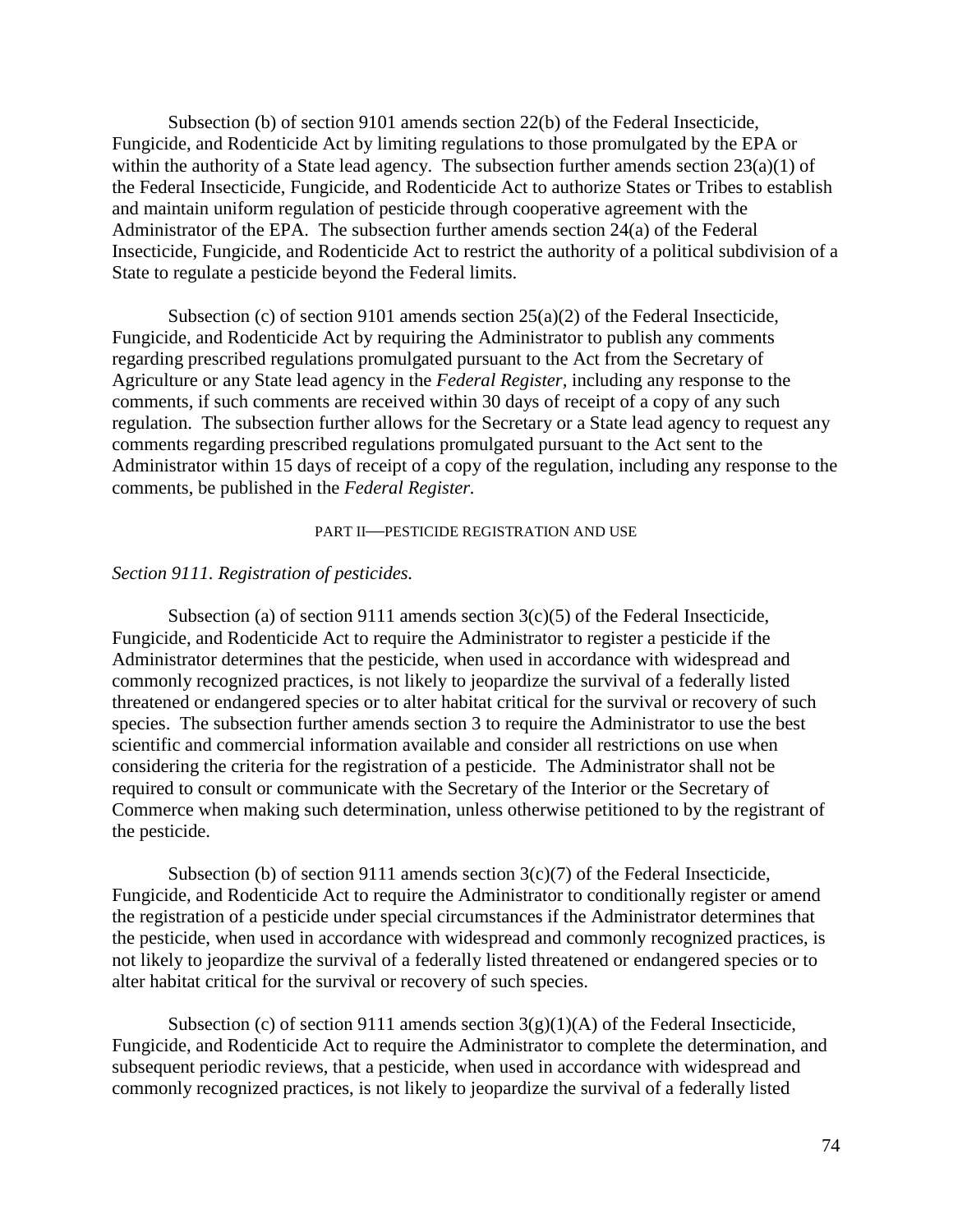Subsection (b) of section 9101 amends section 22(b) of the Federal Insecticide, Fungicide, and Rodenticide Act by limiting regulations to those promulgated by the EPA or within the authority of a State lead agency. The subsection further amends section 23(a)(1) of the Federal Insecticide, Fungicide, and Rodenticide Act to authorize States or Tribes to establish and maintain uniform regulation of pesticide through cooperative agreement with the Administrator of the EPA. The subsection further amends section 24(a) of the Federal Insecticide, Fungicide, and Rodenticide Act to restrict the authority of a political subdivision of a State to regulate a pesticide beyond the Federal limits.

Subsection (c) of section 9101 amends section 25(a)(2) of the Federal Insecticide, Fungicide, and Rodenticide Act by requiring the Administrator to publish any comments regarding prescribed regulations promulgated pursuant to the Act from the Secretary of Agriculture or any State lead agency in the *Federal Register,* including any response to the comments, if such comments are received within 30 days of receipt of a copy of any such regulation. The subsection further allows for the Secretary or a State lead agency to request any comments regarding prescribed regulations promulgated pursuant to the Act sent to the Administrator within 15 days of receipt of a copy of the regulation, including any response to the comments, be published in the *Federal Register.* 

#### PART II—PESTICIDE REGISTRATION AND USE

#### *Section 9111. Registration of pesticides.*

Subsection (a) of section 9111 amends section  $3(c)(5)$  of the Federal Insecticide, Fungicide, and Rodenticide Act to require the Administrator to register a pesticide if the Administrator determines that the pesticide, when used in accordance with widespread and commonly recognized practices, is not likely to jeopardize the survival of a federally listed threatened or endangered species or to alter habitat critical for the survival or recovery of such species. The subsection further amends section 3 to require the Administrator to use the best scientific and commercial information available and consider all restrictions on use when considering the criteria for the registration of a pesticide. The Administrator shall not be required to consult or communicate with the Secretary of the Interior or the Secretary of Commerce when making such determination, unless otherwise petitioned to by the registrant of the pesticide.

Subsection (b) of section 9111 amends section  $3(c)(7)$  of the Federal Insecticide, Fungicide, and Rodenticide Act to require the Administrator to conditionally register or amend the registration of a pesticide under special circumstances if the Administrator determines that the pesticide, when used in accordance with widespread and commonly recognized practices, is not likely to jeopardize the survival of a federally listed threatened or endangered species or to alter habitat critical for the survival or recovery of such species.

Subsection (c) of section 9111 amends section  $3(g)(1)(A)$  of the Federal Insecticide, Fungicide, and Rodenticide Act to require the Administrator to complete the determination, and subsequent periodic reviews, that a pesticide, when used in accordance with widespread and commonly recognized practices, is not likely to jeopardize the survival of a federally listed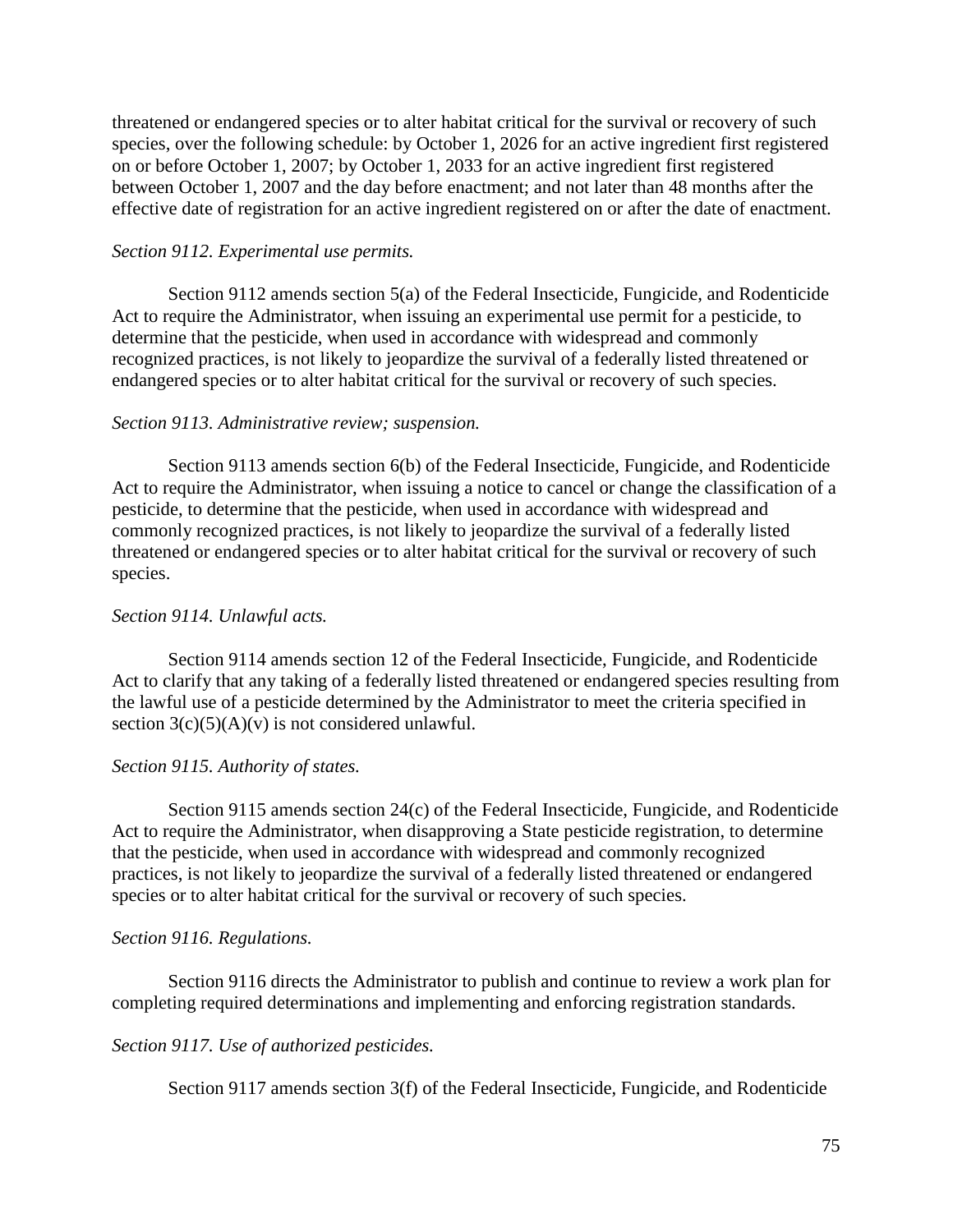threatened or endangered species or to alter habitat critical for the survival or recovery of such species, over the following schedule: by October 1, 2026 for an active ingredient first registered on or before October 1, 2007; by October 1, 2033 for an active ingredient first registered between October 1, 2007 and the day before enactment; and not later than 48 months after the effective date of registration for an active ingredient registered on or after the date of enactment.

## *Section 9112. Experimental use permits.*

Section 9112 amends section 5(a) of the Federal Insecticide, Fungicide, and Rodenticide Act to require the Administrator, when issuing an experimental use permit for a pesticide, to determine that the pesticide, when used in accordance with widespread and commonly recognized practices, is not likely to jeopardize the survival of a federally listed threatened or endangered species or to alter habitat critical for the survival or recovery of such species.

## *Section 9113. Administrative review; suspension.*

Section 9113 amends section 6(b) of the Federal Insecticide, Fungicide, and Rodenticide Act to require the Administrator, when issuing a notice to cancel or change the classification of a pesticide, to determine that the pesticide, when used in accordance with widespread and commonly recognized practices, is not likely to jeopardize the survival of a federally listed threatened or endangered species or to alter habitat critical for the survival or recovery of such species.

### *Section 9114. Unlawful acts.*

Section 9114 amends section 12 of the Federal Insecticide, Fungicide, and Rodenticide Act to clarify that any taking of a federally listed threatened or endangered species resulting from the lawful use of a pesticide determined by the Administrator to meet the criteria specified in section  $3(c)(5)(A)(v)$  is not considered unlawful.

#### *Section 9115. Authority of states.*

Section 9115 amends section 24(c) of the Federal Insecticide, Fungicide, and Rodenticide Act to require the Administrator, when disapproving a State pesticide registration, to determine that the pesticide, when used in accordance with widespread and commonly recognized practices, is not likely to jeopardize the survival of a federally listed threatened or endangered species or to alter habitat critical for the survival or recovery of such species.

#### *Section 9116. Regulations.*

Section 9116 directs the Administrator to publish and continue to review a work plan for completing required determinations and implementing and enforcing registration standards.

## *Section 9117. Use of authorized pesticides.*

Section 9117 amends section 3(f) of the Federal Insecticide, Fungicide, and Rodenticide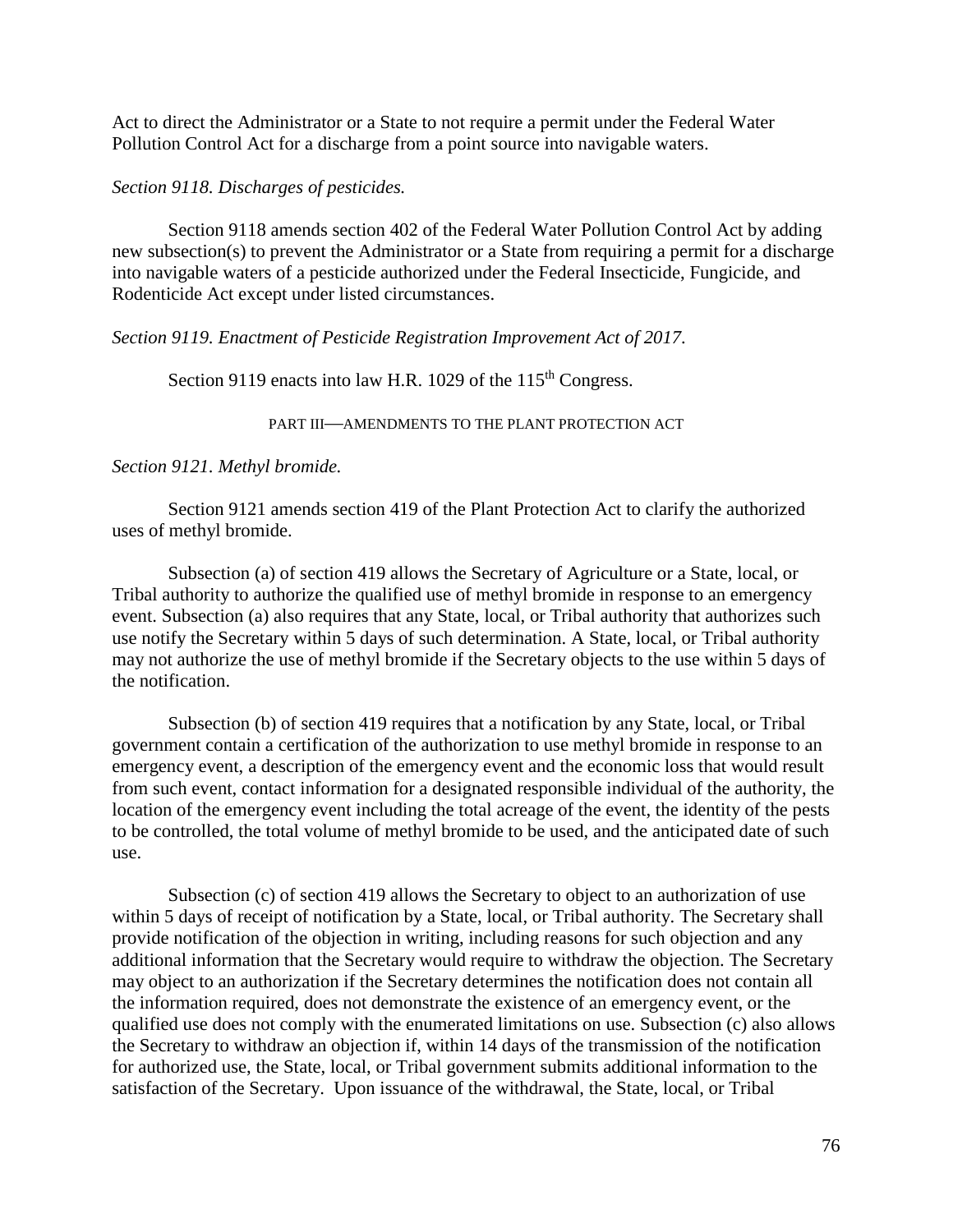Act to direct the Administrator or a State to not require a permit under the Federal Water Pollution Control Act for a discharge from a point source into navigable waters.

## *Section 9118. Discharges of pesticides.*

Section 9118 amends section 402 of the Federal Water Pollution Control Act by adding new subsection(s) to prevent the Administrator or a State from requiring a permit for a discharge into navigable waters of a pesticide authorized under the Federal Insecticide, Fungicide, and Rodenticide Act except under listed circumstances.

## *Section 9119. Enactment of Pesticide Registration Improvement Act of 2017.*

Section 9119 enacts into law H.R. 1029 of the 115<sup>th</sup> Congress.

PART III—AMENDMENTS TO THE PLANT PROTECTION ACT

## *Section 9121. Methyl bromide.*

Section 9121 amends section 419 of the Plant Protection Act to clarify the authorized uses of methyl bromide.

Subsection (a) of section 419 allows the Secretary of Agriculture or a State, local, or Tribal authority to authorize the qualified use of methyl bromide in response to an emergency event. Subsection (a) also requires that any State, local, or Tribal authority that authorizes such use notify the Secretary within 5 days of such determination. A State, local, or Tribal authority may not authorize the use of methyl bromide if the Secretary objects to the use within 5 days of the notification.

Subsection (b) of section 419 requires that a notification by any State, local, or Tribal government contain a certification of the authorization to use methyl bromide in response to an emergency event, a description of the emergency event and the economic loss that would result from such event, contact information for a designated responsible individual of the authority, the location of the emergency event including the total acreage of the event, the identity of the pests to be controlled, the total volume of methyl bromide to be used, and the anticipated date of such use.

Subsection (c) of section 419 allows the Secretary to object to an authorization of use within 5 days of receipt of notification by a State, local, or Tribal authority. The Secretary shall provide notification of the objection in writing, including reasons for such objection and any additional information that the Secretary would require to withdraw the objection. The Secretary may object to an authorization if the Secretary determines the notification does not contain all the information required, does not demonstrate the existence of an emergency event, or the qualified use does not comply with the enumerated limitations on use. Subsection (c) also allows the Secretary to withdraw an objection if, within 14 days of the transmission of the notification for authorized use, the State, local, or Tribal government submits additional information to the satisfaction of the Secretary. Upon issuance of the withdrawal, the State, local, or Tribal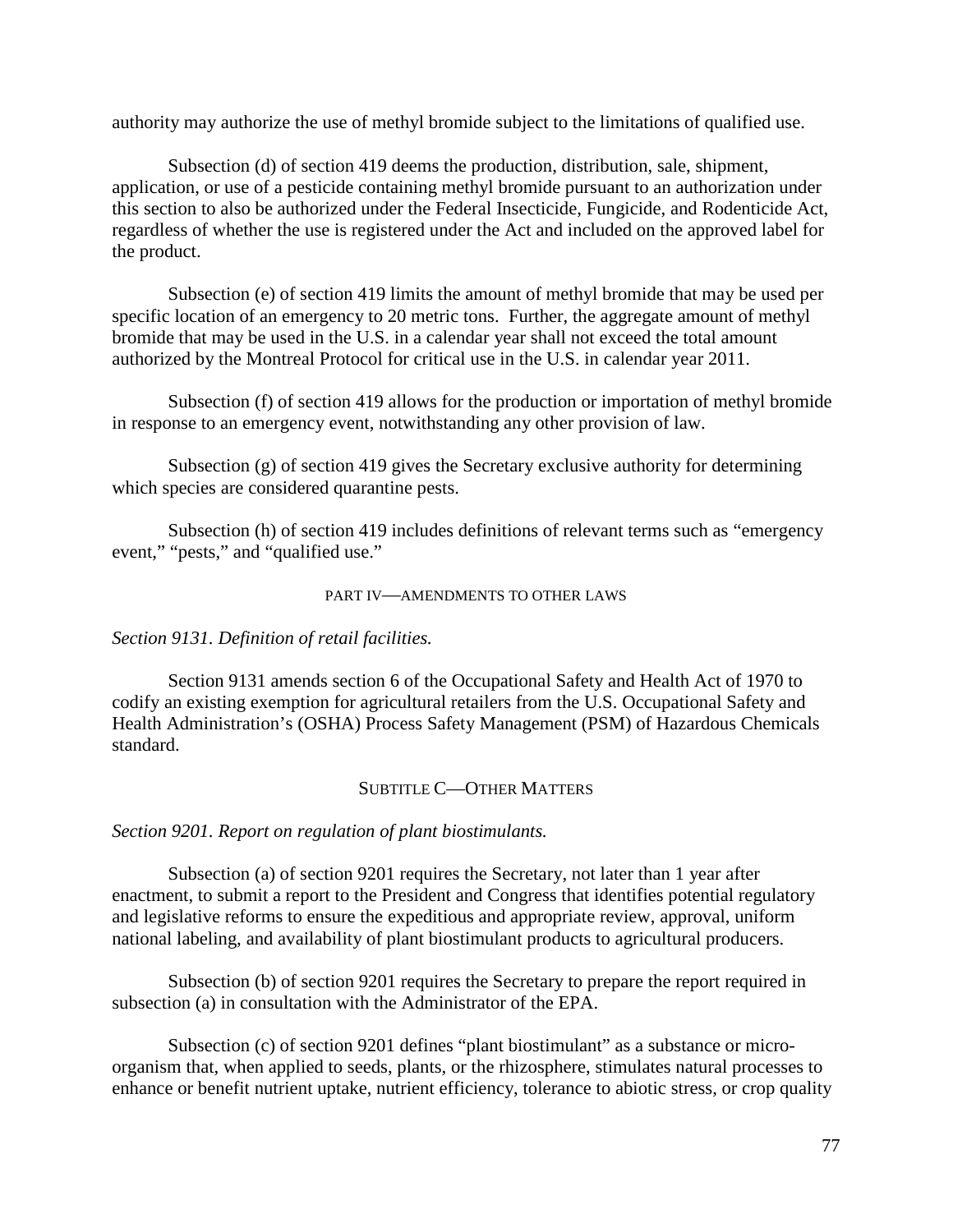authority may authorize the use of methyl bromide subject to the limitations of qualified use.

Subsection (d) of section 419 deems the production, distribution, sale, shipment, application, or use of a pesticide containing methyl bromide pursuant to an authorization under this section to also be authorized under the Federal Insecticide, Fungicide, and Rodenticide Act, regardless of whether the use is registered under the Act and included on the approved label for the product.

Subsection (e) of section 419 limits the amount of methyl bromide that may be used per specific location of an emergency to 20 metric tons. Further, the aggregate amount of methyl bromide that may be used in the U.S. in a calendar year shall not exceed the total amount authorized by the Montreal Protocol for critical use in the U.S. in calendar year 2011.

Subsection (f) of section 419 allows for the production or importation of methyl bromide in response to an emergency event, notwithstanding any other provision of law.

Subsection (g) of section 419 gives the Secretary exclusive authority for determining which species are considered quarantine pests.

Subsection (h) of section 419 includes definitions of relevant terms such as "emergency event," "pests," and "qualified use."

## PART IV—AMENDMENTS TO OTHER LAWS

*Section 9131. Definition of retail facilities.*

Section 9131 amends section 6 of the Occupational Safety and Health Act of 1970 to codify an existing exemption for agricultural retailers from the U.S. Occupational Safety and Health Administration's (OSHA) Process Safety Management (PSM) of Hazardous Chemicals standard.

## SUBTITLE C—OTHER MATTERS

## *Section 9201. Report on regulation of plant biostimulants.*

Subsection (a) of section 9201 requires the Secretary, not later than 1 year after enactment, to submit a report to the President and Congress that identifies potential regulatory and legislative reforms to ensure the expeditious and appropriate review, approval, uniform national labeling, and availability of plant biostimulant products to agricultural producers.

Subsection (b) of section 9201 requires the Secretary to prepare the report required in subsection (a) in consultation with the Administrator of the EPA.

Subsection (c) of section 9201 defines "plant biostimulant" as a substance or microorganism that, when applied to seeds, plants, or the rhizosphere, stimulates natural processes to enhance or benefit nutrient uptake, nutrient efficiency, tolerance to abiotic stress, or crop quality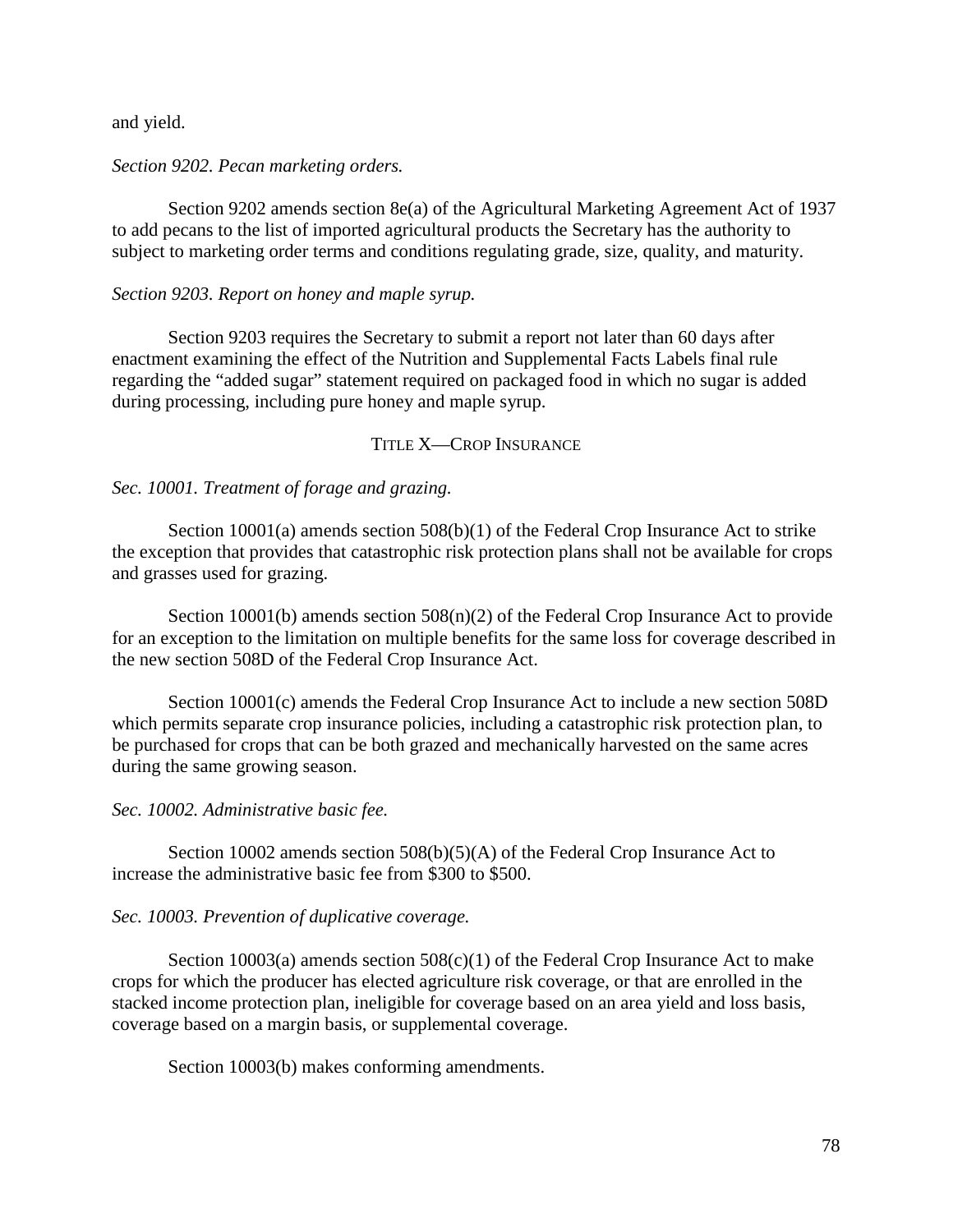and yield.

#### *Section 9202. Pecan marketing orders.*

Section 9202 amends section 8e(a) of the Agricultural Marketing Agreement Act of 1937 to add pecans to the list of imported agricultural products the Secretary has the authority to subject to marketing order terms and conditions regulating grade, size, quality, and maturity.

#### *Section 9203. Report on honey and maple syrup.*

Section 9203 requires the Secretary to submit a report not later than 60 days after enactment examining the effect of the Nutrition and Supplemental Facts Labels final rule regarding the "added sugar" statement required on packaged food in which no sugar is added during processing, including pure honey and maple syrup.

### TITLE X—CROP INSURANCE

*Sec. 10001. Treatment of forage and grazing.*

Section 10001(a) amends section 508(b)(1) of the Federal Crop Insurance Act to strike the exception that provides that catastrophic risk protection plans shall not be available for crops and grasses used for grazing.

Section 10001(b) amends section  $508(n)(2)$  of the Federal Crop Insurance Act to provide for an exception to the limitation on multiple benefits for the same loss for coverage described in the new section 508D of the Federal Crop Insurance Act.

Section 10001(c) amends the Federal Crop Insurance Act to include a new section 508D which permits separate crop insurance policies, including a catastrophic risk protection plan, to be purchased for crops that can be both grazed and mechanically harvested on the same acres during the same growing season.

#### *Sec. 10002. Administrative basic fee.*

Section 10002 amends section 508(b)(5)(A) of the Federal Crop Insurance Act to increase the administrative basic fee from \$300 to \$500.

#### *Sec. 10003. Prevention of duplicative coverage.*

Section 10003(a) amends section  $508(c)(1)$  of the Federal Crop Insurance Act to make crops for which the producer has elected agriculture risk coverage, or that are enrolled in the stacked income protection plan, ineligible for coverage based on an area yield and loss basis, coverage based on a margin basis, or supplemental coverage.

Section 10003(b) makes conforming amendments.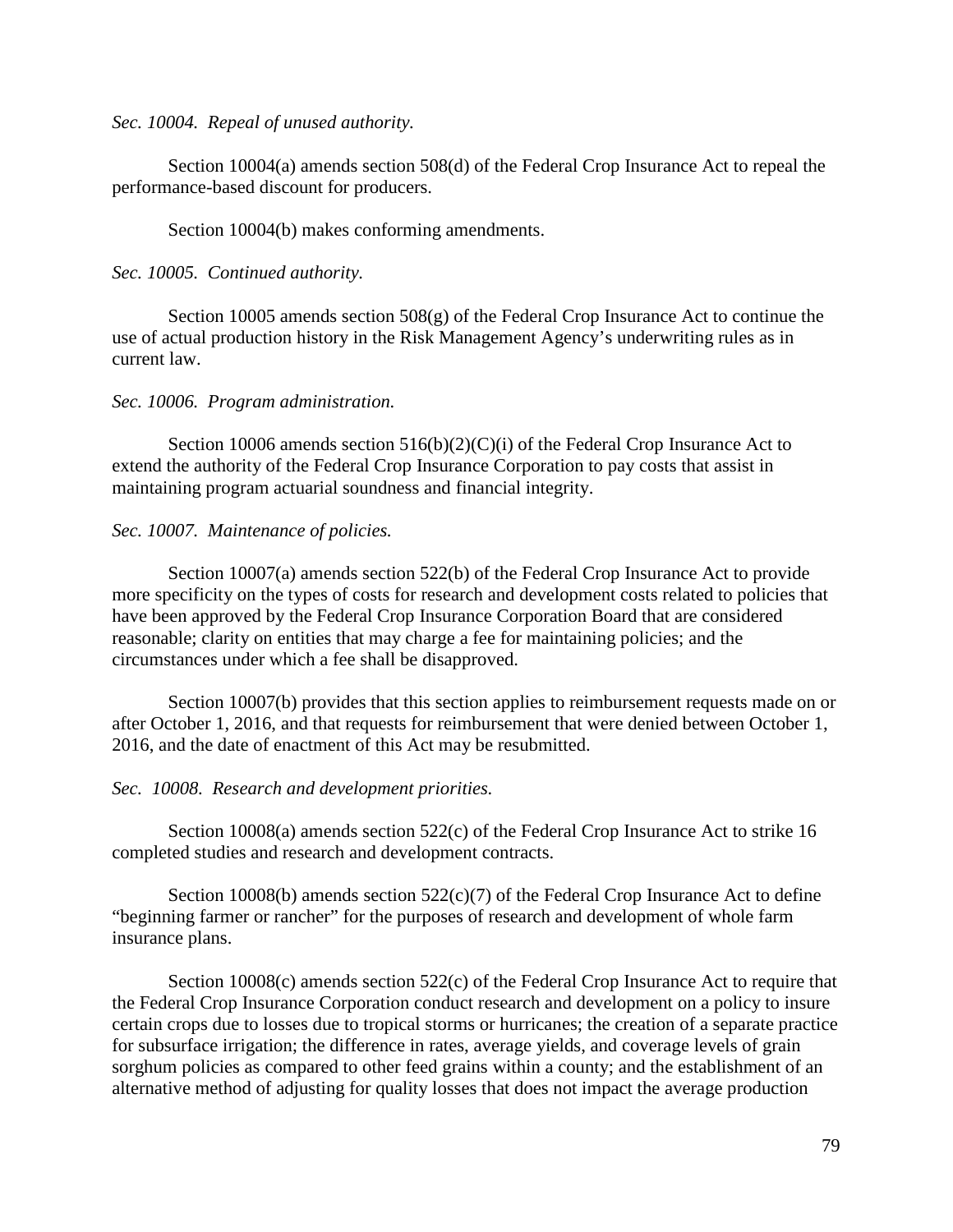*Sec. 10004. Repeal of unused authority.*

Section 10004(a) amends section 508(d) of the Federal Crop Insurance Act to repeal the performance-based discount for producers.

Section 10004(b) makes conforming amendments.

## *Sec. 10005. Continued authority.*

Section 10005 amends section 508(g) of the Federal Crop Insurance Act to continue the use of actual production history in the Risk Management Agency's underwriting rules as in current law.

## *Sec. 10006. Program administration.*

Section 10006 amends section 516(b)(2)(C)(i) of the Federal Crop Insurance Act to extend the authority of the Federal Crop Insurance Corporation to pay costs that assist in maintaining program actuarial soundness and financial integrity.

# *Sec. 10007. Maintenance of policies.*

Section 10007(a) amends section 522(b) of the Federal Crop Insurance Act to provide more specificity on the types of costs for research and development costs related to policies that have been approved by the Federal Crop Insurance Corporation Board that are considered reasonable; clarity on entities that may charge a fee for maintaining policies; and the circumstances under which a fee shall be disapproved.

Section 10007(b) provides that this section applies to reimbursement requests made on or after October 1, 2016, and that requests for reimbursement that were denied between October 1, 2016, and the date of enactment of this Act may be resubmitted.

## *Sec. 10008. Research and development priorities.*

Section 10008(a) amends section 522(c) of the Federal Crop Insurance Act to strike 16 completed studies and research and development contracts.

Section 10008(b) amends section  $522(c)(7)$  of the Federal Crop Insurance Act to define "beginning farmer or rancher" for the purposes of research and development of whole farm insurance plans.

Section 10008(c) amends section 522(c) of the Federal Crop Insurance Act to require that the Federal Crop Insurance Corporation conduct research and development on a policy to insure certain crops due to losses due to tropical storms or hurricanes; the creation of a separate practice for subsurface irrigation; the difference in rates, average yields, and coverage levels of grain sorghum policies as compared to other feed grains within a county; and the establishment of an alternative method of adjusting for quality losses that does not impact the average production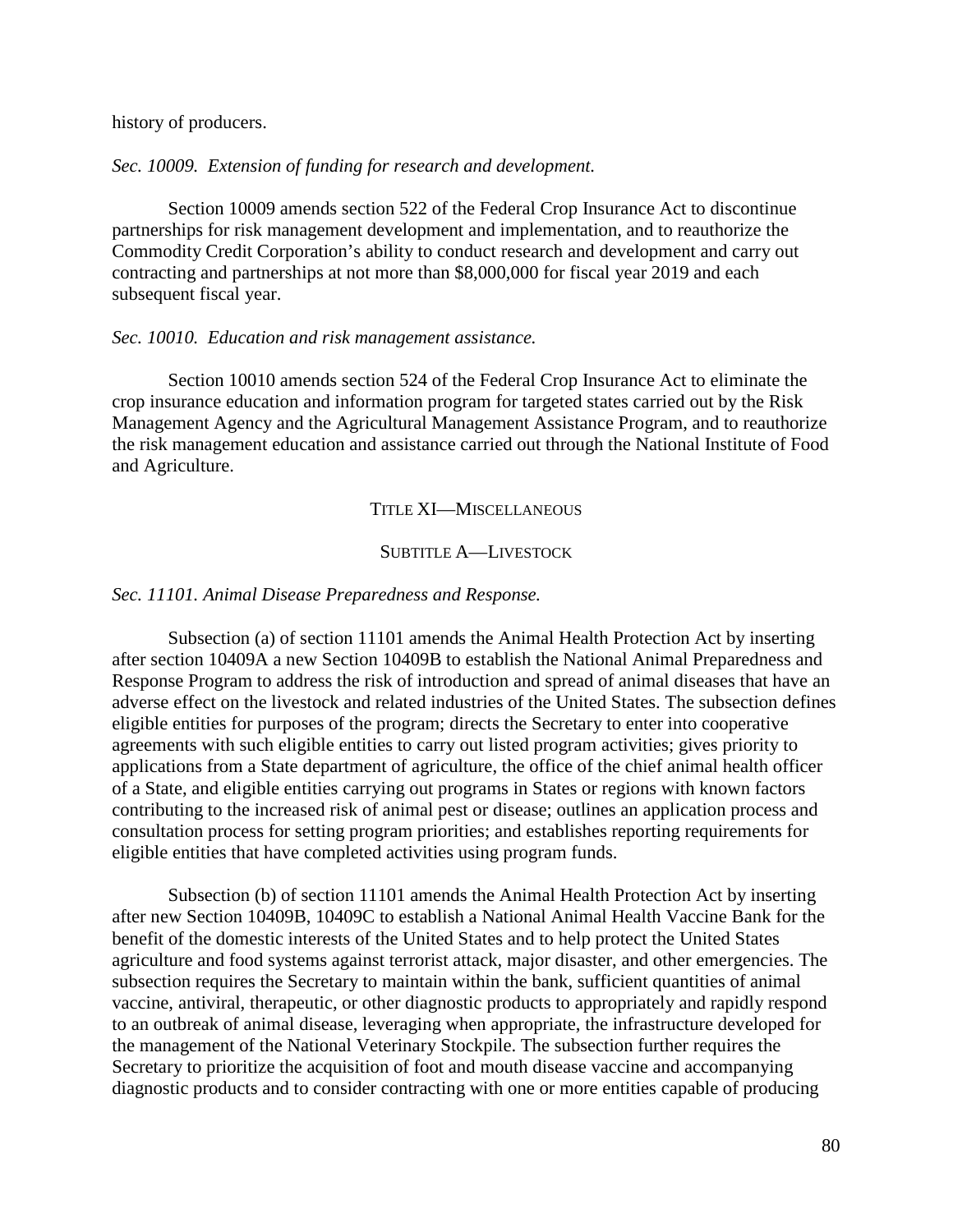history of producers.

*Sec. 10009. Extension of funding for research and development.*

Section 10009 amends section 522 of the Federal Crop Insurance Act to discontinue partnerships for risk management development and implementation, and to reauthorize the Commodity Credit Corporation's ability to conduct research and development and carry out contracting and partnerships at not more than \$8,000,000 for fiscal year 2019 and each subsequent fiscal year.

#### *Sec. 10010. Education and risk management assistance.*

Section 10010 amends section 524 of the Federal Crop Insurance Act to eliminate the crop insurance education and information program for targeted states carried out by the Risk Management Agency and the Agricultural Management Assistance Program, and to reauthorize the risk management education and assistance carried out through the National Institute of Food and Agriculture.

TITLE XI—MISCELLANEOUS

## SUBTITLE A-LIVESTOCK

#### *Sec. 11101. Animal Disease Preparedness and Response.*

Subsection (a) of section 11101 amends the Animal Health Protection Act by inserting after section 10409A a new Section 10409B to establish the National Animal Preparedness and Response Program to address the risk of introduction and spread of animal diseases that have an adverse effect on the livestock and related industries of the United States. The subsection defines eligible entities for purposes of the program; directs the Secretary to enter into cooperative agreements with such eligible entities to carry out listed program activities; gives priority to applications from a State department of agriculture, the office of the chief animal health officer of a State, and eligible entities carrying out programs in States or regions with known factors contributing to the increased risk of animal pest or disease; outlines an application process and consultation process for setting program priorities; and establishes reporting requirements for eligible entities that have completed activities using program funds.

Subsection (b) of section 11101 amends the Animal Health Protection Act by inserting after new Section 10409B, 10409C to establish a National Animal Health Vaccine Bank for the benefit of the domestic interests of the United States and to help protect the United States agriculture and food systems against terrorist attack, major disaster, and other emergencies. The subsection requires the Secretary to maintain within the bank, sufficient quantities of animal vaccine, antiviral, therapeutic, or other diagnostic products to appropriately and rapidly respond to an outbreak of animal disease, leveraging when appropriate, the infrastructure developed for the management of the National Veterinary Stockpile. The subsection further requires the Secretary to prioritize the acquisition of foot and mouth disease vaccine and accompanying diagnostic products and to consider contracting with one or more entities capable of producing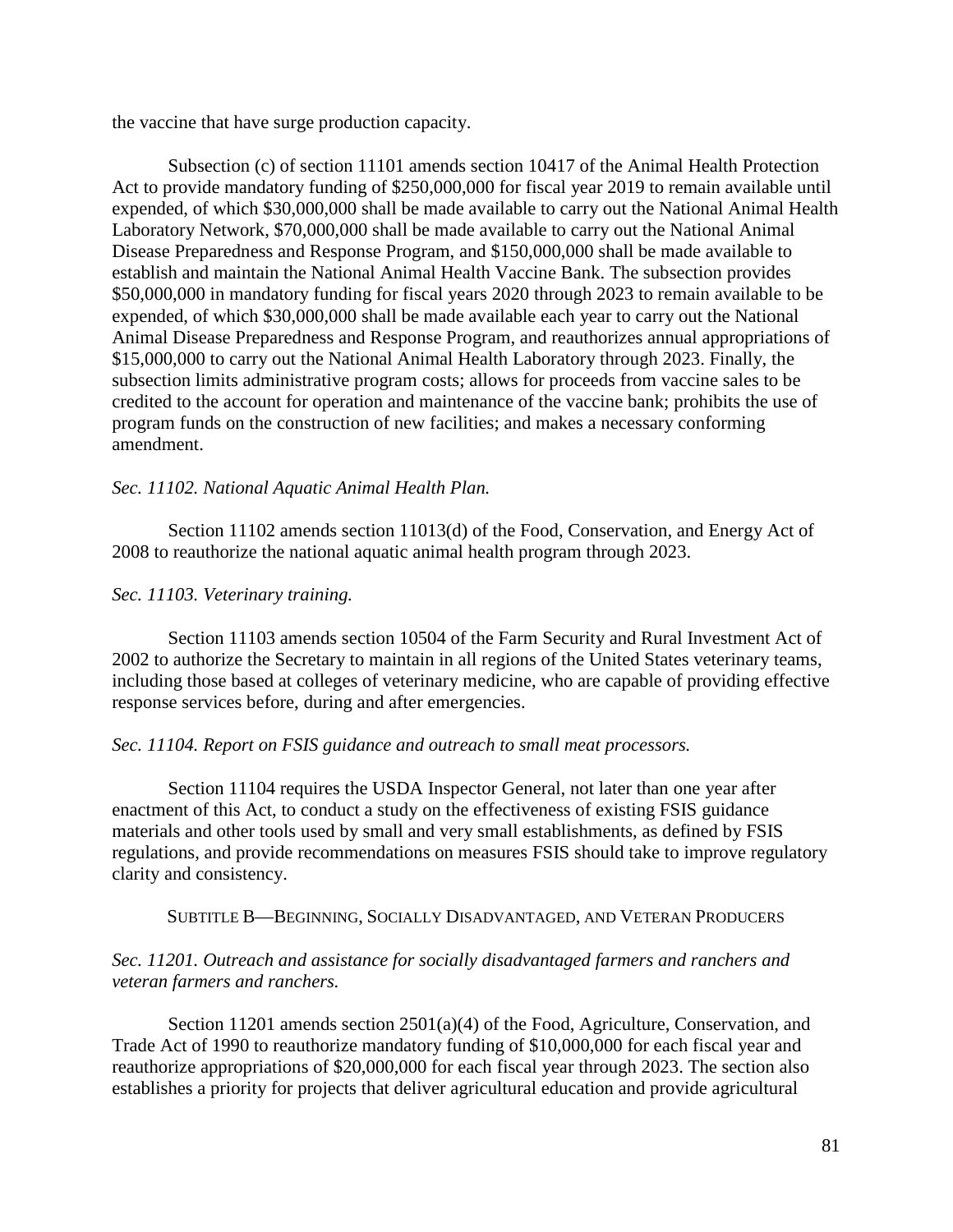the vaccine that have surge production capacity.

Subsection (c) of section 11101 amends section 10417 of the Animal Health Protection Act to provide mandatory funding of \$250,000,000 for fiscal year 2019 to remain available until expended, of which \$30,000,000 shall be made available to carry out the National Animal Health Laboratory Network, \$70,000,000 shall be made available to carry out the National Animal Disease Preparedness and Response Program, and \$150,000,000 shall be made available to establish and maintain the National Animal Health Vaccine Bank. The subsection provides \$50,000,000 in mandatory funding for fiscal years 2020 through 2023 to remain available to be expended, of which \$30,000,000 shall be made available each year to carry out the National Animal Disease Preparedness and Response Program, and reauthorizes annual appropriations of \$15,000,000 to carry out the National Animal Health Laboratory through 2023. Finally, the subsection limits administrative program costs; allows for proceeds from vaccine sales to be credited to the account for operation and maintenance of the vaccine bank; prohibits the use of program funds on the construction of new facilities; and makes a necessary conforming amendment.

# *Sec. 11102. National Aquatic Animal Health Plan.*

Section 11102 amends section 11013(d) of the Food, Conservation, and Energy Act of 2008 to reauthorize the national aquatic animal health program through 2023.

# *Sec. 11103. Veterinary training.*

Section 11103 amends section 10504 of the Farm Security and Rural Investment Act of 2002 to authorize the Secretary to maintain in all regions of the United States veterinary teams, including those based at colleges of veterinary medicine, who are capable of providing effective response services before, during and after emergencies.

## *Sec. 11104. Report on FSIS guidance and outreach to small meat processors.*

Section 11104 requires the USDA Inspector General, not later than one year after enactment of this Act, to conduct a study on the effectiveness of existing FSIS guidance materials and other tools used by small and very small establishments, as defined by FSIS regulations, and provide recommendations on measures FSIS should take to improve regulatory clarity and consistency.

SUBTITLE B—BEGINNING, SOCIALLY DISADVANTAGED, AND VETERAN PRODUCERS

# *Sec. 11201. Outreach and assistance for socially disadvantaged farmers and ranchers and veteran farmers and ranchers.*

Section 11201 amends section 2501(a)(4) of the Food, Agriculture, Conservation, and Trade Act of 1990 to reauthorize mandatory funding of \$10,000,000 for each fiscal year and reauthorize appropriations of \$20,000,000 for each fiscal year through 2023. The section also establishes a priority for projects that deliver agricultural education and provide agricultural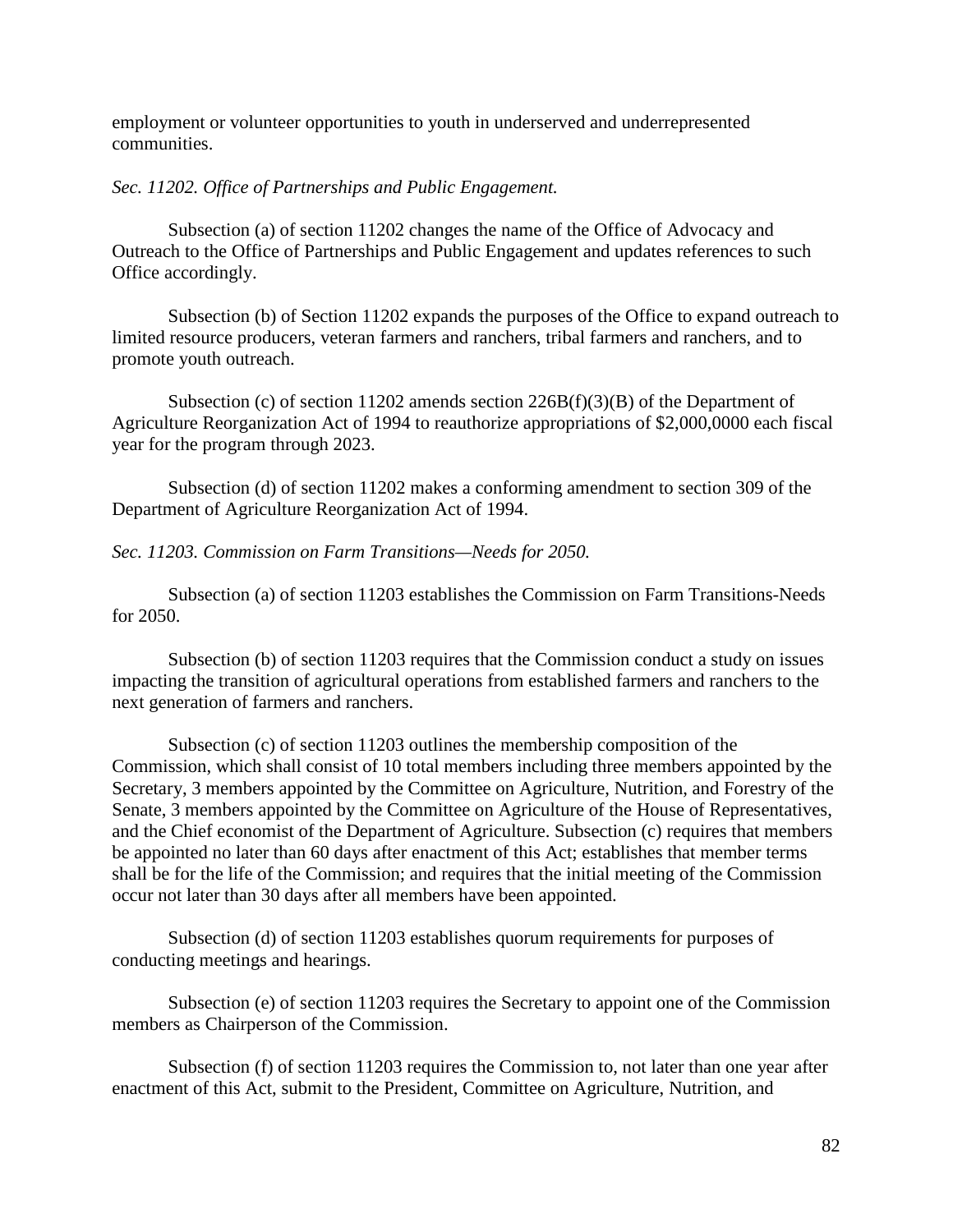employment or volunteer opportunities to youth in underserved and underrepresented communities.

## *Sec. 11202. Office of Partnerships and Public Engagement.*

Subsection (a) of section 11202 changes the name of the Office of Advocacy and Outreach to the Office of Partnerships and Public Engagement and updates references to such Office accordingly.

Subsection (b) of Section 11202 expands the purposes of the Office to expand outreach to limited resource producers, veteran farmers and ranchers, tribal farmers and ranchers, and to promote youth outreach.

Subsection (c) of section 11202 amends section  $226B(f)(3)(B)$  of the Department of Agriculture Reorganization Act of 1994 to reauthorize appropriations of \$2,000,0000 each fiscal year for the program through 2023.

Subsection (d) of section 11202 makes a conforming amendment to section 309 of the Department of Agriculture Reorganization Act of 1994.

# *Sec. 11203. Commission on Farm Transitions—Needs for 2050.*

Subsection (a) of section 11203 establishes the Commission on Farm Transitions-Needs for 2050.

Subsection (b) of section 11203 requires that the Commission conduct a study on issues impacting the transition of agricultural operations from established farmers and ranchers to the next generation of farmers and ranchers.

Subsection (c) of section 11203 outlines the membership composition of the Commission, which shall consist of 10 total members including three members appointed by the Secretary, 3 members appointed by the Committee on Agriculture, Nutrition, and Forestry of the Senate, 3 members appointed by the Committee on Agriculture of the House of Representatives, and the Chief economist of the Department of Agriculture. Subsection (c) requires that members be appointed no later than 60 days after enactment of this Act; establishes that member terms shall be for the life of the Commission; and requires that the initial meeting of the Commission occur not later than 30 days after all members have been appointed.

Subsection (d) of section 11203 establishes quorum requirements for purposes of conducting meetings and hearings.

Subsection (e) of section 11203 requires the Secretary to appoint one of the Commission members as Chairperson of the Commission.

Subsection (f) of section 11203 requires the Commission to, not later than one year after enactment of this Act, submit to the President, Committee on Agriculture, Nutrition, and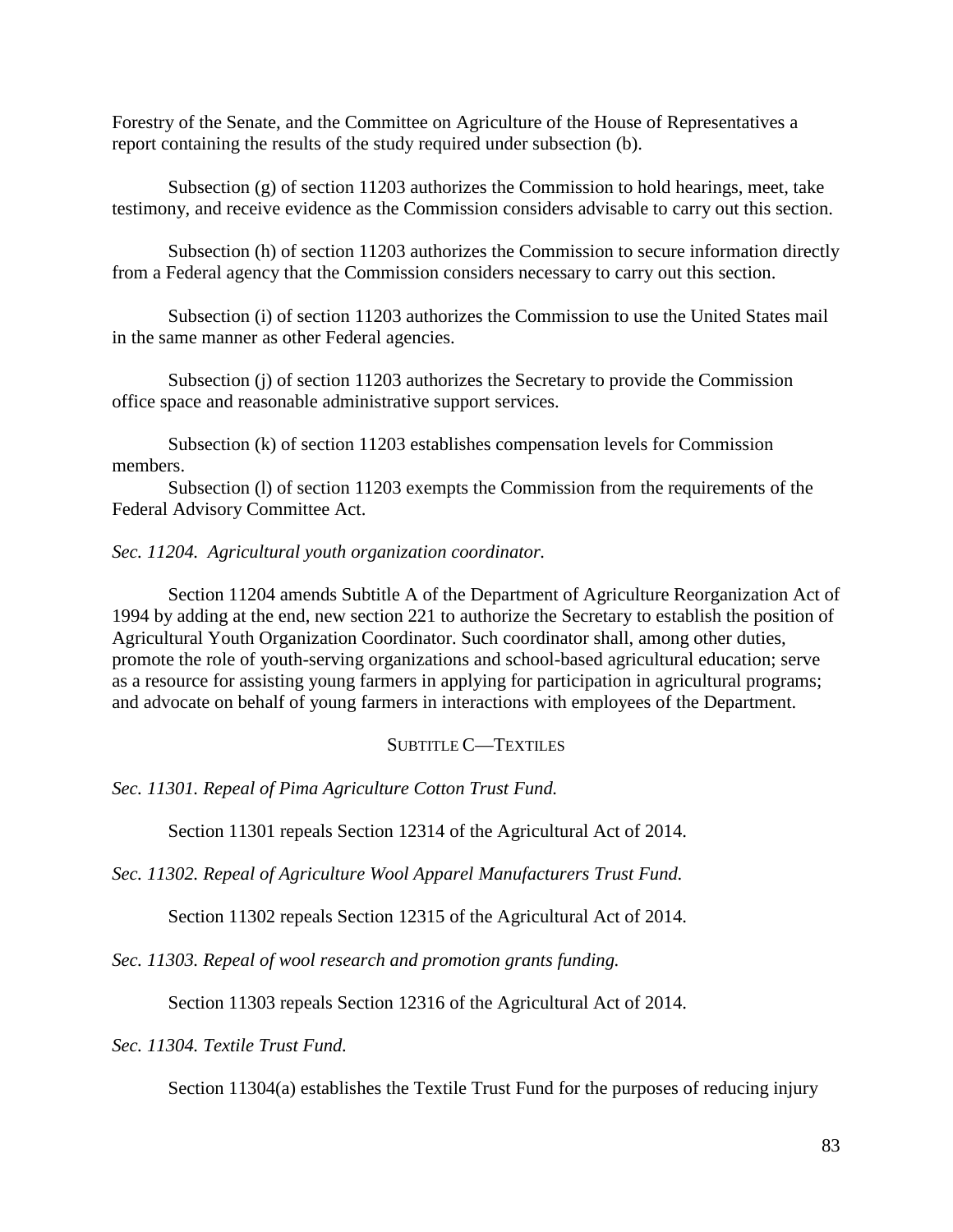Forestry of the Senate, and the Committee on Agriculture of the House of Representatives a report containing the results of the study required under subsection (b).

Subsection (g) of section 11203 authorizes the Commission to hold hearings, meet, take testimony, and receive evidence as the Commission considers advisable to carry out this section.

Subsection (h) of section 11203 authorizes the Commission to secure information directly from a Federal agency that the Commission considers necessary to carry out this section.

Subsection (i) of section 11203 authorizes the Commission to use the United States mail in the same manner as other Federal agencies.

Subsection (j) of section 11203 authorizes the Secretary to provide the Commission office space and reasonable administrative support services.

Subsection (k) of section 11203 establishes compensation levels for Commission members.

Subsection (l) of section 11203 exempts the Commission from the requirements of the Federal Advisory Committee Act.

## *Sec. 11204. Agricultural youth organization coordinator.*

Section 11204 amends Subtitle A of the Department of Agriculture Reorganization Act of 1994 by adding at the end, new section 221 to authorize the Secretary to establish the position of Agricultural Youth Organization Coordinator. Such coordinator shall, among other duties, promote the role of youth-serving organizations and school-based agricultural education; serve as a resource for assisting young farmers in applying for participation in agricultural programs; and advocate on behalf of young farmers in interactions with employees of the Department.

## SUBTITLE C—TEXTILES

*Sec. 11301. Repeal of Pima Agriculture Cotton Trust Fund.*

Section 11301 repeals Section 12314 of the Agricultural Act of 2014.

*Sec. 11302. Repeal of Agriculture Wool Apparel Manufacturers Trust Fund.*

Section 11302 repeals Section 12315 of the Agricultural Act of 2014.

*Sec. 11303. Repeal of wool research and promotion grants funding.*

Section 11303 repeals Section 12316 of the Agricultural Act of 2014.

*Sec. 11304. Textile Trust Fund.*

Section 11304(a) establishes the Textile Trust Fund for the purposes of reducing injury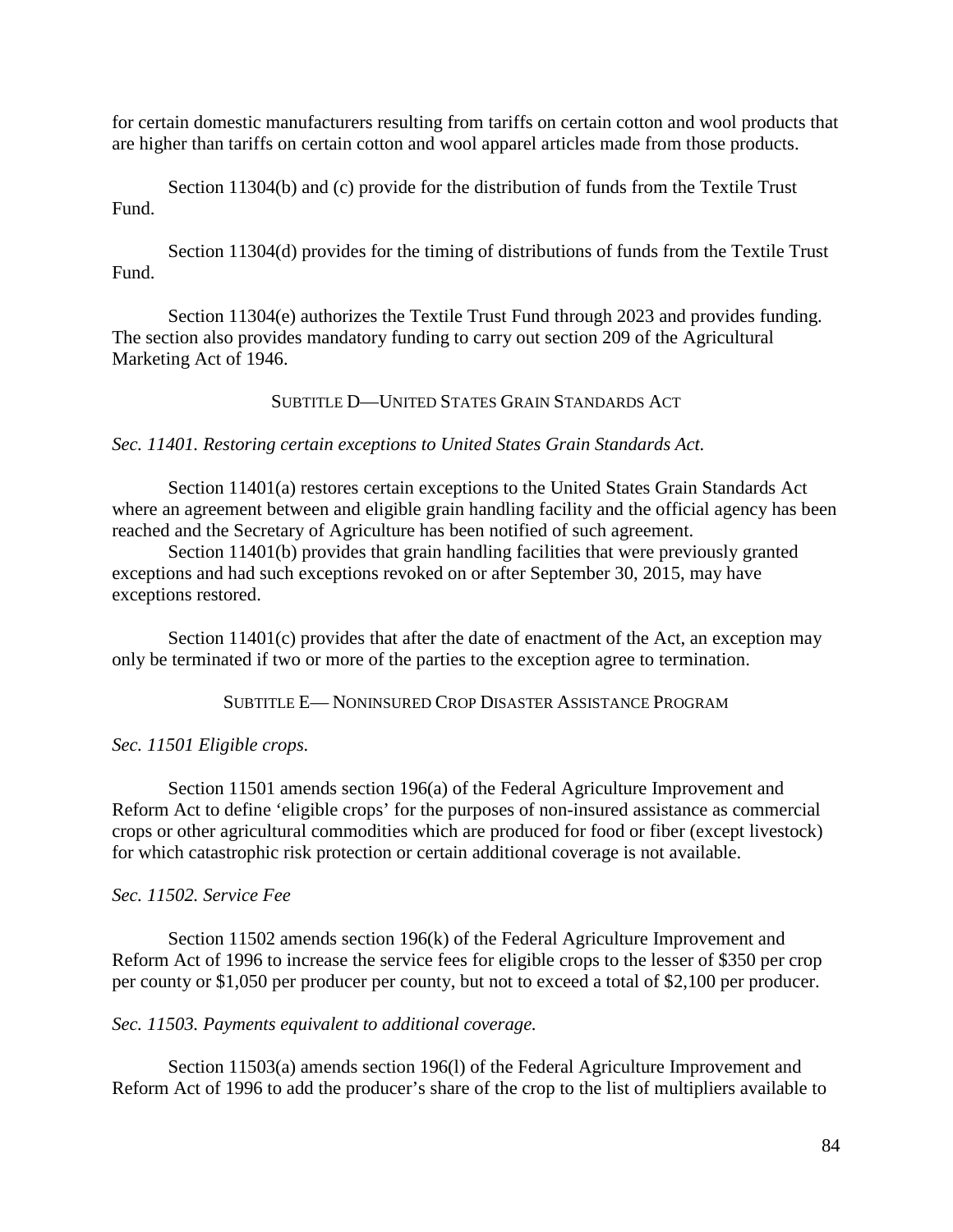for certain domestic manufacturers resulting from tariffs on certain cotton and wool products that are higher than tariffs on certain cotton and wool apparel articles made from those products.

Section 11304(b) and (c) provide for the distribution of funds from the Textile Trust Fund.

Section 11304(d) provides for the timing of distributions of funds from the Textile Trust Fund.

Section 11304(e) authorizes the Textile Trust Fund through 2023 and provides funding. The section also provides mandatory funding to carry out section 209 of the Agricultural Marketing Act of 1946.

SUBTITLE D—UNITED STATES GRAIN STANDARDS ACT

## *Sec. 11401. Restoring certain exceptions to United States Grain Standards Act.*

Section 11401(a) restores certain exceptions to the United States Grain Standards Act where an agreement between and eligible grain handling facility and the official agency has been reached and the Secretary of Agriculture has been notified of such agreement.

Section 11401(b) provides that grain handling facilities that were previously granted exceptions and had such exceptions revoked on or after September 30, 2015, may have exceptions restored.

Section 11401(c) provides that after the date of enactment of the Act, an exception may only be terminated if two or more of the parties to the exception agree to termination.

SUBTITLE E— NONINSURED CROP DISASTER ASSISTANCE PROGRAM

## *Sec. 11501 Eligible crops.*

Section 11501 amends section 196(a) of the Federal Agriculture Improvement and Reform Act to define 'eligible crops' for the purposes of non-insured assistance as commercial crops or other agricultural commodities which are produced for food or fiber (except livestock) for which catastrophic risk protection or certain additional coverage is not available.

## *Sec. 11502. Service Fee*

Section 11502 amends section 196(k) of the Federal Agriculture Improvement and Reform Act of 1996 to increase the service fees for eligible crops to the lesser of \$350 per crop per county or \$1,050 per producer per county, but not to exceed a total of \$2,100 per producer.

*Sec. 11503. Payments equivalent to additional coverage.*

Section 11503(a) amends section 196(l) of the Federal Agriculture Improvement and Reform Act of 1996 to add the producer's share of the crop to the list of multipliers available to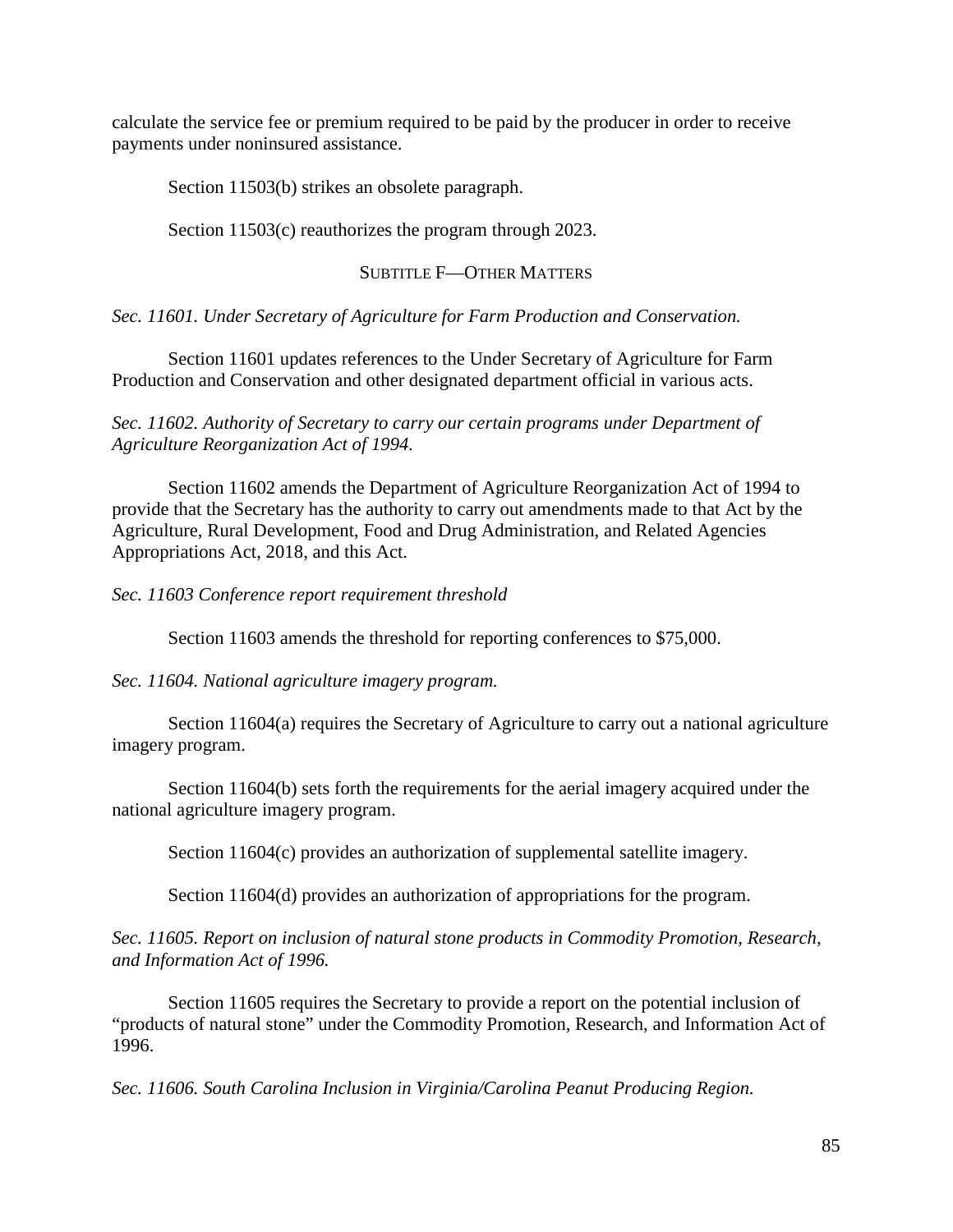calculate the service fee or premium required to be paid by the producer in order to receive payments under noninsured assistance.

Section 11503(b) strikes an obsolete paragraph.

Section 11503(c) reauthorizes the program through 2023.

## SUBTITLE F—OTHER MATTERS

*Sec. 11601. Under Secretary of Agriculture for Farm Production and Conservation.*

Section 11601 updates references to the Under Secretary of Agriculture for Farm Production and Conservation and other designated department official in various acts.

*Sec. 11602. Authority of Secretary to carry our certain programs under Department of Agriculture Reorganization Act of 1994.*

Section 11602 amends the Department of Agriculture Reorganization Act of 1994 to provide that the Secretary has the authority to carry out amendments made to that Act by the Agriculture, Rural Development, Food and Drug Administration, and Related Agencies Appropriations Act, 2018, and this Act.

*Sec. 11603 Conference report requirement threshold*

Section 11603 amends the threshold for reporting conferences to \$75,000.

*Sec. 11604. National agriculture imagery program.*

Section 11604(a) requires the Secretary of Agriculture to carry out a national agriculture imagery program.

Section 11604(b) sets forth the requirements for the aerial imagery acquired under the national agriculture imagery program.

Section 11604(c) provides an authorization of supplemental satellite imagery.

Section 11604(d) provides an authorization of appropriations for the program.

*Sec. 11605. Report on inclusion of natural stone products in Commodity Promotion, Research, and Information Act of 1996.*

Section 11605 requires the Secretary to provide a report on the potential inclusion of "products of natural stone" under the Commodity Promotion, Research, and Information Act of 1996.

*Sec. 11606. South Carolina Inclusion in Virginia/Carolina Peanut Producing Region.*